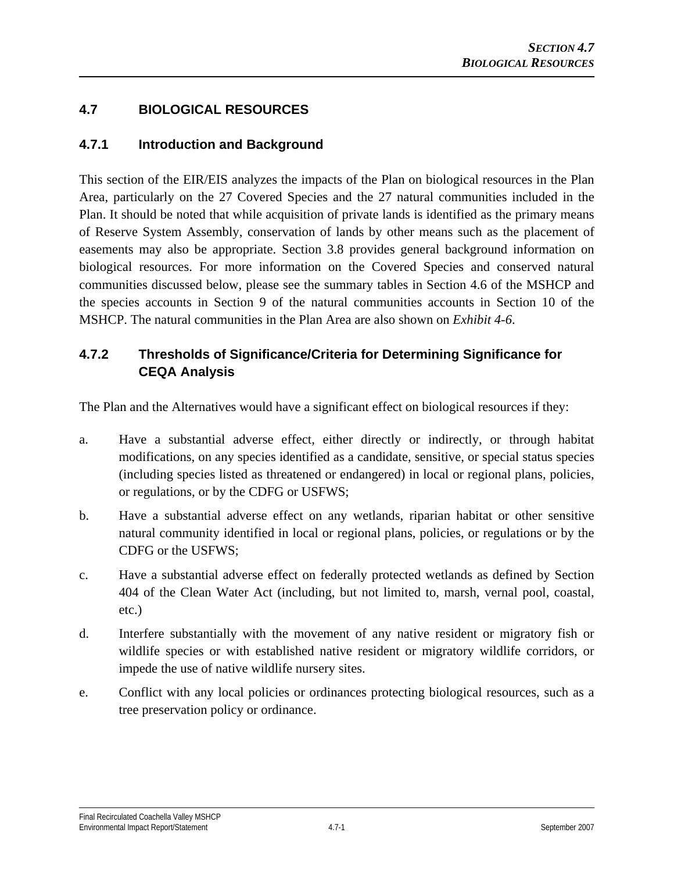# **4.7 BIOLOGICAL RESOURCES**

# **4.7.1 Introduction and Background**

This section of the EIR/EIS analyzes the impacts of the Plan on biological resources in the Plan Area, particularly on the 27 Covered Species and the 27 natural communities included in the Plan. It should be noted that while acquisition of private lands is identified as the primary means of Reserve System Assembly, conservation of lands by other means such as the placement of easements may also be appropriate. Section 3.8 provides general background information on biological resources. For more information on the Covered Species and conserved natural communities discussed below, please see the summary tables in Section 4.6 of the MSHCP and the species accounts in Section 9 of the natural communities accounts in Section 10 of the MSHCP. The natural communities in the Plan Area are also shown on *Exhibit 4-6*.

# **4.7.2 Thresholds of Significance/Criteria for Determining Significance for CEQA Analysis**

The Plan and the Alternatives would have a significant effect on biological resources if they:

- a. Have a substantial adverse effect, either directly or indirectly, or through habitat modifications, on any species identified as a candidate, sensitive, or special status species (including species listed as threatened or endangered) in local or regional plans, policies, or regulations, or by the CDFG or USFWS;
- b. Have a substantial adverse effect on any wetlands, riparian habitat or other sensitive natural community identified in local or regional plans, policies, or regulations or by the CDFG or the USFWS;
- c. Have a substantial adverse effect on federally protected wetlands as defined by Section 404 of the Clean Water Act (including, but not limited to, marsh, vernal pool, coastal, etc.)
- d. Interfere substantially with the movement of any native resident or migratory fish or wildlife species or with established native resident or migratory wildlife corridors, or impede the use of native wildlife nursery sites.
- e. Conflict with any local policies or ordinances protecting biological resources, such as a tree preservation policy or ordinance.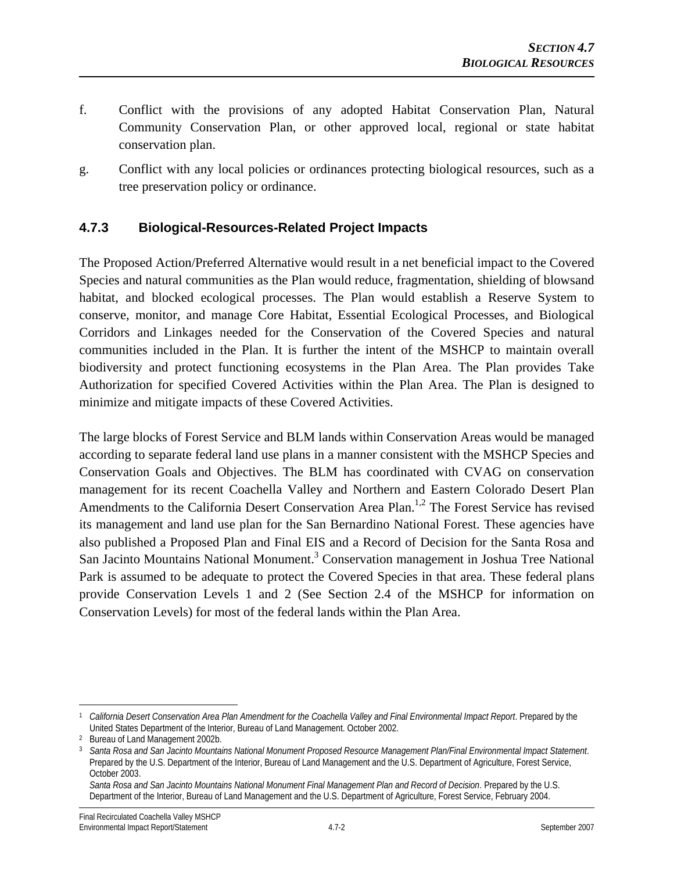- f. Conflict with the provisions of any adopted Habitat Conservation Plan, Natural Community Conservation Plan, or other approved local, regional or state habitat conservation plan.
- g. Conflict with any local policies or ordinances protecting biological resources, such as a tree preservation policy or ordinance.

# **4.7.3 Biological-Resources-Related Project Impacts**

The Proposed Action/Preferred Alternative would result in a net beneficial impact to the Covered Species and natural communities as the Plan would reduce, fragmentation, shielding of blowsand habitat, and blocked ecological processes. The Plan would establish a Reserve System to conserve, monitor, and manage Core Habitat, Essential Ecological Processes, and Biological Corridors and Linkages needed for the Conservation of the Covered Species and natural communities included in the Plan. It is further the intent of the MSHCP to maintain overall biodiversity and protect functioning ecosystems in the Plan Area. The Plan provides Take Authorization for specified Covered Activities within the Plan Area. The Plan is designed to minimize and mitigate impacts of these Covered Activities.

The large blocks of Forest Service and BLM lands within Conservation Areas would be managed according to separate federal land use plans in a manner consistent with the MSHCP Species and Conservation Goals and Objectives. The BLM has coordinated with CVAG on conservation management for its recent Coachella Valley and Northern and Eastern Colorado Desert Plan Amendments to the California Desert Conservation Area Plan.<sup>1,2</sup> The Forest Service has revised its management and land use plan for the San Bernardino National Forest. These agencies have also published a Proposed Plan and Final EIS and a Record of Decision for the Santa Rosa and San Jacinto Mountains National Monument.<sup>3</sup> Conservation management in Joshua Tree National Park is assumed to be adequate to protect the Covered Species in that area. These federal plans provide Conservation Levels 1 and 2 (See Section 2.4 of the MSHCP for information on Conservation Levels) for most of the federal lands within the Plan Area.

 $\overline{a}$ 

<sup>1</sup> *California Desert Conservation Area Plan Amendment for the Coachella Valley and Final Environmental Impact Report*. Prepared by the United States Department of the Interior, Bureau of Land Management. October 2002. 2 Bureau of Land Management 2002b.

<sup>3</sup>*Santa Rosa and San Jacinto Mountains National Monument Proposed Resource Management Plan/Final Environmental Impact Statement*. Prepared by the U.S. Department of the Interior, Bureau of Land Management and the U.S. Department of Agriculture, Forest Service, October 2003.

*Santa Rosa and San Jacinto Mountains National Monument Final Management Plan and Record of Decision*. Prepared by the U.S. Department of the Interior, Bureau of Land Management and the U.S. Department of Agriculture, Forest Service, February 2004.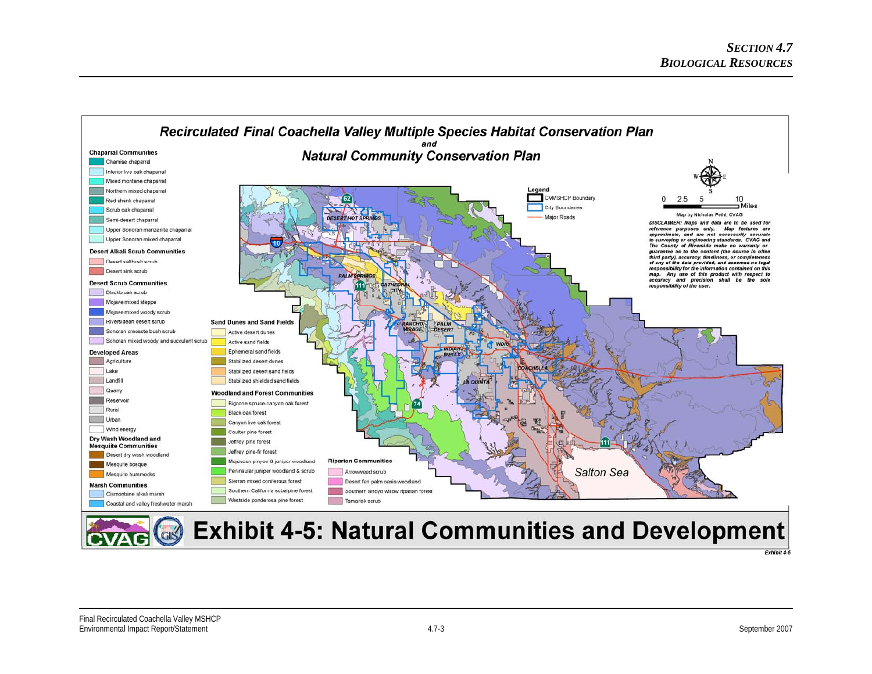

**Exhibit 4-5: Natural Communities and Development** 

Exhibit 4-5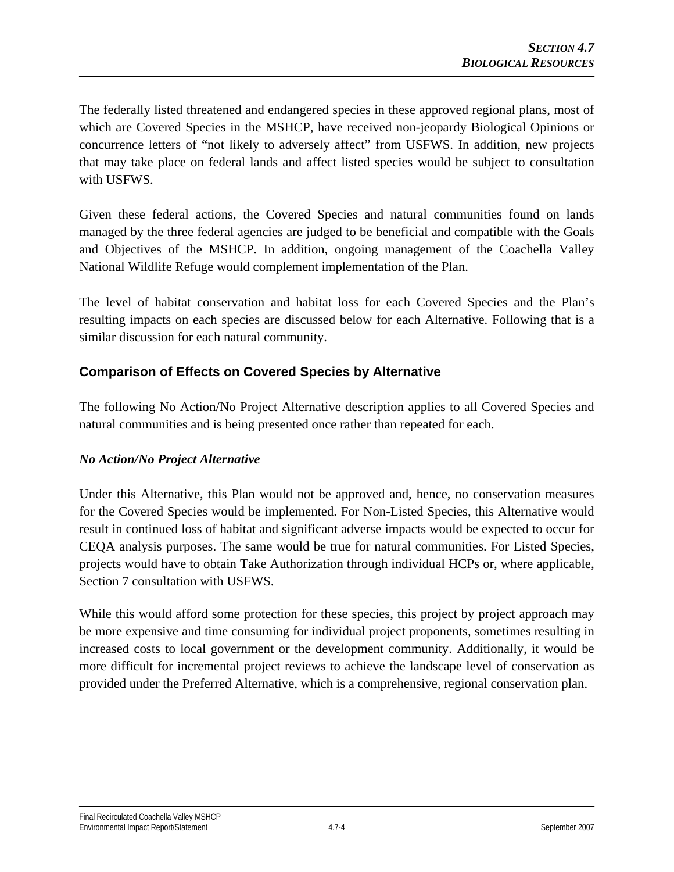The federally listed threatened and endangered species in these approved regional plans, most of which are Covered Species in the MSHCP, have received non-jeopardy Biological Opinions or concurrence letters of "not likely to adversely affect" from USFWS. In addition, new projects that may take place on federal lands and affect listed species would be subject to consultation with USFWS.

Given these federal actions, the Covered Species and natural communities found on lands managed by the three federal agencies are judged to be beneficial and compatible with the Goals and Objectives of the MSHCP. In addition, ongoing management of the Coachella Valley National Wildlife Refuge would complement implementation of the Plan.

The level of habitat conservation and habitat loss for each Covered Species and the Plan's resulting impacts on each species are discussed below for each Alternative. Following that is a similar discussion for each natural community.

# **Comparison of Effects on Covered Species by Alternative**

The following No Action/No Project Alternative description applies to all Covered Species and natural communities and is being presented once rather than repeated for each.

### *No Action/No Project Alternative*

Under this Alternative, this Plan would not be approved and, hence, no conservation measures for the Covered Species would be implemented. For Non-Listed Species, this Alternative would result in continued loss of habitat and significant adverse impacts would be expected to occur for CEQA analysis purposes. The same would be true for natural communities. For Listed Species, projects would have to obtain Take Authorization through individual HCPs or, where applicable, Section 7 consultation with USFWS.

While this would afford some protection for these species, this project by project approach may be more expensive and time consuming for individual project proponents, sometimes resulting in increased costs to local government or the development community. Additionally, it would be more difficult for incremental project reviews to achieve the landscape level of conservation as provided under the Preferred Alternative, which is a comprehensive, regional conservation plan.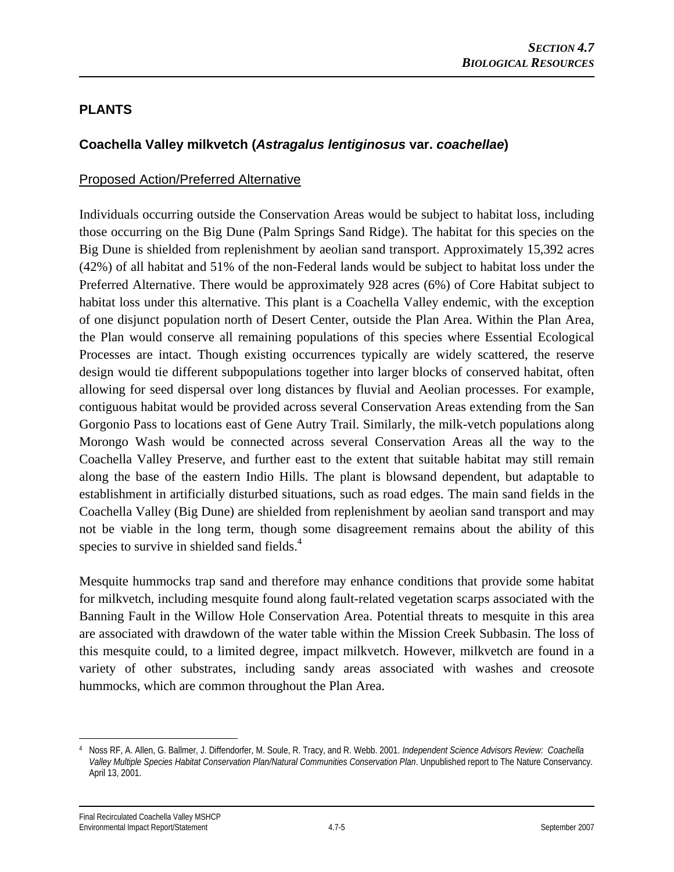# **PLANTS**

# **Coachella Valley milkvetch (***Astragalus lentiginosus* **var.** *coachellae***)**

#### Proposed Action/Preferred Alternative

Individuals occurring outside the Conservation Areas would be subject to habitat loss, including those occurring on the Big Dune (Palm Springs Sand Ridge). The habitat for this species on the Big Dune is shielded from replenishment by aeolian sand transport. Approximately 15,392 acres (42%) of all habitat and 51% of the non-Federal lands would be subject to habitat loss under the Preferred Alternative. There would be approximately 928 acres (6%) of Core Habitat subject to habitat loss under this alternative. This plant is a Coachella Valley endemic, with the exception of one disjunct population north of Desert Center, outside the Plan Area. Within the Plan Area, the Plan would conserve all remaining populations of this species where Essential Ecological Processes are intact. Though existing occurrences typically are widely scattered, the reserve design would tie different subpopulations together into larger blocks of conserved habitat, often allowing for seed dispersal over long distances by fluvial and Aeolian processes. For example, contiguous habitat would be provided across several Conservation Areas extending from the San Gorgonio Pass to locations east of Gene Autry Trail. Similarly, the milk-vetch populations along Morongo Wash would be connected across several Conservation Areas all the way to the Coachella Valley Preserve, and further east to the extent that suitable habitat may still remain along the base of the eastern Indio Hills. The plant is blowsand dependent, but adaptable to establishment in artificially disturbed situations, such as road edges. The main sand fields in the Coachella Valley (Big Dune) are shielded from replenishment by aeolian sand transport and may not be viable in the long term, though some disagreement remains about the ability of this species to survive in shielded sand fields. $4$ 

Mesquite hummocks trap sand and therefore may enhance conditions that provide some habitat for milkvetch, including mesquite found along fault-related vegetation scarps associated with the Banning Fault in the Willow Hole Conservation Area. Potential threats to mesquite in this area are associated with drawdown of the water table within the Mission Creek Subbasin. The loss of this mesquite could, to a limited degree, impact milkvetch. However, milkvetch are found in a variety of other substrates, including sandy areas associated with washes and creosote hummocks, which are common throughout the Plan Area.

 $\overline{a}$ 4 Noss RF, A. Allen, G. Ballmer, J. Diffendorfer, M. Soule, R. Tracy, and R. Webb. 2001. *Independent Science Advisors Review: Coachella Valley Multiple Species Habitat Conservation Plan/Natural Communities Conservation Plan*. Unpublished report to The Nature Conservancy. April 13, 2001.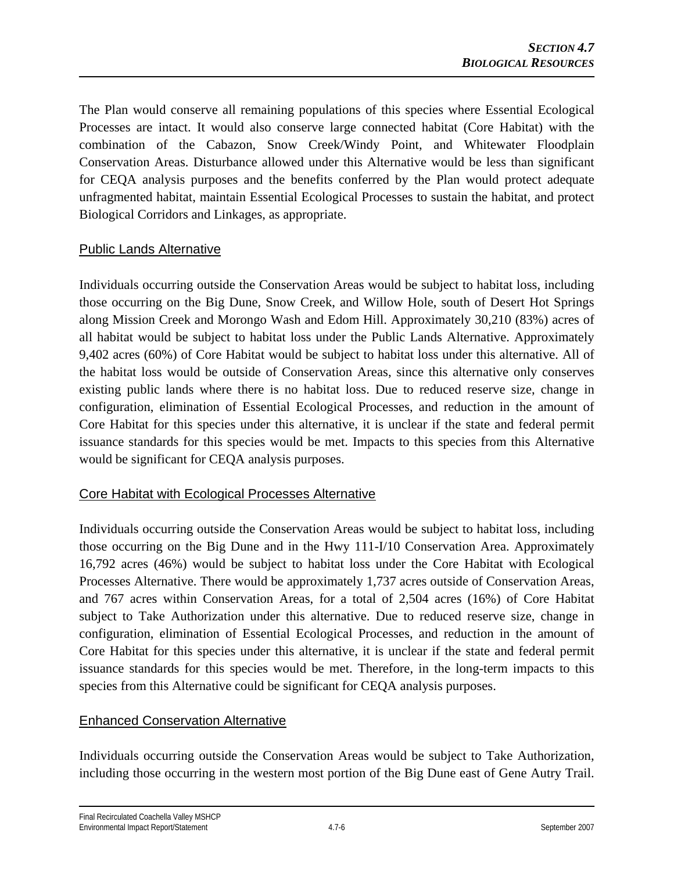The Plan would conserve all remaining populations of this species where Essential Ecological Processes are intact. It would also conserve large connected habitat (Core Habitat) with the combination of the Cabazon, Snow Creek/Windy Point, and Whitewater Floodplain Conservation Areas. Disturbance allowed under this Alternative would be less than significant for CEQA analysis purposes and the benefits conferred by the Plan would protect adequate unfragmented habitat, maintain Essential Ecological Processes to sustain the habitat, and protect Biological Corridors and Linkages, as appropriate.

# Public Lands Alternative

Individuals occurring outside the Conservation Areas would be subject to habitat loss, including those occurring on the Big Dune, Snow Creek, and Willow Hole, south of Desert Hot Springs along Mission Creek and Morongo Wash and Edom Hill. Approximately 30,210 (83%) acres of all habitat would be subject to habitat loss under the Public Lands Alternative. Approximately 9,402 acres (60%) of Core Habitat would be subject to habitat loss under this alternative. All of the habitat loss would be outside of Conservation Areas, since this alternative only conserves existing public lands where there is no habitat loss. Due to reduced reserve size, change in configuration, elimination of Essential Ecological Processes, and reduction in the amount of Core Habitat for this species under this alternative, it is unclear if the state and federal permit issuance standards for this species would be met. Impacts to this species from this Alternative would be significant for CEQA analysis purposes.

### Core Habitat with Ecological Processes Alternative

Individuals occurring outside the Conservation Areas would be subject to habitat loss, including those occurring on the Big Dune and in the Hwy 111-I/10 Conservation Area. Approximately 16,792 acres (46%) would be subject to habitat loss under the Core Habitat with Ecological Processes Alternative. There would be approximately 1,737 acres outside of Conservation Areas, and 767 acres within Conservation Areas, for a total of 2,504 acres (16%) of Core Habitat subject to Take Authorization under this alternative. Due to reduced reserve size, change in configuration, elimination of Essential Ecological Processes, and reduction in the amount of Core Habitat for this species under this alternative, it is unclear if the state and federal permit issuance standards for this species would be met. Therefore, in the long-term impacts to this species from this Alternative could be significant for CEQA analysis purposes.

# Enhanced Conservation Alternative

Individuals occurring outside the Conservation Areas would be subject to Take Authorization, including those occurring in the western most portion of the Big Dune east of Gene Autry Trail.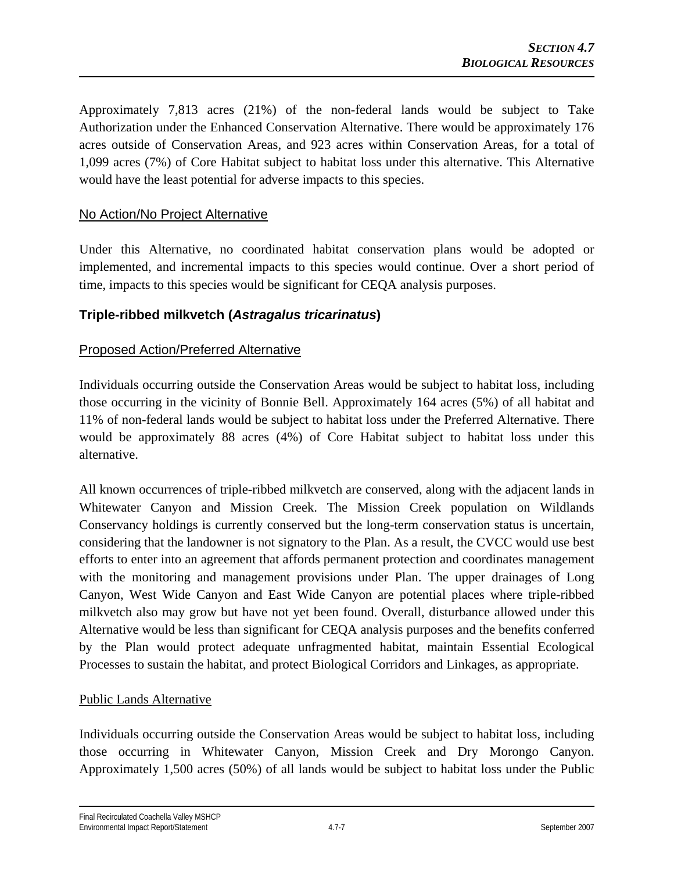Approximately 7,813 acres (21%) of the non-federal lands would be subject to Take Authorization under the Enhanced Conservation Alternative. There would be approximately 176 acres outside of Conservation Areas, and 923 acres within Conservation Areas, for a total of 1,099 acres (7%) of Core Habitat subject to habitat loss under this alternative. This Alternative would have the least potential for adverse impacts to this species.

# No Action/No Project Alternative

Under this Alternative, no coordinated habitat conservation plans would be adopted or implemented, and incremental impacts to this species would continue. Over a short period of time, impacts to this species would be significant for CEQA analysis purposes.

# **Triple-ribbed milkvetch (***Astragalus tricarinatus***)**

# Proposed Action/Preferred Alternative

Individuals occurring outside the Conservation Areas would be subject to habitat loss, including those occurring in the vicinity of Bonnie Bell. Approximately 164 acres (5%) of all habitat and 11% of non-federal lands would be subject to habitat loss under the Preferred Alternative. There would be approximately 88 acres (4%) of Core Habitat subject to habitat loss under this alternative.

All known occurrences of triple-ribbed milkvetch are conserved, along with the adjacent lands in Whitewater Canyon and Mission Creek. The Mission Creek population on Wildlands Conservancy holdings is currently conserved but the long-term conservation status is uncertain, considering that the landowner is not signatory to the Plan. As a result, the CVCC would use best efforts to enter into an agreement that affords permanent protection and coordinates management with the monitoring and management provisions under Plan. The upper drainages of Long Canyon, West Wide Canyon and East Wide Canyon are potential places where triple-ribbed milkvetch also may grow but have not yet been found. Overall, disturbance allowed under this Alternative would be less than significant for CEQA analysis purposes and the benefits conferred by the Plan would protect adequate unfragmented habitat, maintain Essential Ecological Processes to sustain the habitat, and protect Biological Corridors and Linkages, as appropriate.

### Public Lands Alternative

Individuals occurring outside the Conservation Areas would be subject to habitat loss, including those occurring in Whitewater Canyon, Mission Creek and Dry Morongo Canyon. Approximately 1,500 acres (50%) of all lands would be subject to habitat loss under the Public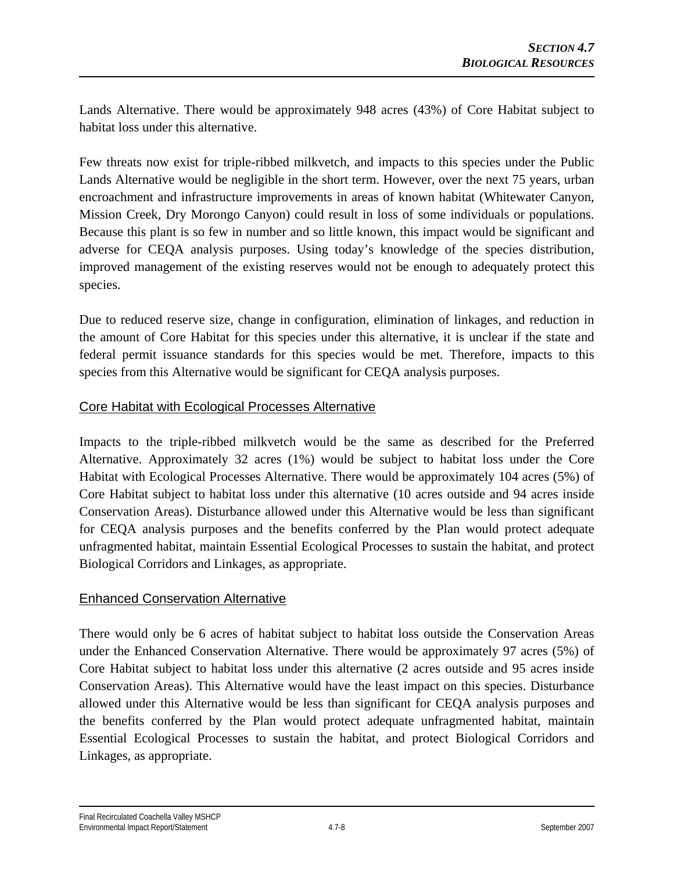Lands Alternative. There would be approximately 948 acres (43%) of Core Habitat subject to habitat loss under this alternative.

Few threats now exist for triple-ribbed milkvetch, and impacts to this species under the Public Lands Alternative would be negligible in the short term. However, over the next 75 years, urban encroachment and infrastructure improvements in areas of known habitat (Whitewater Canyon, Mission Creek, Dry Morongo Canyon) could result in loss of some individuals or populations. Because this plant is so few in number and so little known, this impact would be significant and adverse for CEQA analysis purposes. Using today's knowledge of the species distribution, improved management of the existing reserves would not be enough to adequately protect this species.

Due to reduced reserve size, change in configuration, elimination of linkages, and reduction in the amount of Core Habitat for this species under this alternative, it is unclear if the state and federal permit issuance standards for this species would be met. Therefore, impacts to this species from this Alternative would be significant for CEQA analysis purposes.

### Core Habitat with Ecological Processes Alternative

Impacts to the triple-ribbed milkvetch would be the same as described for the Preferred Alternative. Approximately 32 acres (1%) would be subject to habitat loss under the Core Habitat with Ecological Processes Alternative. There would be approximately 104 acres (5%) of Core Habitat subject to habitat loss under this alternative (10 acres outside and 94 acres inside Conservation Areas). Disturbance allowed under this Alternative would be less than significant for CEQA analysis purposes and the benefits conferred by the Plan would protect adequate unfragmented habitat, maintain Essential Ecological Processes to sustain the habitat, and protect Biological Corridors and Linkages, as appropriate.

# Enhanced Conservation Alternative

There would only be 6 acres of habitat subject to habitat loss outside the Conservation Areas under the Enhanced Conservation Alternative. There would be approximately 97 acres (5%) of Core Habitat subject to habitat loss under this alternative (2 acres outside and 95 acres inside Conservation Areas). This Alternative would have the least impact on this species. Disturbance allowed under this Alternative would be less than significant for CEQA analysis purposes and the benefits conferred by the Plan would protect adequate unfragmented habitat, maintain Essential Ecological Processes to sustain the habitat, and protect Biological Corridors and Linkages, as appropriate.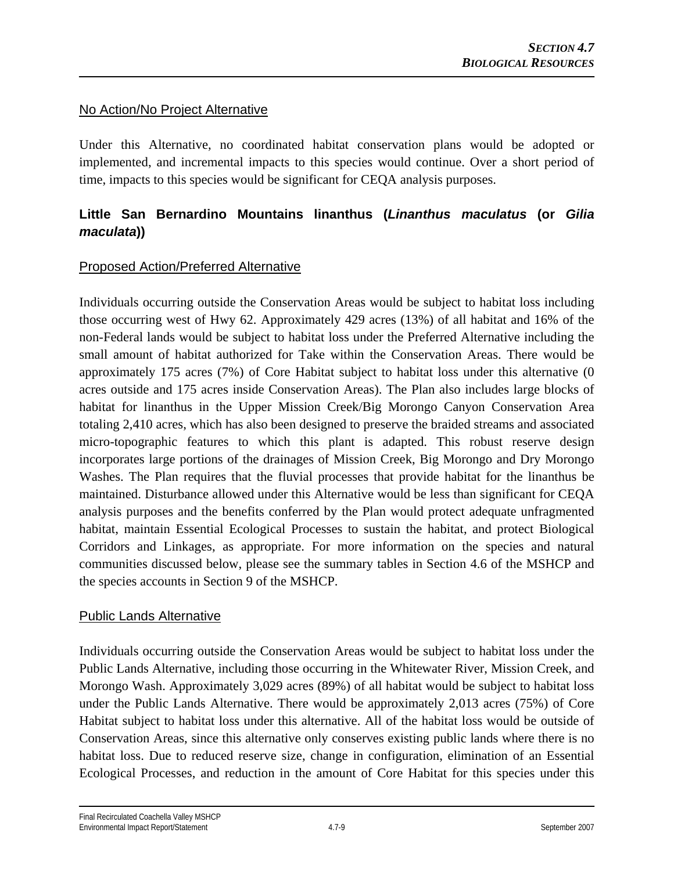### No Action/No Project Alternative

Under this Alternative, no coordinated habitat conservation plans would be adopted or implemented, and incremental impacts to this species would continue. Over a short period of time, impacts to this species would be significant for CEQA analysis purposes.

# **Little San Bernardino Mountains linanthus (***Linanthus maculatus* **(or** *Gilia maculata***))**

# Proposed Action/Preferred Alternative

Individuals occurring outside the Conservation Areas would be subject to habitat loss including those occurring west of Hwy 62. Approximately 429 acres (13%) of all habitat and 16% of the non-Federal lands would be subject to habitat loss under the Preferred Alternative including the small amount of habitat authorized for Take within the Conservation Areas. There would be approximately 175 acres (7%) of Core Habitat subject to habitat loss under this alternative (0 acres outside and 175 acres inside Conservation Areas). The Plan also includes large blocks of habitat for linanthus in the Upper Mission Creek/Big Morongo Canyon Conservation Area totaling 2,410 acres, which has also been designed to preserve the braided streams and associated micro-topographic features to which this plant is adapted. This robust reserve design incorporates large portions of the drainages of Mission Creek, Big Morongo and Dry Morongo Washes. The Plan requires that the fluvial processes that provide habitat for the linanthus be maintained. Disturbance allowed under this Alternative would be less than significant for CEQA analysis purposes and the benefits conferred by the Plan would protect adequate unfragmented habitat, maintain Essential Ecological Processes to sustain the habitat, and protect Biological Corridors and Linkages, as appropriate. For more information on the species and natural communities discussed below, please see the summary tables in Section 4.6 of the MSHCP and the species accounts in Section 9 of the MSHCP.

### Public Lands Alternative

Individuals occurring outside the Conservation Areas would be subject to habitat loss under the Public Lands Alternative, including those occurring in the Whitewater River, Mission Creek, and Morongo Wash. Approximately 3,029 acres (89%) of all habitat would be subject to habitat loss under the Public Lands Alternative. There would be approximately 2,013 acres (75%) of Core Habitat subject to habitat loss under this alternative. All of the habitat loss would be outside of Conservation Areas, since this alternative only conserves existing public lands where there is no habitat loss. Due to reduced reserve size, change in configuration, elimination of an Essential Ecological Processes, and reduction in the amount of Core Habitat for this species under this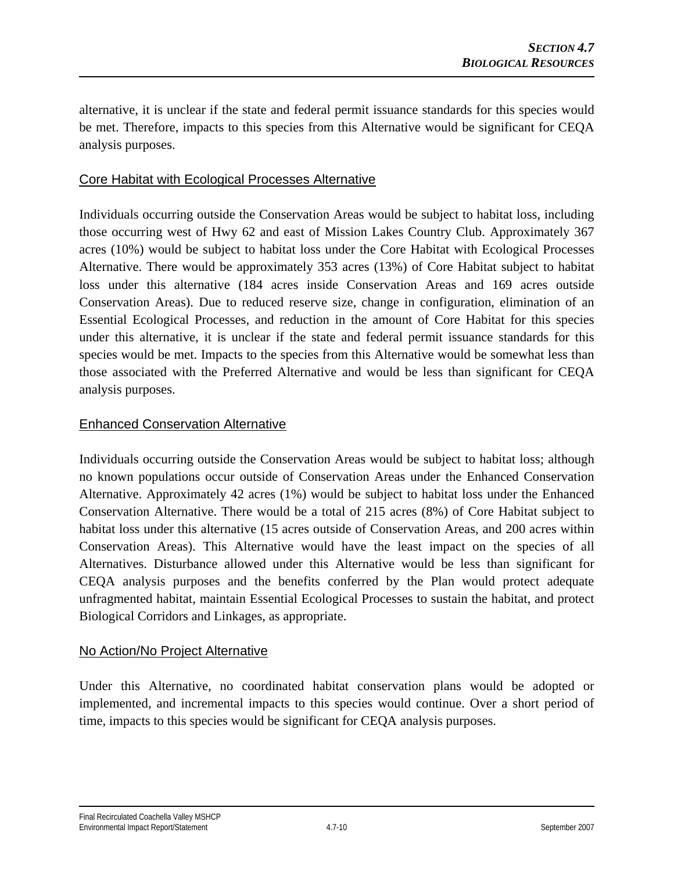alternative, it is unclear if the state and federal permit issuance standards for this species would be met. Therefore, impacts to this species from this Alternative would be significant for CEQA analysis purposes.

#### Core Habitat with Ecological Processes Alternative

Individuals occurring outside the Conservation Areas would be subject to habitat loss, including those occurring west of Hwy 62 and east of Mission Lakes Country Club. Approximately 367 acres (10%) would be subject to habitat loss under the Core Habitat with Ecological Processes Alternative. There would be approximately 353 acres (13%) of Core Habitat subject to habitat loss under this alternative (184 acres inside Conservation Areas and 169 acres outside Conservation Areas). Due to reduced reserve size, change in configuration, elimination of an Essential Ecological Processes, and reduction in the amount of Core Habitat for this species under this alternative, it is unclear if the state and federal permit issuance standards for this species would be met. Impacts to the species from this Alternative would be somewhat less than those associated with the Preferred Alternative and would be less than significant for CEQA analysis purposes.

#### Enhanced Conservation Alternative

Individuals occurring outside the Conservation Areas would be subject to habitat loss; although no known populations occur outside of Conservation Areas under the Enhanced Conservation Alternative. Approximately 42 acres (1%) would be subject to habitat loss under the Enhanced Conservation Alternative. There would be a total of 215 acres (8%) of Core Habitat subject to habitat loss under this alternative (15 acres outside of Conservation Areas, and 200 acres within Conservation Areas). This Alternative would have the least impact on the species of all Alternatives. Disturbance allowed under this Alternative would be less than significant for CEQA analysis purposes and the benefits conferred by the Plan would protect adequate unfragmented habitat, maintain Essential Ecological Processes to sustain the habitat, and protect Biological Corridors and Linkages, as appropriate.

### No Action/No Project Alternative

Under this Alternative, no coordinated habitat conservation plans would be adopted or implemented, and incremental impacts to this species would continue. Over a short period of time, impacts to this species would be significant for CEQA analysis purposes.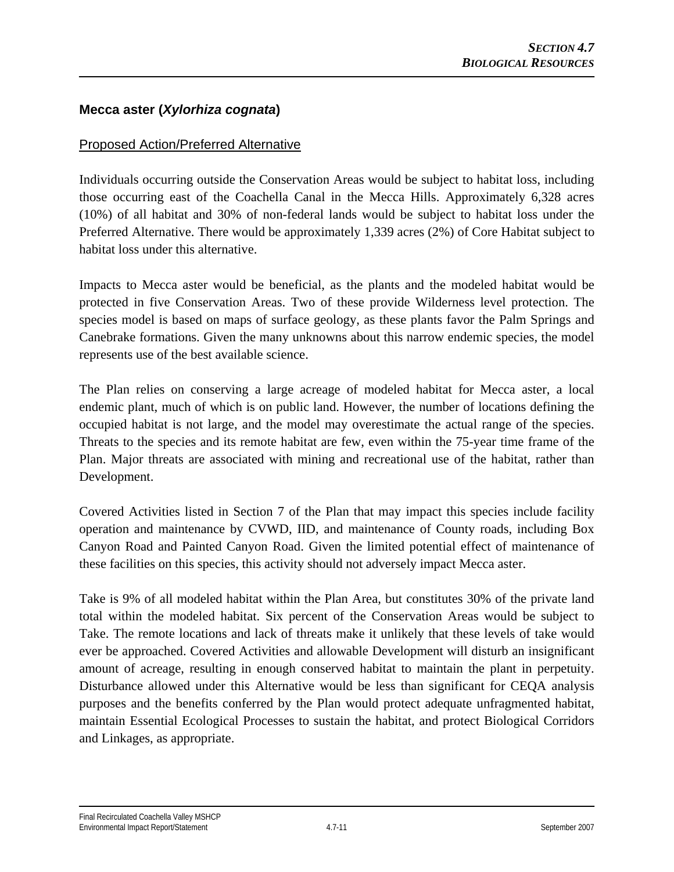## **Mecca aster (***Xylorhiza cognata***)**

## Proposed Action/Preferred Alternative

Individuals occurring outside the Conservation Areas would be subject to habitat loss, including those occurring east of the Coachella Canal in the Mecca Hills. Approximately 6,328 acres (10%) of all habitat and 30% of non-federal lands would be subject to habitat loss under the Preferred Alternative. There would be approximately 1,339 acres (2%) of Core Habitat subject to habitat loss under this alternative.

Impacts to Mecca aster would be beneficial, as the plants and the modeled habitat would be protected in five Conservation Areas. Two of these provide Wilderness level protection. The species model is based on maps of surface geology, as these plants favor the Palm Springs and Canebrake formations. Given the many unknowns about this narrow endemic species, the model represents use of the best available science.

The Plan relies on conserving a large acreage of modeled habitat for Mecca aster, a local endemic plant, much of which is on public land. However, the number of locations defining the occupied habitat is not large, and the model may overestimate the actual range of the species. Threats to the species and its remote habitat are few, even within the 75-year time frame of the Plan. Major threats are associated with mining and recreational use of the habitat, rather than Development.

Covered Activities listed in Section 7 of the Plan that may impact this species include facility operation and maintenance by CVWD, IID, and maintenance of County roads, including Box Canyon Road and Painted Canyon Road. Given the limited potential effect of maintenance of these facilities on this species, this activity should not adversely impact Mecca aster.

Take is 9% of all modeled habitat within the Plan Area, but constitutes 30% of the private land total within the modeled habitat. Six percent of the Conservation Areas would be subject to Take. The remote locations and lack of threats make it unlikely that these levels of take would ever be approached. Covered Activities and allowable Development will disturb an insignificant amount of acreage, resulting in enough conserved habitat to maintain the plant in perpetuity. Disturbance allowed under this Alternative would be less than significant for CEQA analysis purposes and the benefits conferred by the Plan would protect adequate unfragmented habitat, maintain Essential Ecological Processes to sustain the habitat, and protect Biological Corridors and Linkages, as appropriate.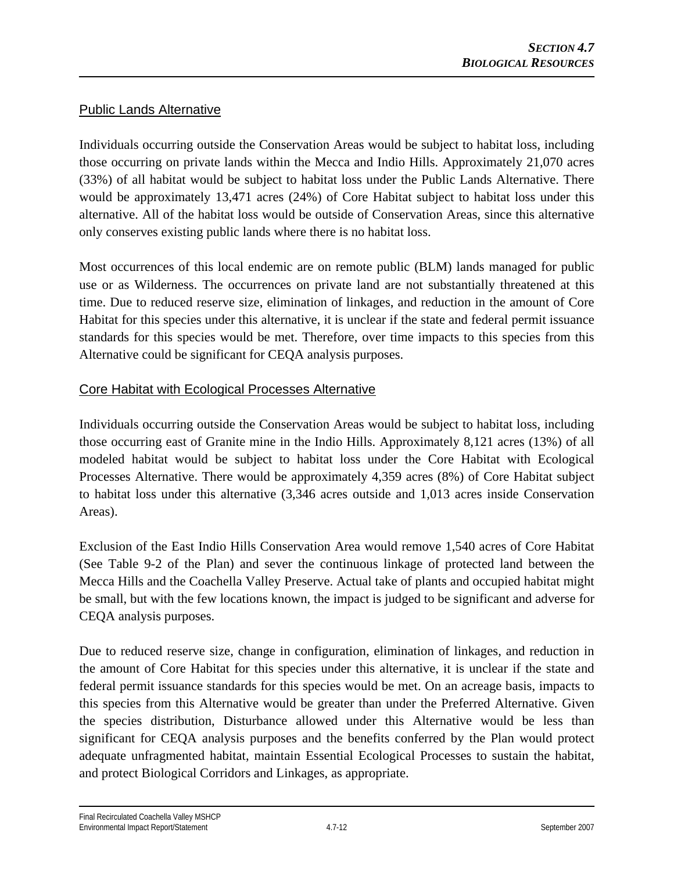## Public Lands Alternative

Individuals occurring outside the Conservation Areas would be subject to habitat loss, including those occurring on private lands within the Mecca and Indio Hills. Approximately 21,070 acres (33%) of all habitat would be subject to habitat loss under the Public Lands Alternative. There would be approximately 13,471 acres (24%) of Core Habitat subject to habitat loss under this alternative. All of the habitat loss would be outside of Conservation Areas, since this alternative only conserves existing public lands where there is no habitat loss.

Most occurrences of this local endemic are on remote public (BLM) lands managed for public use or as Wilderness. The occurrences on private land are not substantially threatened at this time. Due to reduced reserve size, elimination of linkages, and reduction in the amount of Core Habitat for this species under this alternative, it is unclear if the state and federal permit issuance standards for this species would be met. Therefore, over time impacts to this species from this Alternative could be significant for CEQA analysis purposes.

# Core Habitat with Ecological Processes Alternative

Individuals occurring outside the Conservation Areas would be subject to habitat loss, including those occurring east of Granite mine in the Indio Hills. Approximately 8,121 acres (13%) of all modeled habitat would be subject to habitat loss under the Core Habitat with Ecological Processes Alternative. There would be approximately 4,359 acres (8%) of Core Habitat subject to habitat loss under this alternative (3,346 acres outside and 1,013 acres inside Conservation Areas).

Exclusion of the East Indio Hills Conservation Area would remove 1,540 acres of Core Habitat (See Table 9-2 of the Plan) and sever the continuous linkage of protected land between the Mecca Hills and the Coachella Valley Preserve. Actual take of plants and occupied habitat might be small, but with the few locations known, the impact is judged to be significant and adverse for CEQA analysis purposes.

Due to reduced reserve size, change in configuration, elimination of linkages, and reduction in the amount of Core Habitat for this species under this alternative, it is unclear if the state and federal permit issuance standards for this species would be met. On an acreage basis, impacts to this species from this Alternative would be greater than under the Preferred Alternative. Given the species distribution, Disturbance allowed under this Alternative would be less than significant for CEQA analysis purposes and the benefits conferred by the Plan would protect adequate unfragmented habitat, maintain Essential Ecological Processes to sustain the habitat, and protect Biological Corridors and Linkages, as appropriate.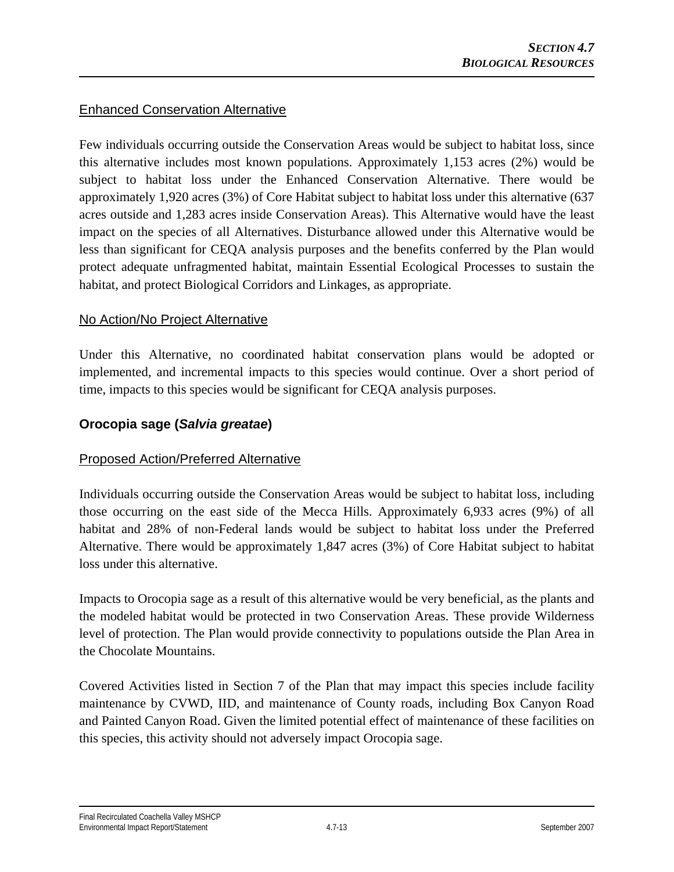# Enhanced Conservation Alternative

Few individuals occurring outside the Conservation Areas would be subject to habitat loss, since this alternative includes most known populations. Approximately 1,153 acres (2%) would be subject to habitat loss under the Enhanced Conservation Alternative. There would be approximately 1,920 acres (3%) of Core Habitat subject to habitat loss under this alternative (637 acres outside and 1,283 acres inside Conservation Areas). This Alternative would have the least impact on the species of all Alternatives. Disturbance allowed under this Alternative would be less than significant for CEQA analysis purposes and the benefits conferred by the Plan would protect adequate unfragmented habitat, maintain Essential Ecological Processes to sustain the habitat, and protect Biological Corridors and Linkages, as appropriate.

#### No Action/No Project Alternative

Under this Alternative, no coordinated habitat conservation plans would be adopted or implemented, and incremental impacts to this species would continue. Over a short period of time, impacts to this species would be significant for CEQA analysis purposes.

# **Orocopia sage (***Salvia greatae***)**

### Proposed Action/Preferred Alternative

Individuals occurring outside the Conservation Areas would be subject to habitat loss, including those occurring on the east side of the Mecca Hills. Approximately 6,933 acres (9%) of all habitat and 28% of non-Federal lands would be subject to habitat loss under the Preferred Alternative. There would be approximately 1,847 acres (3%) of Core Habitat subject to habitat loss under this alternative.

Impacts to Orocopia sage as a result of this alternative would be very beneficial, as the plants and the modeled habitat would be protected in two Conservation Areas. These provide Wilderness level of protection. The Plan would provide connectivity to populations outside the Plan Area in the Chocolate Mountains.

Covered Activities listed in Section 7 of the Plan that may impact this species include facility maintenance by CVWD, IID, and maintenance of County roads, including Box Canyon Road and Painted Canyon Road. Given the limited potential effect of maintenance of these facilities on this species, this activity should not adversely impact Orocopia sage.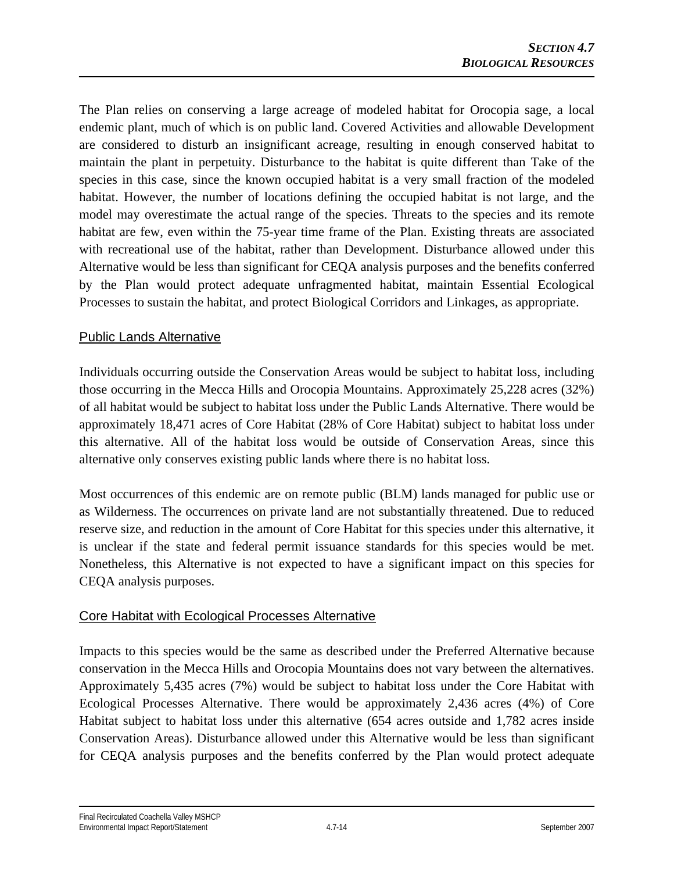The Plan relies on conserving a large acreage of modeled habitat for Orocopia sage, a local endemic plant, much of which is on public land. Covered Activities and allowable Development are considered to disturb an insignificant acreage, resulting in enough conserved habitat to maintain the plant in perpetuity. Disturbance to the habitat is quite different than Take of the species in this case, since the known occupied habitat is a very small fraction of the modeled habitat. However, the number of locations defining the occupied habitat is not large, and the model may overestimate the actual range of the species. Threats to the species and its remote habitat are few, even within the 75-year time frame of the Plan. Existing threats are associated with recreational use of the habitat, rather than Development. Disturbance allowed under this Alternative would be less than significant for CEQA analysis purposes and the benefits conferred by the Plan would protect adequate unfragmented habitat, maintain Essential Ecological Processes to sustain the habitat, and protect Biological Corridors and Linkages, as appropriate.

# Public Lands Alternative

Individuals occurring outside the Conservation Areas would be subject to habitat loss, including those occurring in the Mecca Hills and Orocopia Mountains. Approximately 25,228 acres (32%) of all habitat would be subject to habitat loss under the Public Lands Alternative. There would be approximately 18,471 acres of Core Habitat (28% of Core Habitat) subject to habitat loss under this alternative. All of the habitat loss would be outside of Conservation Areas, since this alternative only conserves existing public lands where there is no habitat loss.

Most occurrences of this endemic are on remote public (BLM) lands managed for public use or as Wilderness. The occurrences on private land are not substantially threatened. Due to reduced reserve size, and reduction in the amount of Core Habitat for this species under this alternative, it is unclear if the state and federal permit issuance standards for this species would be met. Nonetheless, this Alternative is not expected to have a significant impact on this species for CEQA analysis purposes.

### Core Habitat with Ecological Processes Alternative

Impacts to this species would be the same as described under the Preferred Alternative because conservation in the Mecca Hills and Orocopia Mountains does not vary between the alternatives. Approximately 5,435 acres (7%) would be subject to habitat loss under the Core Habitat with Ecological Processes Alternative. There would be approximately 2,436 acres (4%) of Core Habitat subject to habitat loss under this alternative (654 acres outside and 1,782 acres inside Conservation Areas). Disturbance allowed under this Alternative would be less than significant for CEQA analysis purposes and the benefits conferred by the Plan would protect adequate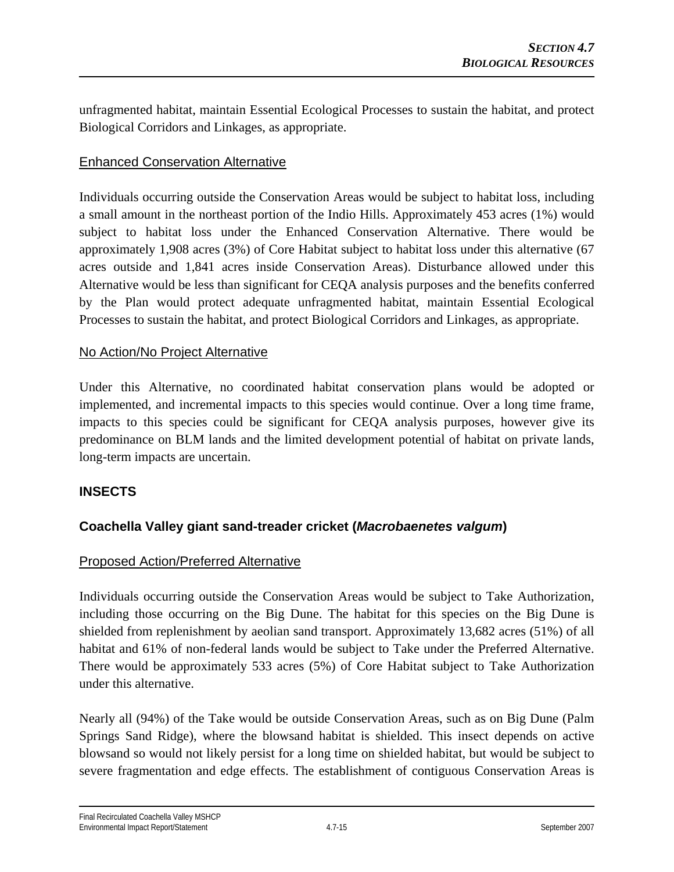unfragmented habitat, maintain Essential Ecological Processes to sustain the habitat, and protect Biological Corridors and Linkages, as appropriate.

# Enhanced Conservation Alternative

Individuals occurring outside the Conservation Areas would be subject to habitat loss, including a small amount in the northeast portion of the Indio Hills. Approximately 453 acres (1%) would subject to habitat loss under the Enhanced Conservation Alternative. There would be approximately 1,908 acres (3%) of Core Habitat subject to habitat loss under this alternative (67 acres outside and 1,841 acres inside Conservation Areas). Disturbance allowed under this Alternative would be less than significant for CEQA analysis purposes and the benefits conferred by the Plan would protect adequate unfragmented habitat, maintain Essential Ecological Processes to sustain the habitat, and protect Biological Corridors and Linkages, as appropriate.

#### No Action/No Project Alternative

Under this Alternative, no coordinated habitat conservation plans would be adopted or implemented, and incremental impacts to this species would continue. Over a long time frame, impacts to this species could be significant for CEQA analysis purposes, however give its predominance on BLM lands and the limited development potential of habitat on private lands, long-term impacts are uncertain.

### **INSECTS**

# **Coachella Valley giant sand-treader cricket (***Macrobaenetes valgum***)**

### Proposed Action/Preferred Alternative

Individuals occurring outside the Conservation Areas would be subject to Take Authorization, including those occurring on the Big Dune. The habitat for this species on the Big Dune is shielded from replenishment by aeolian sand transport. Approximately 13,682 acres (51%) of all habitat and 61% of non-federal lands would be subject to Take under the Preferred Alternative. There would be approximately 533 acres (5%) of Core Habitat subject to Take Authorization under this alternative.

Nearly all (94%) of the Take would be outside Conservation Areas, such as on Big Dune (Palm Springs Sand Ridge), where the blowsand habitat is shielded. This insect depends on active blowsand so would not likely persist for a long time on shielded habitat, but would be subject to severe fragmentation and edge effects. The establishment of contiguous Conservation Areas is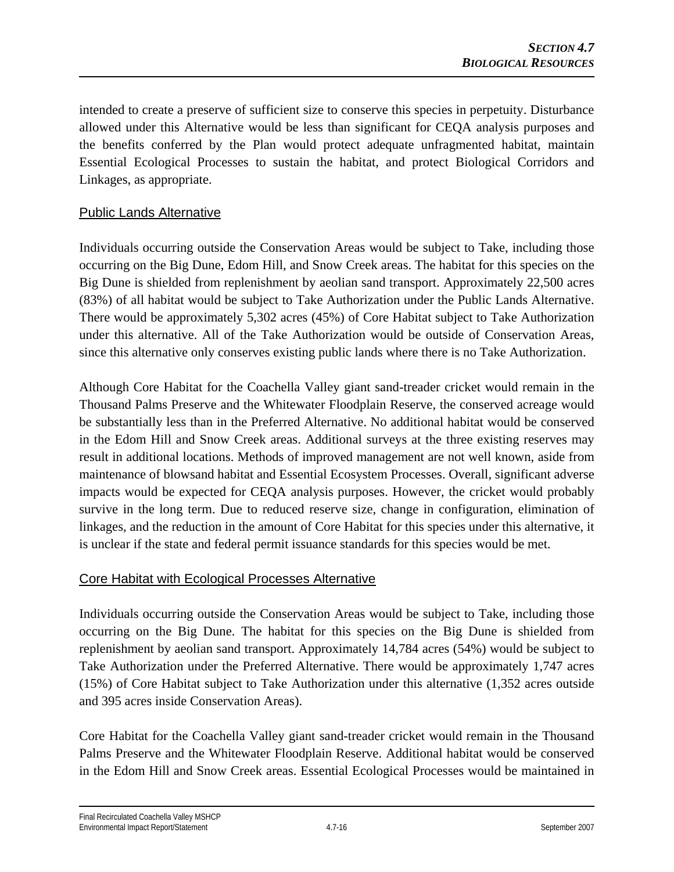intended to create a preserve of sufficient size to conserve this species in perpetuity. Disturbance allowed under this Alternative would be less than significant for CEQA analysis purposes and the benefits conferred by the Plan would protect adequate unfragmented habitat, maintain Essential Ecological Processes to sustain the habitat, and protect Biological Corridors and Linkages, as appropriate.

# Public Lands Alternative

Individuals occurring outside the Conservation Areas would be subject to Take, including those occurring on the Big Dune, Edom Hill, and Snow Creek areas. The habitat for this species on the Big Dune is shielded from replenishment by aeolian sand transport. Approximately 22,500 acres (83%) of all habitat would be subject to Take Authorization under the Public Lands Alternative. There would be approximately 5,302 acres (45%) of Core Habitat subject to Take Authorization under this alternative. All of the Take Authorization would be outside of Conservation Areas, since this alternative only conserves existing public lands where there is no Take Authorization.

Although Core Habitat for the Coachella Valley giant sand-treader cricket would remain in the Thousand Palms Preserve and the Whitewater Floodplain Reserve, the conserved acreage would be substantially less than in the Preferred Alternative. No additional habitat would be conserved in the Edom Hill and Snow Creek areas. Additional surveys at the three existing reserves may result in additional locations. Methods of improved management are not well known, aside from maintenance of blowsand habitat and Essential Ecosystem Processes. Overall, significant adverse impacts would be expected for CEQA analysis purposes. However, the cricket would probably survive in the long term. Due to reduced reserve size, change in configuration, elimination of linkages, and the reduction in the amount of Core Habitat for this species under this alternative, it is unclear if the state and federal permit issuance standards for this species would be met.

### Core Habitat with Ecological Processes Alternative

Individuals occurring outside the Conservation Areas would be subject to Take, including those occurring on the Big Dune. The habitat for this species on the Big Dune is shielded from replenishment by aeolian sand transport. Approximately 14,784 acres (54%) would be subject to Take Authorization under the Preferred Alternative. There would be approximately 1,747 acres (15%) of Core Habitat subject to Take Authorization under this alternative (1,352 acres outside and 395 acres inside Conservation Areas).

Core Habitat for the Coachella Valley giant sand-treader cricket would remain in the Thousand Palms Preserve and the Whitewater Floodplain Reserve. Additional habitat would be conserved in the Edom Hill and Snow Creek areas. Essential Ecological Processes would be maintained in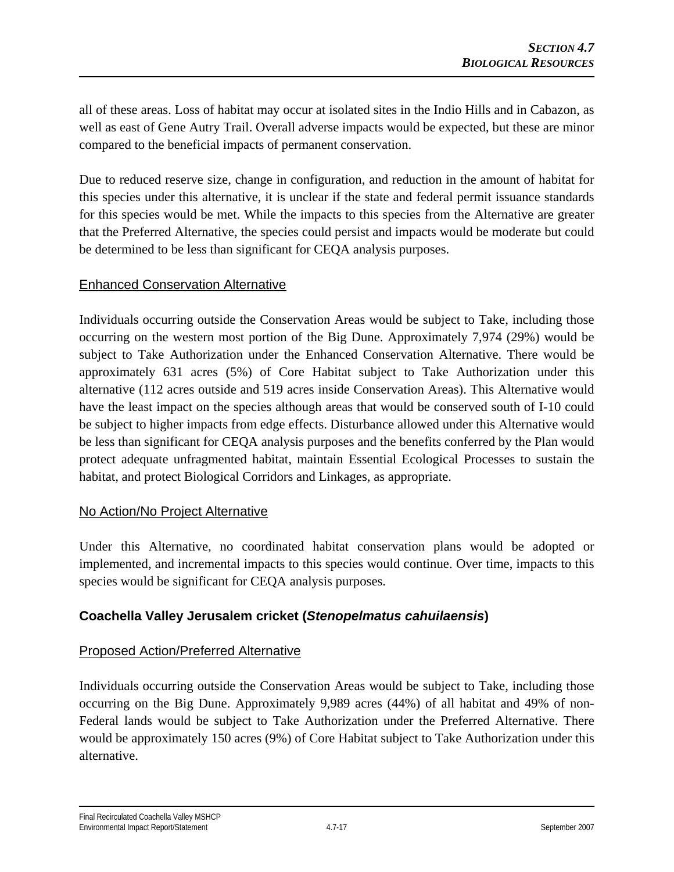all of these areas. Loss of habitat may occur at isolated sites in the Indio Hills and in Cabazon, as well as east of Gene Autry Trail. Overall adverse impacts would be expected, but these are minor compared to the beneficial impacts of permanent conservation.

Due to reduced reserve size, change in configuration, and reduction in the amount of habitat for this species under this alternative, it is unclear if the state and federal permit issuance standards for this species would be met. While the impacts to this species from the Alternative are greater that the Preferred Alternative, the species could persist and impacts would be moderate but could be determined to be less than significant for CEQA analysis purposes.

### Enhanced Conservation Alternative

Individuals occurring outside the Conservation Areas would be subject to Take, including those occurring on the western most portion of the Big Dune. Approximately 7,974 (29%) would be subject to Take Authorization under the Enhanced Conservation Alternative. There would be approximately 631 acres (5%) of Core Habitat subject to Take Authorization under this alternative (112 acres outside and 519 acres inside Conservation Areas). This Alternative would have the least impact on the species although areas that would be conserved south of I-10 could be subject to higher impacts from edge effects. Disturbance allowed under this Alternative would be less than significant for CEQA analysis purposes and the benefits conferred by the Plan would protect adequate unfragmented habitat, maintain Essential Ecological Processes to sustain the habitat, and protect Biological Corridors and Linkages, as appropriate.

# No Action/No Project Alternative

Under this Alternative, no coordinated habitat conservation plans would be adopted or implemented, and incremental impacts to this species would continue. Over time, impacts to this species would be significant for CEQA analysis purposes.

# **Coachella Valley Jerusalem cricket (***Stenopelmatus cahuilaensis***)**

### Proposed Action/Preferred Alternative

Individuals occurring outside the Conservation Areas would be subject to Take, including those occurring on the Big Dune. Approximately 9,989 acres (44%) of all habitat and 49% of non-Federal lands would be subject to Take Authorization under the Preferred Alternative. There would be approximately 150 acres (9%) of Core Habitat subject to Take Authorization under this alternative.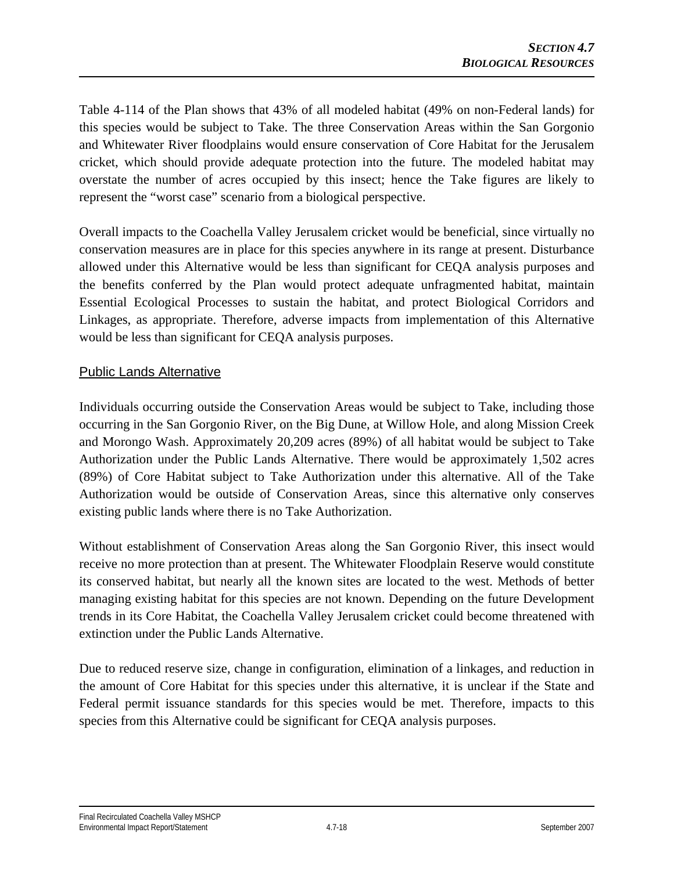Table 4-114 of the Plan shows that 43% of all modeled habitat (49% on non-Federal lands) for this species would be subject to Take. The three Conservation Areas within the San Gorgonio and Whitewater River floodplains would ensure conservation of Core Habitat for the Jerusalem cricket, which should provide adequate protection into the future. The modeled habitat may overstate the number of acres occupied by this insect; hence the Take figures are likely to represent the "worst case" scenario from a biological perspective.

Overall impacts to the Coachella Valley Jerusalem cricket would be beneficial, since virtually no conservation measures are in place for this species anywhere in its range at present. Disturbance allowed under this Alternative would be less than significant for CEQA analysis purposes and the benefits conferred by the Plan would protect adequate unfragmented habitat, maintain Essential Ecological Processes to sustain the habitat, and protect Biological Corridors and Linkages, as appropriate. Therefore, adverse impacts from implementation of this Alternative would be less than significant for CEQA analysis purposes.

# Public Lands Alternative

Individuals occurring outside the Conservation Areas would be subject to Take, including those occurring in the San Gorgonio River, on the Big Dune, at Willow Hole, and along Mission Creek and Morongo Wash. Approximately 20,209 acres (89%) of all habitat would be subject to Take Authorization under the Public Lands Alternative. There would be approximately 1,502 acres (89%) of Core Habitat subject to Take Authorization under this alternative. All of the Take Authorization would be outside of Conservation Areas, since this alternative only conserves existing public lands where there is no Take Authorization.

Without establishment of Conservation Areas along the San Gorgonio River, this insect would receive no more protection than at present. The Whitewater Floodplain Reserve would constitute its conserved habitat, but nearly all the known sites are located to the west. Methods of better managing existing habitat for this species are not known. Depending on the future Development trends in its Core Habitat, the Coachella Valley Jerusalem cricket could become threatened with extinction under the Public Lands Alternative.

Due to reduced reserve size, change in configuration, elimination of a linkages, and reduction in the amount of Core Habitat for this species under this alternative, it is unclear if the State and Federal permit issuance standards for this species would be met. Therefore, impacts to this species from this Alternative could be significant for CEQA analysis purposes.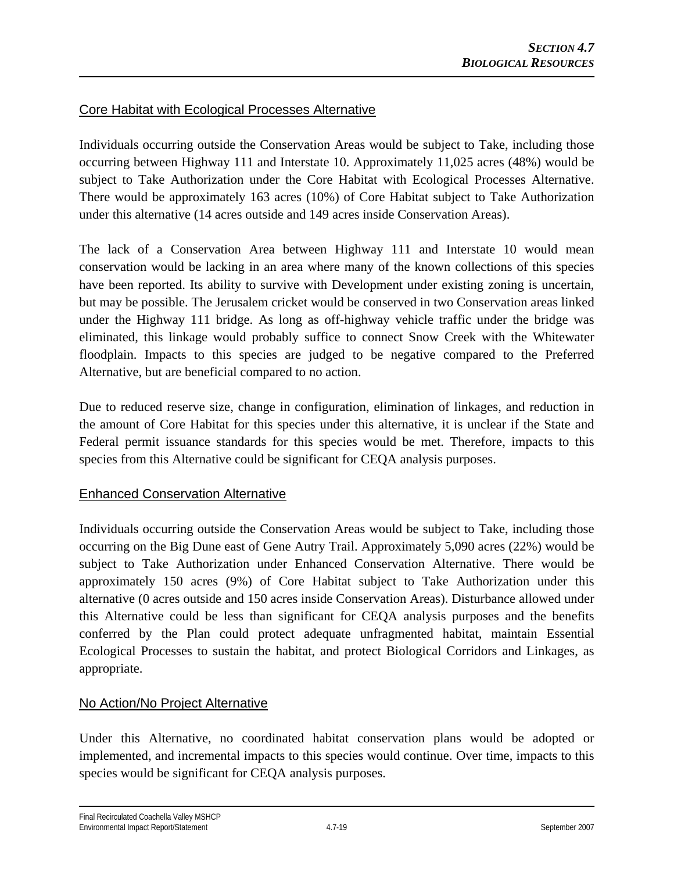# Core Habitat with Ecological Processes Alternative

Individuals occurring outside the Conservation Areas would be subject to Take, including those occurring between Highway 111 and Interstate 10. Approximately 11,025 acres (48%) would be subject to Take Authorization under the Core Habitat with Ecological Processes Alternative. There would be approximately 163 acres (10%) of Core Habitat subject to Take Authorization under this alternative (14 acres outside and 149 acres inside Conservation Areas).

The lack of a Conservation Area between Highway 111 and Interstate 10 would mean conservation would be lacking in an area where many of the known collections of this species have been reported. Its ability to survive with Development under existing zoning is uncertain, but may be possible. The Jerusalem cricket would be conserved in two Conservation areas linked under the Highway 111 bridge. As long as off-highway vehicle traffic under the bridge was eliminated, this linkage would probably suffice to connect Snow Creek with the Whitewater floodplain. Impacts to this species are judged to be negative compared to the Preferred Alternative, but are beneficial compared to no action.

Due to reduced reserve size, change in configuration, elimination of linkages, and reduction in the amount of Core Habitat for this species under this alternative, it is unclear if the State and Federal permit issuance standards for this species would be met. Therefore, impacts to this species from this Alternative could be significant for CEQA analysis purposes.

### Enhanced Conservation Alternative

Individuals occurring outside the Conservation Areas would be subject to Take, including those occurring on the Big Dune east of Gene Autry Trail. Approximately 5,090 acres (22%) would be subject to Take Authorization under Enhanced Conservation Alternative. There would be approximately 150 acres (9%) of Core Habitat subject to Take Authorization under this alternative (0 acres outside and 150 acres inside Conservation Areas). Disturbance allowed under this Alternative could be less than significant for CEQA analysis purposes and the benefits conferred by the Plan could protect adequate unfragmented habitat, maintain Essential Ecological Processes to sustain the habitat, and protect Biological Corridors and Linkages, as appropriate.

### No Action/No Project Alternative

Under this Alternative, no coordinated habitat conservation plans would be adopted or implemented, and incremental impacts to this species would continue. Over time, impacts to this species would be significant for CEQA analysis purposes.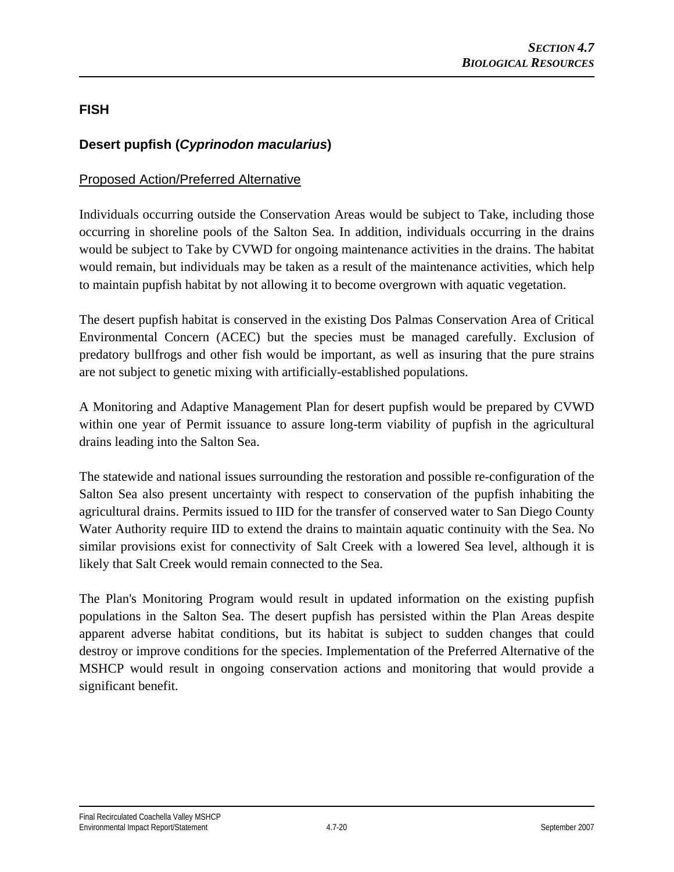# **FISH**

# **Desert pupfish (***Cyprinodon macularius***)**

## Proposed Action/Preferred Alternative

Individuals occurring outside the Conservation Areas would be subject to Take, including those occurring in shoreline pools of the Salton Sea. In addition, individuals occurring in the drains would be subject to Take by CVWD for ongoing maintenance activities in the drains. The habitat would remain, but individuals may be taken as a result of the maintenance activities, which help to maintain pupfish habitat by not allowing it to become overgrown with aquatic vegetation.

The desert pupfish habitat is conserved in the existing Dos Palmas Conservation Area of Critical Environmental Concern (ACEC) but the species must be managed carefully. Exclusion of predatory bullfrogs and other fish would be important, as well as insuring that the pure strains are not subject to genetic mixing with artificially-established populations.

A Monitoring and Adaptive Management Plan for desert pupfish would be prepared by CVWD within one year of Permit issuance to assure long-term viability of pupfish in the agricultural drains leading into the Salton Sea.

The statewide and national issues surrounding the restoration and possible re-configuration of the Salton Sea also present uncertainty with respect to conservation of the pupfish inhabiting the agricultural drains. Permits issued to IID for the transfer of conserved water to San Diego County Water Authority require IID to extend the drains to maintain aquatic continuity with the Sea. No similar provisions exist for connectivity of Salt Creek with a lowered Sea level, although it is likely that Salt Creek would remain connected to the Sea.

The Plan's Monitoring Program would result in updated information on the existing pupfish populations in the Salton Sea. The desert pupfish has persisted within the Plan Areas despite apparent adverse habitat conditions, but its habitat is subject to sudden changes that could destroy or improve conditions for the species. Implementation of the Preferred Alternative of the MSHCP would result in ongoing conservation actions and monitoring that would provide a significant benefit.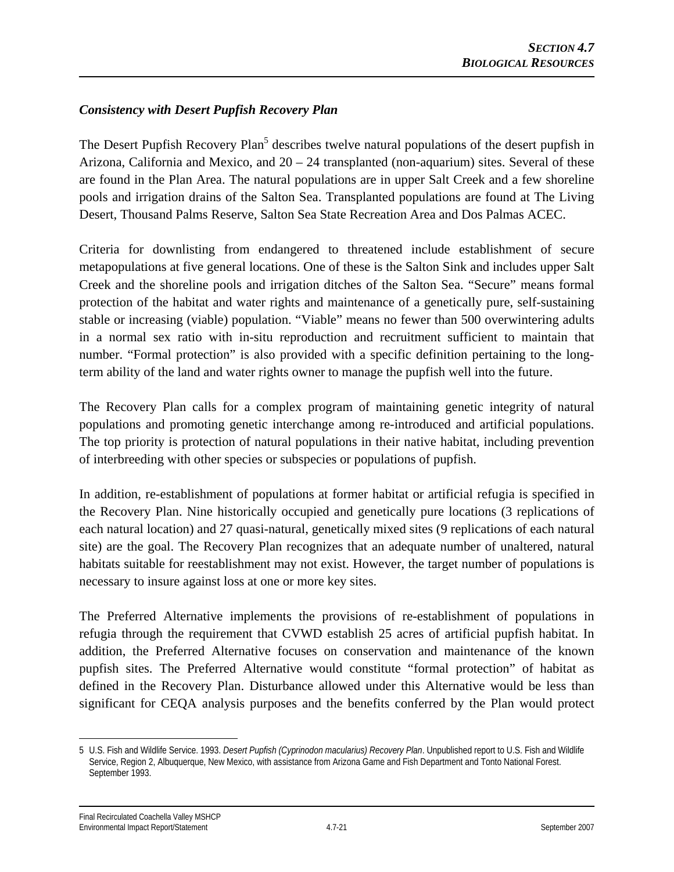# *Consistency with Desert Pupfish Recovery Plan*

The Desert Pupfish Recovery Plan<sup>5</sup> describes twelve natural populations of the desert pupfish in Arizona, California and Mexico, and 20 – 24 transplanted (non-aquarium) sites. Several of these are found in the Plan Area. The natural populations are in upper Salt Creek and a few shoreline pools and irrigation drains of the Salton Sea. Transplanted populations are found at The Living Desert, Thousand Palms Reserve, Salton Sea State Recreation Area and Dos Palmas ACEC.

Criteria for downlisting from endangered to threatened include establishment of secure metapopulations at five general locations. One of these is the Salton Sink and includes upper Salt Creek and the shoreline pools and irrigation ditches of the Salton Sea. "Secure" means formal protection of the habitat and water rights and maintenance of a genetically pure, self-sustaining stable or increasing (viable) population. "Viable" means no fewer than 500 overwintering adults in a normal sex ratio with in-situ reproduction and recruitment sufficient to maintain that number. "Formal protection" is also provided with a specific definition pertaining to the longterm ability of the land and water rights owner to manage the pupfish well into the future.

The Recovery Plan calls for a complex program of maintaining genetic integrity of natural populations and promoting genetic interchange among re-introduced and artificial populations. The top priority is protection of natural populations in their native habitat, including prevention of interbreeding with other species or subspecies or populations of pupfish.

In addition, re-establishment of populations at former habitat or artificial refugia is specified in the Recovery Plan. Nine historically occupied and genetically pure locations (3 replications of each natural location) and 27 quasi-natural, genetically mixed sites (9 replications of each natural site) are the goal. The Recovery Plan recognizes that an adequate number of unaltered, natural habitats suitable for reestablishment may not exist. However, the target number of populations is necessary to insure against loss at one or more key sites.

The Preferred Alternative implements the provisions of re-establishment of populations in refugia through the requirement that CVWD establish 25 acres of artificial pupfish habitat. In addition, the Preferred Alternative focuses on conservation and maintenance of the known pupfish sites. The Preferred Alternative would constitute "formal protection" of habitat as defined in the Recovery Plan. Disturbance allowed under this Alternative would be less than significant for CEQA analysis purposes and the benefits conferred by the Plan would protect

 $\overline{a}$ 

<sup>5</sup> U.S. Fish and Wildlife Service. 1993. *Desert Pupfish (Cyprinodon macularius) Recovery Plan*. Unpublished report to U.S. Fish and Wildlife Service, Region 2, Albuquerque, New Mexico, with assistance from Arizona Game and Fish Department and Tonto National Forest. September 1993.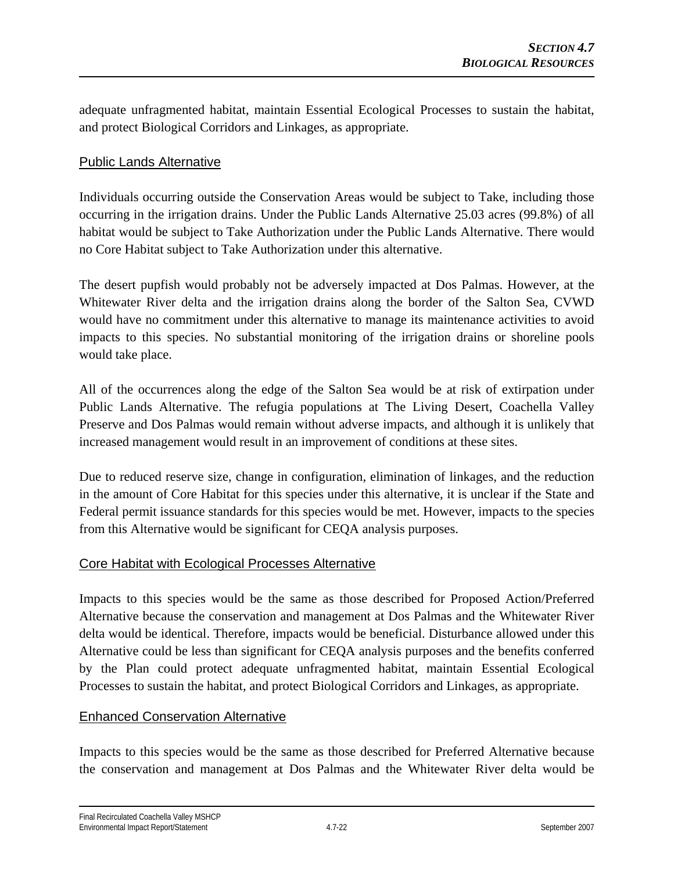adequate unfragmented habitat, maintain Essential Ecological Processes to sustain the habitat, and protect Biological Corridors and Linkages, as appropriate.

## Public Lands Alternative

Individuals occurring outside the Conservation Areas would be subject to Take, including those occurring in the irrigation drains. Under the Public Lands Alternative 25.03 acres (99.8%) of all habitat would be subject to Take Authorization under the Public Lands Alternative. There would no Core Habitat subject to Take Authorization under this alternative.

The desert pupfish would probably not be adversely impacted at Dos Palmas. However, at the Whitewater River delta and the irrigation drains along the border of the Salton Sea, CVWD would have no commitment under this alternative to manage its maintenance activities to avoid impacts to this species. No substantial monitoring of the irrigation drains or shoreline pools would take place.

All of the occurrences along the edge of the Salton Sea would be at risk of extirpation under Public Lands Alternative. The refugia populations at The Living Desert, Coachella Valley Preserve and Dos Palmas would remain without adverse impacts, and although it is unlikely that increased management would result in an improvement of conditions at these sites.

Due to reduced reserve size, change in configuration, elimination of linkages, and the reduction in the amount of Core Habitat for this species under this alternative, it is unclear if the State and Federal permit issuance standards for this species would be met. However, impacts to the species from this Alternative would be significant for CEQA analysis purposes.

### Core Habitat with Ecological Processes Alternative

Impacts to this species would be the same as those described for Proposed Action/Preferred Alternative because the conservation and management at Dos Palmas and the Whitewater River delta would be identical. Therefore, impacts would be beneficial. Disturbance allowed under this Alternative could be less than significant for CEQA analysis purposes and the benefits conferred by the Plan could protect adequate unfragmented habitat, maintain Essential Ecological Processes to sustain the habitat, and protect Biological Corridors and Linkages, as appropriate.

### Enhanced Conservation Alternative

Impacts to this species would be the same as those described for Preferred Alternative because the conservation and management at Dos Palmas and the Whitewater River delta would be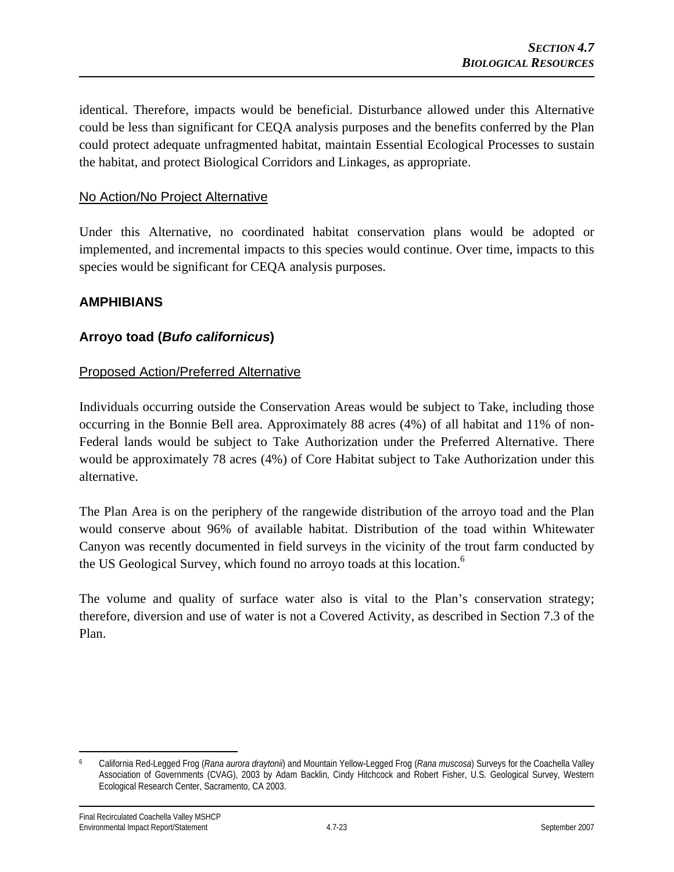identical. Therefore, impacts would be beneficial. Disturbance allowed under this Alternative could be less than significant for CEQA analysis purposes and the benefits conferred by the Plan could protect adequate unfragmented habitat, maintain Essential Ecological Processes to sustain the habitat, and protect Biological Corridors and Linkages, as appropriate.

### No Action/No Project Alternative

Under this Alternative, no coordinated habitat conservation plans would be adopted or implemented, and incremental impacts to this species would continue. Over time, impacts to this species would be significant for CEQA analysis purposes.

#### **AMPHIBIANS**

### **Arroyo toad (***Bufo californicus***)**

#### Proposed Action/Preferred Alternative

Individuals occurring outside the Conservation Areas would be subject to Take, including those occurring in the Bonnie Bell area. Approximately 88 acres (4%) of all habitat and 11% of non-Federal lands would be subject to Take Authorization under the Preferred Alternative. There would be approximately 78 acres (4%) of Core Habitat subject to Take Authorization under this alternative.

The Plan Area is on the periphery of the rangewide distribution of the arroyo toad and the Plan would conserve about 96% of available habitat. Distribution of the toad within Whitewater Canyon was recently documented in field surveys in the vicinity of the trout farm conducted by the US Geological Survey, which found no arroyo toads at this location.<sup>6</sup>

The volume and quality of surface water also is vital to the Plan's conservation strategy; therefore, diversion and use of water is not a Covered Activity, as described in Section 7.3 of the Plan.

 $\overline{a}$ 6 California Red-Legged Frog (*Rana aurora draytonii*) and Mountain Yellow-Legged Frog (*Rana muscosa*) Surveys for the Coachella Valley Association of Governments (CVAG), 2003 by Adam Backlin, Cindy Hitchcock and Robert Fisher, U.S. Geological Survey, Western Ecological Research Center, Sacramento, CA 2003.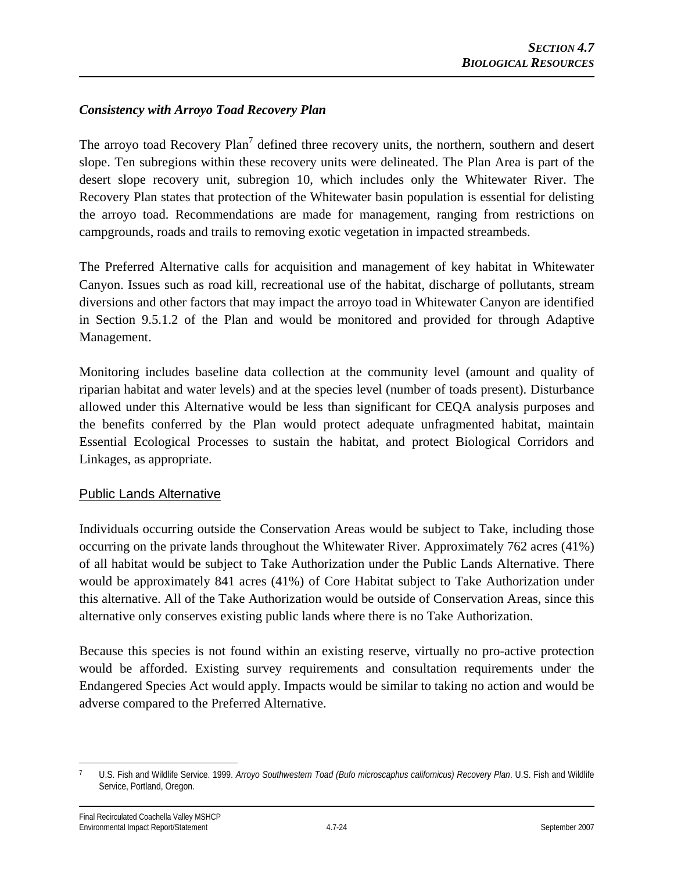## *Consistency with Arroyo Toad Recovery Plan*

The arroyo toad Recovery Plan<sup>7</sup> defined three recovery units, the northern, southern and desert slope. Ten subregions within these recovery units were delineated. The Plan Area is part of the desert slope recovery unit, subregion 10, which includes only the Whitewater River. The Recovery Plan states that protection of the Whitewater basin population is essential for delisting the arroyo toad. Recommendations are made for management, ranging from restrictions on campgrounds, roads and trails to removing exotic vegetation in impacted streambeds.

The Preferred Alternative calls for acquisition and management of key habitat in Whitewater Canyon. Issues such as road kill, recreational use of the habitat, discharge of pollutants, stream diversions and other factors that may impact the arroyo toad in Whitewater Canyon are identified in Section 9.5.1.2 of the Plan and would be monitored and provided for through Adaptive Management.

Monitoring includes baseline data collection at the community level (amount and quality of riparian habitat and water levels) and at the species level (number of toads present). Disturbance allowed under this Alternative would be less than significant for CEQA analysis purposes and the benefits conferred by the Plan would protect adequate unfragmented habitat, maintain Essential Ecological Processes to sustain the habitat, and protect Biological Corridors and Linkages, as appropriate.

### Public Lands Alternative

Individuals occurring outside the Conservation Areas would be subject to Take, including those occurring on the private lands throughout the Whitewater River. Approximately 762 acres (41%) of all habitat would be subject to Take Authorization under the Public Lands Alternative. There would be approximately 841 acres (41%) of Core Habitat subject to Take Authorization under this alternative. All of the Take Authorization would be outside of Conservation Areas, since this alternative only conserves existing public lands where there is no Take Authorization.

Because this species is not found within an existing reserve, virtually no pro-active protection would be afforded. Existing survey requirements and consultation requirements under the Endangered Species Act would apply. Impacts would be similar to taking no action and would be adverse compared to the Preferred Alternative.

 $\overline{a}$ 7 U.S. Fish and Wildlife Service. 1999. *Arroyo Southwestern Toad (Bufo microscaphus californicus) Recovery Plan*. U.S. Fish and Wildlife Service, Portland, Oregon.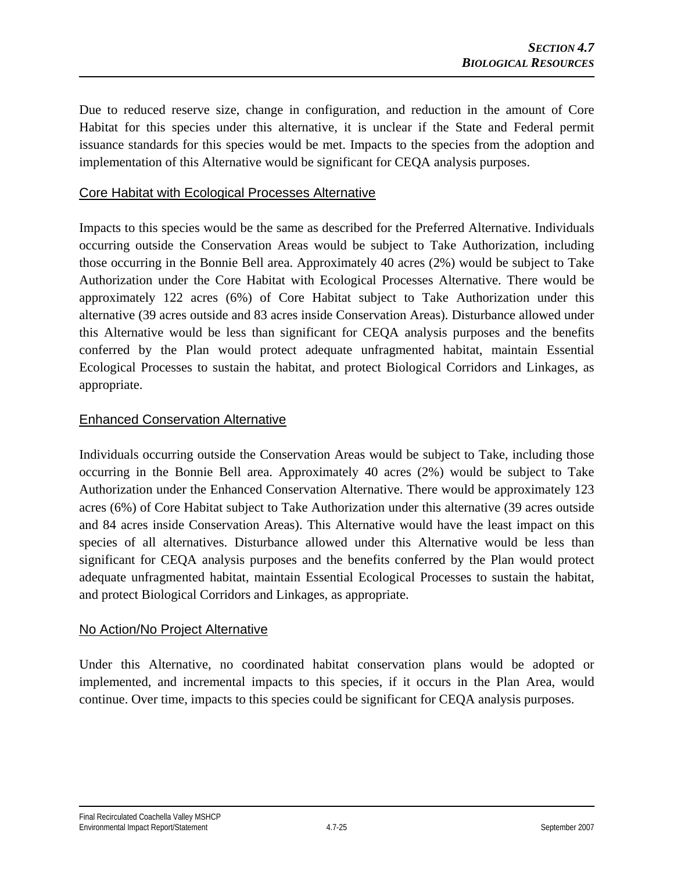Due to reduced reserve size, change in configuration, and reduction in the amount of Core Habitat for this species under this alternative, it is unclear if the State and Federal permit issuance standards for this species would be met. Impacts to the species from the adoption and implementation of this Alternative would be significant for CEQA analysis purposes.

#### Core Habitat with Ecological Processes Alternative

Impacts to this species would be the same as described for the Preferred Alternative. Individuals occurring outside the Conservation Areas would be subject to Take Authorization, including those occurring in the Bonnie Bell area. Approximately 40 acres (2%) would be subject to Take Authorization under the Core Habitat with Ecological Processes Alternative. There would be approximately 122 acres (6%) of Core Habitat subject to Take Authorization under this alternative (39 acres outside and 83 acres inside Conservation Areas). Disturbance allowed under this Alternative would be less than significant for CEQA analysis purposes and the benefits conferred by the Plan would protect adequate unfragmented habitat, maintain Essential Ecological Processes to sustain the habitat, and protect Biological Corridors and Linkages, as appropriate.

#### Enhanced Conservation Alternative

Individuals occurring outside the Conservation Areas would be subject to Take, including those occurring in the Bonnie Bell area. Approximately 40 acres (2%) would be subject to Take Authorization under the Enhanced Conservation Alternative. There would be approximately 123 acres (6%) of Core Habitat subject to Take Authorization under this alternative (39 acres outside and 84 acres inside Conservation Areas). This Alternative would have the least impact on this species of all alternatives. Disturbance allowed under this Alternative would be less than significant for CEQA analysis purposes and the benefits conferred by the Plan would protect adequate unfragmented habitat, maintain Essential Ecological Processes to sustain the habitat, and protect Biological Corridors and Linkages, as appropriate.

#### No Action/No Project Alternative

Under this Alternative, no coordinated habitat conservation plans would be adopted or implemented, and incremental impacts to this species, if it occurs in the Plan Area, would continue. Over time, impacts to this species could be significant for CEQA analysis purposes.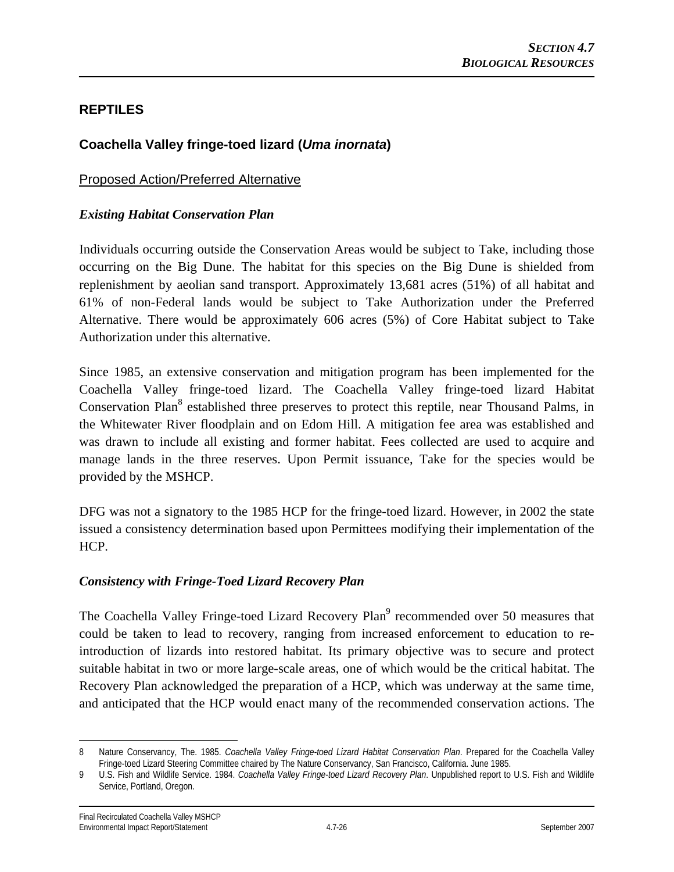# **REPTILES**

# **Coachella Valley fringe-toed lizard (***Uma inornata***)**

#### Proposed Action/Preferred Alternative

#### *Existing Habitat Conservation Plan*

Individuals occurring outside the Conservation Areas would be subject to Take, including those occurring on the Big Dune. The habitat for this species on the Big Dune is shielded from replenishment by aeolian sand transport. Approximately 13,681 acres (51%) of all habitat and 61% of non-Federal lands would be subject to Take Authorization under the Preferred Alternative. There would be approximately 606 acres (5%) of Core Habitat subject to Take Authorization under this alternative.

Since 1985, an extensive conservation and mitigation program has been implemented for the Coachella Valley fringe-toed lizard. The Coachella Valley fringe-toed lizard Habitat Conservation Plan<sup>8</sup> established three preserves to protect this reptile, near Thousand Palms, in the Whitewater River floodplain and on Edom Hill. A mitigation fee area was established and was drawn to include all existing and former habitat. Fees collected are used to acquire and manage lands in the three reserves. Upon Permit issuance, Take for the species would be provided by the MSHCP.

DFG was not a signatory to the 1985 HCP for the fringe-toed lizard. However, in 2002 the state issued a consistency determination based upon Permittees modifying their implementation of the HCP.

#### *Consistency with Fringe-Toed Lizard Recovery Plan*

The Coachella Valley Fringe-toed Lizard Recovery Plan<sup>9</sup> recommended over 50 measures that could be taken to lead to recovery, ranging from increased enforcement to education to reintroduction of lizards into restored habitat. Its primary objective was to secure and protect suitable habitat in two or more large-scale areas, one of which would be the critical habitat. The Recovery Plan acknowledged the preparation of a HCP, which was underway at the same time, and anticipated that the HCP would enact many of the recommended conservation actions. The

 $\overline{a}$ 

<sup>8</sup> Nature Conservancy, The. 1985. *Coachella Valley Fringe-toed Lizard Habitat Conservation Plan*. Prepared for the Coachella Valley Fringe-toed Lizard Steering Committee chaired by The Nature Conservancy, San Francisco, California. June 1985.

<sup>9</sup> U.S. Fish and Wildlife Service. 1984. *Coachella Valley Fringe-toed Lizard Recovery Plan*. Unpublished report to U.S. Fish and Wildlife Service, Portland, Oregon.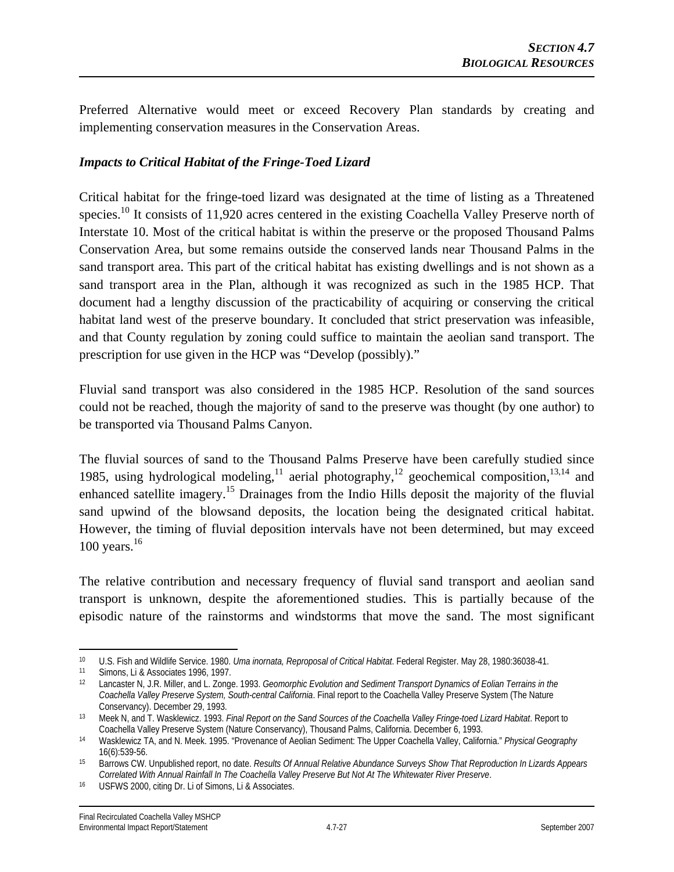Preferred Alternative would meet or exceed Recovery Plan standards by creating and implementing conservation measures in the Conservation Areas.

### *Impacts to Critical Habitat of the Fringe-Toed Lizard*

Critical habitat for the fringe-toed lizard was designated at the time of listing as a Threatened species.<sup>10</sup> It consists of 11,920 acres centered in the existing Coachella Valley Preserve north of Interstate 10. Most of the critical habitat is within the preserve or the proposed Thousand Palms Conservation Area, but some remains outside the conserved lands near Thousand Palms in the sand transport area. This part of the critical habitat has existing dwellings and is not shown as a sand transport area in the Plan, although it was recognized as such in the 1985 HCP. That document had a lengthy discussion of the practicability of acquiring or conserving the critical habitat land west of the preserve boundary. It concluded that strict preservation was infeasible, and that County regulation by zoning could suffice to maintain the aeolian sand transport. The prescription for use given in the HCP was "Develop (possibly)."

Fluvial sand transport was also considered in the 1985 HCP. Resolution of the sand sources could not be reached, though the majority of sand to the preserve was thought (by one author) to be transported via Thousand Palms Canyon.

The fluvial sources of sand to the Thousand Palms Preserve have been carefully studied since 1985, using hydrological modeling,<sup>11</sup> aerial photography,<sup>12</sup> geochemical composition,<sup>13,14</sup> and enhanced satellite imagery.<sup>15</sup> Drainages from the Indio Hills deposit the majority of the fluvial sand upwind of the blowsand deposits, the location being the designated critical habitat. However, the timing of fluvial deposition intervals have not been determined, but may exceed 100 years. $16$ 

The relative contribution and necessary frequency of fluvial sand transport and aeolian sand transport is unknown, despite the aforementioned studies. This is partially because of the episodic nature of the rainstorms and windstorms that move the sand. The most significant

 $\overline{a}$ 

<sup>10</sup> U.S. Fish and Wildlife Service. 1980. *Uma inornata, Reproposal of Critical Habitat*. Federal Register. May 28, 1980:36038-41.<br>11 Simons, Li & Associates 1996, 1997.<br>12 Lancaster N, J.R. Miller, and L. Zonge. 1993. *Geo* 

*Coachella Valley Preserve System, South-central California*. Final report to the Coachella Valley Preserve System (The Nature Conservancy). December 29, 1993. 13 Meek N, and T. Wasklewicz. 1993. *Final Report on the Sand Sources of the Coachella Valley Fringe-toed Lizard Habitat*. Report to

Coachella Valley Preserve System (Nature Conservancy), Thousand Palms, California. December 6, 1993.<br>Wasklewicz TA, and N. Meek. 1995. "Provenance of Aeolian Sediment: The Upper Coachella Valley, California." Physical Geog

<sup>16(6):539-56. 15</sup> Barrows CW. Unpublished report, no date. *Results Of Annual Relative Abundance Surveys Show That Reproduction In Lizards Appears Correlated With Annual Rainfall In The Coachella Valley Preserve But Not At The Whitewater River Preserve*. 16 USFWS 2000, citing Dr. Li of Simons, Li & Associates.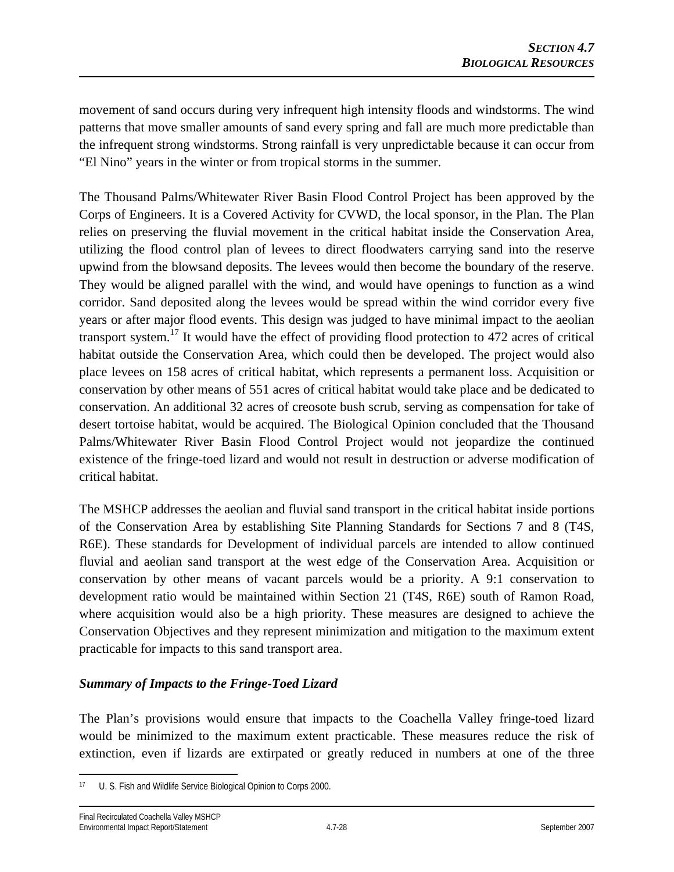movement of sand occurs during very infrequent high intensity floods and windstorms. The wind patterns that move smaller amounts of sand every spring and fall are much more predictable than the infrequent strong windstorms. Strong rainfall is very unpredictable because it can occur from "El Nino" years in the winter or from tropical storms in the summer.

The Thousand Palms/Whitewater River Basin Flood Control Project has been approved by the Corps of Engineers. It is a Covered Activity for CVWD, the local sponsor, in the Plan. The Plan relies on preserving the fluvial movement in the critical habitat inside the Conservation Area, utilizing the flood control plan of levees to direct floodwaters carrying sand into the reserve upwind from the blowsand deposits. The levees would then become the boundary of the reserve. They would be aligned parallel with the wind, and would have openings to function as a wind corridor. Sand deposited along the levees would be spread within the wind corridor every five years or after major flood events. This design was judged to have minimal impact to the aeolian transport system.<sup>17</sup> It would have the effect of providing flood protection to 472 acres of critical habitat outside the Conservation Area, which could then be developed. The project would also place levees on 158 acres of critical habitat, which represents a permanent loss. Acquisition or conservation by other means of 551 acres of critical habitat would take place and be dedicated to conservation. An additional 32 acres of creosote bush scrub, serving as compensation for take of desert tortoise habitat, would be acquired. The Biological Opinion concluded that the Thousand Palms/Whitewater River Basin Flood Control Project would not jeopardize the continued existence of the fringe-toed lizard and would not result in destruction or adverse modification of critical habitat.

The MSHCP addresses the aeolian and fluvial sand transport in the critical habitat inside portions of the Conservation Area by establishing Site Planning Standards for Sections 7 and 8 (T4S, R6E). These standards for Development of individual parcels are intended to allow continued fluvial and aeolian sand transport at the west edge of the Conservation Area. Acquisition or conservation by other means of vacant parcels would be a priority. A 9:1 conservation to development ratio would be maintained within Section 21 (T4S, R6E) south of Ramon Road, where acquisition would also be a high priority. These measures are designed to achieve the Conservation Objectives and they represent minimization and mitigation to the maximum extent practicable for impacts to this sand transport area.

### *Summary of Impacts to the Fringe-Toed Lizard*

The Plan's provisions would ensure that impacts to the Coachella Valley fringe-toed lizard would be minimized to the maximum extent practicable. These measures reduce the risk of extinction, even if lizards are extirpated or greatly reduced in numbers at one of the three

 $\overline{a}$ U. S. Fish and Wildlife Service Biological Opinion to Corps 2000.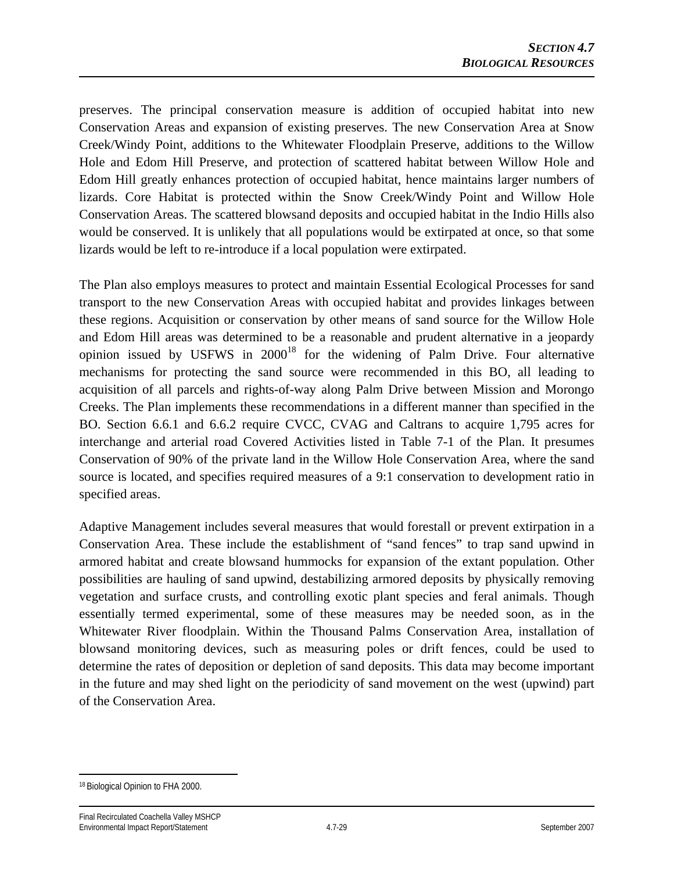preserves. The principal conservation measure is addition of occupied habitat into new Conservation Areas and expansion of existing preserves. The new Conservation Area at Snow Creek/Windy Point, additions to the Whitewater Floodplain Preserve, additions to the Willow Hole and Edom Hill Preserve, and protection of scattered habitat between Willow Hole and Edom Hill greatly enhances protection of occupied habitat, hence maintains larger numbers of lizards. Core Habitat is protected within the Snow Creek/Windy Point and Willow Hole Conservation Areas. The scattered blowsand deposits and occupied habitat in the Indio Hills also would be conserved. It is unlikely that all populations would be extirpated at once, so that some lizards would be left to re-introduce if a local population were extirpated.

The Plan also employs measures to protect and maintain Essential Ecological Processes for sand transport to the new Conservation Areas with occupied habitat and provides linkages between these regions. Acquisition or conservation by other means of sand source for the Willow Hole and Edom Hill areas was determined to be a reasonable and prudent alternative in a jeopardy opinion issued by USFWS in  $2000^{18}$  for the widening of Palm Drive. Four alternative mechanisms for protecting the sand source were recommended in this BO, all leading to acquisition of all parcels and rights-of-way along Palm Drive between Mission and Morongo Creeks. The Plan implements these recommendations in a different manner than specified in the BO. Section 6.6.1 and 6.6.2 require CVCC, CVAG and Caltrans to acquire 1,795 acres for interchange and arterial road Covered Activities listed in Table 7-1 of the Plan. It presumes Conservation of 90% of the private land in the Willow Hole Conservation Area, where the sand source is located, and specifies required measures of a 9:1 conservation to development ratio in specified areas.

Adaptive Management includes several measures that would forestall or prevent extirpation in a Conservation Area. These include the establishment of "sand fences" to trap sand upwind in armored habitat and create blowsand hummocks for expansion of the extant population. Other possibilities are hauling of sand upwind, destabilizing armored deposits by physically removing vegetation and surface crusts, and controlling exotic plant species and feral animals. Though essentially termed experimental, some of these measures may be needed soon, as in the Whitewater River floodplain. Within the Thousand Palms Conservation Area, installation of blowsand monitoring devices, such as measuring poles or drift fences, could be used to determine the rates of deposition or depletion of sand deposits. This data may become important in the future and may shed light on the periodicity of sand movement on the west (upwind) part of the Conservation Area.

 $\overline{a}$ 18 Biological Opinion to FHA 2000.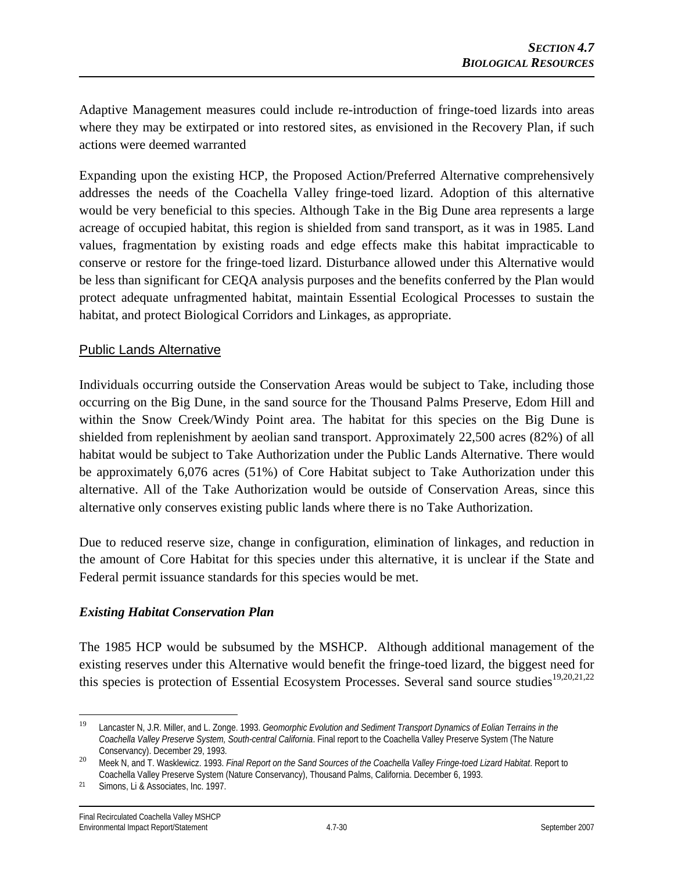Adaptive Management measures could include re-introduction of fringe-toed lizards into areas where they may be extirpated or into restored sites, as envisioned in the Recovery Plan, if such actions were deemed warranted

Expanding upon the existing HCP, the Proposed Action/Preferred Alternative comprehensively addresses the needs of the Coachella Valley fringe-toed lizard. Adoption of this alternative would be very beneficial to this species. Although Take in the Big Dune area represents a large acreage of occupied habitat, this region is shielded from sand transport, as it was in 1985. Land values, fragmentation by existing roads and edge effects make this habitat impracticable to conserve or restore for the fringe-toed lizard. Disturbance allowed under this Alternative would be less than significant for CEQA analysis purposes and the benefits conferred by the Plan would protect adequate unfragmented habitat, maintain Essential Ecological Processes to sustain the habitat, and protect Biological Corridors and Linkages, as appropriate.

# Public Lands Alternative

Individuals occurring outside the Conservation Areas would be subject to Take, including those occurring on the Big Dune, in the sand source for the Thousand Palms Preserve, Edom Hill and within the Snow Creek/Windy Point area. The habitat for this species on the Big Dune is shielded from replenishment by aeolian sand transport. Approximately 22,500 acres (82%) of all habitat would be subject to Take Authorization under the Public Lands Alternative. There would be approximately 6,076 acres (51%) of Core Habitat subject to Take Authorization under this alternative. All of the Take Authorization would be outside of Conservation Areas, since this alternative only conserves existing public lands where there is no Take Authorization.

Due to reduced reserve size, change in configuration, elimination of linkages, and reduction in the amount of Core Habitat for this species under this alternative, it is unclear if the State and Federal permit issuance standards for this species would be met.

### *Existing Habitat Conservation Plan*

The 1985 HCP would be subsumed by the MSHCP. Although additional management of the existing reserves under this Alternative would benefit the fringe-toed lizard, the biggest need for this species is protection of Essential Ecosystem Processes. Several sand source studies<sup>19,20,21,22</sup>

<sup>19</sup> 19 Lancaster N, J.R. Miller, and L. Zonge. 1993. *Geomorphic Evolution and Sediment Transport Dynamics of Eolian Terrains in the Coachella Valley Preserve System, South-central California*. Final report to the Coachella Valley Preserve System (The Nature

Conservancy). December 29, 1993. <sup>20</sup>Meek N, and T. Wasklewicz. 1993. *Final Report on the Sand Sources of the Coachella Valley Fringe-toed Lizard Habitat*. Report to Coachella Valley Preserve System (Nature Conservancy), Thousand Palms, California. December 6, 1993.

<sup>21</sup> Simons, Li & Associates, Inc. 1997.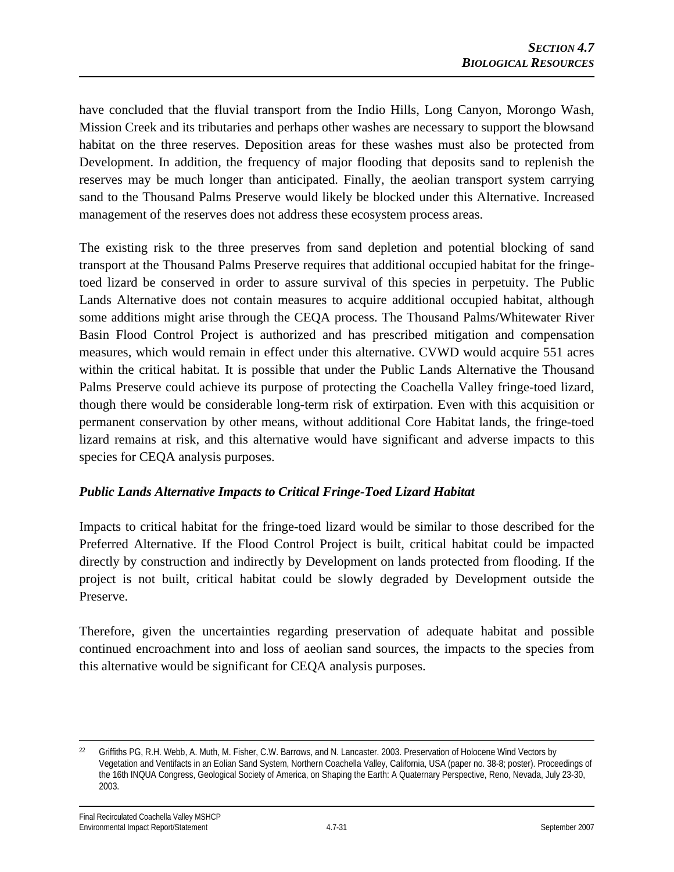have concluded that the fluvial transport from the Indio Hills, Long Canyon, Morongo Wash, Mission Creek and its tributaries and perhaps other washes are necessary to support the blowsand habitat on the three reserves. Deposition areas for these washes must also be protected from Development. In addition, the frequency of major flooding that deposits sand to replenish the reserves may be much longer than anticipated. Finally, the aeolian transport system carrying sand to the Thousand Palms Preserve would likely be blocked under this Alternative. Increased management of the reserves does not address these ecosystem process areas.

The existing risk to the three preserves from sand depletion and potential blocking of sand transport at the Thousand Palms Preserve requires that additional occupied habitat for the fringetoed lizard be conserved in order to assure survival of this species in perpetuity. The Public Lands Alternative does not contain measures to acquire additional occupied habitat, although some additions might arise through the CEQA process. The Thousand Palms/Whitewater River Basin Flood Control Project is authorized and has prescribed mitigation and compensation measures, which would remain in effect under this alternative. CVWD would acquire 551 acres within the critical habitat. It is possible that under the Public Lands Alternative the Thousand Palms Preserve could achieve its purpose of protecting the Coachella Valley fringe-toed lizard, though there would be considerable long-term risk of extirpation. Even with this acquisition or permanent conservation by other means, without additional Core Habitat lands, the fringe-toed lizard remains at risk, and this alternative would have significant and adverse impacts to this species for CEQA analysis purposes.

### *Public Lands Alternative Impacts to Critical Fringe-Toed Lizard Habitat*

Impacts to critical habitat for the fringe-toed lizard would be similar to those described for the Preferred Alternative. If the Flood Control Project is built, critical habitat could be impacted directly by construction and indirectly by Development on lands protected from flooding. If the project is not built, critical habitat could be slowly degraded by Development outside the Preserve.

Therefore, given the uncertainties regarding preservation of adequate habitat and possible continued encroachment into and loss of aeolian sand sources, the impacts to the species from this alternative would be significant for CEQA analysis purposes.

 $\overline{a}$ 

<sup>&</sup>lt;sup>22</sup> Griffiths PG, R.H. Webb, A. Muth, M. Fisher, C.W. Barrows, and N. Lancaster. 2003. Preservation of Holocene Wind Vectors by Vegetation and Ventifacts in an Eolian Sand System, Northern Coachella Valley, California, USA (paper no. 38-8; poster). Proceedings of the 16th INQUA Congress, Geological Society of America, on Shaping the Earth: A Quaternary Perspective, Reno, Nevada, July 23-30, 2003.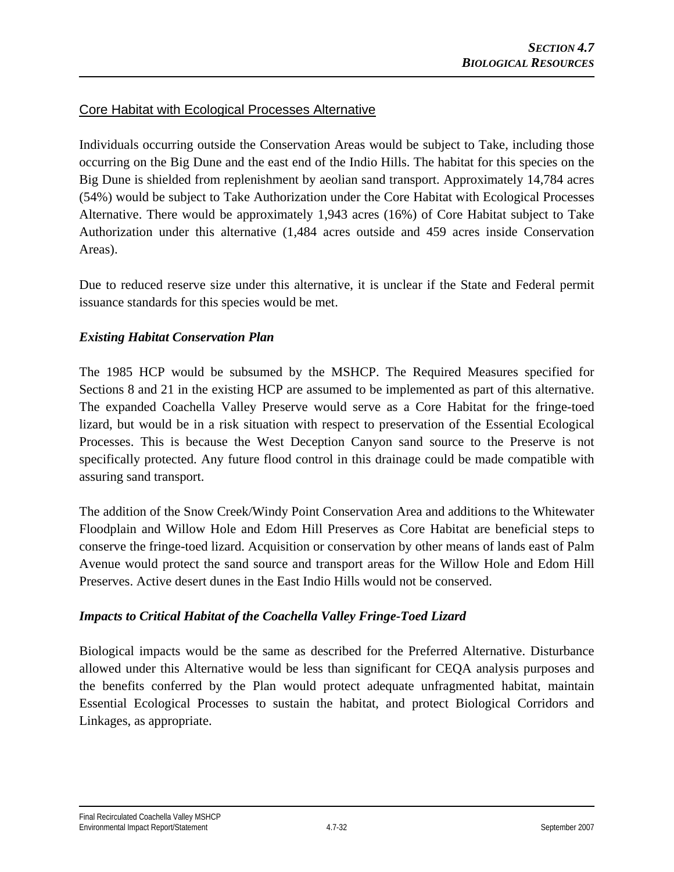## Core Habitat with Ecological Processes Alternative

Individuals occurring outside the Conservation Areas would be subject to Take, including those occurring on the Big Dune and the east end of the Indio Hills. The habitat for this species on the Big Dune is shielded from replenishment by aeolian sand transport. Approximately 14,784 acres (54%) would be subject to Take Authorization under the Core Habitat with Ecological Processes Alternative. There would be approximately 1,943 acres (16%) of Core Habitat subject to Take Authorization under this alternative (1,484 acres outside and 459 acres inside Conservation Areas).

Due to reduced reserve size under this alternative, it is unclear if the State and Federal permit issuance standards for this species would be met.

### *Existing Habitat Conservation Plan*

The 1985 HCP would be subsumed by the MSHCP. The Required Measures specified for Sections 8 and 21 in the existing HCP are assumed to be implemented as part of this alternative. The expanded Coachella Valley Preserve would serve as a Core Habitat for the fringe-toed lizard, but would be in a risk situation with respect to preservation of the Essential Ecological Processes. This is because the West Deception Canyon sand source to the Preserve is not specifically protected. Any future flood control in this drainage could be made compatible with assuring sand transport.

The addition of the Snow Creek/Windy Point Conservation Area and additions to the Whitewater Floodplain and Willow Hole and Edom Hill Preserves as Core Habitat are beneficial steps to conserve the fringe-toed lizard. Acquisition or conservation by other means of lands east of Palm Avenue would protect the sand source and transport areas for the Willow Hole and Edom Hill Preserves. Active desert dunes in the East Indio Hills would not be conserved.

### *Impacts to Critical Habitat of the Coachella Valley Fringe-Toed Lizard*

Biological impacts would be the same as described for the Preferred Alternative. Disturbance allowed under this Alternative would be less than significant for CEQA analysis purposes and the benefits conferred by the Plan would protect adequate unfragmented habitat, maintain Essential Ecological Processes to sustain the habitat, and protect Biological Corridors and Linkages, as appropriate.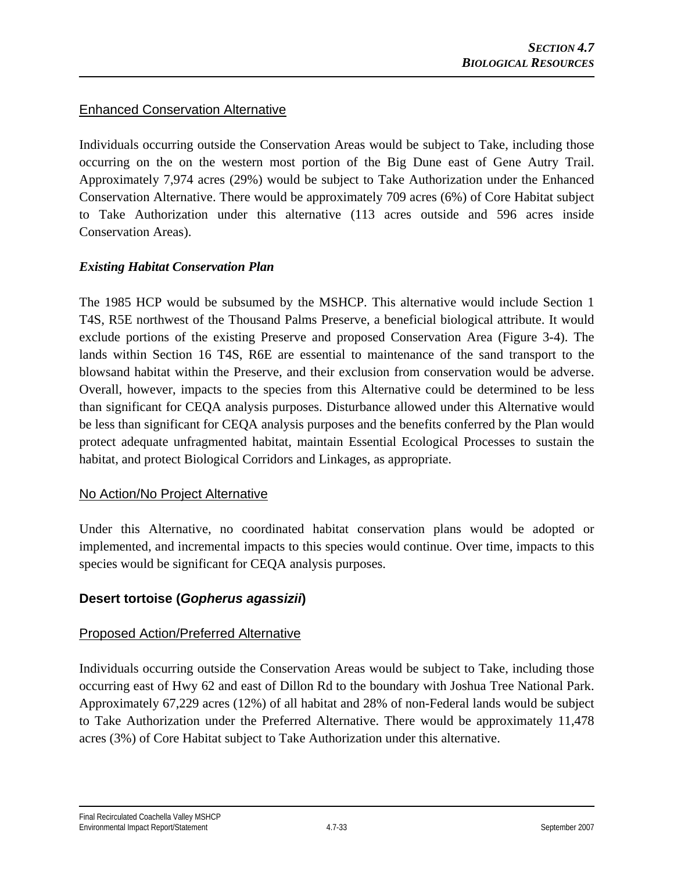## Enhanced Conservation Alternative

Individuals occurring outside the Conservation Areas would be subject to Take, including those occurring on the on the western most portion of the Big Dune east of Gene Autry Trail. Approximately 7,974 acres (29%) would be subject to Take Authorization under the Enhanced Conservation Alternative. There would be approximately 709 acres (6%) of Core Habitat subject to Take Authorization under this alternative (113 acres outside and 596 acres inside Conservation Areas).

### *Existing Habitat Conservation Plan*

The 1985 HCP would be subsumed by the MSHCP. This alternative would include Section 1 T4S, R5E northwest of the Thousand Palms Preserve, a beneficial biological attribute. It would exclude portions of the existing Preserve and proposed Conservation Area (Figure 3-4). The lands within Section 16 T4S, R6E are essential to maintenance of the sand transport to the blowsand habitat within the Preserve, and their exclusion from conservation would be adverse. Overall, however, impacts to the species from this Alternative could be determined to be less than significant for CEQA analysis purposes. Disturbance allowed under this Alternative would be less than significant for CEQA analysis purposes and the benefits conferred by the Plan would protect adequate unfragmented habitat, maintain Essential Ecological Processes to sustain the habitat, and protect Biological Corridors and Linkages, as appropriate.

### No Action/No Project Alternative

Under this Alternative, no coordinated habitat conservation plans would be adopted or implemented, and incremental impacts to this species would continue. Over time, impacts to this species would be significant for CEQA analysis purposes.

# **Desert tortoise (***Gopherus agassizii***)**

### Proposed Action/Preferred Alternative

Individuals occurring outside the Conservation Areas would be subject to Take, including those occurring east of Hwy 62 and east of Dillon Rd to the boundary with Joshua Tree National Park. Approximately 67,229 acres (12%) of all habitat and 28% of non-Federal lands would be subject to Take Authorization under the Preferred Alternative. There would be approximately 11,478 acres (3%) of Core Habitat subject to Take Authorization under this alternative.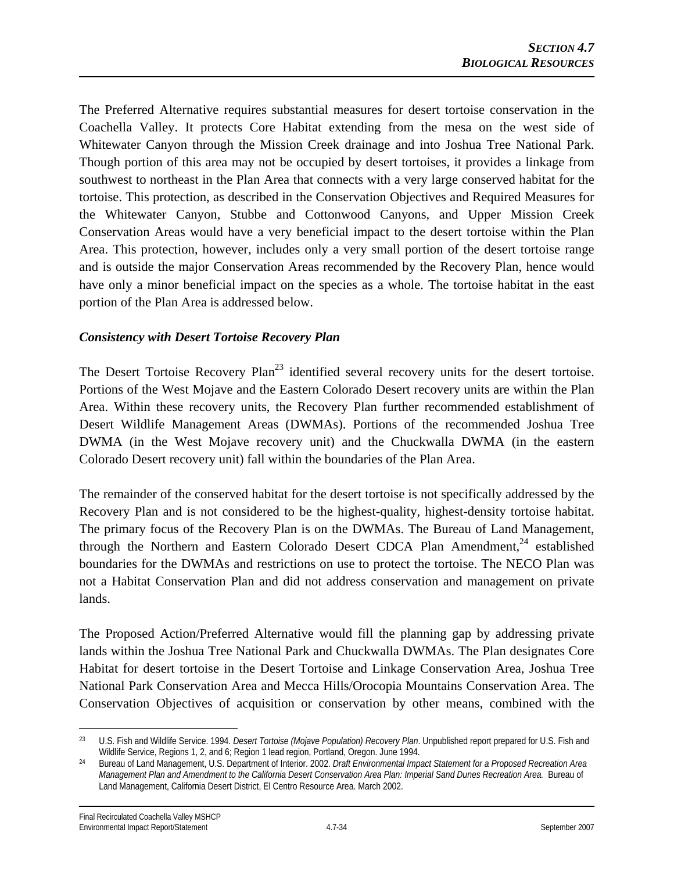The Preferred Alternative requires substantial measures for desert tortoise conservation in the Coachella Valley. It protects Core Habitat extending from the mesa on the west side of Whitewater Canyon through the Mission Creek drainage and into Joshua Tree National Park. Though portion of this area may not be occupied by desert tortoises, it provides a linkage from southwest to northeast in the Plan Area that connects with a very large conserved habitat for the tortoise. This protection, as described in the Conservation Objectives and Required Measures for the Whitewater Canyon, Stubbe and Cottonwood Canyons, and Upper Mission Creek Conservation Areas would have a very beneficial impact to the desert tortoise within the Plan Area. This protection, however, includes only a very small portion of the desert tortoise range and is outside the major Conservation Areas recommended by the Recovery Plan, hence would have only a minor beneficial impact on the species as a whole. The tortoise habitat in the east portion of the Plan Area is addressed below.

#### *Consistency with Desert Tortoise Recovery Plan*

The Desert Tortoise Recovery Plan<sup>23</sup> identified several recovery units for the desert tortoise. Portions of the West Mojave and the Eastern Colorado Desert recovery units are within the Plan Area. Within these recovery units, the Recovery Plan further recommended establishment of Desert Wildlife Management Areas (DWMAs). Portions of the recommended Joshua Tree DWMA (in the West Mojave recovery unit) and the Chuckwalla DWMA (in the eastern Colorado Desert recovery unit) fall within the boundaries of the Plan Area.

The remainder of the conserved habitat for the desert tortoise is not specifically addressed by the Recovery Plan and is not considered to be the highest-quality, highest-density tortoise habitat. The primary focus of the Recovery Plan is on the DWMAs. The Bureau of Land Management, through the Northern and Eastern Colorado Desert CDCA Plan Amendment, $^{24}$  established boundaries for the DWMAs and restrictions on use to protect the tortoise. The NECO Plan was not a Habitat Conservation Plan and did not address conservation and management on private lands.

The Proposed Action/Preferred Alternative would fill the planning gap by addressing private lands within the Joshua Tree National Park and Chuckwalla DWMAs. The Plan designates Core Habitat for desert tortoise in the Desert Tortoise and Linkage Conservation Area, Joshua Tree National Park Conservation Area and Mecca Hills/Orocopia Mountains Conservation Area. The Conservation Objectives of acquisition or conservation by other means, combined with the

 $\overline{a}$ 23 U.S. Fish and Wildlife Service. 1994. *Desert Tortoise (Mojave Population) Recovery Plan*. Unpublished report prepared for U.S. Fish and

<sup>&</sup>lt;sup>24</sup> Bureau of Land Management, U.S. Department of Interior. 2002. Draft Environmental Impact Statement for a Proposed Recreation Area *Management Plan and Amendment to the California Desert Conservation Area Plan: Imperial Sand Dunes Recreation Area.* Bureau of Land Management, California Desert District, El Centro Resource Area. March 2002.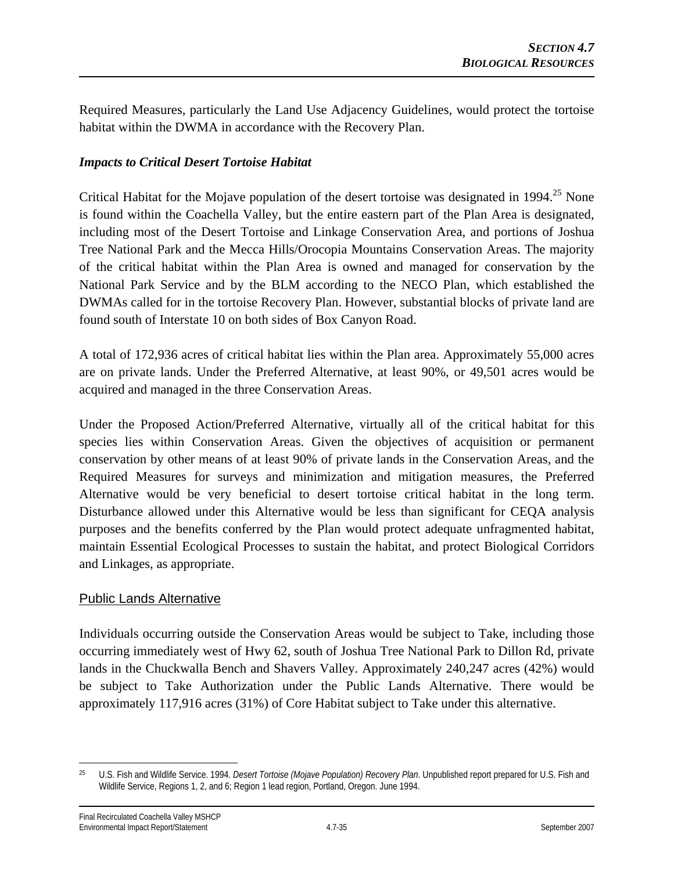Required Measures, particularly the Land Use Adjacency Guidelines, would protect the tortoise habitat within the DWMA in accordance with the Recovery Plan.

#### *Impacts to Critical Desert Tortoise Habitat*

Critical Habitat for the Mojave population of the desert tortoise was designated in  $1994.<sup>25</sup>$  None is found within the Coachella Valley, but the entire eastern part of the Plan Area is designated, including most of the Desert Tortoise and Linkage Conservation Area, and portions of Joshua Tree National Park and the Mecca Hills/Orocopia Mountains Conservation Areas. The majority of the critical habitat within the Plan Area is owned and managed for conservation by the National Park Service and by the BLM according to the NECO Plan, which established the DWMAs called for in the tortoise Recovery Plan. However, substantial blocks of private land are found south of Interstate 10 on both sides of Box Canyon Road.

A total of 172,936 acres of critical habitat lies within the Plan area. Approximately 55,000 acres are on private lands. Under the Preferred Alternative, at least 90%, or 49,501 acres would be acquired and managed in the three Conservation Areas.

Under the Proposed Action/Preferred Alternative, virtually all of the critical habitat for this species lies within Conservation Areas. Given the objectives of acquisition or permanent conservation by other means of at least 90% of private lands in the Conservation Areas, and the Required Measures for surveys and minimization and mitigation measures, the Preferred Alternative would be very beneficial to desert tortoise critical habitat in the long term. Disturbance allowed under this Alternative would be less than significant for CEQA analysis purposes and the benefits conferred by the Plan would protect adequate unfragmented habitat, maintain Essential Ecological Processes to sustain the habitat, and protect Biological Corridors and Linkages, as appropriate.

#### Public Lands Alternative

Individuals occurring outside the Conservation Areas would be subject to Take, including those occurring immediately west of Hwy 62, south of Joshua Tree National Park to Dillon Rd, private lands in the Chuckwalla Bench and Shavers Valley. Approximately 240,247 acres (42%) would be subject to Take Authorization under the Public Lands Alternative. There would be approximately 117,916 acres (31%) of Core Habitat subject to Take under this alternative.

 $\overline{a}$ 25 U.S. Fish and Wildlife Service. 1994. *Desert Tortoise (Mojave Population) Recovery Plan*. Unpublished report prepared for U.S. Fish and Wildlife Service, Regions 1, 2, and 6; Region 1 lead region, Portland, Oregon. June 1994.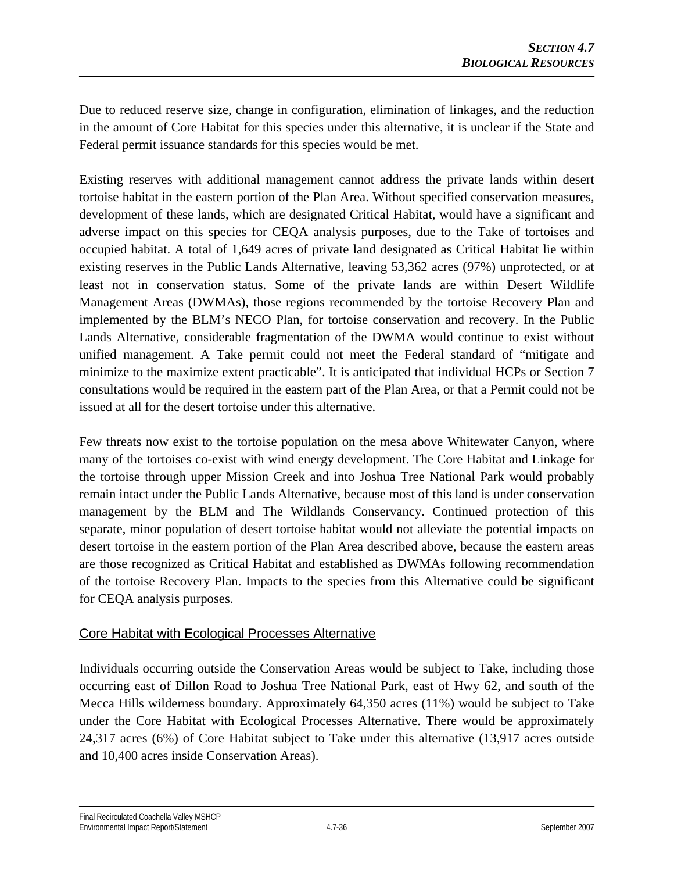Due to reduced reserve size, change in configuration, elimination of linkages, and the reduction in the amount of Core Habitat for this species under this alternative, it is unclear if the State and Federal permit issuance standards for this species would be met.

Existing reserves with additional management cannot address the private lands within desert tortoise habitat in the eastern portion of the Plan Area. Without specified conservation measures, development of these lands, which are designated Critical Habitat, would have a significant and adverse impact on this species for CEQA analysis purposes, due to the Take of tortoises and occupied habitat. A total of 1,649 acres of private land designated as Critical Habitat lie within existing reserves in the Public Lands Alternative, leaving 53,362 acres (97%) unprotected, or at least not in conservation status. Some of the private lands are within Desert Wildlife Management Areas (DWMAs), those regions recommended by the tortoise Recovery Plan and implemented by the BLM's NECO Plan, for tortoise conservation and recovery. In the Public Lands Alternative, considerable fragmentation of the DWMA would continue to exist without unified management. A Take permit could not meet the Federal standard of "mitigate and minimize to the maximize extent practicable". It is anticipated that individual HCPs or Section 7 consultations would be required in the eastern part of the Plan Area, or that a Permit could not be issued at all for the desert tortoise under this alternative.

Few threats now exist to the tortoise population on the mesa above Whitewater Canyon, where many of the tortoises co-exist with wind energy development. The Core Habitat and Linkage for the tortoise through upper Mission Creek and into Joshua Tree National Park would probably remain intact under the Public Lands Alternative, because most of this land is under conservation management by the BLM and The Wildlands Conservancy. Continued protection of this separate, minor population of desert tortoise habitat would not alleviate the potential impacts on desert tortoise in the eastern portion of the Plan Area described above, because the eastern areas are those recognized as Critical Habitat and established as DWMAs following recommendation of the tortoise Recovery Plan. Impacts to the species from this Alternative could be significant for CEQA analysis purposes.

### Core Habitat with Ecological Processes Alternative

Individuals occurring outside the Conservation Areas would be subject to Take, including those occurring east of Dillon Road to Joshua Tree National Park, east of Hwy 62, and south of the Mecca Hills wilderness boundary. Approximately 64,350 acres (11%) would be subject to Take under the Core Habitat with Ecological Processes Alternative. There would be approximately 24,317 acres (6%) of Core Habitat subject to Take under this alternative (13,917 acres outside and 10,400 acres inside Conservation Areas).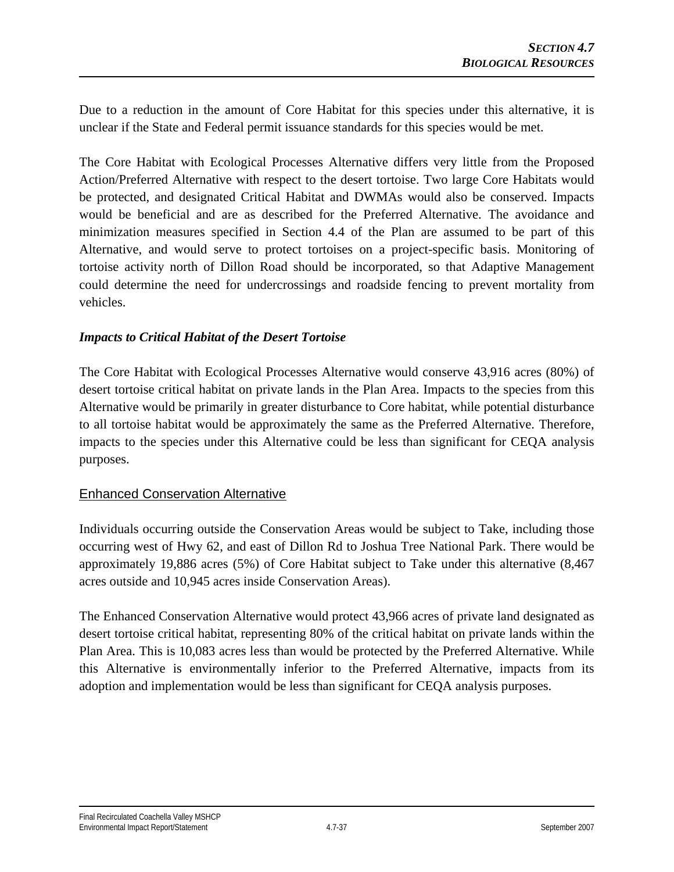Due to a reduction in the amount of Core Habitat for this species under this alternative, it is unclear if the State and Federal permit issuance standards for this species would be met.

The Core Habitat with Ecological Processes Alternative differs very little from the Proposed Action/Preferred Alternative with respect to the desert tortoise. Two large Core Habitats would be protected, and designated Critical Habitat and DWMAs would also be conserved. Impacts would be beneficial and are as described for the Preferred Alternative. The avoidance and minimization measures specified in Section 4.4 of the Plan are assumed to be part of this Alternative, and would serve to protect tortoises on a project-specific basis. Monitoring of tortoise activity north of Dillon Road should be incorporated, so that Adaptive Management could determine the need for undercrossings and roadside fencing to prevent mortality from vehicles.

#### *Impacts to Critical Habitat of the Desert Tortoise*

The Core Habitat with Ecological Processes Alternative would conserve 43,916 acres (80%) of desert tortoise critical habitat on private lands in the Plan Area. Impacts to the species from this Alternative would be primarily in greater disturbance to Core habitat, while potential disturbance to all tortoise habitat would be approximately the same as the Preferred Alternative. Therefore, impacts to the species under this Alternative could be less than significant for CEQA analysis purposes.

## Enhanced Conservation Alternative

Individuals occurring outside the Conservation Areas would be subject to Take, including those occurring west of Hwy 62, and east of Dillon Rd to Joshua Tree National Park. There would be approximately 19,886 acres (5%) of Core Habitat subject to Take under this alternative (8,467 acres outside and 10,945 acres inside Conservation Areas).

The Enhanced Conservation Alternative would protect 43,966 acres of private land designated as desert tortoise critical habitat, representing 80% of the critical habitat on private lands within the Plan Area. This is 10,083 acres less than would be protected by the Preferred Alternative. While this Alternative is environmentally inferior to the Preferred Alternative, impacts from its adoption and implementation would be less than significant for CEQA analysis purposes.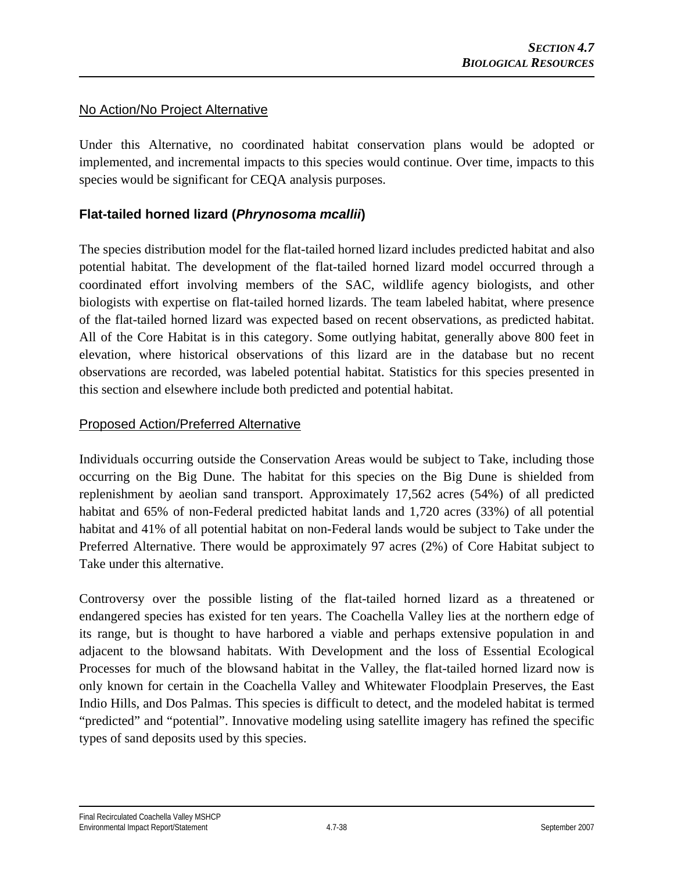## No Action/No Project Alternative

Under this Alternative, no coordinated habitat conservation plans would be adopted or implemented, and incremental impacts to this species would continue. Over time, impacts to this species would be significant for CEQA analysis purposes.

# **Flat-tailed horned lizard (***Phrynosoma mcallii***)**

The species distribution model for the flat-tailed horned lizard includes predicted habitat and also potential habitat. The development of the flat-tailed horned lizard model occurred through a coordinated effort involving members of the SAC, wildlife agency biologists, and other biologists with expertise on flat-tailed horned lizards. The team labeled habitat, where presence of the flat-tailed horned lizard was expected based on recent observations, as predicted habitat. All of the Core Habitat is in this category. Some outlying habitat, generally above 800 feet in elevation, where historical observations of this lizard are in the database but no recent observations are recorded, was labeled potential habitat. Statistics for this species presented in this section and elsewhere include both predicted and potential habitat.

## Proposed Action/Preferred Alternative

Individuals occurring outside the Conservation Areas would be subject to Take, including those occurring on the Big Dune. The habitat for this species on the Big Dune is shielded from replenishment by aeolian sand transport. Approximately 17,562 acres (54%) of all predicted habitat and 65% of non-Federal predicted habitat lands and 1,720 acres (33%) of all potential habitat and 41% of all potential habitat on non-Federal lands would be subject to Take under the Preferred Alternative. There would be approximately 97 acres (2%) of Core Habitat subject to Take under this alternative.

Controversy over the possible listing of the flat-tailed horned lizard as a threatened or endangered species has existed for ten years. The Coachella Valley lies at the northern edge of its range, but is thought to have harbored a viable and perhaps extensive population in and adjacent to the blowsand habitats. With Development and the loss of Essential Ecological Processes for much of the blowsand habitat in the Valley, the flat-tailed horned lizard now is only known for certain in the Coachella Valley and Whitewater Floodplain Preserves, the East Indio Hills, and Dos Palmas. This species is difficult to detect, and the modeled habitat is termed "predicted" and "potential". Innovative modeling using satellite imagery has refined the specific types of sand deposits used by this species.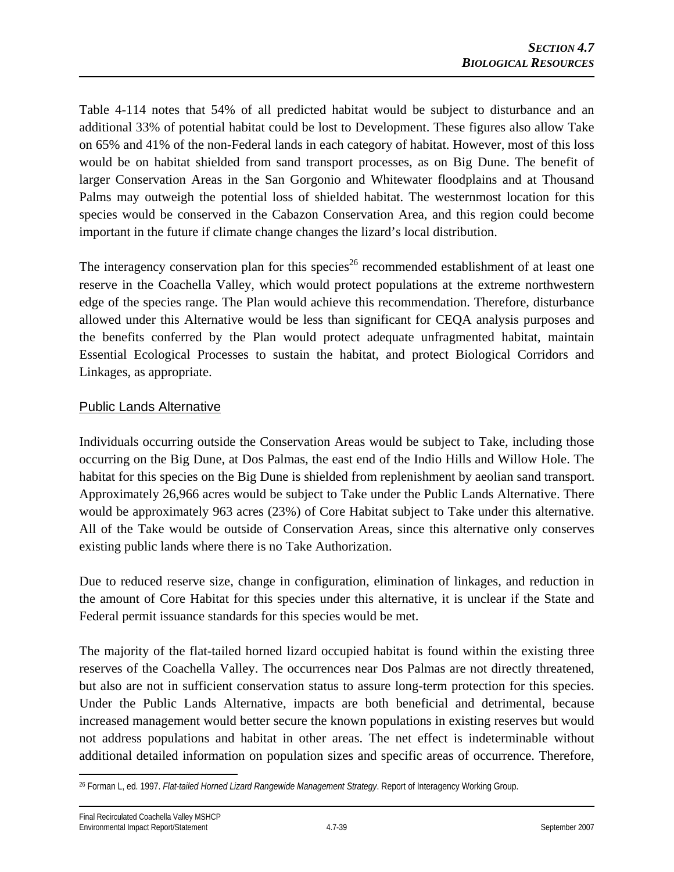Table 4-114 notes that 54% of all predicted habitat would be subject to disturbance and an additional 33% of potential habitat could be lost to Development. These figures also allow Take on 65% and 41% of the non-Federal lands in each category of habitat. However, most of this loss would be on habitat shielded from sand transport processes, as on Big Dune. The benefit of larger Conservation Areas in the San Gorgonio and Whitewater floodplains and at Thousand Palms may outweigh the potential loss of shielded habitat. The westernmost location for this species would be conserved in the Cabazon Conservation Area, and this region could become important in the future if climate change changes the lizard's local distribution.

The interagency conservation plan for this species<sup>26</sup> recommended establishment of at least one reserve in the Coachella Valley, which would protect populations at the extreme northwestern edge of the species range. The Plan would achieve this recommendation. Therefore, disturbance allowed under this Alternative would be less than significant for CEQA analysis purposes and the benefits conferred by the Plan would protect adequate unfragmented habitat, maintain Essential Ecological Processes to sustain the habitat, and protect Biological Corridors and Linkages, as appropriate.

# Public Lands Alternative

Individuals occurring outside the Conservation Areas would be subject to Take, including those occurring on the Big Dune, at Dos Palmas, the east end of the Indio Hills and Willow Hole. The habitat for this species on the Big Dune is shielded from replenishment by aeolian sand transport. Approximately 26,966 acres would be subject to Take under the Public Lands Alternative. There would be approximately 963 acres (23%) of Core Habitat subject to Take under this alternative. All of the Take would be outside of Conservation Areas, since this alternative only conserves existing public lands where there is no Take Authorization.

Due to reduced reserve size, change in configuration, elimination of linkages, and reduction in the amount of Core Habitat for this species under this alternative, it is unclear if the State and Federal permit issuance standards for this species would be met.

The majority of the flat-tailed horned lizard occupied habitat is found within the existing three reserves of the Coachella Valley. The occurrences near Dos Palmas are not directly threatened, but also are not in sufficient conservation status to assure long-term protection for this species. Under the Public Lands Alternative, impacts are both beneficial and detrimental, because increased management would better secure the known populations in existing reserves but would not address populations and habitat in other areas. The net effect is indeterminable without additional detailed information on population sizes and specific areas of occurrence. Therefore,

 $\overline{a}$ 26 Forman L, ed. 1997. *Flat-tailed Horned Lizard Rangewide Management Strategy*. Report of Interagency Working Group.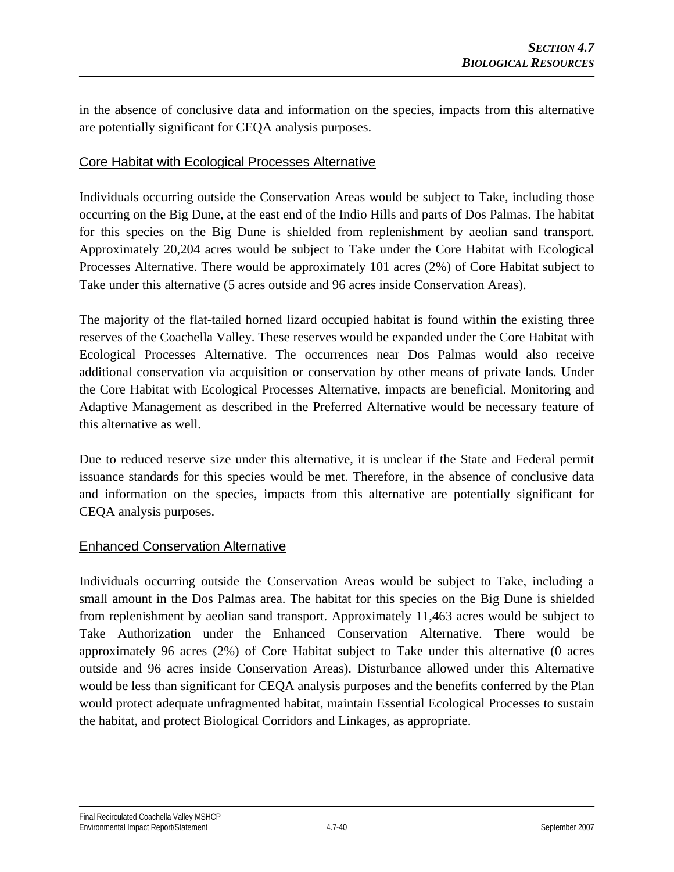in the absence of conclusive data and information on the species, impacts from this alternative are potentially significant for CEQA analysis purposes.

## Core Habitat with Ecological Processes Alternative

Individuals occurring outside the Conservation Areas would be subject to Take, including those occurring on the Big Dune, at the east end of the Indio Hills and parts of Dos Palmas. The habitat for this species on the Big Dune is shielded from replenishment by aeolian sand transport. Approximately 20,204 acres would be subject to Take under the Core Habitat with Ecological Processes Alternative. There would be approximately 101 acres (2%) of Core Habitat subject to Take under this alternative (5 acres outside and 96 acres inside Conservation Areas).

The majority of the flat-tailed horned lizard occupied habitat is found within the existing three reserves of the Coachella Valley. These reserves would be expanded under the Core Habitat with Ecological Processes Alternative. The occurrences near Dos Palmas would also receive additional conservation via acquisition or conservation by other means of private lands. Under the Core Habitat with Ecological Processes Alternative, impacts are beneficial. Monitoring and Adaptive Management as described in the Preferred Alternative would be necessary feature of this alternative as well.

Due to reduced reserve size under this alternative, it is unclear if the State and Federal permit issuance standards for this species would be met. Therefore, in the absence of conclusive data and information on the species, impacts from this alternative are potentially significant for CEQA analysis purposes.

#### Enhanced Conservation Alternative

Individuals occurring outside the Conservation Areas would be subject to Take, including a small amount in the Dos Palmas area. The habitat for this species on the Big Dune is shielded from replenishment by aeolian sand transport. Approximately 11,463 acres would be subject to Take Authorization under the Enhanced Conservation Alternative. There would be approximately 96 acres (2%) of Core Habitat subject to Take under this alternative (0 acres outside and 96 acres inside Conservation Areas). Disturbance allowed under this Alternative would be less than significant for CEQA analysis purposes and the benefits conferred by the Plan would protect adequate unfragmented habitat, maintain Essential Ecological Processes to sustain the habitat, and protect Biological Corridors and Linkages, as appropriate.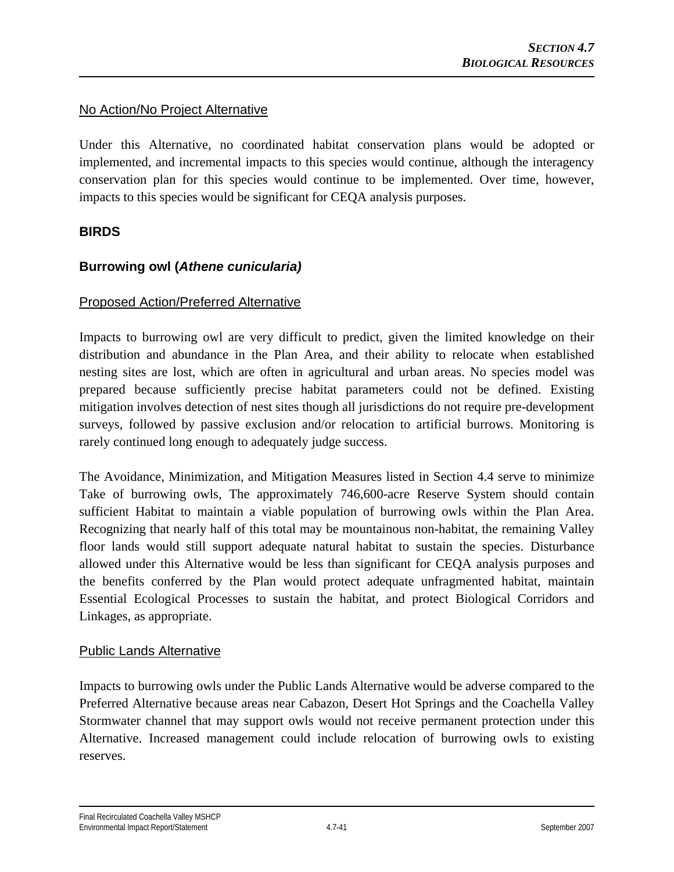## No Action/No Project Alternative

Under this Alternative, no coordinated habitat conservation plans would be adopted or implemented, and incremental impacts to this species would continue, although the interagency conservation plan for this species would continue to be implemented. Over time, however, impacts to this species would be significant for CEQA analysis purposes.

## **BIRDS**

# **Burrowing owl (***Athene cunicularia)*

## Proposed Action/Preferred Alternative

Impacts to burrowing owl are very difficult to predict, given the limited knowledge on their distribution and abundance in the Plan Area, and their ability to relocate when established nesting sites are lost, which are often in agricultural and urban areas. No species model was prepared because sufficiently precise habitat parameters could not be defined. Existing mitigation involves detection of nest sites though all jurisdictions do not require pre-development surveys, followed by passive exclusion and/or relocation to artificial burrows. Monitoring is rarely continued long enough to adequately judge success.

The Avoidance, Minimization, and Mitigation Measures listed in Section 4.4 serve to minimize Take of burrowing owls, The approximately 746,600-acre Reserve System should contain sufficient Habitat to maintain a viable population of burrowing owls within the Plan Area. Recognizing that nearly half of this total may be mountainous non-habitat, the remaining Valley floor lands would still support adequate natural habitat to sustain the species. Disturbance allowed under this Alternative would be less than significant for CEQA analysis purposes and the benefits conferred by the Plan would protect adequate unfragmented habitat, maintain Essential Ecological Processes to sustain the habitat, and protect Biological Corridors and Linkages, as appropriate.

#### Public Lands Alternative

Impacts to burrowing owls under the Public Lands Alternative would be adverse compared to the Preferred Alternative because areas near Cabazon, Desert Hot Springs and the Coachella Valley Stormwater channel that may support owls would not receive permanent protection under this Alternative. Increased management could include relocation of burrowing owls to existing reserves.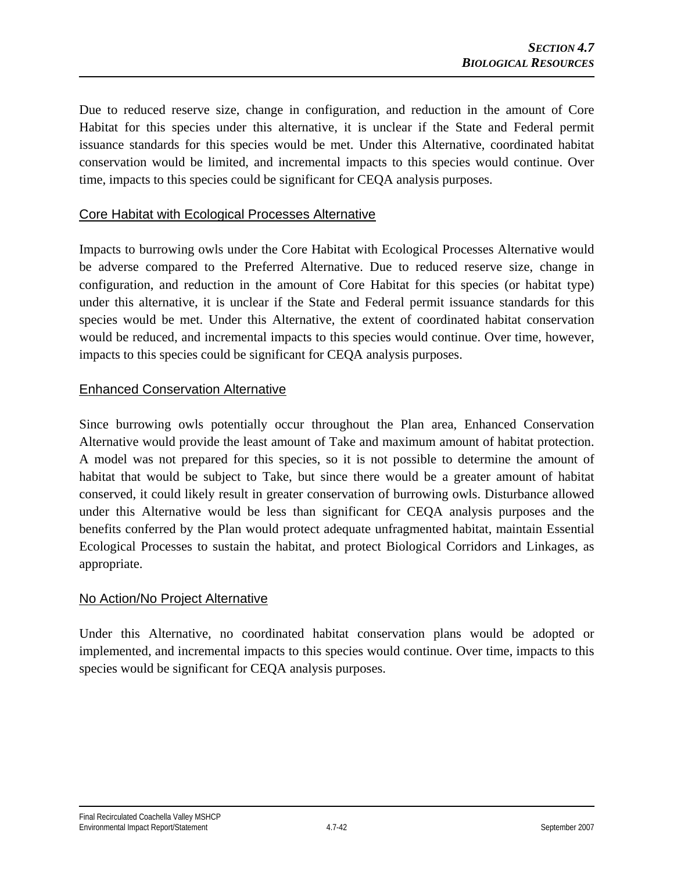Due to reduced reserve size, change in configuration, and reduction in the amount of Core Habitat for this species under this alternative, it is unclear if the State and Federal permit issuance standards for this species would be met. Under this Alternative, coordinated habitat conservation would be limited, and incremental impacts to this species would continue. Over time, impacts to this species could be significant for CEQA analysis purposes.

## Core Habitat with Ecological Processes Alternative

Impacts to burrowing owls under the Core Habitat with Ecological Processes Alternative would be adverse compared to the Preferred Alternative. Due to reduced reserve size, change in configuration, and reduction in the amount of Core Habitat for this species (or habitat type) under this alternative, it is unclear if the State and Federal permit issuance standards for this species would be met. Under this Alternative, the extent of coordinated habitat conservation would be reduced, and incremental impacts to this species would continue. Over time, however, impacts to this species could be significant for CEQA analysis purposes.

#### Enhanced Conservation Alternative

Since burrowing owls potentially occur throughout the Plan area, Enhanced Conservation Alternative would provide the least amount of Take and maximum amount of habitat protection. A model was not prepared for this species, so it is not possible to determine the amount of habitat that would be subject to Take, but since there would be a greater amount of habitat conserved, it could likely result in greater conservation of burrowing owls. Disturbance allowed under this Alternative would be less than significant for CEQA analysis purposes and the benefits conferred by the Plan would protect adequate unfragmented habitat, maintain Essential Ecological Processes to sustain the habitat, and protect Biological Corridors and Linkages, as appropriate.

## No Action/No Project Alternative

Under this Alternative, no coordinated habitat conservation plans would be adopted or implemented, and incremental impacts to this species would continue. Over time, impacts to this species would be significant for CEQA analysis purposes.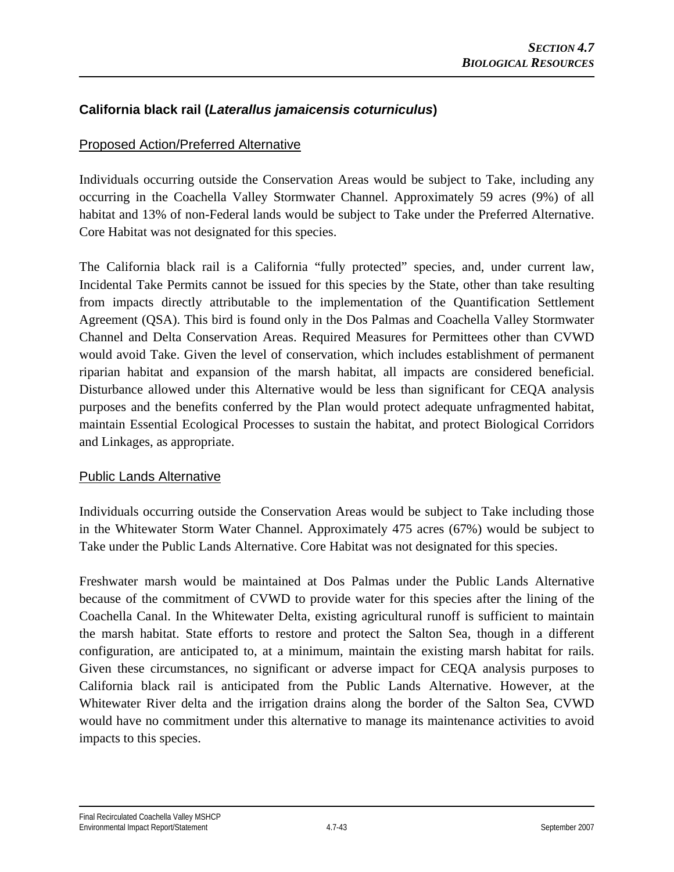# **California black rail (***Laterallus jamaicensis coturniculus***)**

## Proposed Action/Preferred Alternative

Individuals occurring outside the Conservation Areas would be subject to Take, including any occurring in the Coachella Valley Stormwater Channel. Approximately 59 acres (9%) of all habitat and 13% of non-Federal lands would be subject to Take under the Preferred Alternative. Core Habitat was not designated for this species.

The California black rail is a California "fully protected" species, and, under current law, Incidental Take Permits cannot be issued for this species by the State, other than take resulting from impacts directly attributable to the implementation of the Quantification Settlement Agreement (QSA). This bird is found only in the Dos Palmas and Coachella Valley Stormwater Channel and Delta Conservation Areas. Required Measures for Permittees other than CVWD would avoid Take. Given the level of conservation, which includes establishment of permanent riparian habitat and expansion of the marsh habitat, all impacts are considered beneficial. Disturbance allowed under this Alternative would be less than significant for CEQA analysis purposes and the benefits conferred by the Plan would protect adequate unfragmented habitat, maintain Essential Ecological Processes to sustain the habitat, and protect Biological Corridors and Linkages, as appropriate.

## Public Lands Alternative

Individuals occurring outside the Conservation Areas would be subject to Take including those in the Whitewater Storm Water Channel. Approximately 475 acres (67%) would be subject to Take under the Public Lands Alternative. Core Habitat was not designated for this species.

Freshwater marsh would be maintained at Dos Palmas under the Public Lands Alternative because of the commitment of CVWD to provide water for this species after the lining of the Coachella Canal. In the Whitewater Delta, existing agricultural runoff is sufficient to maintain the marsh habitat. State efforts to restore and protect the Salton Sea, though in a different configuration, are anticipated to, at a minimum, maintain the existing marsh habitat for rails. Given these circumstances, no significant or adverse impact for CEQA analysis purposes to California black rail is anticipated from the Public Lands Alternative. However, at the Whitewater River delta and the irrigation drains along the border of the Salton Sea, CVWD would have no commitment under this alternative to manage its maintenance activities to avoid impacts to this species.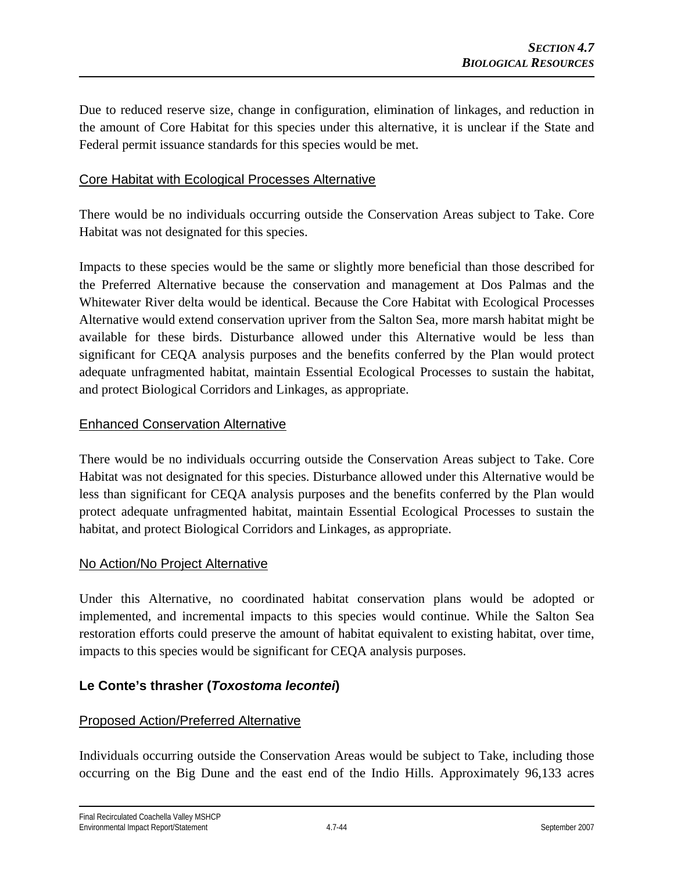Due to reduced reserve size, change in configuration, elimination of linkages, and reduction in the amount of Core Habitat for this species under this alternative, it is unclear if the State and Federal permit issuance standards for this species would be met.

#### Core Habitat with Ecological Processes Alternative

There would be no individuals occurring outside the Conservation Areas subject to Take. Core Habitat was not designated for this species.

Impacts to these species would be the same or slightly more beneficial than those described for the Preferred Alternative because the conservation and management at Dos Palmas and the Whitewater River delta would be identical. Because the Core Habitat with Ecological Processes Alternative would extend conservation upriver from the Salton Sea, more marsh habitat might be available for these birds. Disturbance allowed under this Alternative would be less than significant for CEQA analysis purposes and the benefits conferred by the Plan would protect adequate unfragmented habitat, maintain Essential Ecological Processes to sustain the habitat, and protect Biological Corridors and Linkages, as appropriate.

#### Enhanced Conservation Alternative

There would be no individuals occurring outside the Conservation Areas subject to Take. Core Habitat was not designated for this species. Disturbance allowed under this Alternative would be less than significant for CEQA analysis purposes and the benefits conferred by the Plan would protect adequate unfragmented habitat, maintain Essential Ecological Processes to sustain the habitat, and protect Biological Corridors and Linkages, as appropriate.

## No Action/No Project Alternative

Under this Alternative, no coordinated habitat conservation plans would be adopted or implemented, and incremental impacts to this species would continue. While the Salton Sea restoration efforts could preserve the amount of habitat equivalent to existing habitat, over time, impacts to this species would be significant for CEQA analysis purposes.

## **Le Conte's thrasher (***Toxostoma lecontei***)**

## Proposed Action/Preferred Alternative

Individuals occurring outside the Conservation Areas would be subject to Take, including those occurring on the Big Dune and the east end of the Indio Hills. Approximately 96,133 acres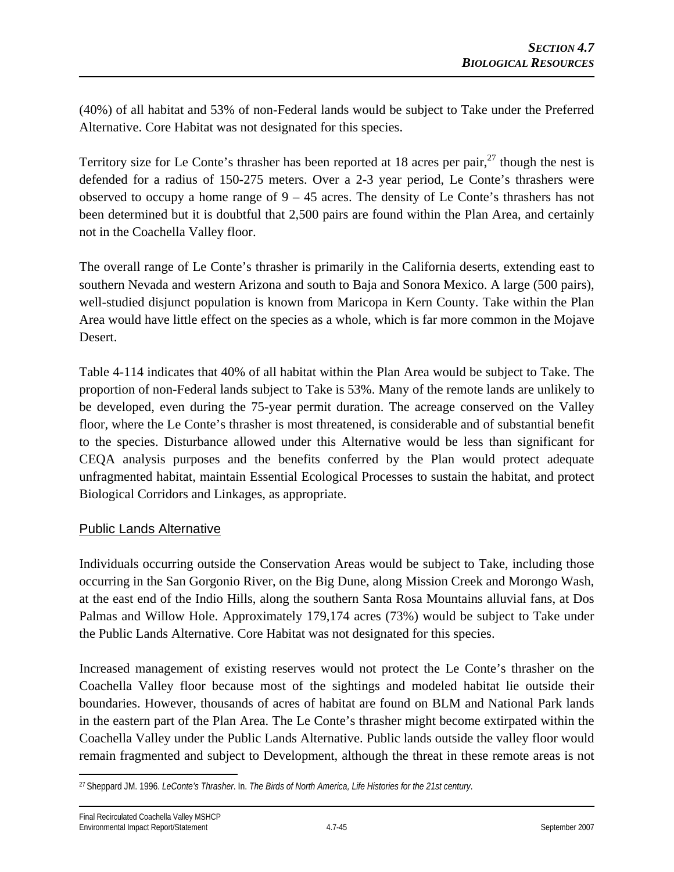(40%) of all habitat and 53% of non-Federal lands would be subject to Take under the Preferred Alternative. Core Habitat was not designated for this species.

Territory size for Le Conte's thrasher has been reported at 18 acres per pair,  $27$  though the nest is defended for a radius of 150-275 meters. Over a 2-3 year period, Le Conte's thrashers were observed to occupy a home range of 9 – 45 acres. The density of Le Conte's thrashers has not been determined but it is doubtful that 2,500 pairs are found within the Plan Area, and certainly not in the Coachella Valley floor.

The overall range of Le Conte's thrasher is primarily in the California deserts, extending east to southern Nevada and western Arizona and south to Baja and Sonora Mexico. A large (500 pairs), well-studied disjunct population is known from Maricopa in Kern County. Take within the Plan Area would have little effect on the species as a whole, which is far more common in the Mojave Desert.

Table 4-114 indicates that 40% of all habitat within the Plan Area would be subject to Take. The proportion of non-Federal lands subject to Take is 53%. Many of the remote lands are unlikely to be developed, even during the 75-year permit duration. The acreage conserved on the Valley floor, where the Le Conte's thrasher is most threatened, is considerable and of substantial benefit to the species. Disturbance allowed under this Alternative would be less than significant for CEQA analysis purposes and the benefits conferred by the Plan would protect adequate unfragmented habitat, maintain Essential Ecological Processes to sustain the habitat, and protect Biological Corridors and Linkages, as appropriate.

## Public Lands Alternative

Individuals occurring outside the Conservation Areas would be subject to Take, including those occurring in the San Gorgonio River, on the Big Dune, along Mission Creek and Morongo Wash, at the east end of the Indio Hills, along the southern Santa Rosa Mountains alluvial fans, at Dos Palmas and Willow Hole. Approximately 179,174 acres (73%) would be subject to Take under the Public Lands Alternative. Core Habitat was not designated for this species.

Increased management of existing reserves would not protect the Le Conte's thrasher on the Coachella Valley floor because most of the sightings and modeled habitat lie outside their boundaries. However, thousands of acres of habitat are found on BLM and National Park lands in the eastern part of the Plan Area. The Le Conte's thrasher might become extirpated within the Coachella Valley under the Public Lands Alternative. Public lands outside the valley floor would remain fragmented and subject to Development, although the threat in these remote areas is not

 $\overline{a}$ 27 Sheppard JM. 1996. *LeConte's Thrasher*. In. *The Birds of North America, Life Histories for the 21st century*.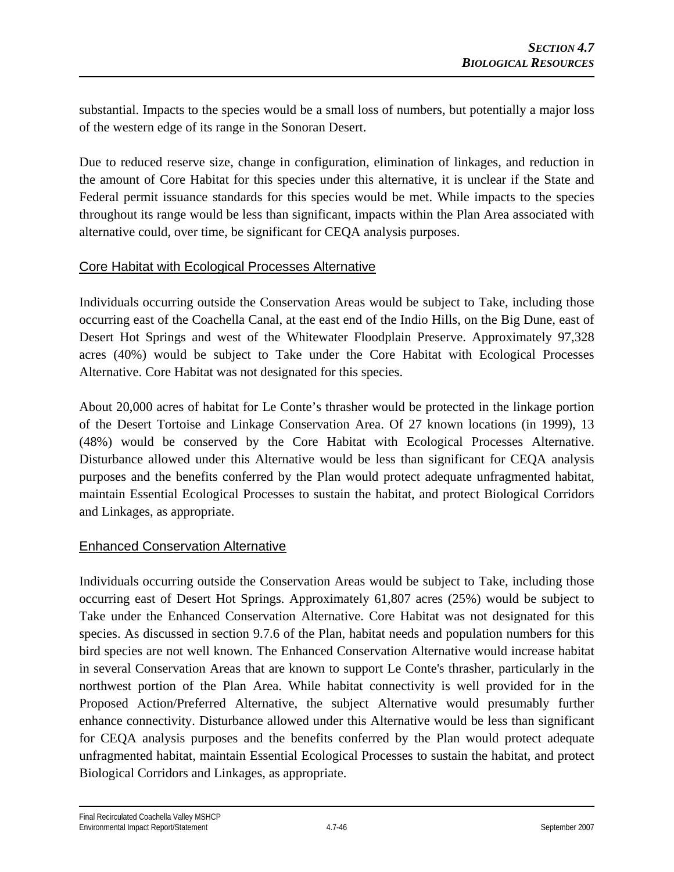substantial. Impacts to the species would be a small loss of numbers, but potentially a major loss of the western edge of its range in the Sonoran Desert.

Due to reduced reserve size, change in configuration, elimination of linkages, and reduction in the amount of Core Habitat for this species under this alternative, it is unclear if the State and Federal permit issuance standards for this species would be met. While impacts to the species throughout its range would be less than significant, impacts within the Plan Area associated with alternative could, over time, be significant for CEQA analysis purposes.

# Core Habitat with Ecological Processes Alternative

Individuals occurring outside the Conservation Areas would be subject to Take, including those occurring east of the Coachella Canal, at the east end of the Indio Hills, on the Big Dune, east of Desert Hot Springs and west of the Whitewater Floodplain Preserve. Approximately 97,328 acres (40%) would be subject to Take under the Core Habitat with Ecological Processes Alternative. Core Habitat was not designated for this species.

About 20,000 acres of habitat for Le Conte's thrasher would be protected in the linkage portion of the Desert Tortoise and Linkage Conservation Area. Of 27 known locations (in 1999), 13 (48%) would be conserved by the Core Habitat with Ecological Processes Alternative. Disturbance allowed under this Alternative would be less than significant for CEQA analysis purposes and the benefits conferred by the Plan would protect adequate unfragmented habitat, maintain Essential Ecological Processes to sustain the habitat, and protect Biological Corridors and Linkages, as appropriate.

## Enhanced Conservation Alternative

Individuals occurring outside the Conservation Areas would be subject to Take, including those occurring east of Desert Hot Springs. Approximately 61,807 acres (25%) would be subject to Take under the Enhanced Conservation Alternative. Core Habitat was not designated for this species. As discussed in section 9.7.6 of the Plan, habitat needs and population numbers for this bird species are not well known. The Enhanced Conservation Alternative would increase habitat in several Conservation Areas that are known to support Le Conte's thrasher, particularly in the northwest portion of the Plan Area. While habitat connectivity is well provided for in the Proposed Action/Preferred Alternative, the subject Alternative would presumably further enhance connectivity. Disturbance allowed under this Alternative would be less than significant for CEQA analysis purposes and the benefits conferred by the Plan would protect adequate unfragmented habitat, maintain Essential Ecological Processes to sustain the habitat, and protect Biological Corridors and Linkages, as appropriate.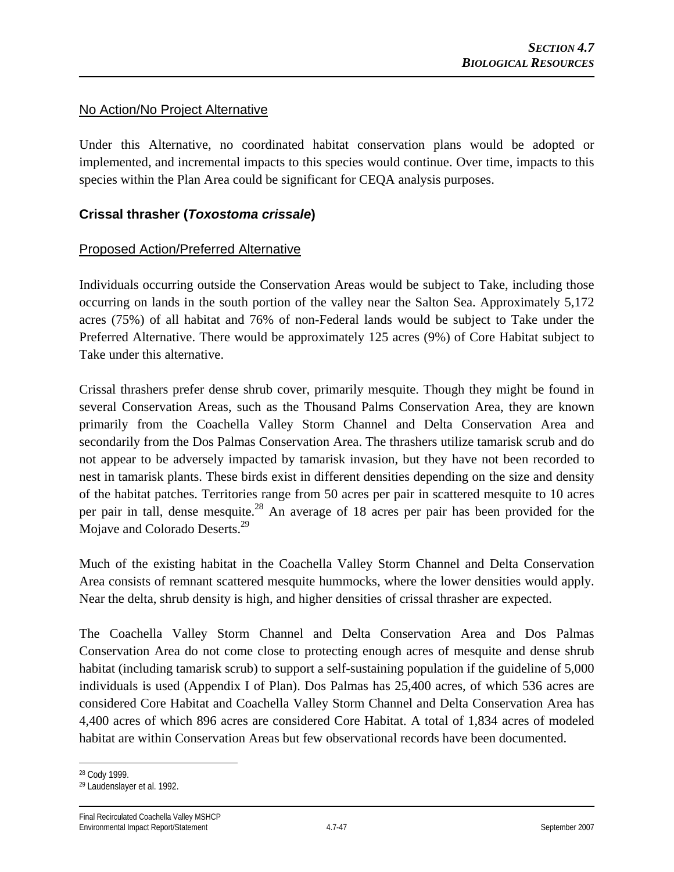#### No Action/No Project Alternative

Under this Alternative, no coordinated habitat conservation plans would be adopted or implemented, and incremental impacts to this species would continue. Over time, impacts to this species within the Plan Area could be significant for CEQA analysis purposes.

## **Crissal thrasher (***Toxostoma crissale***)**

## Proposed Action/Preferred Alternative

Individuals occurring outside the Conservation Areas would be subject to Take, including those occurring on lands in the south portion of the valley near the Salton Sea. Approximately 5,172 acres (75%) of all habitat and 76% of non-Federal lands would be subject to Take under the Preferred Alternative. There would be approximately 125 acres (9%) of Core Habitat subject to Take under this alternative.

Crissal thrashers prefer dense shrub cover, primarily mesquite. Though they might be found in several Conservation Areas, such as the Thousand Palms Conservation Area, they are known primarily from the Coachella Valley Storm Channel and Delta Conservation Area and secondarily from the Dos Palmas Conservation Area. The thrashers utilize tamarisk scrub and do not appear to be adversely impacted by tamarisk invasion, but they have not been recorded to nest in tamarisk plants. These birds exist in different densities depending on the size and density of the habitat patches. Territories range from 50 acres per pair in scattered mesquite to 10 acres per pair in tall, dense mesquite.<sup>28</sup> An average of 18 acres per pair has been provided for the Mojave and Colorado Deserts.<sup>29</sup>

Much of the existing habitat in the Coachella Valley Storm Channel and Delta Conservation Area consists of remnant scattered mesquite hummocks, where the lower densities would apply. Near the delta, shrub density is high, and higher densities of crissal thrasher are expected.

The Coachella Valley Storm Channel and Delta Conservation Area and Dos Palmas Conservation Area do not come close to protecting enough acres of mesquite and dense shrub habitat (including tamarisk scrub) to support a self-sustaining population if the guideline of 5,000 individuals is used (Appendix I of Plan). Dos Palmas has 25,400 acres, of which 536 acres are considered Core Habitat and Coachella Valley Storm Channel and Delta Conservation Area has 4,400 acres of which 896 acres are considered Core Habitat. A total of 1,834 acres of modeled habitat are within Conservation Areas but few observational records have been documented.

 $\overline{a}$ 28 Cody 1999.

<sup>29</sup> Laudenslayer et al. 1992.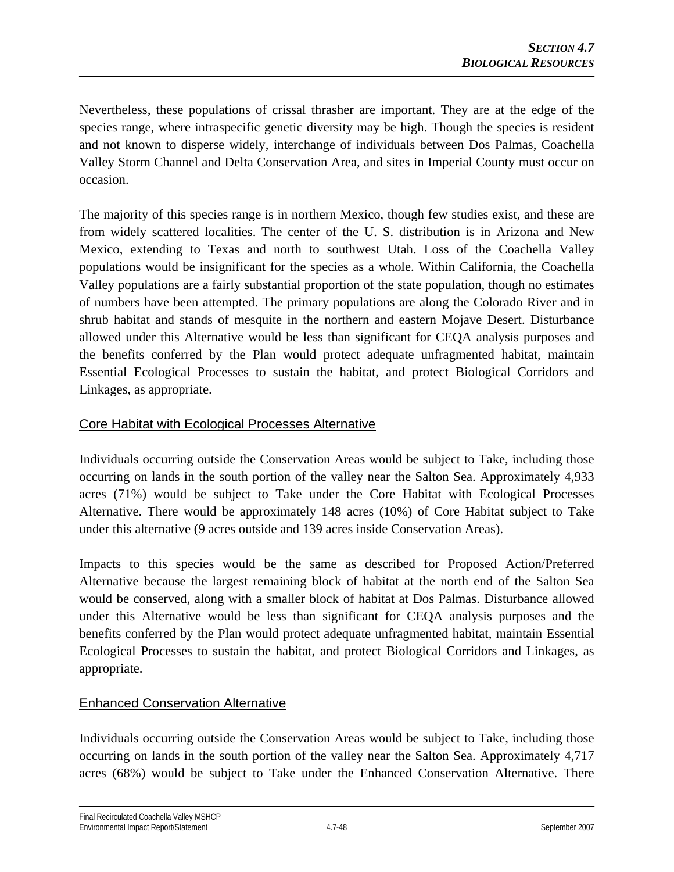Nevertheless, these populations of crissal thrasher are important. They are at the edge of the species range, where intraspecific genetic diversity may be high. Though the species is resident and not known to disperse widely, interchange of individuals between Dos Palmas, Coachella Valley Storm Channel and Delta Conservation Area, and sites in Imperial County must occur on occasion.

The majority of this species range is in northern Mexico, though few studies exist, and these are from widely scattered localities. The center of the U. S. distribution is in Arizona and New Mexico, extending to Texas and north to southwest Utah. Loss of the Coachella Valley populations would be insignificant for the species as a whole. Within California, the Coachella Valley populations are a fairly substantial proportion of the state population, though no estimates of numbers have been attempted. The primary populations are along the Colorado River and in shrub habitat and stands of mesquite in the northern and eastern Mojave Desert. Disturbance allowed under this Alternative would be less than significant for CEQA analysis purposes and the benefits conferred by the Plan would protect adequate unfragmented habitat, maintain Essential Ecological Processes to sustain the habitat, and protect Biological Corridors and Linkages, as appropriate.

## Core Habitat with Ecological Processes Alternative

Individuals occurring outside the Conservation Areas would be subject to Take, including those occurring on lands in the south portion of the valley near the Salton Sea. Approximately 4,933 acres (71%) would be subject to Take under the Core Habitat with Ecological Processes Alternative. There would be approximately 148 acres (10%) of Core Habitat subject to Take under this alternative (9 acres outside and 139 acres inside Conservation Areas).

Impacts to this species would be the same as described for Proposed Action/Preferred Alternative because the largest remaining block of habitat at the north end of the Salton Sea would be conserved, along with a smaller block of habitat at Dos Palmas. Disturbance allowed under this Alternative would be less than significant for CEQA analysis purposes and the benefits conferred by the Plan would protect adequate unfragmented habitat, maintain Essential Ecological Processes to sustain the habitat, and protect Biological Corridors and Linkages, as appropriate.

# Enhanced Conservation Alternative

Individuals occurring outside the Conservation Areas would be subject to Take, including those occurring on lands in the south portion of the valley near the Salton Sea. Approximately 4,717 acres (68%) would be subject to Take under the Enhanced Conservation Alternative. There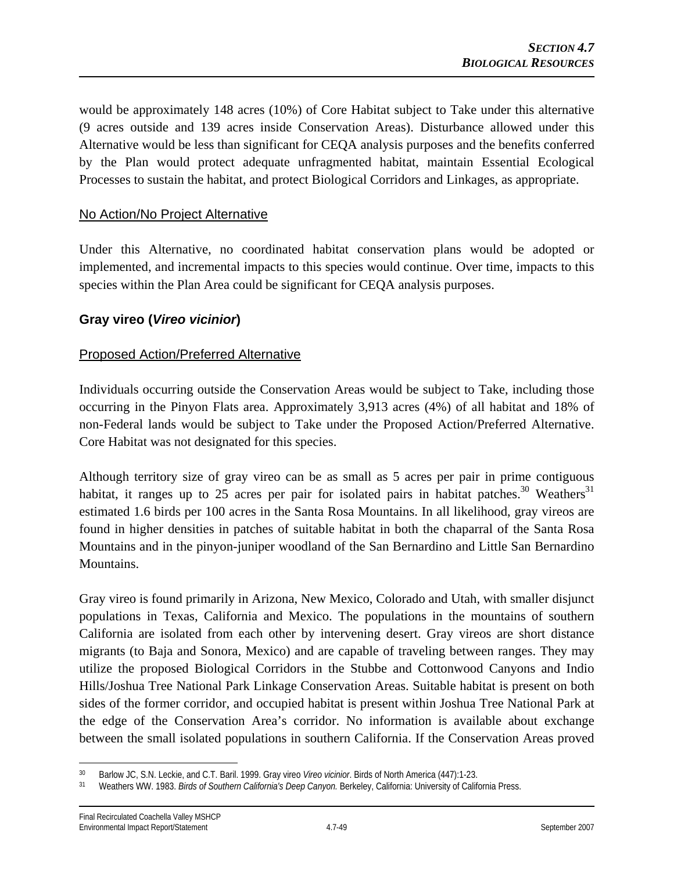would be approximately 148 acres (10%) of Core Habitat subject to Take under this alternative (9 acres outside and 139 acres inside Conservation Areas). Disturbance allowed under this Alternative would be less than significant for CEQA analysis purposes and the benefits conferred by the Plan would protect adequate unfragmented habitat, maintain Essential Ecological Processes to sustain the habitat, and protect Biological Corridors and Linkages, as appropriate.

#### No Action/No Project Alternative

Under this Alternative, no coordinated habitat conservation plans would be adopted or implemented, and incremental impacts to this species would continue. Over time, impacts to this species within the Plan Area could be significant for CEQA analysis purposes.

## **Gray vireo (***Vireo vicinior***)**

#### Proposed Action/Preferred Alternative

Individuals occurring outside the Conservation Areas would be subject to Take, including those occurring in the Pinyon Flats area. Approximately 3,913 acres (4%) of all habitat and 18% of non-Federal lands would be subject to Take under the Proposed Action/Preferred Alternative. Core Habitat was not designated for this species.

Although territory size of gray vireo can be as small as 5 acres per pair in prime contiguous habitat, it ranges up to 25 acres per pair for isolated pairs in habitat patches.<sup>30</sup> Weathers<sup>31</sup> estimated 1.6 birds per 100 acres in the Santa Rosa Mountains. In all likelihood, gray vireos are found in higher densities in patches of suitable habitat in both the chaparral of the Santa Rosa Mountains and in the pinyon-juniper woodland of the San Bernardino and Little San Bernardino Mountains.

Gray vireo is found primarily in Arizona, New Mexico, Colorado and Utah, with smaller disjunct populations in Texas, California and Mexico. The populations in the mountains of southern California are isolated from each other by intervening desert. Gray vireos are short distance migrants (to Baja and Sonora, Mexico) and are capable of traveling between ranges. They may utilize the proposed Biological Corridors in the Stubbe and Cottonwood Canyons and Indio Hills/Joshua Tree National Park Linkage Conservation Areas. Suitable habitat is present on both sides of the former corridor, and occupied habitat is present within Joshua Tree National Park at the edge of the Conservation Area's corridor. No information is available about exchange between the small isolated populations in southern California. If the Conservation Areas proved

<sup>1</sup> 

<sup>&</sup>lt;sup>30</sup> Barlow JC, S.N. Leckie, and C.T. Baril. 1999. Gray vireo *Vireo vicinior*. Birds of North America (447):1-23.<br><sup>31</sup> Weathers WW. 1983. *Birds of Southern California's Deep Canyon*. Berkeley, California: University of C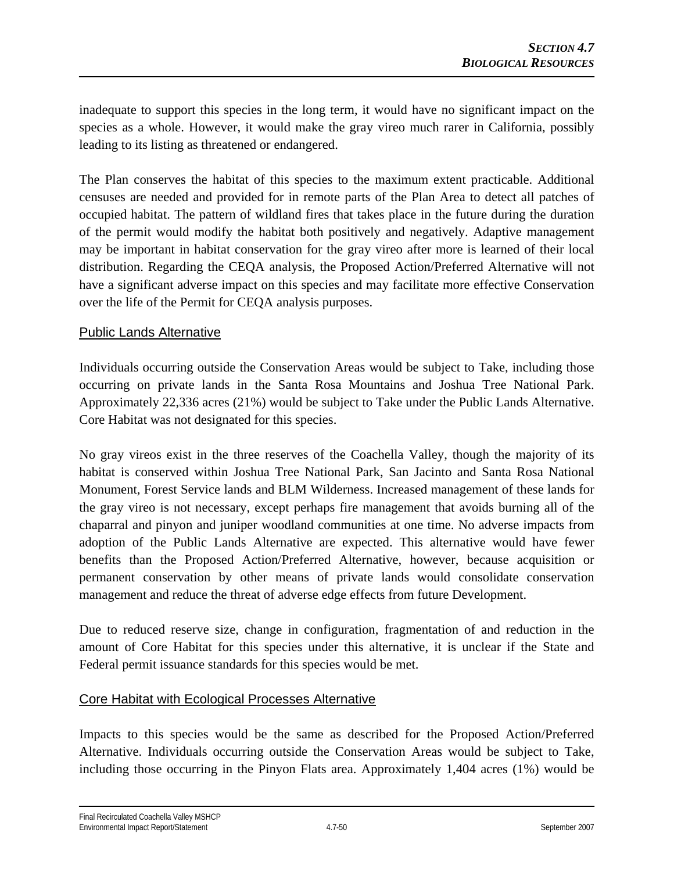inadequate to support this species in the long term, it would have no significant impact on the species as a whole. However, it would make the gray vireo much rarer in California, possibly leading to its listing as threatened or endangered.

The Plan conserves the habitat of this species to the maximum extent practicable. Additional censuses are needed and provided for in remote parts of the Plan Area to detect all patches of occupied habitat. The pattern of wildland fires that takes place in the future during the duration of the permit would modify the habitat both positively and negatively. Adaptive management may be important in habitat conservation for the gray vireo after more is learned of their local distribution. Regarding the CEQA analysis, the Proposed Action/Preferred Alternative will not have a significant adverse impact on this species and may facilitate more effective Conservation over the life of the Permit for CEQA analysis purposes.

# Public Lands Alternative

Individuals occurring outside the Conservation Areas would be subject to Take, including those occurring on private lands in the Santa Rosa Mountains and Joshua Tree National Park. Approximately 22,336 acres (21%) would be subject to Take under the Public Lands Alternative. Core Habitat was not designated for this species.

No gray vireos exist in the three reserves of the Coachella Valley, though the majority of its habitat is conserved within Joshua Tree National Park, San Jacinto and Santa Rosa National Monument, Forest Service lands and BLM Wilderness. Increased management of these lands for the gray vireo is not necessary, except perhaps fire management that avoids burning all of the chaparral and pinyon and juniper woodland communities at one time. No adverse impacts from adoption of the Public Lands Alternative are expected. This alternative would have fewer benefits than the Proposed Action/Preferred Alternative, however, because acquisition or permanent conservation by other means of private lands would consolidate conservation management and reduce the threat of adverse edge effects from future Development.

Due to reduced reserve size, change in configuration, fragmentation of and reduction in the amount of Core Habitat for this species under this alternative, it is unclear if the State and Federal permit issuance standards for this species would be met.

## Core Habitat with Ecological Processes Alternative

Impacts to this species would be the same as described for the Proposed Action/Preferred Alternative. Individuals occurring outside the Conservation Areas would be subject to Take, including those occurring in the Pinyon Flats area. Approximately 1,404 acres (1%) would be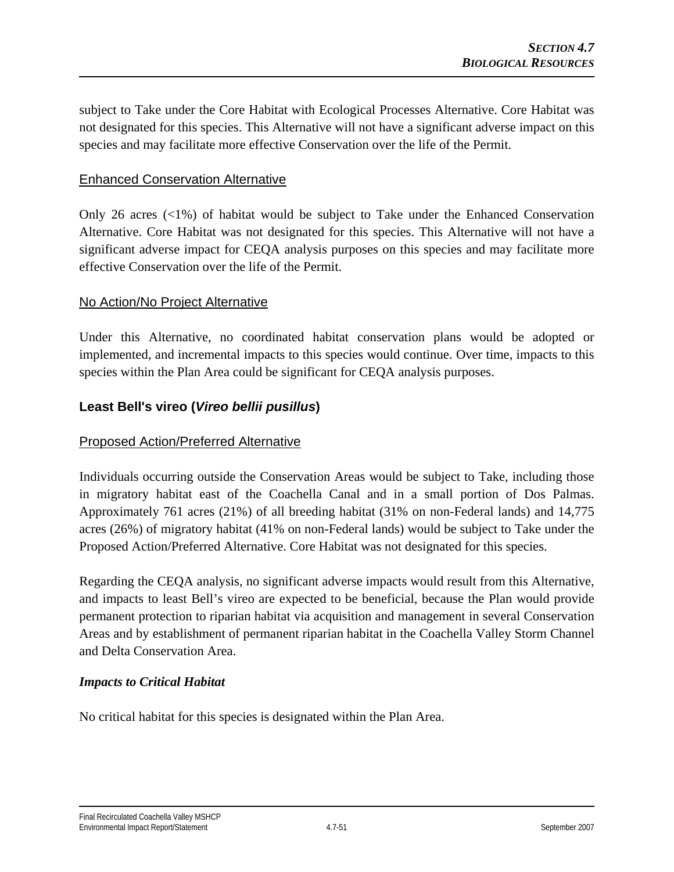subject to Take under the Core Habitat with Ecological Processes Alternative. Core Habitat was not designated for this species. This Alternative will not have a significant adverse impact on this species and may facilitate more effective Conservation over the life of the Permit.

#### Enhanced Conservation Alternative

Only 26 acres  $\left\langle \langle 1\% \rangle \right\rangle$  of habitat would be subject to Take under the Enhanced Conservation Alternative. Core Habitat was not designated for this species. This Alternative will not have a significant adverse impact for CEQA analysis purposes on this species and may facilitate more effective Conservation over the life of the Permit.

#### No Action/No Project Alternative

Under this Alternative, no coordinated habitat conservation plans would be adopted or implemented, and incremental impacts to this species would continue. Over time, impacts to this species within the Plan Area could be significant for CEQA analysis purposes.

## **Least Bell's vireo (***Vireo bellii pusillus***)**

## Proposed Action/Preferred Alternative

Individuals occurring outside the Conservation Areas would be subject to Take, including those in migratory habitat east of the Coachella Canal and in a small portion of Dos Palmas. Approximately 761 acres (21%) of all breeding habitat (31% on non-Federal lands) and 14,775 acres (26%) of migratory habitat (41% on non-Federal lands) would be subject to Take under the Proposed Action/Preferred Alternative. Core Habitat was not designated for this species.

Regarding the CEQA analysis, no significant adverse impacts would result from this Alternative, and impacts to least Bell's vireo are expected to be beneficial, because the Plan would provide permanent protection to riparian habitat via acquisition and management in several Conservation Areas and by establishment of permanent riparian habitat in the Coachella Valley Storm Channel and Delta Conservation Area.

#### *Impacts to Critical Habitat*

No critical habitat for this species is designated within the Plan Area.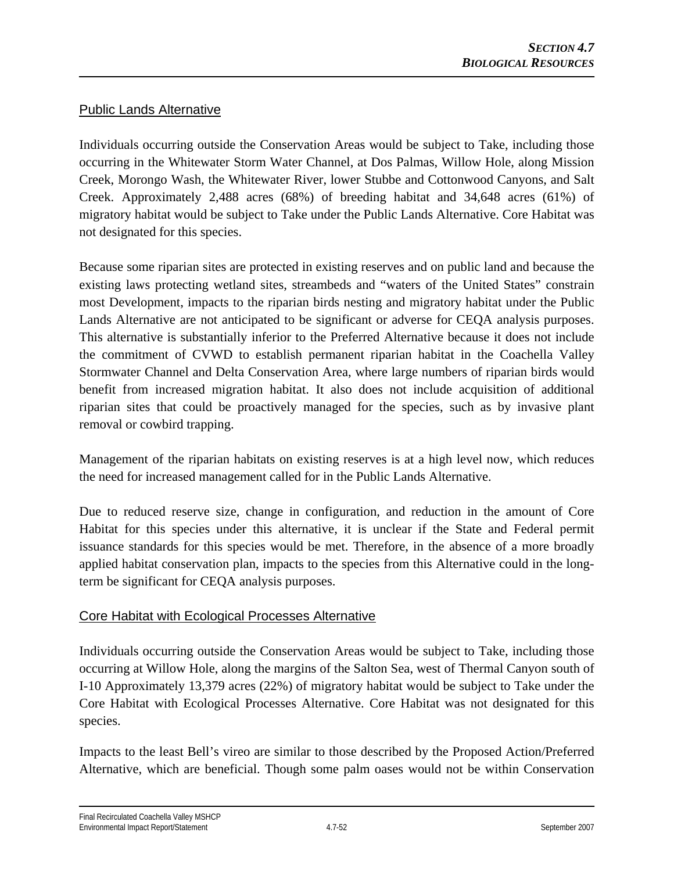# Public Lands Alternative

Individuals occurring outside the Conservation Areas would be subject to Take, including those occurring in the Whitewater Storm Water Channel, at Dos Palmas, Willow Hole, along Mission Creek, Morongo Wash, the Whitewater River, lower Stubbe and Cottonwood Canyons, and Salt Creek. Approximately 2,488 acres (68%) of breeding habitat and 34,648 acres (61%) of migratory habitat would be subject to Take under the Public Lands Alternative. Core Habitat was not designated for this species.

Because some riparian sites are protected in existing reserves and on public land and because the existing laws protecting wetland sites, streambeds and "waters of the United States" constrain most Development, impacts to the riparian birds nesting and migratory habitat under the Public Lands Alternative are not anticipated to be significant or adverse for CEQA analysis purposes. This alternative is substantially inferior to the Preferred Alternative because it does not include the commitment of CVWD to establish permanent riparian habitat in the Coachella Valley Stormwater Channel and Delta Conservation Area, where large numbers of riparian birds would benefit from increased migration habitat. It also does not include acquisition of additional riparian sites that could be proactively managed for the species, such as by invasive plant removal or cowbird trapping.

Management of the riparian habitats on existing reserves is at a high level now, which reduces the need for increased management called for in the Public Lands Alternative.

Due to reduced reserve size, change in configuration, and reduction in the amount of Core Habitat for this species under this alternative, it is unclear if the State and Federal permit issuance standards for this species would be met. Therefore, in the absence of a more broadly applied habitat conservation plan, impacts to the species from this Alternative could in the longterm be significant for CEQA analysis purposes.

## Core Habitat with Ecological Processes Alternative

Individuals occurring outside the Conservation Areas would be subject to Take, including those occurring at Willow Hole, along the margins of the Salton Sea, west of Thermal Canyon south of I-10 Approximately 13,379 acres (22%) of migratory habitat would be subject to Take under the Core Habitat with Ecological Processes Alternative. Core Habitat was not designated for this species.

Impacts to the least Bell's vireo are similar to those described by the Proposed Action/Preferred Alternative, which are beneficial. Though some palm oases would not be within Conservation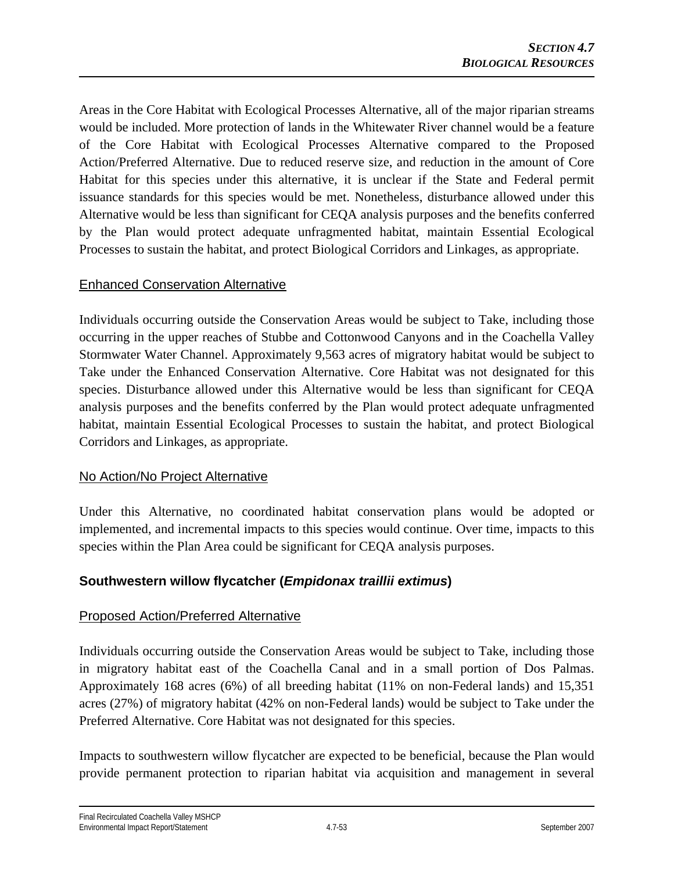Areas in the Core Habitat with Ecological Processes Alternative, all of the major riparian streams would be included. More protection of lands in the Whitewater River channel would be a feature of the Core Habitat with Ecological Processes Alternative compared to the Proposed Action/Preferred Alternative. Due to reduced reserve size, and reduction in the amount of Core Habitat for this species under this alternative, it is unclear if the State and Federal permit issuance standards for this species would be met. Nonetheless, disturbance allowed under this Alternative would be less than significant for CEQA analysis purposes and the benefits conferred by the Plan would protect adequate unfragmented habitat, maintain Essential Ecological Processes to sustain the habitat, and protect Biological Corridors and Linkages, as appropriate.

## Enhanced Conservation Alternative

Individuals occurring outside the Conservation Areas would be subject to Take, including those occurring in the upper reaches of Stubbe and Cottonwood Canyons and in the Coachella Valley Stormwater Water Channel. Approximately 9,563 acres of migratory habitat would be subject to Take under the Enhanced Conservation Alternative. Core Habitat was not designated for this species. Disturbance allowed under this Alternative would be less than significant for CEQA analysis purposes and the benefits conferred by the Plan would protect adequate unfragmented habitat, maintain Essential Ecological Processes to sustain the habitat, and protect Biological Corridors and Linkages, as appropriate.

## No Action/No Project Alternative

Under this Alternative, no coordinated habitat conservation plans would be adopted or implemented, and incremental impacts to this species would continue. Over time, impacts to this species within the Plan Area could be significant for CEQA analysis purposes.

# **Southwestern willow flycatcher (***Empidonax traillii extimus***)**

## Proposed Action/Preferred Alternative

Individuals occurring outside the Conservation Areas would be subject to Take, including those in migratory habitat east of the Coachella Canal and in a small portion of Dos Palmas. Approximately 168 acres (6%) of all breeding habitat (11% on non-Federal lands) and 15,351 acres (27%) of migratory habitat (42% on non-Federal lands) would be subject to Take under the Preferred Alternative. Core Habitat was not designated for this species.

Impacts to southwestern willow flycatcher are expected to be beneficial, because the Plan would provide permanent protection to riparian habitat via acquisition and management in several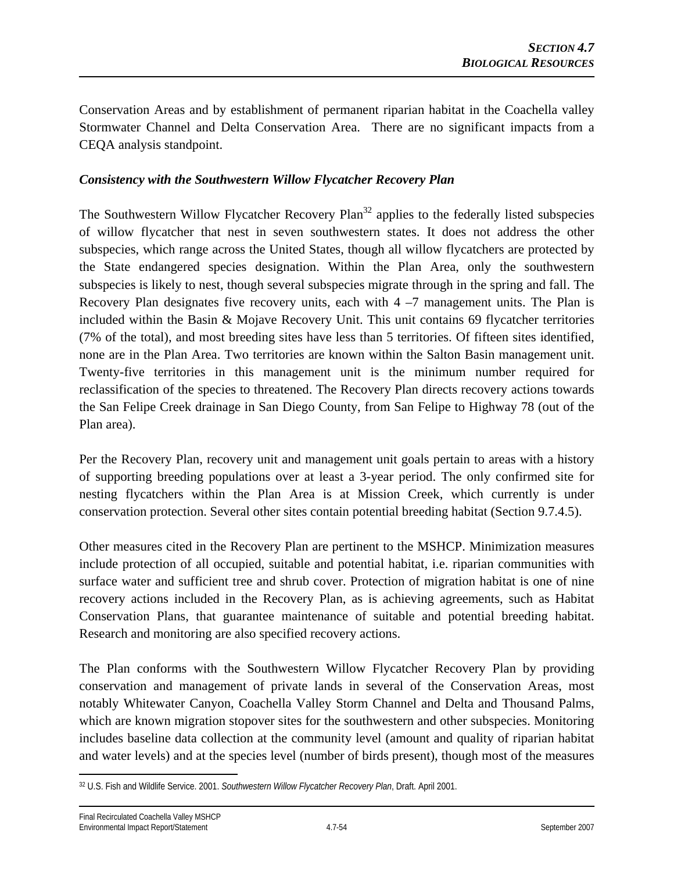Conservation Areas and by establishment of permanent riparian habitat in the Coachella valley Stormwater Channel and Delta Conservation Area. There are no significant impacts from a CEQA analysis standpoint.

#### *Consistency with the Southwestern Willow Flycatcher Recovery Plan*

The Southwestern Willow Flycatcher Recovery Plan<sup>32</sup> applies to the federally listed subspecies of willow flycatcher that nest in seven southwestern states. It does not address the other subspecies, which range across the United States, though all willow flycatchers are protected by the State endangered species designation. Within the Plan Area, only the southwestern subspecies is likely to nest, though several subspecies migrate through in the spring and fall. The Recovery Plan designates five recovery units, each with  $4 - 7$  management units. The Plan is included within the Basin & Mojave Recovery Unit. This unit contains 69 flycatcher territories (7% of the total), and most breeding sites have less than 5 territories. Of fifteen sites identified, none are in the Plan Area. Two territories are known within the Salton Basin management unit. Twenty-five territories in this management unit is the minimum number required for reclassification of the species to threatened. The Recovery Plan directs recovery actions towards the San Felipe Creek drainage in San Diego County, from San Felipe to Highway 78 (out of the Plan area).

Per the Recovery Plan, recovery unit and management unit goals pertain to areas with a history of supporting breeding populations over at least a 3-year period. The only confirmed site for nesting flycatchers within the Plan Area is at Mission Creek, which currently is under conservation protection. Several other sites contain potential breeding habitat (Section 9.7.4.5).

Other measures cited in the Recovery Plan are pertinent to the MSHCP. Minimization measures include protection of all occupied, suitable and potential habitat, i.e. riparian communities with surface water and sufficient tree and shrub cover. Protection of migration habitat is one of nine recovery actions included in the Recovery Plan, as is achieving agreements, such as Habitat Conservation Plans, that guarantee maintenance of suitable and potential breeding habitat. Research and monitoring are also specified recovery actions.

The Plan conforms with the Southwestern Willow Flycatcher Recovery Plan by providing conservation and management of private lands in several of the Conservation Areas, most notably Whitewater Canyon, Coachella Valley Storm Channel and Delta and Thousand Palms, which are known migration stopover sites for the southwestern and other subspecies. Monitoring includes baseline data collection at the community level (amount and quality of riparian habitat and water levels) and at the species level (number of birds present), though most of the measures

 $\overline{a}$ 32 U.S. Fish and Wildlife Service. 2001. *Southwestern Willow Flycatcher Recovery Plan*, Draft. April 2001.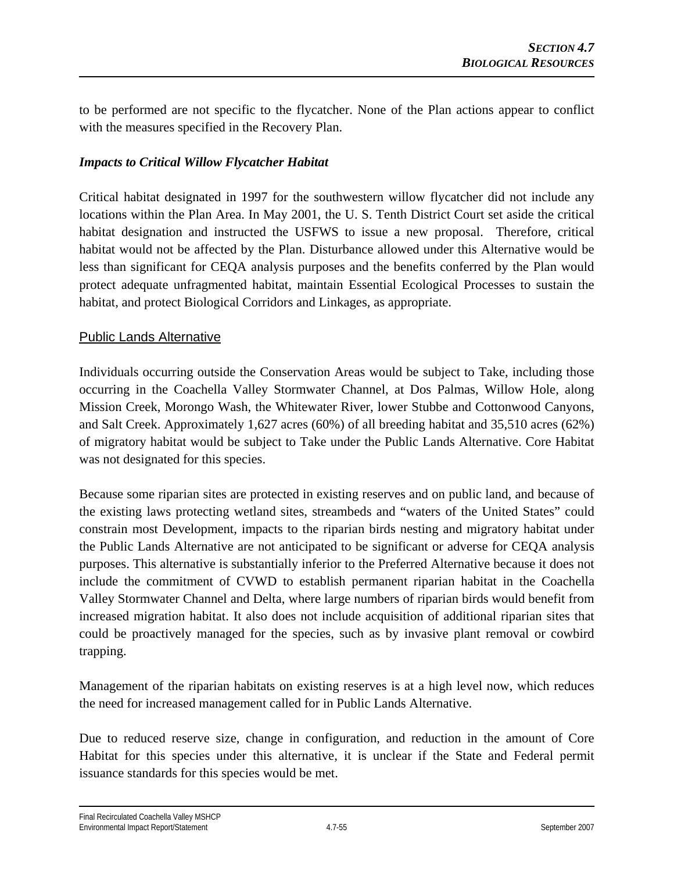to be performed are not specific to the flycatcher. None of the Plan actions appear to conflict with the measures specified in the Recovery Plan.

#### *Impacts to Critical Willow Flycatcher Habitat*

Critical habitat designated in 1997 for the southwestern willow flycatcher did not include any locations within the Plan Area. In May 2001, the U. S. Tenth District Court set aside the critical habitat designation and instructed the USFWS to issue a new proposal. Therefore, critical habitat would not be affected by the Plan. Disturbance allowed under this Alternative would be less than significant for CEQA analysis purposes and the benefits conferred by the Plan would protect adequate unfragmented habitat, maintain Essential Ecological Processes to sustain the habitat, and protect Biological Corridors and Linkages, as appropriate.

#### Public Lands Alternative

Individuals occurring outside the Conservation Areas would be subject to Take, including those occurring in the Coachella Valley Stormwater Channel, at Dos Palmas, Willow Hole, along Mission Creek, Morongo Wash, the Whitewater River, lower Stubbe and Cottonwood Canyons, and Salt Creek. Approximately 1,627 acres (60%) of all breeding habitat and 35,510 acres (62%) of migratory habitat would be subject to Take under the Public Lands Alternative. Core Habitat was not designated for this species.

Because some riparian sites are protected in existing reserves and on public land, and because of the existing laws protecting wetland sites, streambeds and "waters of the United States" could constrain most Development, impacts to the riparian birds nesting and migratory habitat under the Public Lands Alternative are not anticipated to be significant or adverse for CEQA analysis purposes. This alternative is substantially inferior to the Preferred Alternative because it does not include the commitment of CVWD to establish permanent riparian habitat in the Coachella Valley Stormwater Channel and Delta, where large numbers of riparian birds would benefit from increased migration habitat. It also does not include acquisition of additional riparian sites that could be proactively managed for the species, such as by invasive plant removal or cowbird trapping.

Management of the riparian habitats on existing reserves is at a high level now, which reduces the need for increased management called for in Public Lands Alternative.

Due to reduced reserve size, change in configuration, and reduction in the amount of Core Habitat for this species under this alternative, it is unclear if the State and Federal permit issuance standards for this species would be met.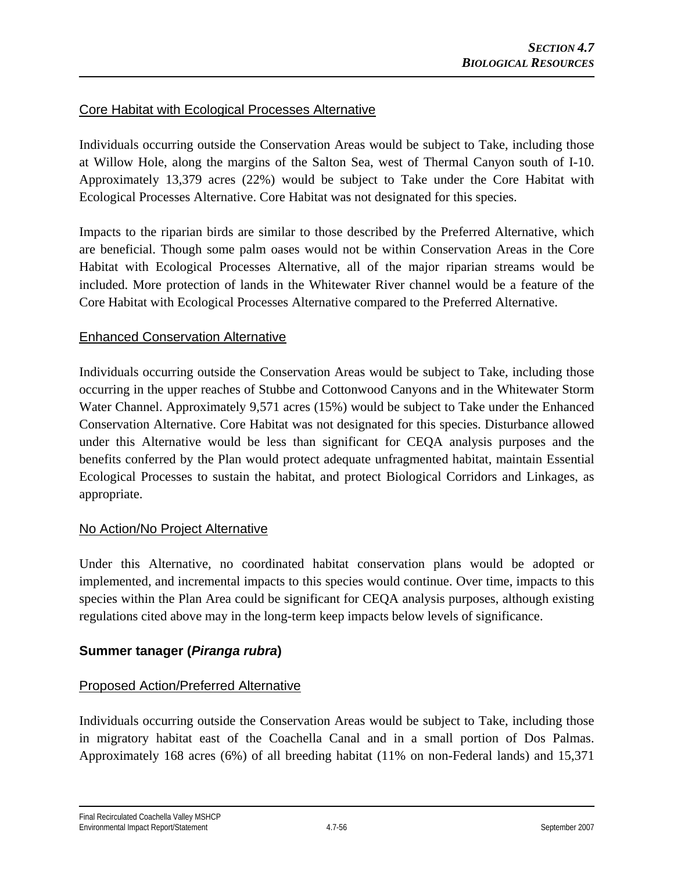## Core Habitat with Ecological Processes Alternative

Individuals occurring outside the Conservation Areas would be subject to Take, including those at Willow Hole, along the margins of the Salton Sea, west of Thermal Canyon south of I-10. Approximately 13,379 acres (22%) would be subject to Take under the Core Habitat with Ecological Processes Alternative. Core Habitat was not designated for this species.

Impacts to the riparian birds are similar to those described by the Preferred Alternative, which are beneficial. Though some palm oases would not be within Conservation Areas in the Core Habitat with Ecological Processes Alternative, all of the major riparian streams would be included. More protection of lands in the Whitewater River channel would be a feature of the Core Habitat with Ecological Processes Alternative compared to the Preferred Alternative.

## Enhanced Conservation Alternative

Individuals occurring outside the Conservation Areas would be subject to Take, including those occurring in the upper reaches of Stubbe and Cottonwood Canyons and in the Whitewater Storm Water Channel. Approximately 9,571 acres (15%) would be subject to Take under the Enhanced Conservation Alternative. Core Habitat was not designated for this species. Disturbance allowed under this Alternative would be less than significant for CEQA analysis purposes and the benefits conferred by the Plan would protect adequate unfragmented habitat, maintain Essential Ecological Processes to sustain the habitat, and protect Biological Corridors and Linkages, as appropriate.

## No Action/No Project Alternative

Under this Alternative, no coordinated habitat conservation plans would be adopted or implemented, and incremental impacts to this species would continue. Over time, impacts to this species within the Plan Area could be significant for CEQA analysis purposes, although existing regulations cited above may in the long-term keep impacts below levels of significance.

# **Summer tanager (***Piranga rubra***)**

# Proposed Action/Preferred Alternative

Individuals occurring outside the Conservation Areas would be subject to Take, including those in migratory habitat east of the Coachella Canal and in a small portion of Dos Palmas. Approximately 168 acres (6%) of all breeding habitat (11% on non-Federal lands) and 15,371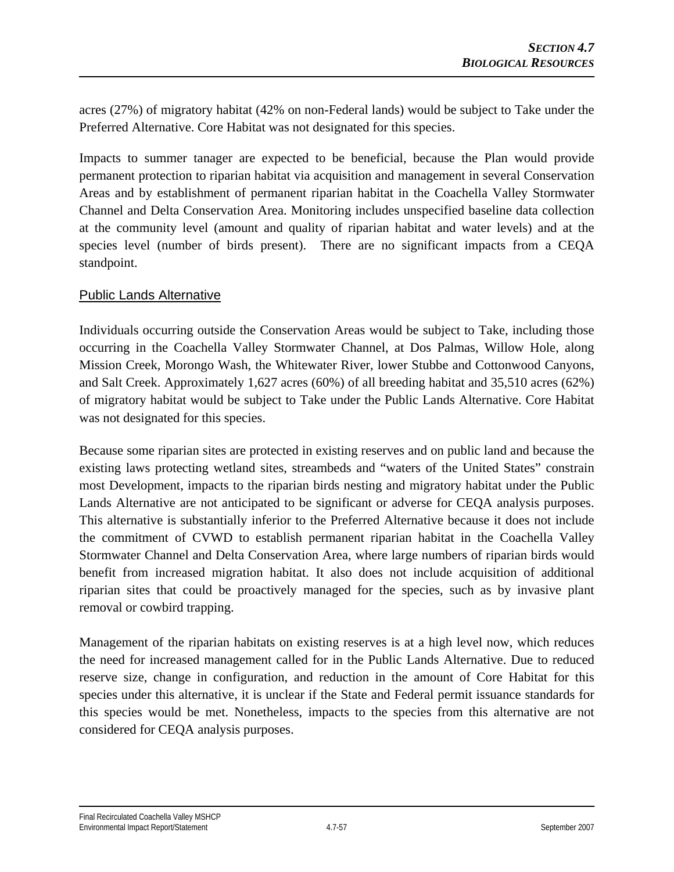acres (27%) of migratory habitat (42% on non-Federal lands) would be subject to Take under the Preferred Alternative. Core Habitat was not designated for this species.

Impacts to summer tanager are expected to be beneficial, because the Plan would provide permanent protection to riparian habitat via acquisition and management in several Conservation Areas and by establishment of permanent riparian habitat in the Coachella Valley Stormwater Channel and Delta Conservation Area. Monitoring includes unspecified baseline data collection at the community level (amount and quality of riparian habitat and water levels) and at the species level (number of birds present). There are no significant impacts from a CEQA standpoint.

# Public Lands Alternative

Individuals occurring outside the Conservation Areas would be subject to Take, including those occurring in the Coachella Valley Stormwater Channel, at Dos Palmas, Willow Hole, along Mission Creek, Morongo Wash, the Whitewater River, lower Stubbe and Cottonwood Canyons, and Salt Creek. Approximately 1,627 acres (60%) of all breeding habitat and 35,510 acres (62%) of migratory habitat would be subject to Take under the Public Lands Alternative. Core Habitat was not designated for this species.

Because some riparian sites are protected in existing reserves and on public land and because the existing laws protecting wetland sites, streambeds and "waters of the United States" constrain most Development, impacts to the riparian birds nesting and migratory habitat under the Public Lands Alternative are not anticipated to be significant or adverse for CEQA analysis purposes. This alternative is substantially inferior to the Preferred Alternative because it does not include the commitment of CVWD to establish permanent riparian habitat in the Coachella Valley Stormwater Channel and Delta Conservation Area, where large numbers of riparian birds would benefit from increased migration habitat. It also does not include acquisition of additional riparian sites that could be proactively managed for the species, such as by invasive plant removal or cowbird trapping.

Management of the riparian habitats on existing reserves is at a high level now, which reduces the need for increased management called for in the Public Lands Alternative. Due to reduced reserve size, change in configuration, and reduction in the amount of Core Habitat for this species under this alternative, it is unclear if the State and Federal permit issuance standards for this species would be met. Nonetheless, impacts to the species from this alternative are not considered for CEQA analysis purposes.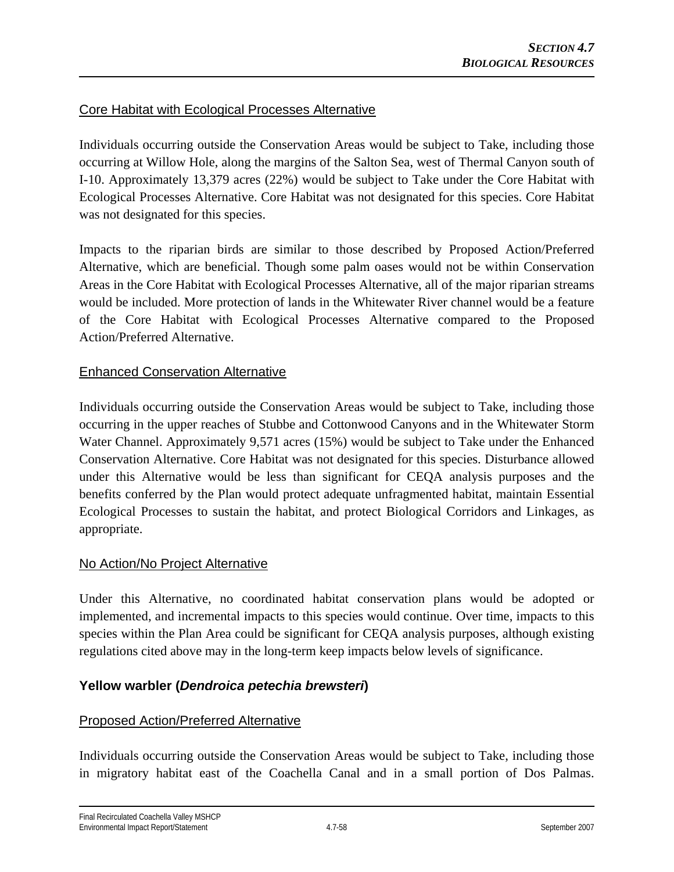# Core Habitat with Ecological Processes Alternative

Individuals occurring outside the Conservation Areas would be subject to Take, including those occurring at Willow Hole, along the margins of the Salton Sea, west of Thermal Canyon south of I-10. Approximately 13,379 acres (22%) would be subject to Take under the Core Habitat with Ecological Processes Alternative. Core Habitat was not designated for this species. Core Habitat was not designated for this species.

Impacts to the riparian birds are similar to those described by Proposed Action/Preferred Alternative, which are beneficial. Though some palm oases would not be within Conservation Areas in the Core Habitat with Ecological Processes Alternative, all of the major riparian streams would be included. More protection of lands in the Whitewater River channel would be a feature of the Core Habitat with Ecological Processes Alternative compared to the Proposed Action/Preferred Alternative.

## Enhanced Conservation Alternative

Individuals occurring outside the Conservation Areas would be subject to Take, including those occurring in the upper reaches of Stubbe and Cottonwood Canyons and in the Whitewater Storm Water Channel. Approximately 9,571 acres (15%) would be subject to Take under the Enhanced Conservation Alternative. Core Habitat was not designated for this species. Disturbance allowed under this Alternative would be less than significant for CEQA analysis purposes and the benefits conferred by the Plan would protect adequate unfragmented habitat, maintain Essential Ecological Processes to sustain the habitat, and protect Biological Corridors and Linkages, as appropriate.

## No Action/No Project Alternative

Under this Alternative, no coordinated habitat conservation plans would be adopted or implemented, and incremental impacts to this species would continue. Over time, impacts to this species within the Plan Area could be significant for CEQA analysis purposes, although existing regulations cited above may in the long-term keep impacts below levels of significance.

## **Yellow warbler (***Dendroica petechia brewsteri***)**

## Proposed Action/Preferred Alternative

Individuals occurring outside the Conservation Areas would be subject to Take, including those in migratory habitat east of the Coachella Canal and in a small portion of Dos Palmas.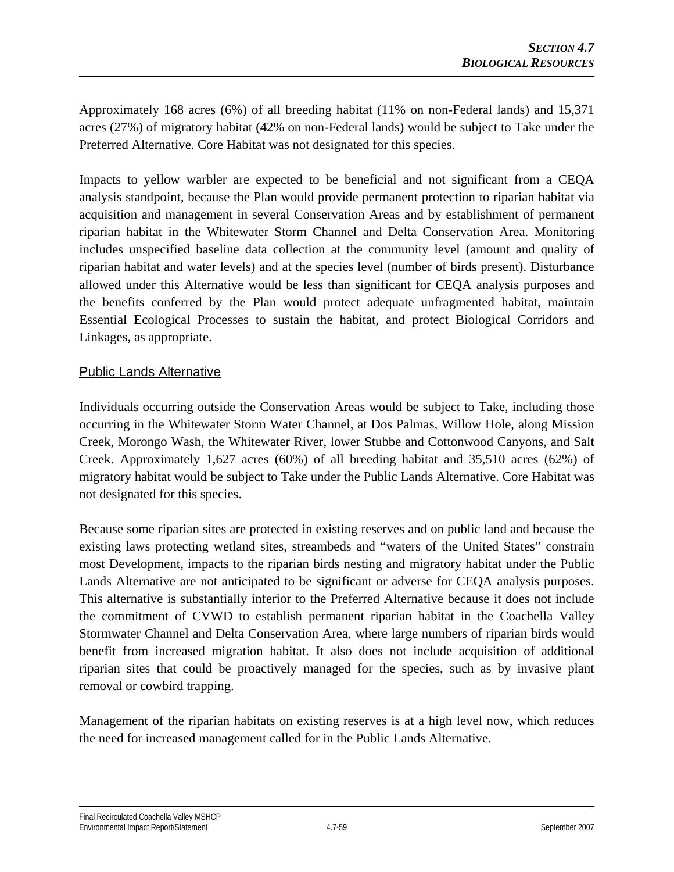Approximately 168 acres (6%) of all breeding habitat (11% on non-Federal lands) and 15,371 acres (27%) of migratory habitat (42% on non-Federal lands) would be subject to Take under the Preferred Alternative. Core Habitat was not designated for this species.

Impacts to yellow warbler are expected to be beneficial and not significant from a CEQA analysis standpoint, because the Plan would provide permanent protection to riparian habitat via acquisition and management in several Conservation Areas and by establishment of permanent riparian habitat in the Whitewater Storm Channel and Delta Conservation Area. Monitoring includes unspecified baseline data collection at the community level (amount and quality of riparian habitat and water levels) and at the species level (number of birds present). Disturbance allowed under this Alternative would be less than significant for CEQA analysis purposes and the benefits conferred by the Plan would protect adequate unfragmented habitat, maintain Essential Ecological Processes to sustain the habitat, and protect Biological Corridors and Linkages, as appropriate.

# Public Lands Alternative

Individuals occurring outside the Conservation Areas would be subject to Take, including those occurring in the Whitewater Storm Water Channel, at Dos Palmas, Willow Hole, along Mission Creek, Morongo Wash, the Whitewater River, lower Stubbe and Cottonwood Canyons, and Salt Creek. Approximately 1,627 acres (60%) of all breeding habitat and 35,510 acres (62%) of migratory habitat would be subject to Take under the Public Lands Alternative. Core Habitat was not designated for this species.

Because some riparian sites are protected in existing reserves and on public land and because the existing laws protecting wetland sites, streambeds and "waters of the United States" constrain most Development, impacts to the riparian birds nesting and migratory habitat under the Public Lands Alternative are not anticipated to be significant or adverse for CEQA analysis purposes. This alternative is substantially inferior to the Preferred Alternative because it does not include the commitment of CVWD to establish permanent riparian habitat in the Coachella Valley Stormwater Channel and Delta Conservation Area, where large numbers of riparian birds would benefit from increased migration habitat. It also does not include acquisition of additional riparian sites that could be proactively managed for the species, such as by invasive plant removal or cowbird trapping.

Management of the riparian habitats on existing reserves is at a high level now, which reduces the need for increased management called for in the Public Lands Alternative.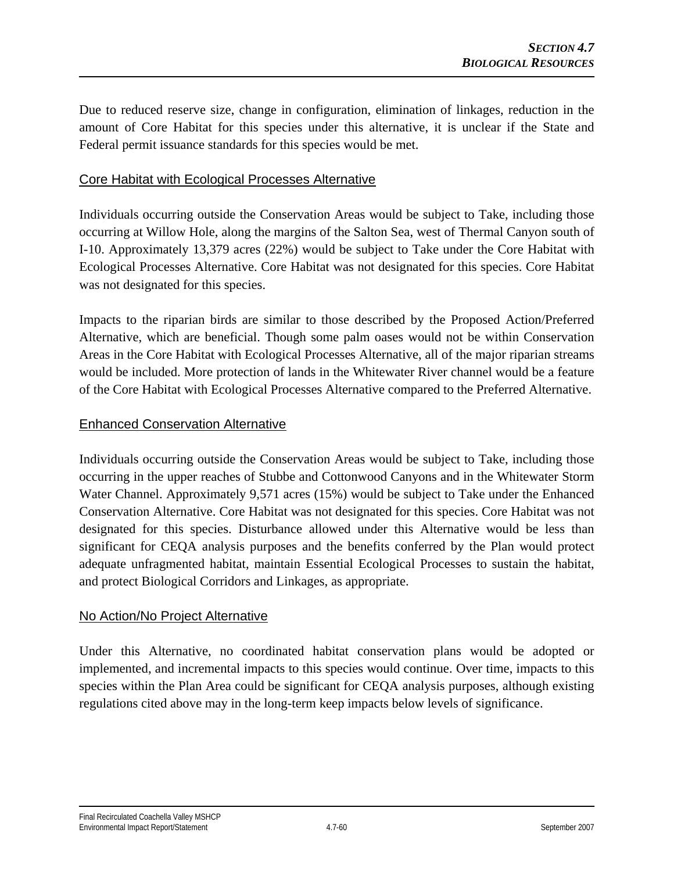Due to reduced reserve size, change in configuration, elimination of linkages, reduction in the amount of Core Habitat for this species under this alternative, it is unclear if the State and Federal permit issuance standards for this species would be met.

#### Core Habitat with Ecological Processes Alternative

Individuals occurring outside the Conservation Areas would be subject to Take, including those occurring at Willow Hole, along the margins of the Salton Sea, west of Thermal Canyon south of I-10. Approximately 13,379 acres (22%) would be subject to Take under the Core Habitat with Ecological Processes Alternative. Core Habitat was not designated for this species. Core Habitat was not designated for this species.

Impacts to the riparian birds are similar to those described by the Proposed Action/Preferred Alternative, which are beneficial. Though some palm oases would not be within Conservation Areas in the Core Habitat with Ecological Processes Alternative, all of the major riparian streams would be included. More protection of lands in the Whitewater River channel would be a feature of the Core Habitat with Ecological Processes Alternative compared to the Preferred Alternative.

#### Enhanced Conservation Alternative

Individuals occurring outside the Conservation Areas would be subject to Take, including those occurring in the upper reaches of Stubbe and Cottonwood Canyons and in the Whitewater Storm Water Channel. Approximately 9,571 acres (15%) would be subject to Take under the Enhanced Conservation Alternative. Core Habitat was not designated for this species. Core Habitat was not designated for this species. Disturbance allowed under this Alternative would be less than significant for CEQA analysis purposes and the benefits conferred by the Plan would protect adequate unfragmented habitat, maintain Essential Ecological Processes to sustain the habitat, and protect Biological Corridors and Linkages, as appropriate.

## No Action/No Project Alternative

Under this Alternative, no coordinated habitat conservation plans would be adopted or implemented, and incremental impacts to this species would continue. Over time, impacts to this species within the Plan Area could be significant for CEQA analysis purposes, although existing regulations cited above may in the long-term keep impacts below levels of significance.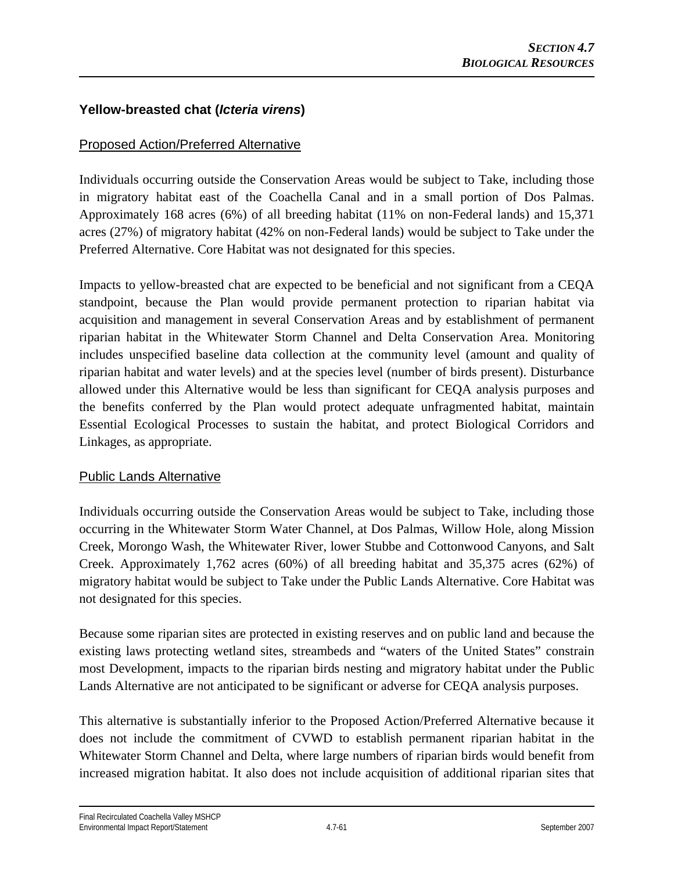# **Yellow-breasted chat (***Icteria virens***)**

# Proposed Action/Preferred Alternative

Individuals occurring outside the Conservation Areas would be subject to Take, including those in migratory habitat east of the Coachella Canal and in a small portion of Dos Palmas. Approximately 168 acres (6%) of all breeding habitat (11% on non-Federal lands) and 15,371 acres (27%) of migratory habitat (42% on non-Federal lands) would be subject to Take under the Preferred Alternative. Core Habitat was not designated for this species.

Impacts to yellow-breasted chat are expected to be beneficial and not significant from a CEQA standpoint, because the Plan would provide permanent protection to riparian habitat via acquisition and management in several Conservation Areas and by establishment of permanent riparian habitat in the Whitewater Storm Channel and Delta Conservation Area. Monitoring includes unspecified baseline data collection at the community level (amount and quality of riparian habitat and water levels) and at the species level (number of birds present). Disturbance allowed under this Alternative would be less than significant for CEQA analysis purposes and the benefits conferred by the Plan would protect adequate unfragmented habitat, maintain Essential Ecological Processes to sustain the habitat, and protect Biological Corridors and Linkages, as appropriate.

## Public Lands Alternative

Individuals occurring outside the Conservation Areas would be subject to Take, including those occurring in the Whitewater Storm Water Channel, at Dos Palmas, Willow Hole, along Mission Creek, Morongo Wash, the Whitewater River, lower Stubbe and Cottonwood Canyons, and Salt Creek. Approximately 1,762 acres (60%) of all breeding habitat and 35,375 acres (62%) of migratory habitat would be subject to Take under the Public Lands Alternative. Core Habitat was not designated for this species.

Because some riparian sites are protected in existing reserves and on public land and because the existing laws protecting wetland sites, streambeds and "waters of the United States" constrain most Development, impacts to the riparian birds nesting and migratory habitat under the Public Lands Alternative are not anticipated to be significant or adverse for CEQA analysis purposes.

This alternative is substantially inferior to the Proposed Action/Preferred Alternative because it does not include the commitment of CVWD to establish permanent riparian habitat in the Whitewater Storm Channel and Delta, where large numbers of riparian birds would benefit from increased migration habitat. It also does not include acquisition of additional riparian sites that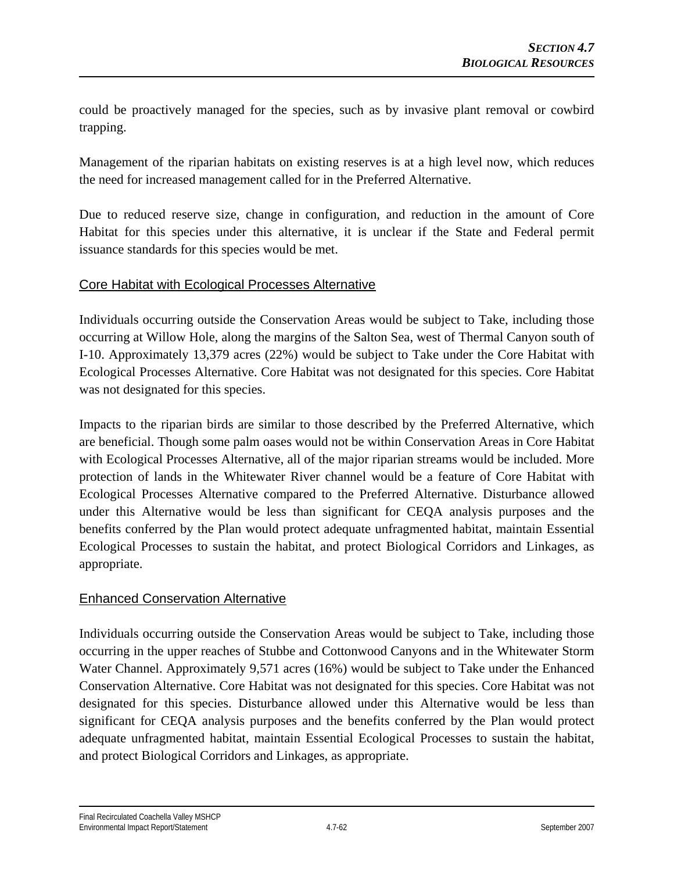could be proactively managed for the species, such as by invasive plant removal or cowbird trapping.

Management of the riparian habitats on existing reserves is at a high level now, which reduces the need for increased management called for in the Preferred Alternative.

Due to reduced reserve size, change in configuration, and reduction in the amount of Core Habitat for this species under this alternative, it is unclear if the State and Federal permit issuance standards for this species would be met.

## Core Habitat with Ecological Processes Alternative

Individuals occurring outside the Conservation Areas would be subject to Take, including those occurring at Willow Hole, along the margins of the Salton Sea, west of Thermal Canyon south of I-10. Approximately 13,379 acres (22%) would be subject to Take under the Core Habitat with Ecological Processes Alternative. Core Habitat was not designated for this species. Core Habitat was not designated for this species.

Impacts to the riparian birds are similar to those described by the Preferred Alternative, which are beneficial. Though some palm oases would not be within Conservation Areas in Core Habitat with Ecological Processes Alternative, all of the major riparian streams would be included. More protection of lands in the Whitewater River channel would be a feature of Core Habitat with Ecological Processes Alternative compared to the Preferred Alternative. Disturbance allowed under this Alternative would be less than significant for CEQA analysis purposes and the benefits conferred by the Plan would protect adequate unfragmented habitat, maintain Essential Ecological Processes to sustain the habitat, and protect Biological Corridors and Linkages, as appropriate.

# Enhanced Conservation Alternative

Individuals occurring outside the Conservation Areas would be subject to Take, including those occurring in the upper reaches of Stubbe and Cottonwood Canyons and in the Whitewater Storm Water Channel. Approximately 9,571 acres (16%) would be subject to Take under the Enhanced Conservation Alternative. Core Habitat was not designated for this species. Core Habitat was not designated for this species. Disturbance allowed under this Alternative would be less than significant for CEQA analysis purposes and the benefits conferred by the Plan would protect adequate unfragmented habitat, maintain Essential Ecological Processes to sustain the habitat, and protect Biological Corridors and Linkages, as appropriate.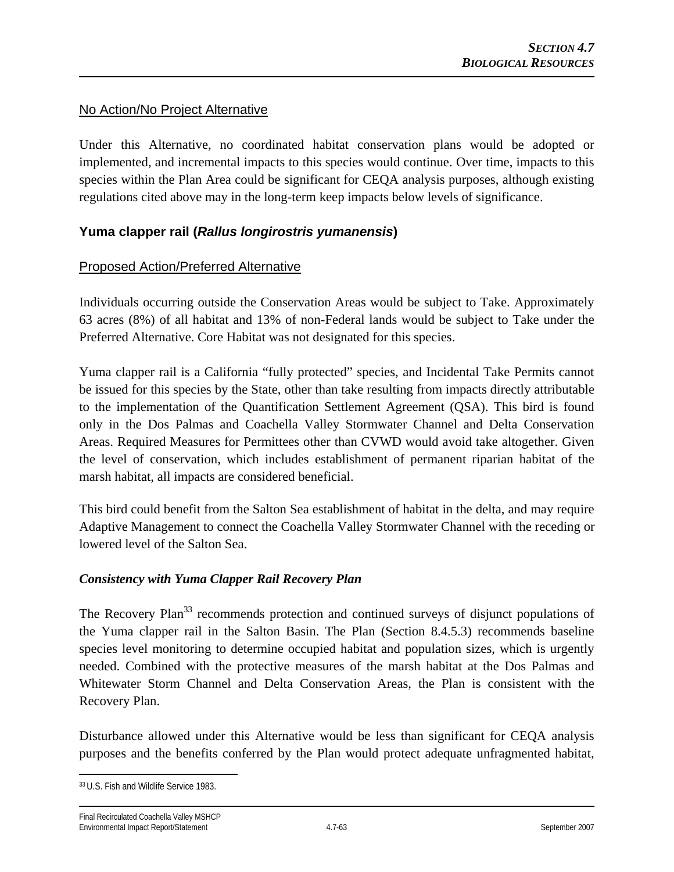#### No Action/No Project Alternative

Under this Alternative, no coordinated habitat conservation plans would be adopted or implemented, and incremental impacts to this species would continue. Over time, impacts to this species within the Plan Area could be significant for CEQA analysis purposes, although existing regulations cited above may in the long-term keep impacts below levels of significance.

## **Yuma clapper rail (***Rallus longirostris yumanensis***)**

## Proposed Action/Preferred Alternative

Individuals occurring outside the Conservation Areas would be subject to Take. Approximately 63 acres (8%) of all habitat and 13% of non-Federal lands would be subject to Take under the Preferred Alternative. Core Habitat was not designated for this species.

Yuma clapper rail is a California "fully protected" species, and Incidental Take Permits cannot be issued for this species by the State, other than take resulting from impacts directly attributable to the implementation of the Quantification Settlement Agreement (QSA). This bird is found only in the Dos Palmas and Coachella Valley Stormwater Channel and Delta Conservation Areas. Required Measures for Permittees other than CVWD would avoid take altogether. Given the level of conservation, which includes establishment of permanent riparian habitat of the marsh habitat, all impacts are considered beneficial.

This bird could benefit from the Salton Sea establishment of habitat in the delta, and may require Adaptive Management to connect the Coachella Valley Stormwater Channel with the receding or lowered level of the Salton Sea.

#### *Consistency with Yuma Clapper Rail Recovery Plan*

The Recovery Plan<sup>33</sup> recommends protection and continued surveys of disjunct populations of the Yuma clapper rail in the Salton Basin. The Plan (Section 8.4.5.3) recommends baseline species level monitoring to determine occupied habitat and population sizes, which is urgently needed. Combined with the protective measures of the marsh habitat at the Dos Palmas and Whitewater Storm Channel and Delta Conservation Areas, the Plan is consistent with the Recovery Plan.

Disturbance allowed under this Alternative would be less than significant for CEQA analysis purposes and the benefits conferred by the Plan would protect adequate unfragmented habitat,

 $\overline{a}$ 33 U.S. Fish and Wildlife Service 1983.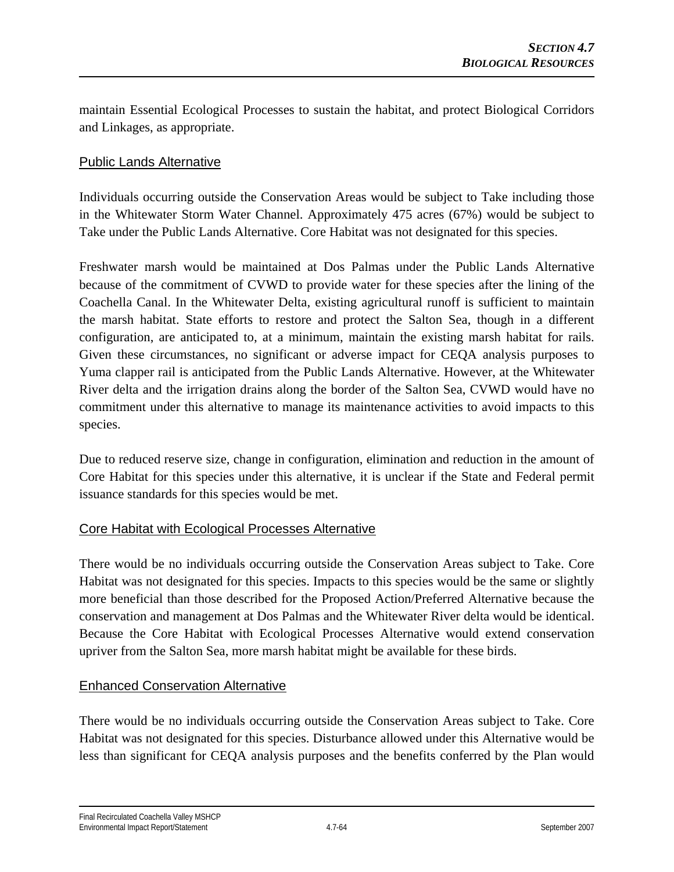maintain Essential Ecological Processes to sustain the habitat, and protect Biological Corridors and Linkages, as appropriate.

## Public Lands Alternative

Individuals occurring outside the Conservation Areas would be subject to Take including those in the Whitewater Storm Water Channel. Approximately 475 acres (67%) would be subject to Take under the Public Lands Alternative. Core Habitat was not designated for this species.

Freshwater marsh would be maintained at Dos Palmas under the Public Lands Alternative because of the commitment of CVWD to provide water for these species after the lining of the Coachella Canal. In the Whitewater Delta, existing agricultural runoff is sufficient to maintain the marsh habitat. State efforts to restore and protect the Salton Sea, though in a different configuration, are anticipated to, at a minimum, maintain the existing marsh habitat for rails. Given these circumstances, no significant or adverse impact for CEQA analysis purposes to Yuma clapper rail is anticipated from the Public Lands Alternative. However, at the Whitewater River delta and the irrigation drains along the border of the Salton Sea, CVWD would have no commitment under this alternative to manage its maintenance activities to avoid impacts to this species.

Due to reduced reserve size, change in configuration, elimination and reduction in the amount of Core Habitat for this species under this alternative, it is unclear if the State and Federal permit issuance standards for this species would be met.

## Core Habitat with Ecological Processes Alternative

There would be no individuals occurring outside the Conservation Areas subject to Take. Core Habitat was not designated for this species. Impacts to this species would be the same or slightly more beneficial than those described for the Proposed Action/Preferred Alternative because the conservation and management at Dos Palmas and the Whitewater River delta would be identical. Because the Core Habitat with Ecological Processes Alternative would extend conservation upriver from the Salton Sea, more marsh habitat might be available for these birds.

# Enhanced Conservation Alternative

There would be no individuals occurring outside the Conservation Areas subject to Take. Core Habitat was not designated for this species. Disturbance allowed under this Alternative would be less than significant for CEQA analysis purposes and the benefits conferred by the Plan would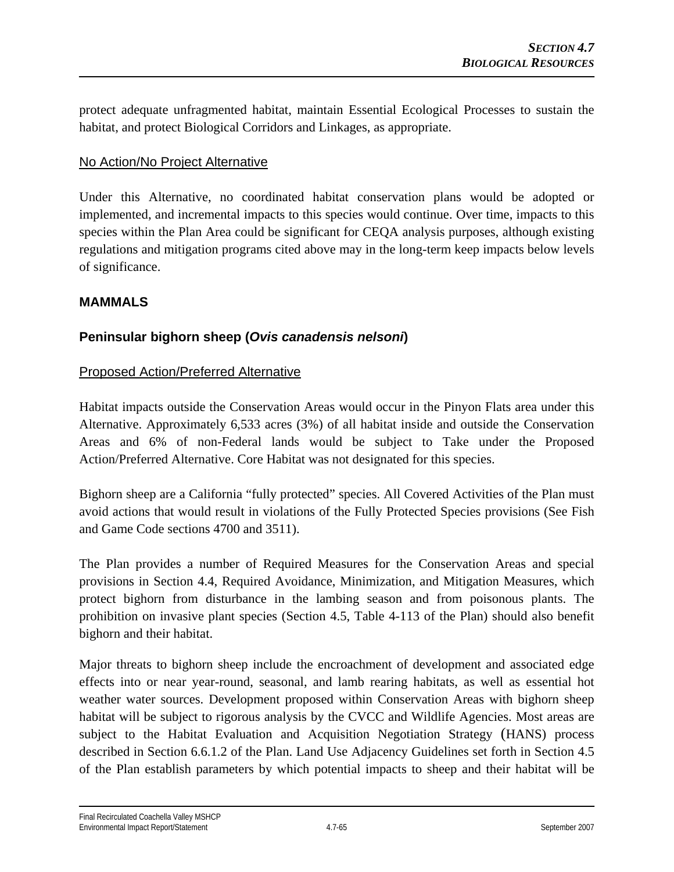protect adequate unfragmented habitat, maintain Essential Ecological Processes to sustain the habitat, and protect Biological Corridors and Linkages, as appropriate.

## No Action/No Project Alternative

Under this Alternative, no coordinated habitat conservation plans would be adopted or implemented, and incremental impacts to this species would continue. Over time, impacts to this species within the Plan Area could be significant for CEQA analysis purposes, although existing regulations and mitigation programs cited above may in the long-term keep impacts below levels of significance.

## **MAMMALS**

# **Peninsular bighorn sheep (***Ovis canadensis nelsoni***)**

## Proposed Action/Preferred Alternative

Habitat impacts outside the Conservation Areas would occur in the Pinyon Flats area under this Alternative. Approximately 6,533 acres (3%) of all habitat inside and outside the Conservation Areas and 6% of non-Federal lands would be subject to Take under the Proposed Action/Preferred Alternative. Core Habitat was not designated for this species.

Bighorn sheep are a California "fully protected" species. All Covered Activities of the Plan must avoid actions that would result in violations of the Fully Protected Species provisions (See Fish and Game Code sections 4700 and 3511).

The Plan provides a number of Required Measures for the Conservation Areas and special provisions in Section 4.4, Required Avoidance, Minimization, and Mitigation Measures, which protect bighorn from disturbance in the lambing season and from poisonous plants. The prohibition on invasive plant species (Section 4.5, Table 4-113 of the Plan) should also benefit bighorn and their habitat.

Major threats to bighorn sheep include the encroachment of development and associated edge effects into or near year-round, seasonal, and lamb rearing habitats, as well as essential hot weather water sources. Development proposed within Conservation Areas with bighorn sheep habitat will be subject to rigorous analysis by the CVCC and Wildlife Agencies. Most areas are subject to the Habitat Evaluation and Acquisition Negotiation Strategy (HANS) process described in Section 6.6.1.2 of the Plan. Land Use Adjacency Guidelines set forth in Section 4.5 of the Plan establish parameters by which potential impacts to sheep and their habitat will be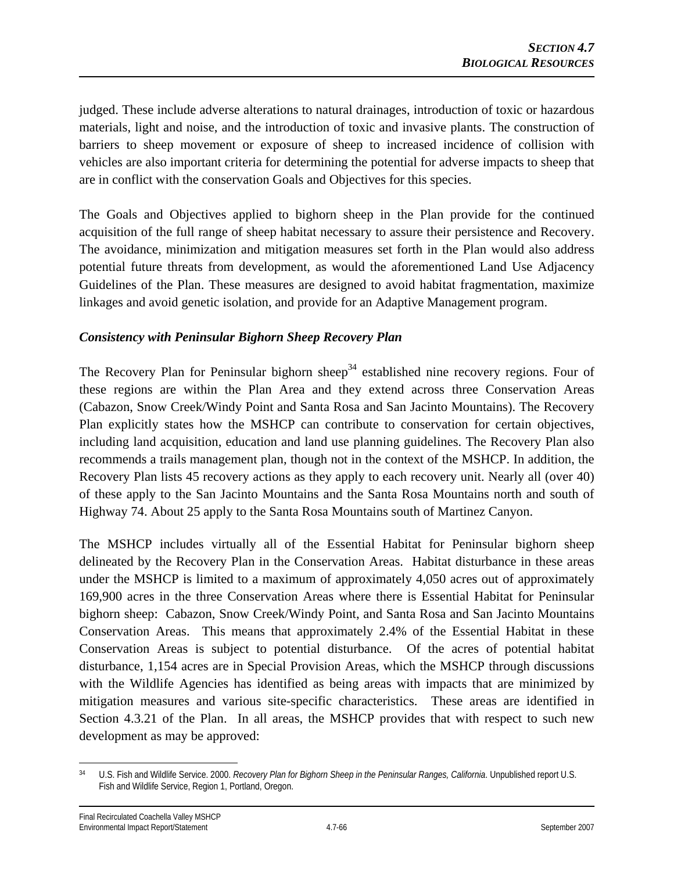judged. These include adverse alterations to natural drainages, introduction of toxic or hazardous materials, light and noise, and the introduction of toxic and invasive plants. The construction of barriers to sheep movement or exposure of sheep to increased incidence of collision with vehicles are also important criteria for determining the potential for adverse impacts to sheep that are in conflict with the conservation Goals and Objectives for this species.

The Goals and Objectives applied to bighorn sheep in the Plan provide for the continued acquisition of the full range of sheep habitat necessary to assure their persistence and Recovery. The avoidance, minimization and mitigation measures set forth in the Plan would also address potential future threats from development, as would the aforementioned Land Use Adjacency Guidelines of the Plan. These measures are designed to avoid habitat fragmentation, maximize linkages and avoid genetic isolation, and provide for an Adaptive Management program.

## *Consistency with Peninsular Bighorn Sheep Recovery Plan*

The Recovery Plan for Peninsular bighorn sheep<sup>34</sup> established nine recovery regions. Four of these regions are within the Plan Area and they extend across three Conservation Areas (Cabazon, Snow Creek/Windy Point and Santa Rosa and San Jacinto Mountains). The Recovery Plan explicitly states how the MSHCP can contribute to conservation for certain objectives, including land acquisition, education and land use planning guidelines. The Recovery Plan also recommends a trails management plan, though not in the context of the MSHCP. In addition, the Recovery Plan lists 45 recovery actions as they apply to each recovery unit. Nearly all (over 40) of these apply to the San Jacinto Mountains and the Santa Rosa Mountains north and south of Highway 74. About 25 apply to the Santa Rosa Mountains south of Martinez Canyon.

The MSHCP includes virtually all of the Essential Habitat for Peninsular bighorn sheep delineated by the Recovery Plan in the Conservation Areas. Habitat disturbance in these areas under the MSHCP is limited to a maximum of approximately 4,050 acres out of approximately 169,900 acres in the three Conservation Areas where there is Essential Habitat for Peninsular bighorn sheep: Cabazon, Snow Creek/Windy Point, and Santa Rosa and San Jacinto Mountains Conservation Areas. This means that approximately 2.4% of the Essential Habitat in these Conservation Areas is subject to potential disturbance. Of the acres of potential habitat disturbance, 1,154 acres are in Special Provision Areas, which the MSHCP through discussions with the Wildlife Agencies has identified as being areas with impacts that are minimized by mitigation measures and various site-specific characteristics. These areas are identified in Section 4.3.21 of the Plan. In all areas, the MSHCP provides that with respect to such new development as may be approved:

 $\overline{a}$ 34 U.S. Fish and Wildlife Service. 2000. *Recovery Plan for Bighorn Sheep in the Peninsular Ranges, California*. Unpublished report U.S. Fish and Wildlife Service, Region 1, Portland, Oregon.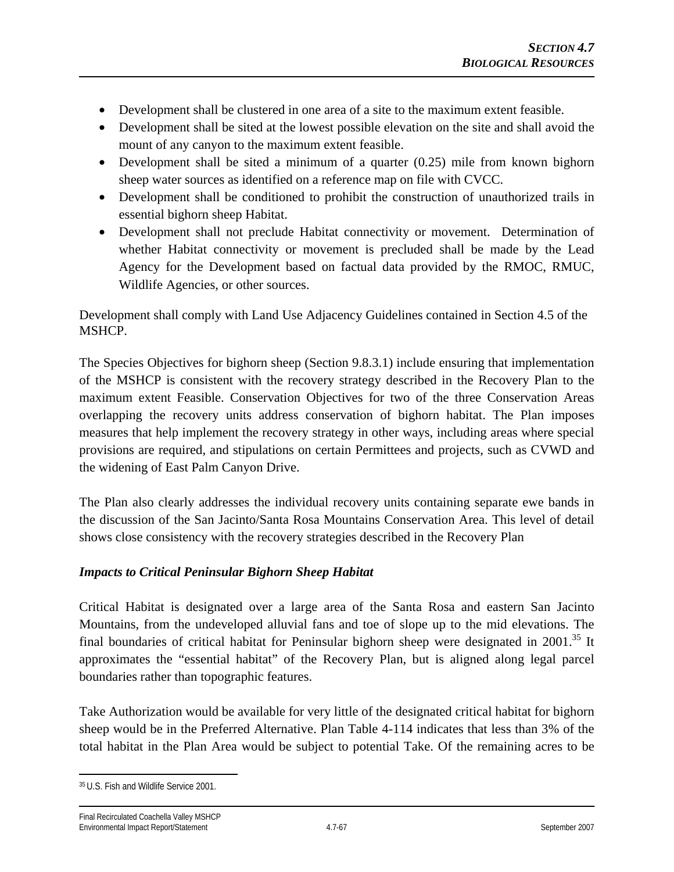- Development shall be clustered in one area of a site to the maximum extent feasible.
- Development shall be sited at the lowest possible elevation on the site and shall avoid the mount of any canyon to the maximum extent feasible.
- Development shall be sited a minimum of a quarter (0.25) mile from known bighorn sheep water sources as identified on a reference map on file with CVCC.
- Development shall be conditioned to prohibit the construction of unauthorized trails in essential bighorn sheep Habitat.
- Development shall not preclude Habitat connectivity or movement. Determination of whether Habitat connectivity or movement is precluded shall be made by the Lead Agency for the Development based on factual data provided by the RMOC, RMUC, Wildlife Agencies, or other sources.

Development shall comply with Land Use Adjacency Guidelines contained in Section 4.5 of the MSHCP.

The Species Objectives for bighorn sheep (Section 9.8.3.1) include ensuring that implementation of the MSHCP is consistent with the recovery strategy described in the Recovery Plan to the maximum extent Feasible. Conservation Objectives for two of the three Conservation Areas overlapping the recovery units address conservation of bighorn habitat. The Plan imposes measures that help implement the recovery strategy in other ways, including areas where special provisions are required, and stipulations on certain Permittees and projects, such as CVWD and the widening of East Palm Canyon Drive.

The Plan also clearly addresses the individual recovery units containing separate ewe bands in the discussion of the San Jacinto/Santa Rosa Mountains Conservation Area. This level of detail shows close consistency with the recovery strategies described in the Recovery Plan

## *Impacts to Critical Peninsular Bighorn Sheep Habitat*

Critical Habitat is designated over a large area of the Santa Rosa and eastern San Jacinto Mountains, from the undeveloped alluvial fans and toe of slope up to the mid elevations. The final boundaries of critical habitat for Peninsular bighorn sheep were designated in  $2001$ .<sup>35</sup> It approximates the "essential habitat" of the Recovery Plan, but is aligned along legal parcel boundaries rather than topographic features.

Take Authorization would be available for very little of the designated critical habitat for bighorn sheep would be in the Preferred Alternative. Plan Table 4-114 indicates that less than 3% of the total habitat in the Plan Area would be subject to potential Take. Of the remaining acres to be

<sup>1</sup> 35 U.S. Fish and Wildlife Service 2001.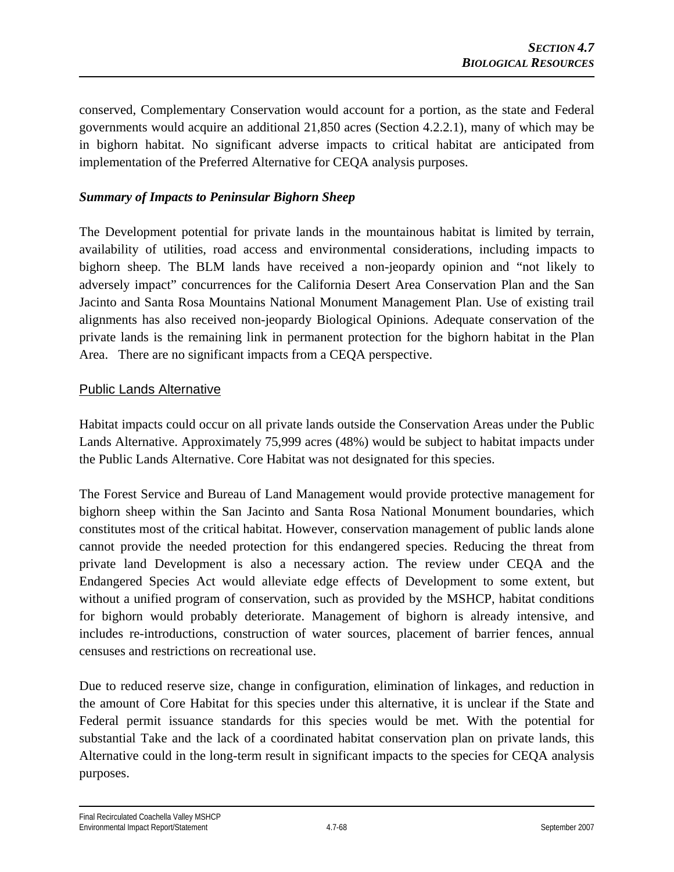conserved, Complementary Conservation would account for a portion, as the state and Federal governments would acquire an additional 21,850 acres (Section 4.2.2.1), many of which may be in bighorn habitat. No significant adverse impacts to critical habitat are anticipated from implementation of the Preferred Alternative for CEQA analysis purposes.

#### *Summary of Impacts to Peninsular Bighorn Sheep*

The Development potential for private lands in the mountainous habitat is limited by terrain, availability of utilities, road access and environmental considerations, including impacts to bighorn sheep. The BLM lands have received a non-jeopardy opinion and "not likely to adversely impact" concurrences for the California Desert Area Conservation Plan and the San Jacinto and Santa Rosa Mountains National Monument Management Plan. Use of existing trail alignments has also received non-jeopardy Biological Opinions. Adequate conservation of the private lands is the remaining link in permanent protection for the bighorn habitat in the Plan Area. There are no significant impacts from a CEQA perspective.

#### Public Lands Alternative

Habitat impacts could occur on all private lands outside the Conservation Areas under the Public Lands Alternative. Approximately 75,999 acres (48%) would be subject to habitat impacts under the Public Lands Alternative. Core Habitat was not designated for this species.

The Forest Service and Bureau of Land Management would provide protective management for bighorn sheep within the San Jacinto and Santa Rosa National Monument boundaries, which constitutes most of the critical habitat. However, conservation management of public lands alone cannot provide the needed protection for this endangered species. Reducing the threat from private land Development is also a necessary action. The review under CEQA and the Endangered Species Act would alleviate edge effects of Development to some extent, but without a unified program of conservation, such as provided by the MSHCP, habitat conditions for bighorn would probably deteriorate. Management of bighorn is already intensive, and includes re-introductions, construction of water sources, placement of barrier fences, annual censuses and restrictions on recreational use.

Due to reduced reserve size, change in configuration, elimination of linkages, and reduction in the amount of Core Habitat for this species under this alternative, it is unclear if the State and Federal permit issuance standards for this species would be met. With the potential for substantial Take and the lack of a coordinated habitat conservation plan on private lands, this Alternative could in the long-term result in significant impacts to the species for CEQA analysis purposes.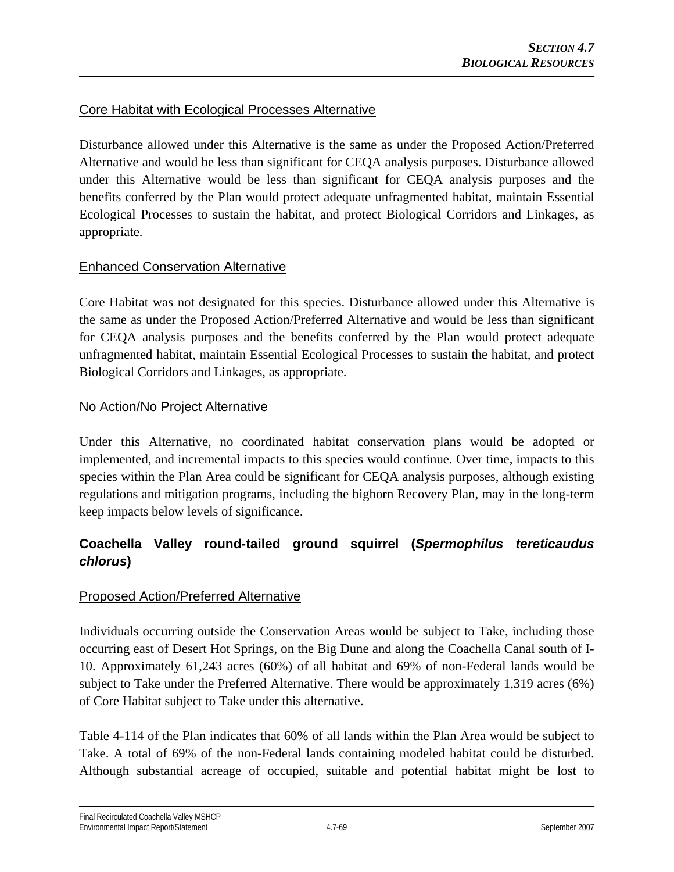# Core Habitat with Ecological Processes Alternative

Disturbance allowed under this Alternative is the same as under the Proposed Action/Preferred Alternative and would be less than significant for CEQA analysis purposes. Disturbance allowed under this Alternative would be less than significant for CEQA analysis purposes and the benefits conferred by the Plan would protect adequate unfragmented habitat, maintain Essential Ecological Processes to sustain the habitat, and protect Biological Corridors and Linkages, as appropriate.

## Enhanced Conservation Alternative

Core Habitat was not designated for this species. Disturbance allowed under this Alternative is the same as under the Proposed Action/Preferred Alternative and would be less than significant for CEQA analysis purposes and the benefits conferred by the Plan would protect adequate unfragmented habitat, maintain Essential Ecological Processes to sustain the habitat, and protect Biological Corridors and Linkages, as appropriate.

## No Action/No Project Alternative

Under this Alternative, no coordinated habitat conservation plans would be adopted or implemented, and incremental impacts to this species would continue. Over time, impacts to this species within the Plan Area could be significant for CEQA analysis purposes, although existing regulations and mitigation programs, including the bighorn Recovery Plan, may in the long-term keep impacts below levels of significance.

# **Coachella Valley round-tailed ground squirrel (***Spermophilus tereticaudus chlorus***)**

## Proposed Action/Preferred Alternative

Individuals occurring outside the Conservation Areas would be subject to Take, including those occurring east of Desert Hot Springs, on the Big Dune and along the Coachella Canal south of I-10. Approximately 61,243 acres (60%) of all habitat and 69% of non-Federal lands would be subject to Take under the Preferred Alternative. There would be approximately 1,319 acres (6%) of Core Habitat subject to Take under this alternative.

Table 4-114 of the Plan indicates that 60% of all lands within the Plan Area would be subject to Take. A total of 69% of the non-Federal lands containing modeled habitat could be disturbed. Although substantial acreage of occupied, suitable and potential habitat might be lost to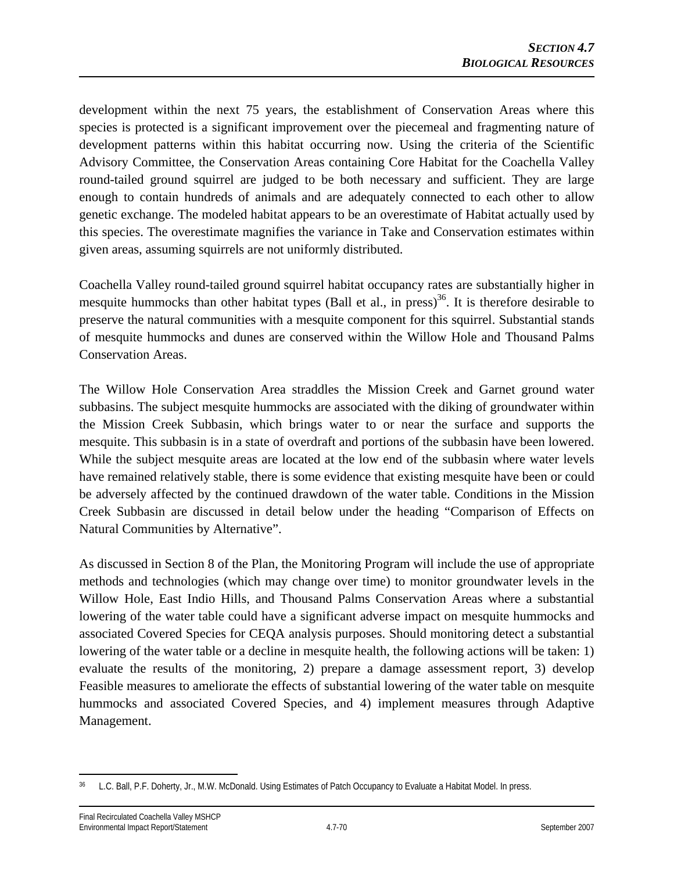development within the next 75 years, the establishment of Conservation Areas where this species is protected is a significant improvement over the piecemeal and fragmenting nature of development patterns within this habitat occurring now. Using the criteria of the Scientific Advisory Committee, the Conservation Areas containing Core Habitat for the Coachella Valley round-tailed ground squirrel are judged to be both necessary and sufficient. They are large enough to contain hundreds of animals and are adequately connected to each other to allow genetic exchange. The modeled habitat appears to be an overestimate of Habitat actually used by this species. The overestimate magnifies the variance in Take and Conservation estimates within given areas, assuming squirrels are not uniformly distributed.

Coachella Valley round-tailed ground squirrel habitat occupancy rates are substantially higher in mesquite hummocks than other habitat types (Ball et al., in press)<sup>36</sup>. It is therefore desirable to preserve the natural communities with a mesquite component for this squirrel. Substantial stands of mesquite hummocks and dunes are conserved within the Willow Hole and Thousand Palms Conservation Areas.

The Willow Hole Conservation Area straddles the Mission Creek and Garnet ground water subbasins. The subject mesquite hummocks are associated with the diking of groundwater within the Mission Creek Subbasin, which brings water to or near the surface and supports the mesquite. This subbasin is in a state of overdraft and portions of the subbasin have been lowered. While the subject mesquite areas are located at the low end of the subbasin where water levels have remained relatively stable, there is some evidence that existing mesquite have been or could be adversely affected by the continued drawdown of the water table. Conditions in the Mission Creek Subbasin are discussed in detail below under the heading "Comparison of Effects on Natural Communities by Alternative".

As discussed in Section 8 of the Plan, the Monitoring Program will include the use of appropriate methods and technologies (which may change over time) to monitor groundwater levels in the Willow Hole, East Indio Hills, and Thousand Palms Conservation Areas where a substantial lowering of the water table could have a significant adverse impact on mesquite hummocks and associated Covered Species for CEQA analysis purposes. Should monitoring detect a substantial lowering of the water table or a decline in mesquite health, the following actions will be taken: 1) evaluate the results of the monitoring, 2) prepare a damage assessment report, 3) develop Feasible measures to ameliorate the effects of substantial lowering of the water table on mesquite hummocks and associated Covered Species, and 4) implement measures through Adaptive Management.

 $\overline{a}$ L.C. Ball, P.F. Doherty, Jr., M.W. McDonald. Using Estimates of Patch Occupancy to Evaluate a Habitat Model. In press.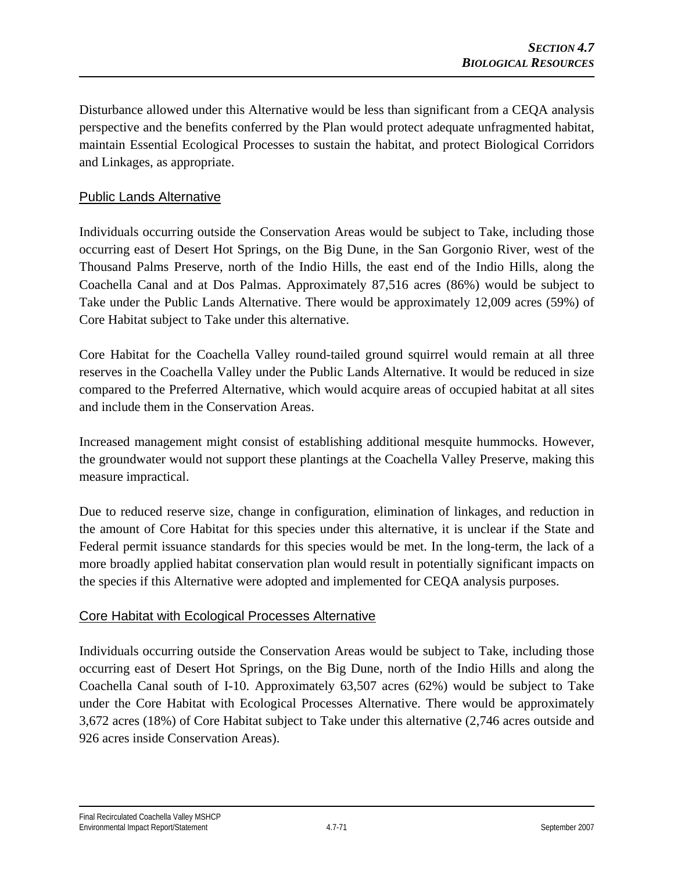Disturbance allowed under this Alternative would be less than significant from a CEQA analysis perspective and the benefits conferred by the Plan would protect adequate unfragmented habitat, maintain Essential Ecological Processes to sustain the habitat, and protect Biological Corridors and Linkages, as appropriate.

## Public Lands Alternative

Individuals occurring outside the Conservation Areas would be subject to Take, including those occurring east of Desert Hot Springs, on the Big Dune, in the San Gorgonio River, west of the Thousand Palms Preserve, north of the Indio Hills, the east end of the Indio Hills, along the Coachella Canal and at Dos Palmas. Approximately 87,516 acres (86%) would be subject to Take under the Public Lands Alternative. There would be approximately 12,009 acres (59%) of Core Habitat subject to Take under this alternative.

Core Habitat for the Coachella Valley round-tailed ground squirrel would remain at all three reserves in the Coachella Valley under the Public Lands Alternative. It would be reduced in size compared to the Preferred Alternative, which would acquire areas of occupied habitat at all sites and include them in the Conservation Areas.

Increased management might consist of establishing additional mesquite hummocks. However, the groundwater would not support these plantings at the Coachella Valley Preserve, making this measure impractical.

Due to reduced reserve size, change in configuration, elimination of linkages, and reduction in the amount of Core Habitat for this species under this alternative, it is unclear if the State and Federal permit issuance standards for this species would be met. In the long-term, the lack of a more broadly applied habitat conservation plan would result in potentially significant impacts on the species if this Alternative were adopted and implemented for CEQA analysis purposes.

## Core Habitat with Ecological Processes Alternative

Individuals occurring outside the Conservation Areas would be subject to Take, including those occurring east of Desert Hot Springs, on the Big Dune, north of the Indio Hills and along the Coachella Canal south of I-10. Approximately 63,507 acres (62%) would be subject to Take under the Core Habitat with Ecological Processes Alternative. There would be approximately 3,672 acres (18%) of Core Habitat subject to Take under this alternative (2,746 acres outside and 926 acres inside Conservation Areas).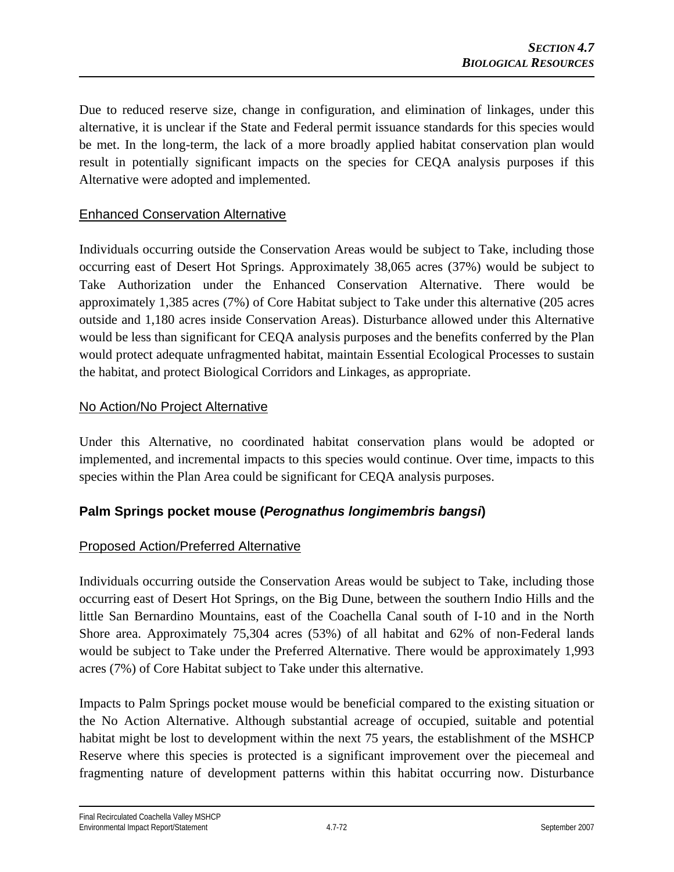Due to reduced reserve size, change in configuration, and elimination of linkages, under this alternative, it is unclear if the State and Federal permit issuance standards for this species would be met. In the long-term, the lack of a more broadly applied habitat conservation plan would result in potentially significant impacts on the species for CEQA analysis purposes if this Alternative were adopted and implemented.

# Enhanced Conservation Alternative

Individuals occurring outside the Conservation Areas would be subject to Take, including those occurring east of Desert Hot Springs. Approximately 38,065 acres (37%) would be subject to Take Authorization under the Enhanced Conservation Alternative. There would be approximately 1,385 acres (7%) of Core Habitat subject to Take under this alternative (205 acres outside and 1,180 acres inside Conservation Areas). Disturbance allowed under this Alternative would be less than significant for CEQA analysis purposes and the benefits conferred by the Plan would protect adequate unfragmented habitat, maintain Essential Ecological Processes to sustain the habitat, and protect Biological Corridors and Linkages, as appropriate.

#### No Action/No Project Alternative

Under this Alternative, no coordinated habitat conservation plans would be adopted or implemented, and incremental impacts to this species would continue. Over time, impacts to this species within the Plan Area could be significant for CEQA analysis purposes.

# **Palm Springs pocket mouse (***Perognathus longimembris bangsi***)**

## Proposed Action/Preferred Alternative

Individuals occurring outside the Conservation Areas would be subject to Take, including those occurring east of Desert Hot Springs, on the Big Dune, between the southern Indio Hills and the little San Bernardino Mountains, east of the Coachella Canal south of I-10 and in the North Shore area. Approximately 75,304 acres (53%) of all habitat and 62% of non-Federal lands would be subject to Take under the Preferred Alternative. There would be approximately 1,993 acres (7%) of Core Habitat subject to Take under this alternative.

Impacts to Palm Springs pocket mouse would be beneficial compared to the existing situation or the No Action Alternative. Although substantial acreage of occupied, suitable and potential habitat might be lost to development within the next 75 years, the establishment of the MSHCP Reserve where this species is protected is a significant improvement over the piecemeal and fragmenting nature of development patterns within this habitat occurring now. Disturbance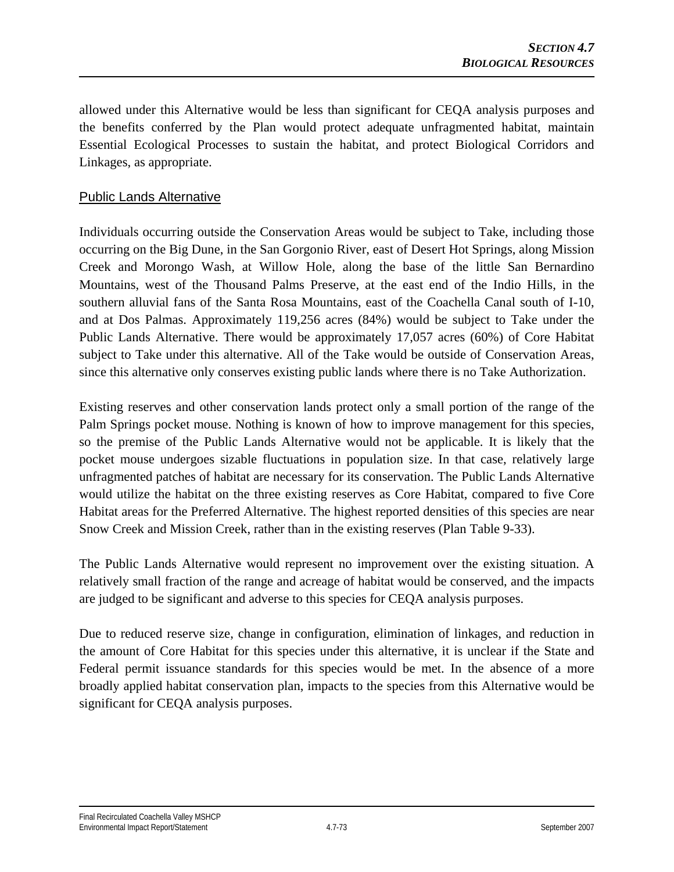allowed under this Alternative would be less than significant for CEQA analysis purposes and the benefits conferred by the Plan would protect adequate unfragmented habitat, maintain Essential Ecological Processes to sustain the habitat, and protect Biological Corridors and Linkages, as appropriate.

## Public Lands Alternative

Individuals occurring outside the Conservation Areas would be subject to Take, including those occurring on the Big Dune, in the San Gorgonio River, east of Desert Hot Springs, along Mission Creek and Morongo Wash, at Willow Hole, along the base of the little San Bernardino Mountains, west of the Thousand Palms Preserve, at the east end of the Indio Hills, in the southern alluvial fans of the Santa Rosa Mountains, east of the Coachella Canal south of I-10, and at Dos Palmas. Approximately 119,256 acres (84%) would be subject to Take under the Public Lands Alternative. There would be approximately 17,057 acres (60%) of Core Habitat subject to Take under this alternative. All of the Take would be outside of Conservation Areas, since this alternative only conserves existing public lands where there is no Take Authorization.

Existing reserves and other conservation lands protect only a small portion of the range of the Palm Springs pocket mouse. Nothing is known of how to improve management for this species, so the premise of the Public Lands Alternative would not be applicable. It is likely that the pocket mouse undergoes sizable fluctuations in population size. In that case, relatively large unfragmented patches of habitat are necessary for its conservation. The Public Lands Alternative would utilize the habitat on the three existing reserves as Core Habitat, compared to five Core Habitat areas for the Preferred Alternative. The highest reported densities of this species are near Snow Creek and Mission Creek, rather than in the existing reserves (Plan Table 9-33).

The Public Lands Alternative would represent no improvement over the existing situation. A relatively small fraction of the range and acreage of habitat would be conserved, and the impacts are judged to be significant and adverse to this species for CEQA analysis purposes.

Due to reduced reserve size, change in configuration, elimination of linkages, and reduction in the amount of Core Habitat for this species under this alternative, it is unclear if the State and Federal permit issuance standards for this species would be met. In the absence of a more broadly applied habitat conservation plan, impacts to the species from this Alternative would be significant for CEQA analysis purposes.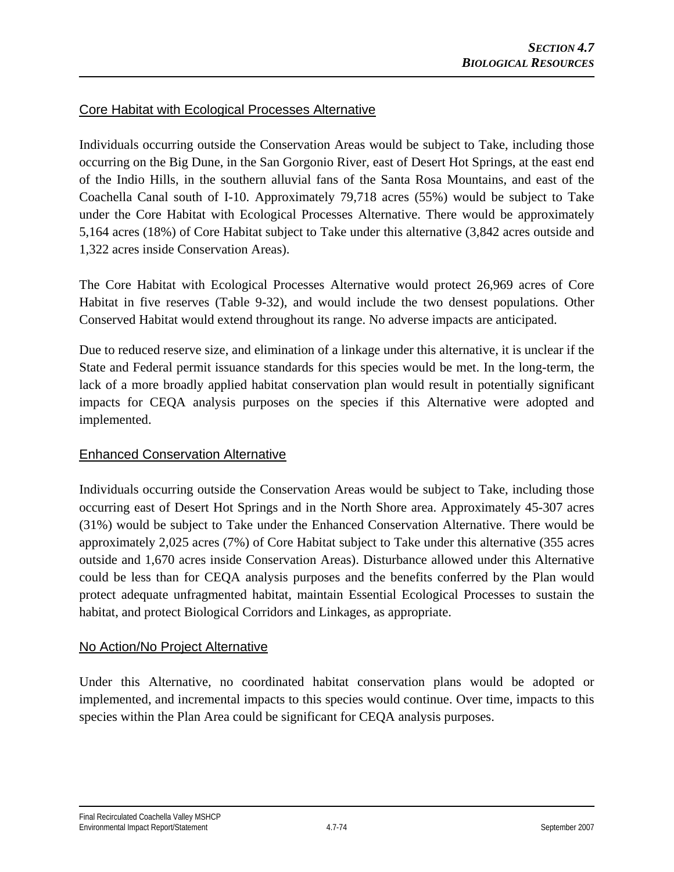## Core Habitat with Ecological Processes Alternative

Individuals occurring outside the Conservation Areas would be subject to Take, including those occurring on the Big Dune, in the San Gorgonio River, east of Desert Hot Springs, at the east end of the Indio Hills, in the southern alluvial fans of the Santa Rosa Mountains, and east of the Coachella Canal south of I-10. Approximately 79,718 acres (55%) would be subject to Take under the Core Habitat with Ecological Processes Alternative. There would be approximately 5,164 acres (18%) of Core Habitat subject to Take under this alternative (3,842 acres outside and 1,322 acres inside Conservation Areas).

The Core Habitat with Ecological Processes Alternative would protect 26,969 acres of Core Habitat in five reserves (Table 9-32), and would include the two densest populations. Other Conserved Habitat would extend throughout its range. No adverse impacts are anticipated.

Due to reduced reserve size, and elimination of a linkage under this alternative, it is unclear if the State and Federal permit issuance standards for this species would be met. In the long-term, the lack of a more broadly applied habitat conservation plan would result in potentially significant impacts for CEQA analysis purposes on the species if this Alternative were adopted and implemented.

## Enhanced Conservation Alternative

Individuals occurring outside the Conservation Areas would be subject to Take, including those occurring east of Desert Hot Springs and in the North Shore area. Approximately 45-307 acres (31%) would be subject to Take under the Enhanced Conservation Alternative. There would be approximately 2,025 acres (7%) of Core Habitat subject to Take under this alternative (355 acres outside and 1,670 acres inside Conservation Areas). Disturbance allowed under this Alternative could be less than for CEQA analysis purposes and the benefits conferred by the Plan would protect adequate unfragmented habitat, maintain Essential Ecological Processes to sustain the habitat, and protect Biological Corridors and Linkages, as appropriate.

## No Action/No Project Alternative

Under this Alternative, no coordinated habitat conservation plans would be adopted or implemented, and incremental impacts to this species would continue. Over time, impacts to this species within the Plan Area could be significant for CEQA analysis purposes.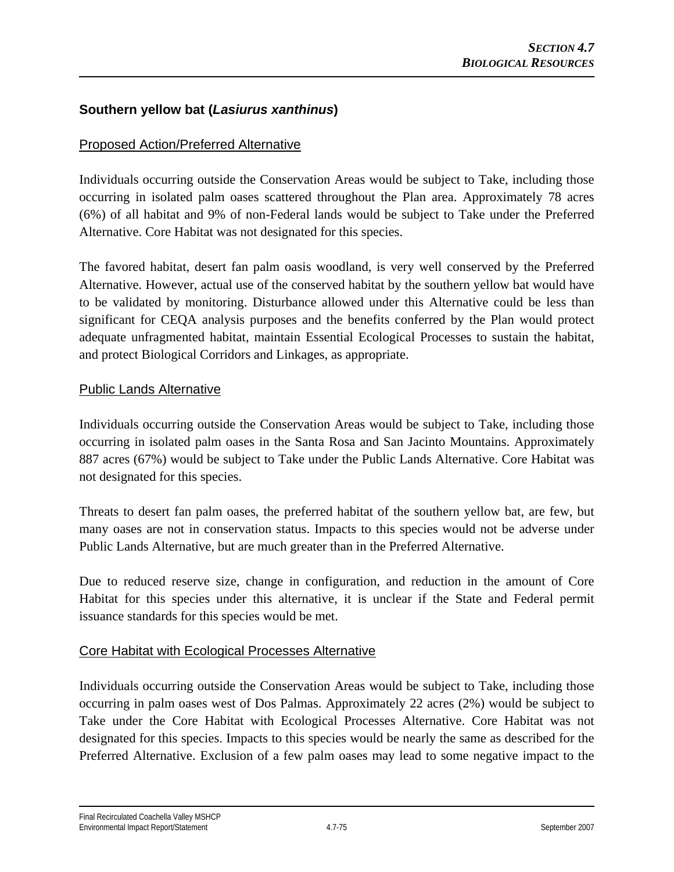## **Southern yellow bat (***Lasiurus xanthinus***)**

## Proposed Action/Preferred Alternative

Individuals occurring outside the Conservation Areas would be subject to Take, including those occurring in isolated palm oases scattered throughout the Plan area. Approximately 78 acres (6%) of all habitat and 9% of non-Federal lands would be subject to Take under the Preferred Alternative. Core Habitat was not designated for this species.

The favored habitat, desert fan palm oasis woodland, is very well conserved by the Preferred Alternative. However, actual use of the conserved habitat by the southern yellow bat would have to be validated by monitoring. Disturbance allowed under this Alternative could be less than significant for CEQA analysis purposes and the benefits conferred by the Plan would protect adequate unfragmented habitat, maintain Essential Ecological Processes to sustain the habitat, and protect Biological Corridors and Linkages, as appropriate.

#### Public Lands Alternative

Individuals occurring outside the Conservation Areas would be subject to Take, including those occurring in isolated palm oases in the Santa Rosa and San Jacinto Mountains. Approximately 887 acres (67%) would be subject to Take under the Public Lands Alternative. Core Habitat was not designated for this species.

Threats to desert fan palm oases, the preferred habitat of the southern yellow bat, are few, but many oases are not in conservation status. Impacts to this species would not be adverse under Public Lands Alternative, but are much greater than in the Preferred Alternative.

Due to reduced reserve size, change in configuration, and reduction in the amount of Core Habitat for this species under this alternative, it is unclear if the State and Federal permit issuance standards for this species would be met.

## Core Habitat with Ecological Processes Alternative

Individuals occurring outside the Conservation Areas would be subject to Take, including those occurring in palm oases west of Dos Palmas. Approximately 22 acres (2%) would be subject to Take under the Core Habitat with Ecological Processes Alternative. Core Habitat was not designated for this species. Impacts to this species would be nearly the same as described for the Preferred Alternative. Exclusion of a few palm oases may lead to some negative impact to the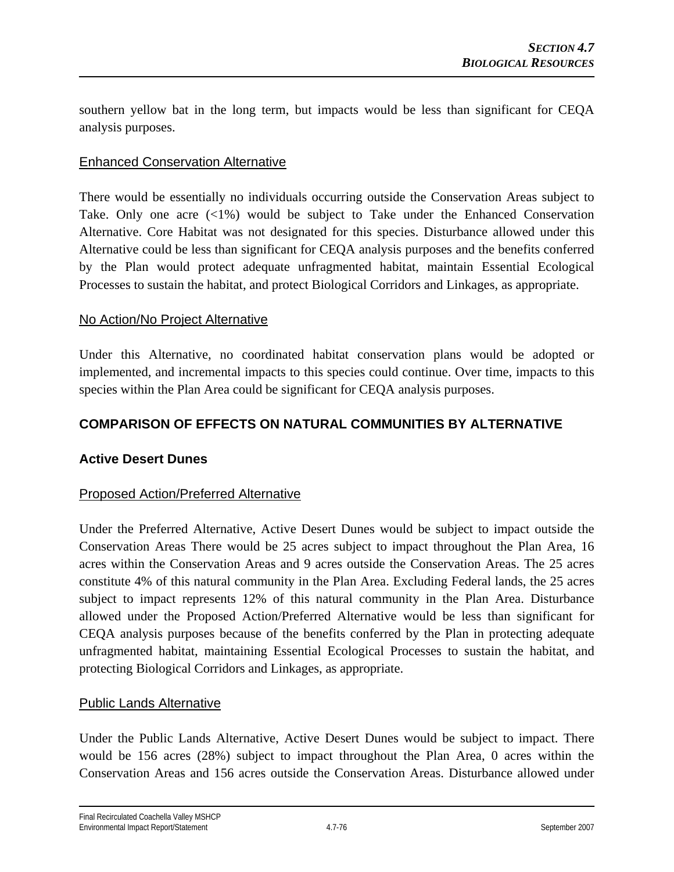southern yellow bat in the long term, but impacts would be less than significant for CEQA analysis purposes.

## Enhanced Conservation Alternative

There would be essentially no individuals occurring outside the Conservation Areas subject to Take. Only one acre  $\langle 21\% \rangle$  would be subject to Take under the Enhanced Conservation Alternative. Core Habitat was not designated for this species. Disturbance allowed under this Alternative could be less than significant for CEQA analysis purposes and the benefits conferred by the Plan would protect adequate unfragmented habitat, maintain Essential Ecological Processes to sustain the habitat, and protect Biological Corridors and Linkages, as appropriate.

#### No Action/No Project Alternative

Under this Alternative, no coordinated habitat conservation plans would be adopted or implemented, and incremental impacts to this species could continue. Over time, impacts to this species within the Plan Area could be significant for CEQA analysis purposes.

## **COMPARISON OF EFFECTS ON NATURAL COMMUNITIES BY ALTERNATIVE**

## **Active Desert Dunes**

## Proposed Action/Preferred Alternative

Under the Preferred Alternative, Active Desert Dunes would be subject to impact outside the Conservation Areas There would be 25 acres subject to impact throughout the Plan Area, 16 acres within the Conservation Areas and 9 acres outside the Conservation Areas. The 25 acres constitute 4% of this natural community in the Plan Area. Excluding Federal lands, the 25 acres subject to impact represents 12% of this natural community in the Plan Area. Disturbance allowed under the Proposed Action/Preferred Alternative would be less than significant for CEQA analysis purposes because of the benefits conferred by the Plan in protecting adequate unfragmented habitat, maintaining Essential Ecological Processes to sustain the habitat, and protecting Biological Corridors and Linkages, as appropriate.

#### Public Lands Alternative

Under the Public Lands Alternative, Active Desert Dunes would be subject to impact. There would be 156 acres (28%) subject to impact throughout the Plan Area, 0 acres within the Conservation Areas and 156 acres outside the Conservation Areas. Disturbance allowed under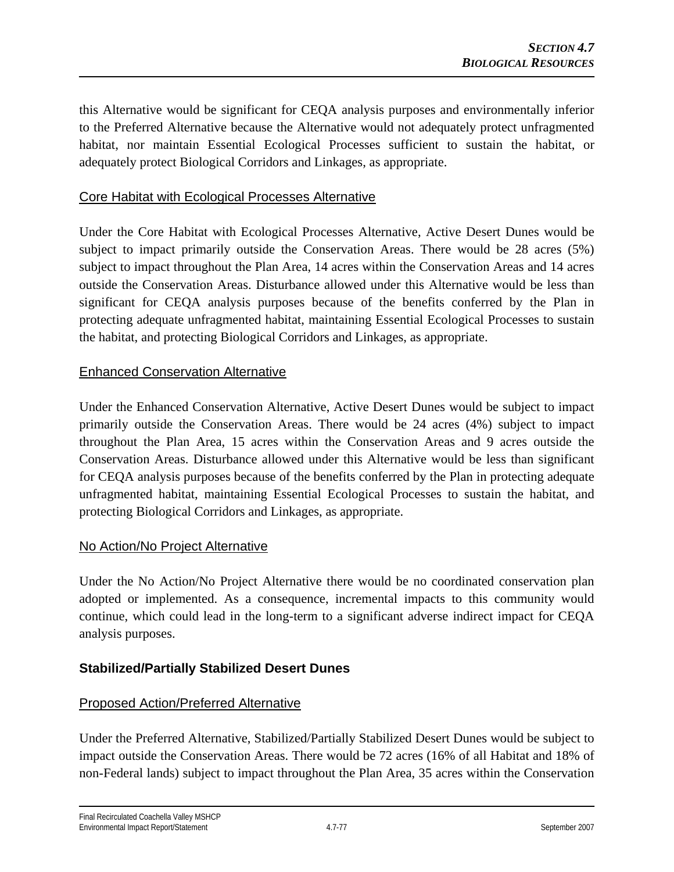this Alternative would be significant for CEQA analysis purposes and environmentally inferior to the Preferred Alternative because the Alternative would not adequately protect unfragmented habitat, nor maintain Essential Ecological Processes sufficient to sustain the habitat, or adequately protect Biological Corridors and Linkages, as appropriate.

## Core Habitat with Ecological Processes Alternative

Under the Core Habitat with Ecological Processes Alternative, Active Desert Dunes would be subject to impact primarily outside the Conservation Areas. There would be 28 acres (5%) subject to impact throughout the Plan Area, 14 acres within the Conservation Areas and 14 acres outside the Conservation Areas. Disturbance allowed under this Alternative would be less than significant for CEQA analysis purposes because of the benefits conferred by the Plan in protecting adequate unfragmented habitat, maintaining Essential Ecological Processes to sustain the habitat, and protecting Biological Corridors and Linkages, as appropriate.

#### Enhanced Conservation Alternative

Under the Enhanced Conservation Alternative, Active Desert Dunes would be subject to impact primarily outside the Conservation Areas. There would be 24 acres (4%) subject to impact throughout the Plan Area, 15 acres within the Conservation Areas and 9 acres outside the Conservation Areas. Disturbance allowed under this Alternative would be less than significant for CEQA analysis purposes because of the benefits conferred by the Plan in protecting adequate unfragmented habitat, maintaining Essential Ecological Processes to sustain the habitat, and protecting Biological Corridors and Linkages, as appropriate.

#### No Action/No Project Alternative

Under the No Action/No Project Alternative there would be no coordinated conservation plan adopted or implemented. As a consequence, incremental impacts to this community would continue, which could lead in the long-term to a significant adverse indirect impact for CEQA analysis purposes.

## **Stabilized/Partially Stabilized Desert Dunes**

## Proposed Action/Preferred Alternative

Under the Preferred Alternative, Stabilized/Partially Stabilized Desert Dunes would be subject to impact outside the Conservation Areas. There would be 72 acres (16% of all Habitat and 18% of non-Federal lands) subject to impact throughout the Plan Area, 35 acres within the Conservation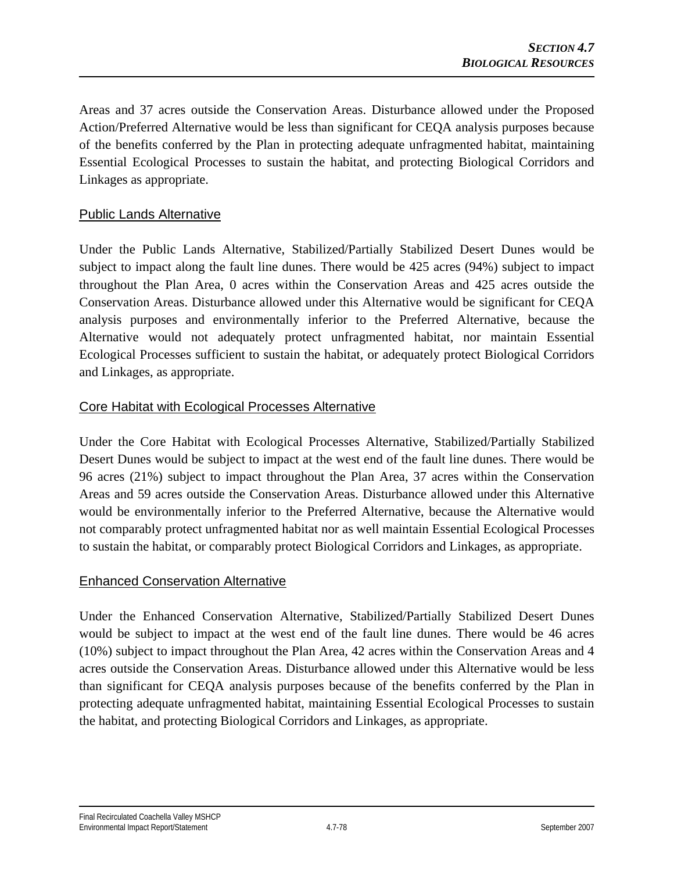Areas and 37 acres outside the Conservation Areas. Disturbance allowed under the Proposed Action/Preferred Alternative would be less than significant for CEQA analysis purposes because of the benefits conferred by the Plan in protecting adequate unfragmented habitat, maintaining Essential Ecological Processes to sustain the habitat, and protecting Biological Corridors and Linkages as appropriate.

## Public Lands Alternative

Under the Public Lands Alternative, Stabilized/Partially Stabilized Desert Dunes would be subject to impact along the fault line dunes. There would be 425 acres (94%) subject to impact throughout the Plan Area, 0 acres within the Conservation Areas and 425 acres outside the Conservation Areas. Disturbance allowed under this Alternative would be significant for CEQA analysis purposes and environmentally inferior to the Preferred Alternative, because the Alternative would not adequately protect unfragmented habitat, nor maintain Essential Ecological Processes sufficient to sustain the habitat, or adequately protect Biological Corridors and Linkages, as appropriate.

## Core Habitat with Ecological Processes Alternative

Under the Core Habitat with Ecological Processes Alternative, Stabilized/Partially Stabilized Desert Dunes would be subject to impact at the west end of the fault line dunes. There would be 96 acres (21%) subject to impact throughout the Plan Area, 37 acres within the Conservation Areas and 59 acres outside the Conservation Areas. Disturbance allowed under this Alternative would be environmentally inferior to the Preferred Alternative, because the Alternative would not comparably protect unfragmented habitat nor as well maintain Essential Ecological Processes to sustain the habitat, or comparably protect Biological Corridors and Linkages, as appropriate.

## Enhanced Conservation Alternative

Under the Enhanced Conservation Alternative, Stabilized/Partially Stabilized Desert Dunes would be subject to impact at the west end of the fault line dunes. There would be 46 acres (10%) subject to impact throughout the Plan Area, 42 acres within the Conservation Areas and 4 acres outside the Conservation Areas. Disturbance allowed under this Alternative would be less than significant for CEQA analysis purposes because of the benefits conferred by the Plan in protecting adequate unfragmented habitat, maintaining Essential Ecological Processes to sustain the habitat, and protecting Biological Corridors and Linkages, as appropriate.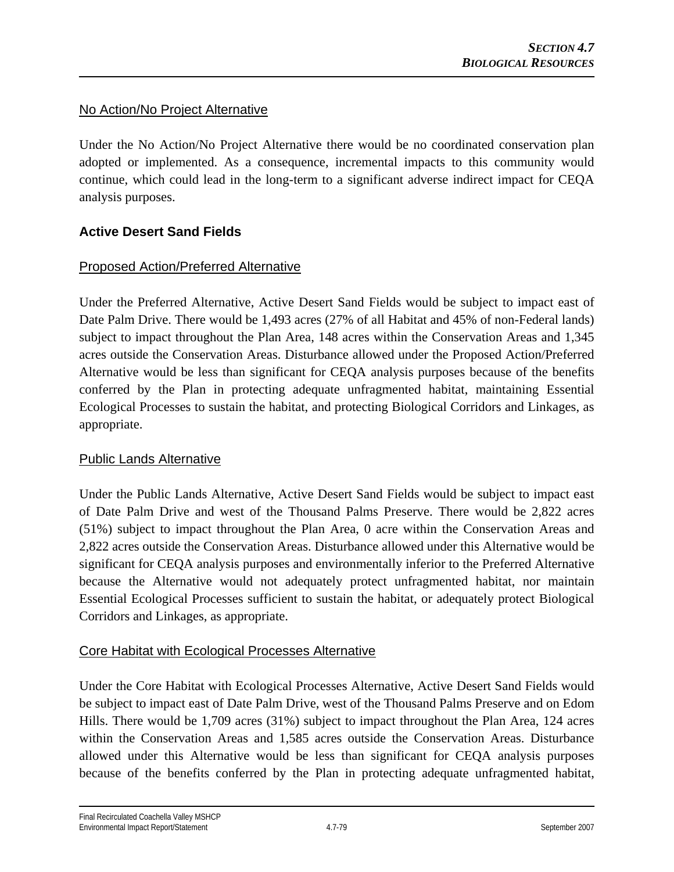## No Action/No Project Alternative

Under the No Action/No Project Alternative there would be no coordinated conservation plan adopted or implemented. As a consequence, incremental impacts to this community would continue, which could lead in the long-term to a significant adverse indirect impact for CEQA analysis purposes.

## **Active Desert Sand Fields**

## Proposed Action/Preferred Alternative

Under the Preferred Alternative, Active Desert Sand Fields would be subject to impact east of Date Palm Drive. There would be 1,493 acres (27% of all Habitat and 45% of non-Federal lands) subject to impact throughout the Plan Area, 148 acres within the Conservation Areas and 1,345 acres outside the Conservation Areas. Disturbance allowed under the Proposed Action/Preferred Alternative would be less than significant for CEQA analysis purposes because of the benefits conferred by the Plan in protecting adequate unfragmented habitat, maintaining Essential Ecological Processes to sustain the habitat, and protecting Biological Corridors and Linkages, as appropriate.

## Public Lands Alternative

Under the Public Lands Alternative, Active Desert Sand Fields would be subject to impact east of Date Palm Drive and west of the Thousand Palms Preserve. There would be 2,822 acres (51%) subject to impact throughout the Plan Area, 0 acre within the Conservation Areas and 2,822 acres outside the Conservation Areas. Disturbance allowed under this Alternative would be significant for CEQA analysis purposes and environmentally inferior to the Preferred Alternative because the Alternative would not adequately protect unfragmented habitat, nor maintain Essential Ecological Processes sufficient to sustain the habitat, or adequately protect Biological Corridors and Linkages, as appropriate.

## Core Habitat with Ecological Processes Alternative

Under the Core Habitat with Ecological Processes Alternative, Active Desert Sand Fields would be subject to impact east of Date Palm Drive, west of the Thousand Palms Preserve and on Edom Hills. There would be 1,709 acres (31%) subject to impact throughout the Plan Area, 124 acres within the Conservation Areas and 1,585 acres outside the Conservation Areas. Disturbance allowed under this Alternative would be less than significant for CEQA analysis purposes because of the benefits conferred by the Plan in protecting adequate unfragmented habitat,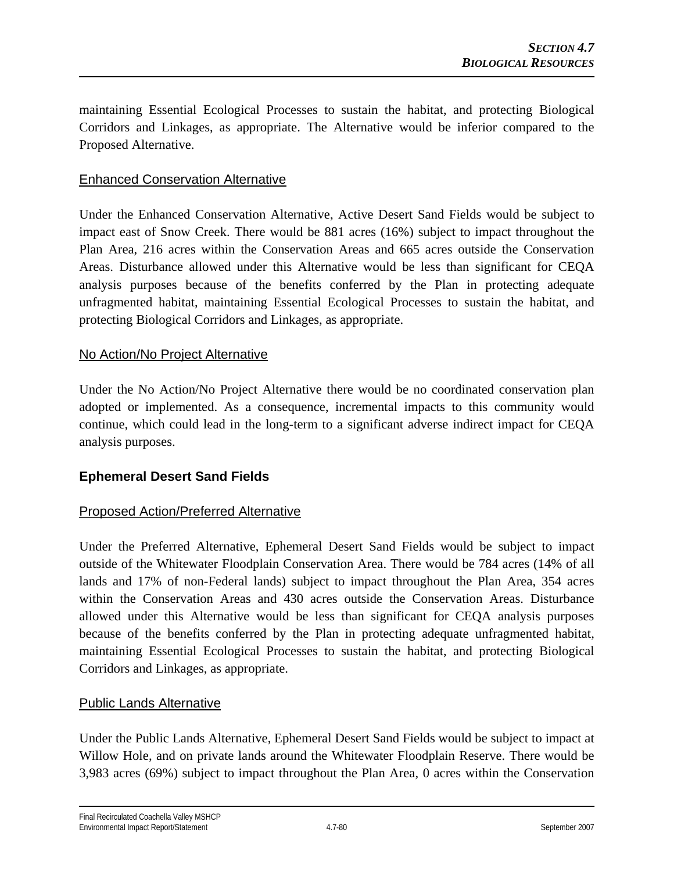maintaining Essential Ecological Processes to sustain the habitat, and protecting Biological Corridors and Linkages, as appropriate. The Alternative would be inferior compared to the Proposed Alternative.

### Enhanced Conservation Alternative

Under the Enhanced Conservation Alternative, Active Desert Sand Fields would be subject to impact east of Snow Creek. There would be 881 acres (16%) subject to impact throughout the Plan Area, 216 acres within the Conservation Areas and 665 acres outside the Conservation Areas. Disturbance allowed under this Alternative would be less than significant for CEQA analysis purposes because of the benefits conferred by the Plan in protecting adequate unfragmented habitat, maintaining Essential Ecological Processes to sustain the habitat, and protecting Biological Corridors and Linkages, as appropriate.

#### No Action/No Project Alternative

Under the No Action/No Project Alternative there would be no coordinated conservation plan adopted or implemented. As a consequence, incremental impacts to this community would continue, which could lead in the long-term to a significant adverse indirect impact for CEQA analysis purposes.

## **Ephemeral Desert Sand Fields**

## Proposed Action/Preferred Alternative

Under the Preferred Alternative, Ephemeral Desert Sand Fields would be subject to impact outside of the Whitewater Floodplain Conservation Area. There would be 784 acres (14% of all lands and 17% of non-Federal lands) subject to impact throughout the Plan Area, 354 acres within the Conservation Areas and 430 acres outside the Conservation Areas. Disturbance allowed under this Alternative would be less than significant for CEQA analysis purposes because of the benefits conferred by the Plan in protecting adequate unfragmented habitat, maintaining Essential Ecological Processes to sustain the habitat, and protecting Biological Corridors and Linkages, as appropriate.

#### Public Lands Alternative

Under the Public Lands Alternative, Ephemeral Desert Sand Fields would be subject to impact at Willow Hole, and on private lands around the Whitewater Floodplain Reserve. There would be 3,983 acres (69%) subject to impact throughout the Plan Area, 0 acres within the Conservation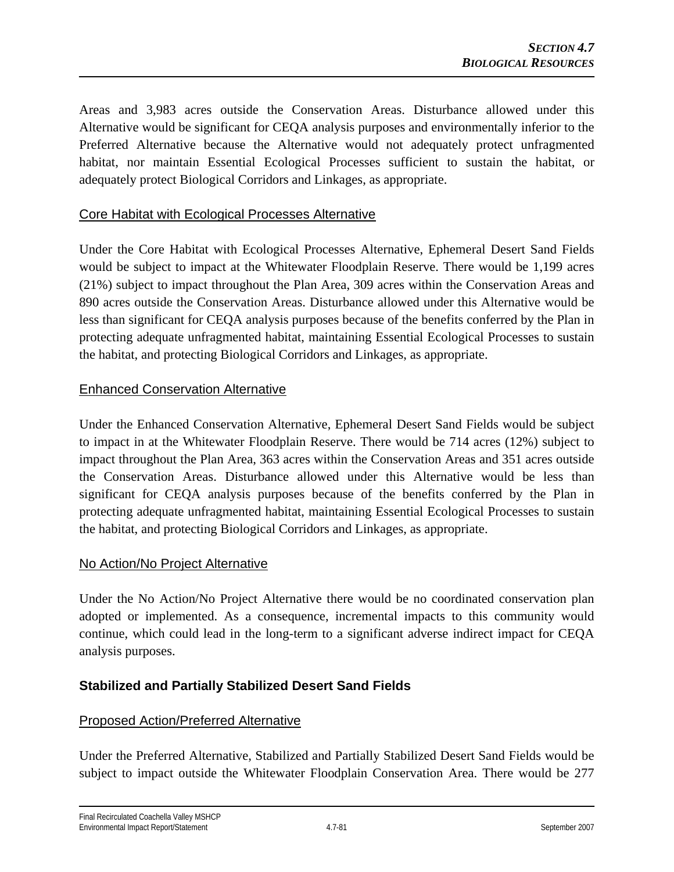Areas and 3,983 acres outside the Conservation Areas. Disturbance allowed under this Alternative would be significant for CEQA analysis purposes and environmentally inferior to the Preferred Alternative because the Alternative would not adequately protect unfragmented habitat, nor maintain Essential Ecological Processes sufficient to sustain the habitat, or adequately protect Biological Corridors and Linkages, as appropriate.

## Core Habitat with Ecological Processes Alternative

Under the Core Habitat with Ecological Processes Alternative, Ephemeral Desert Sand Fields would be subject to impact at the Whitewater Floodplain Reserve. There would be 1,199 acres (21%) subject to impact throughout the Plan Area, 309 acres within the Conservation Areas and 890 acres outside the Conservation Areas. Disturbance allowed under this Alternative would be less than significant for CEQA analysis purposes because of the benefits conferred by the Plan in protecting adequate unfragmented habitat, maintaining Essential Ecological Processes to sustain the habitat, and protecting Biological Corridors and Linkages, as appropriate.

## Enhanced Conservation Alternative

Under the Enhanced Conservation Alternative, Ephemeral Desert Sand Fields would be subject to impact in at the Whitewater Floodplain Reserve. There would be 714 acres (12%) subject to impact throughout the Plan Area, 363 acres within the Conservation Areas and 351 acres outside the Conservation Areas. Disturbance allowed under this Alternative would be less than significant for CEQA analysis purposes because of the benefits conferred by the Plan in protecting adequate unfragmented habitat, maintaining Essential Ecological Processes to sustain the habitat, and protecting Biological Corridors and Linkages, as appropriate.

## No Action/No Project Alternative

Under the No Action/No Project Alternative there would be no coordinated conservation plan adopted or implemented. As a consequence, incremental impacts to this community would continue, which could lead in the long-term to a significant adverse indirect impact for CEQA analysis purposes.

## **Stabilized and Partially Stabilized Desert Sand Fields**

## Proposed Action/Preferred Alternative

Under the Preferred Alternative, Stabilized and Partially Stabilized Desert Sand Fields would be subject to impact outside the Whitewater Floodplain Conservation Area. There would be 277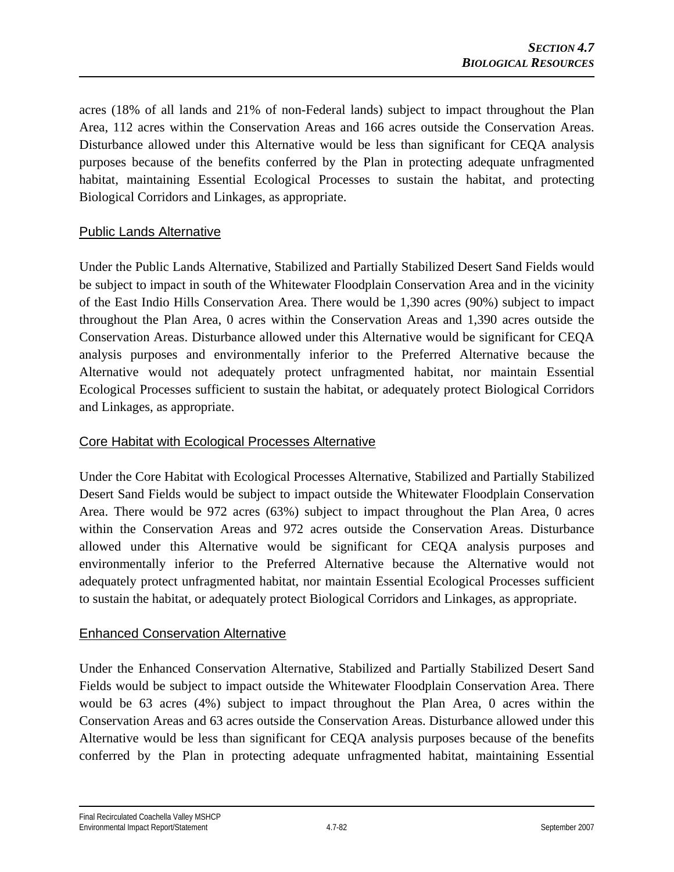acres (18% of all lands and 21% of non-Federal lands) subject to impact throughout the Plan Area, 112 acres within the Conservation Areas and 166 acres outside the Conservation Areas. Disturbance allowed under this Alternative would be less than significant for CEQA analysis purposes because of the benefits conferred by the Plan in protecting adequate unfragmented habitat, maintaining Essential Ecological Processes to sustain the habitat, and protecting Biological Corridors and Linkages, as appropriate.

## Public Lands Alternative

Under the Public Lands Alternative, Stabilized and Partially Stabilized Desert Sand Fields would be subject to impact in south of the Whitewater Floodplain Conservation Area and in the vicinity of the East Indio Hills Conservation Area. There would be 1,390 acres (90%) subject to impact throughout the Plan Area, 0 acres within the Conservation Areas and 1,390 acres outside the Conservation Areas. Disturbance allowed under this Alternative would be significant for CEQA analysis purposes and environmentally inferior to the Preferred Alternative because the Alternative would not adequately protect unfragmented habitat, nor maintain Essential Ecological Processes sufficient to sustain the habitat, or adequately protect Biological Corridors and Linkages, as appropriate.

## Core Habitat with Ecological Processes Alternative

Under the Core Habitat with Ecological Processes Alternative, Stabilized and Partially Stabilized Desert Sand Fields would be subject to impact outside the Whitewater Floodplain Conservation Area. There would be 972 acres (63%) subject to impact throughout the Plan Area, 0 acres within the Conservation Areas and 972 acres outside the Conservation Areas. Disturbance allowed under this Alternative would be significant for CEQA analysis purposes and environmentally inferior to the Preferred Alternative because the Alternative would not adequately protect unfragmented habitat, nor maintain Essential Ecological Processes sufficient to sustain the habitat, or adequately protect Biological Corridors and Linkages, as appropriate.

## Enhanced Conservation Alternative

Under the Enhanced Conservation Alternative, Stabilized and Partially Stabilized Desert Sand Fields would be subject to impact outside the Whitewater Floodplain Conservation Area. There would be 63 acres (4%) subject to impact throughout the Plan Area, 0 acres within the Conservation Areas and 63 acres outside the Conservation Areas. Disturbance allowed under this Alternative would be less than significant for CEQA analysis purposes because of the benefits conferred by the Plan in protecting adequate unfragmented habitat, maintaining Essential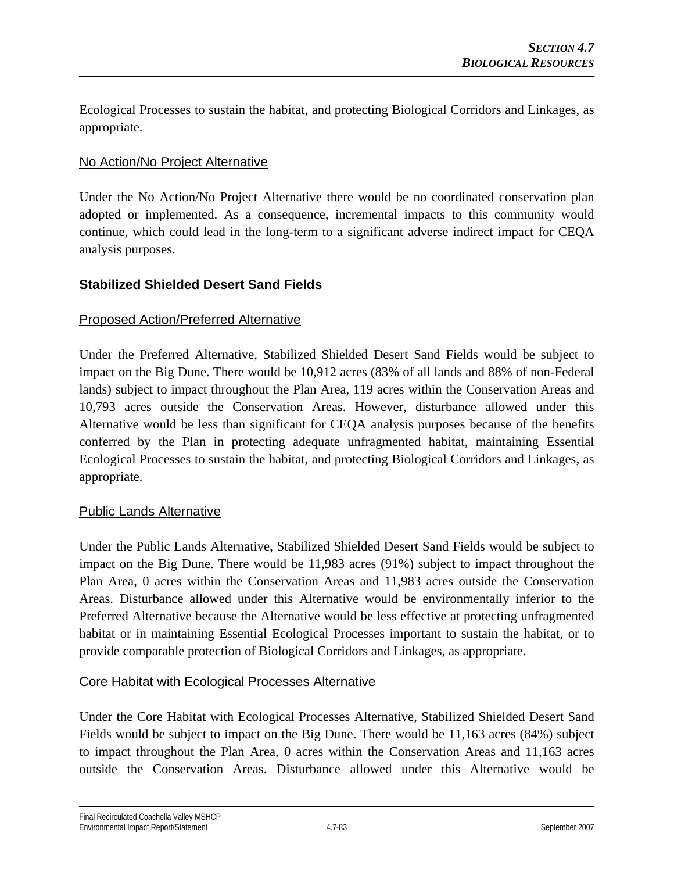Ecological Processes to sustain the habitat, and protecting Biological Corridors and Linkages, as appropriate.

## No Action/No Project Alternative

Under the No Action/No Project Alternative there would be no coordinated conservation plan adopted or implemented. As a consequence, incremental impacts to this community would continue, which could lead in the long-term to a significant adverse indirect impact for CEQA analysis purposes.

## **Stabilized Shielded Desert Sand Fields**

#### Proposed Action/Preferred Alternative

Under the Preferred Alternative, Stabilized Shielded Desert Sand Fields would be subject to impact on the Big Dune. There would be 10,912 acres (83% of all lands and 88% of non-Federal lands) subject to impact throughout the Plan Area, 119 acres within the Conservation Areas and 10,793 acres outside the Conservation Areas. However, disturbance allowed under this Alternative would be less than significant for CEQA analysis purposes because of the benefits conferred by the Plan in protecting adequate unfragmented habitat, maintaining Essential Ecological Processes to sustain the habitat, and protecting Biological Corridors and Linkages, as appropriate.

#### Public Lands Alternative

Under the Public Lands Alternative, Stabilized Shielded Desert Sand Fields would be subject to impact on the Big Dune. There would be 11,983 acres (91%) subject to impact throughout the Plan Area, 0 acres within the Conservation Areas and 11,983 acres outside the Conservation Areas. Disturbance allowed under this Alternative would be environmentally inferior to the Preferred Alternative because the Alternative would be less effective at protecting unfragmented habitat or in maintaining Essential Ecological Processes important to sustain the habitat, or to provide comparable protection of Biological Corridors and Linkages, as appropriate.

#### Core Habitat with Ecological Processes Alternative

Under the Core Habitat with Ecological Processes Alternative, Stabilized Shielded Desert Sand Fields would be subject to impact on the Big Dune. There would be 11,163 acres (84%) subject to impact throughout the Plan Area, 0 acres within the Conservation Areas and 11,163 acres outside the Conservation Areas. Disturbance allowed under this Alternative would be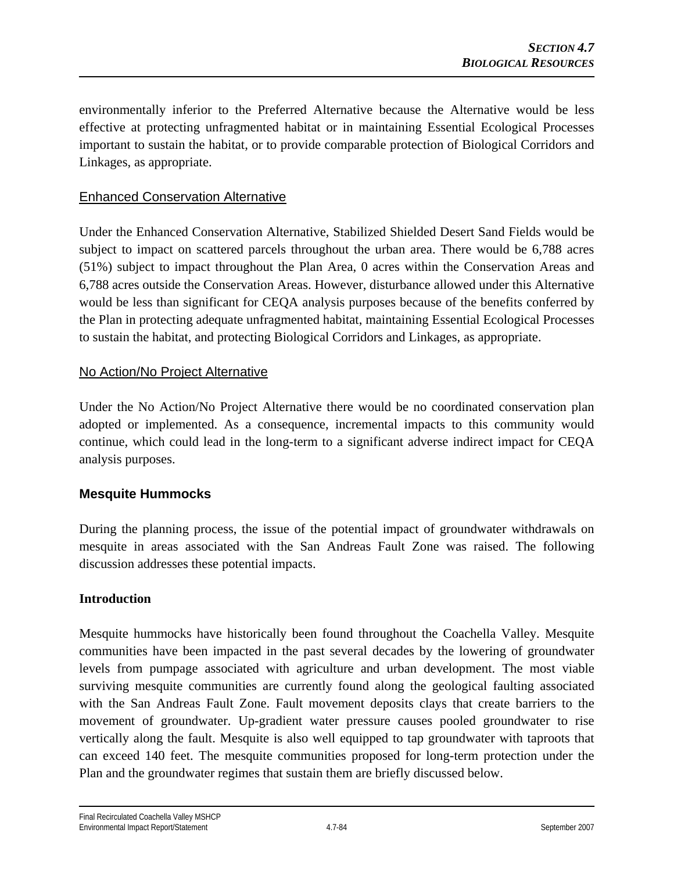environmentally inferior to the Preferred Alternative because the Alternative would be less effective at protecting unfragmented habitat or in maintaining Essential Ecological Processes important to sustain the habitat, or to provide comparable protection of Biological Corridors and Linkages, as appropriate.

## Enhanced Conservation Alternative

Under the Enhanced Conservation Alternative, Stabilized Shielded Desert Sand Fields would be subject to impact on scattered parcels throughout the urban area. There would be 6,788 acres (51%) subject to impact throughout the Plan Area, 0 acres within the Conservation Areas and 6,788 acres outside the Conservation Areas. However, disturbance allowed under this Alternative would be less than significant for CEQA analysis purposes because of the benefits conferred by the Plan in protecting adequate unfragmented habitat, maintaining Essential Ecological Processes to sustain the habitat, and protecting Biological Corridors and Linkages, as appropriate.

## No Action/No Project Alternative

Under the No Action/No Project Alternative there would be no coordinated conservation plan adopted or implemented. As a consequence, incremental impacts to this community would continue, which could lead in the long-term to a significant adverse indirect impact for CEQA analysis purposes.

## **Mesquite Hummocks**

During the planning process, the issue of the potential impact of groundwater withdrawals on mesquite in areas associated with the San Andreas Fault Zone was raised. The following discussion addresses these potential impacts.

## **Introduction**

Mesquite hummocks have historically been found throughout the Coachella Valley. Mesquite communities have been impacted in the past several decades by the lowering of groundwater levels from pumpage associated with agriculture and urban development. The most viable surviving mesquite communities are currently found along the geological faulting associated with the San Andreas Fault Zone. Fault movement deposits clays that create barriers to the movement of groundwater. Up-gradient water pressure causes pooled groundwater to rise vertically along the fault. Mesquite is also well equipped to tap groundwater with taproots that can exceed 140 feet. The mesquite communities proposed for long-term protection under the Plan and the groundwater regimes that sustain them are briefly discussed below.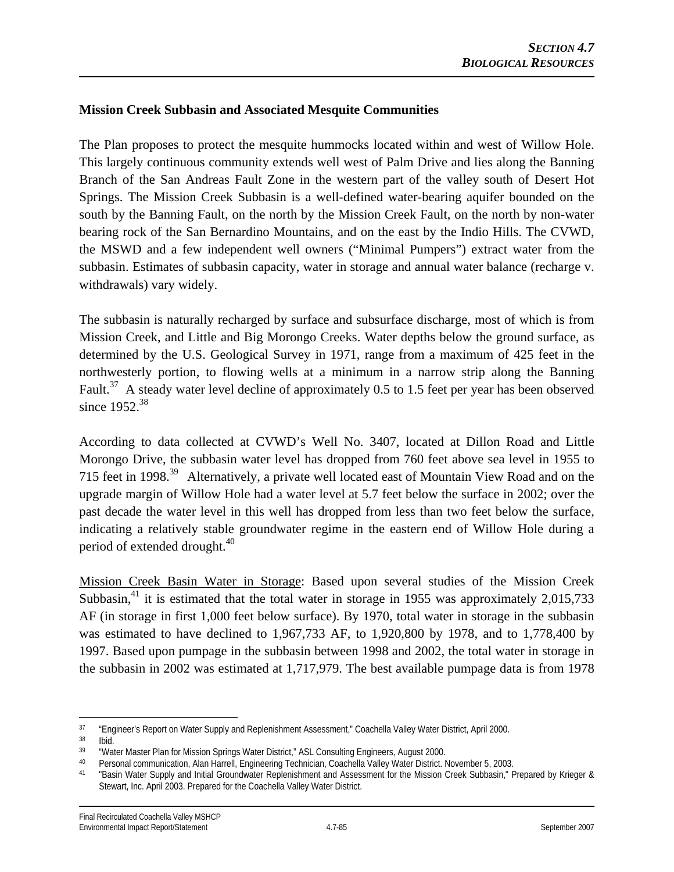### **Mission Creek Subbasin and Associated Mesquite Communities**

The Plan proposes to protect the mesquite hummocks located within and west of Willow Hole. This largely continuous community extends well west of Palm Drive and lies along the Banning Branch of the San Andreas Fault Zone in the western part of the valley south of Desert Hot Springs. The Mission Creek Subbasin is a well-defined water-bearing aquifer bounded on the south by the Banning Fault, on the north by the Mission Creek Fault, on the north by non-water bearing rock of the San Bernardino Mountains, and on the east by the Indio Hills. The CVWD, the MSWD and a few independent well owners ("Minimal Pumpers") extract water from the subbasin. Estimates of subbasin capacity, water in storage and annual water balance (recharge v. withdrawals) vary widely.

The subbasin is naturally recharged by surface and subsurface discharge, most of which is from Mission Creek, and Little and Big Morongo Creeks. Water depths below the ground surface, as determined by the U.S. Geological Survey in 1971, range from a maximum of 425 feet in the northwesterly portion, to flowing wells at a minimum in a narrow strip along the Banning Fault.37 A steady water level decline of approximately 0.5 to 1.5 feet per year has been observed since 1952.<sup>38</sup>

According to data collected at CVWD's Well No. 3407, located at Dillon Road and Little Morongo Drive, the subbasin water level has dropped from 760 feet above sea level in 1955 to 715 feet in 1998.39 Alternatively, a private well located east of Mountain View Road and on the upgrade margin of Willow Hole had a water level at 5.7 feet below the surface in 2002; over the past decade the water level in this well has dropped from less than two feet below the surface, indicating a relatively stable groundwater regime in the eastern end of Willow Hole during a period of extended drought.<sup>40</sup>

Mission Creek Basin Water in Storage: Based upon several studies of the Mission Creek Subbasin,<sup>41</sup> it is estimated that the total water in storage in 1955 was approximately 2,015,733 AF (in storage in first 1,000 feet below surface). By 1970, total water in storage in the subbasin was estimated to have declined to 1,967,733 AF, to 1,920,800 by 1978, and to 1,778,400 by 1997. Based upon pumpage in the subbasin between 1998 and 2002, the total water in storage in the subbasin in 2002 was estimated at 1,717,979. The best available pumpage data is from 1978

 $\overline{a}$ <sup>37</sup> "Engineer's Report on Water Supply and Replenishment Assessment," Coachella Valley Water District, April 2000.

 $\frac{38}{39}$  Ibid.

<sup>&</sup>lt;sup>39</sup> "Water Master Plan for Mission Springs Water District," ASL Consulting Engineers, August 2000.<br><sup>40</sup> Personal communication, Alan Harroll, Engineering Technician, Coachella Valley Water District, I

<sup>40</sup> Personal communication, Alan Harrell, Engineering Technician, Coachella Valley Water District. November 5, 2003.<br>41 Pesin Water Sunnly and Initial Croundwater Penlenishment and Assossment for the Mission Creek Subbasin.

<sup>&</sup>quot;Basin Water Supply and Initial Groundwater Replenishment and Assessment for the Mission Creek Subbasin," Prepared by Krieger & Stewart, Inc. April 2003. Prepared for the Coachella Valley Water District.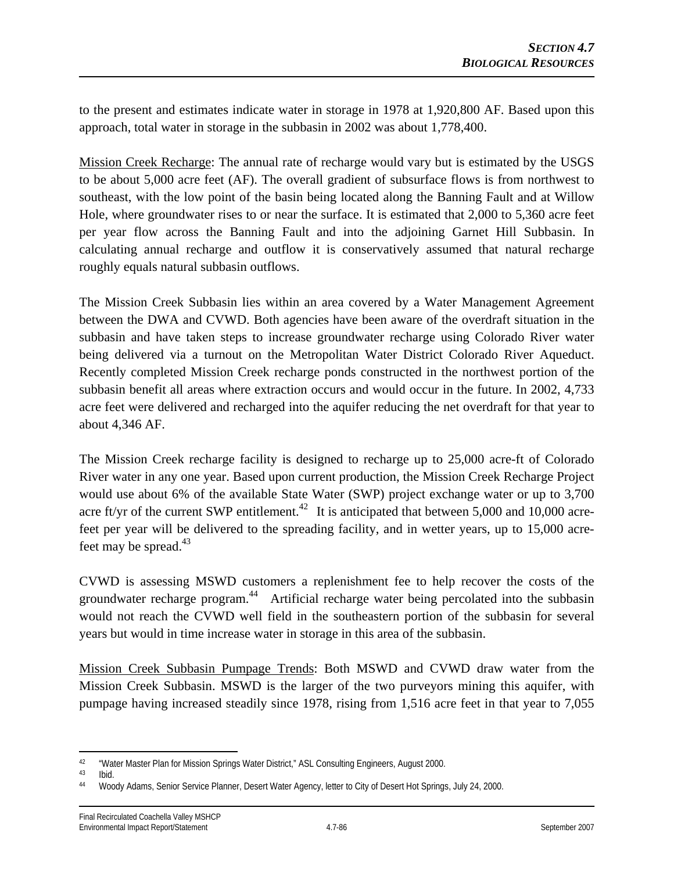to the present and estimates indicate water in storage in 1978 at 1,920,800 AF. Based upon this approach, total water in storage in the subbasin in 2002 was about 1,778,400.

Mission Creek Recharge: The annual rate of recharge would vary but is estimated by the USGS to be about 5,000 acre feet (AF). The overall gradient of subsurface flows is from northwest to southeast, with the low point of the basin being located along the Banning Fault and at Willow Hole, where groundwater rises to or near the surface. It is estimated that 2,000 to 5,360 acre feet per year flow across the Banning Fault and into the adjoining Garnet Hill Subbasin. In calculating annual recharge and outflow it is conservatively assumed that natural recharge roughly equals natural subbasin outflows.

The Mission Creek Subbasin lies within an area covered by a Water Management Agreement between the DWA and CVWD. Both agencies have been aware of the overdraft situation in the subbasin and have taken steps to increase groundwater recharge using Colorado River water being delivered via a turnout on the Metropolitan Water District Colorado River Aqueduct. Recently completed Mission Creek recharge ponds constructed in the northwest portion of the subbasin benefit all areas where extraction occurs and would occur in the future. In 2002, 4,733 acre feet were delivered and recharged into the aquifer reducing the net overdraft for that year to about 4,346 AF.

The Mission Creek recharge facility is designed to recharge up to 25,000 acre-ft of Colorado River water in any one year. Based upon current production, the Mission Creek Recharge Project would use about 6% of the available State Water (SWP) project exchange water or up to 3,700 acre ft/yr of the current SWP entitlement.<sup>42</sup> It is anticipated that between 5,000 and 10,000 acrefeet per year will be delivered to the spreading facility, and in wetter years, up to 15,000 acrefeet may be spread. $43$ 

CVWD is assessing MSWD customers a replenishment fee to help recover the costs of the groundwater recharge program.<sup>44</sup> Artificial recharge water being percolated into the subbasin would not reach the CVWD well field in the southeastern portion of the subbasin for several years but would in time increase water in storage in this area of the subbasin.

Mission Creek Subbasin Pumpage Trends: Both MSWD and CVWD draw water from the Mission Creek Subbasin. MSWD is the larger of the two purveyors mining this aquifer, with pumpage having increased steadily since 1978, rising from 1,516 acre feet in that year to 7,055

 $42$ <sup>42</sup> "Water Master Plan for Mission Springs Water District," ASL Consulting Engineers, August 2000.<br><sup>43</sup> Ibid

Ibid.

<sup>44</sup> Woody Adams, Senior Service Planner, Desert Water Agency, letter to City of Desert Hot Springs, July 24, 2000.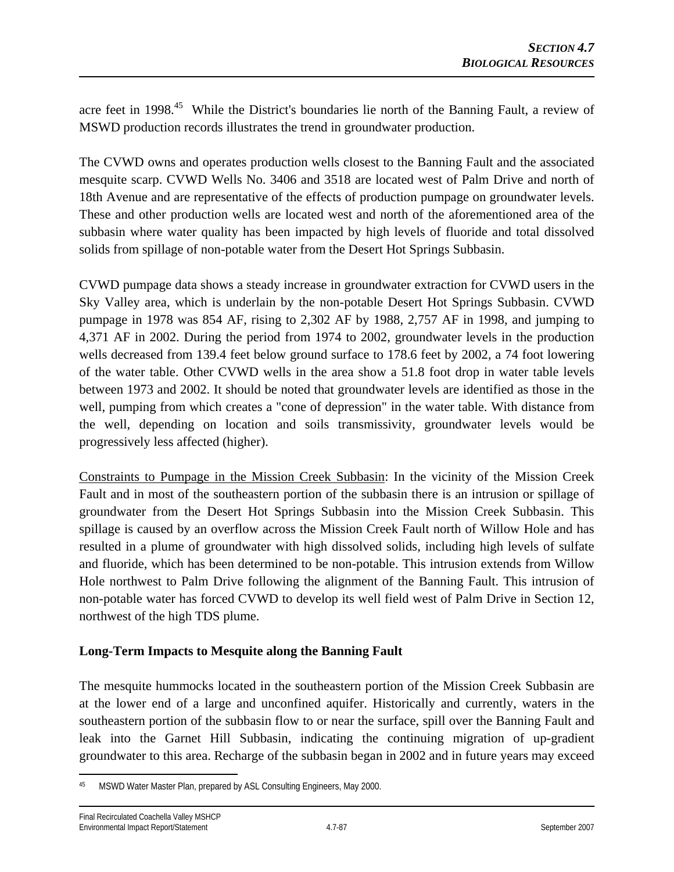acre feet in 1998<sup>45</sup> While the District's boundaries lie north of the Banning Fault, a review of MSWD production records illustrates the trend in groundwater production.

The CVWD owns and operates production wells closest to the Banning Fault and the associated mesquite scarp. CVWD Wells No. 3406 and 3518 are located west of Palm Drive and north of 18th Avenue and are representative of the effects of production pumpage on groundwater levels. These and other production wells are located west and north of the aforementioned area of the subbasin where water quality has been impacted by high levels of fluoride and total dissolved solids from spillage of non-potable water from the Desert Hot Springs Subbasin.

CVWD pumpage data shows a steady increase in groundwater extraction for CVWD users in the Sky Valley area, which is underlain by the non-potable Desert Hot Springs Subbasin. CVWD pumpage in 1978 was 854 AF, rising to 2,302 AF by 1988, 2,757 AF in 1998, and jumping to 4,371 AF in 2002. During the period from 1974 to 2002, groundwater levels in the production wells decreased from 139.4 feet below ground surface to 178.6 feet by 2002, a 74 foot lowering of the water table. Other CVWD wells in the area show a 51.8 foot drop in water table levels between 1973 and 2002. It should be noted that groundwater levels are identified as those in the well, pumping from which creates a "cone of depression" in the water table. With distance from the well, depending on location and soils transmissivity, groundwater levels would be progressively less affected (higher).

Constraints to Pumpage in the Mission Creek Subbasin: In the vicinity of the Mission Creek Fault and in most of the southeastern portion of the subbasin there is an intrusion or spillage of groundwater from the Desert Hot Springs Subbasin into the Mission Creek Subbasin. This spillage is caused by an overflow across the Mission Creek Fault north of Willow Hole and has resulted in a plume of groundwater with high dissolved solids, including high levels of sulfate and fluoride, which has been determined to be non-potable. This intrusion extends from Willow Hole northwest to Palm Drive following the alignment of the Banning Fault. This intrusion of non-potable water has forced CVWD to develop its well field west of Palm Drive in Section 12, northwest of the high TDS plume.

## **Long-Term Impacts to Mesquite along the Banning Fault**

The mesquite hummocks located in the southeastern portion of the Mission Creek Subbasin are at the lower end of a large and unconfined aquifer. Historically and currently, waters in the southeastern portion of the subbasin flow to or near the surface, spill over the Banning Fault and leak into the Garnet Hill Subbasin, indicating the continuing migration of up-gradient groundwater to this area. Recharge of the subbasin began in 2002 and in future years may exceed

 $\overline{a}$ MSWD Water Master Plan, prepared by ASL Consulting Engineers, May 2000.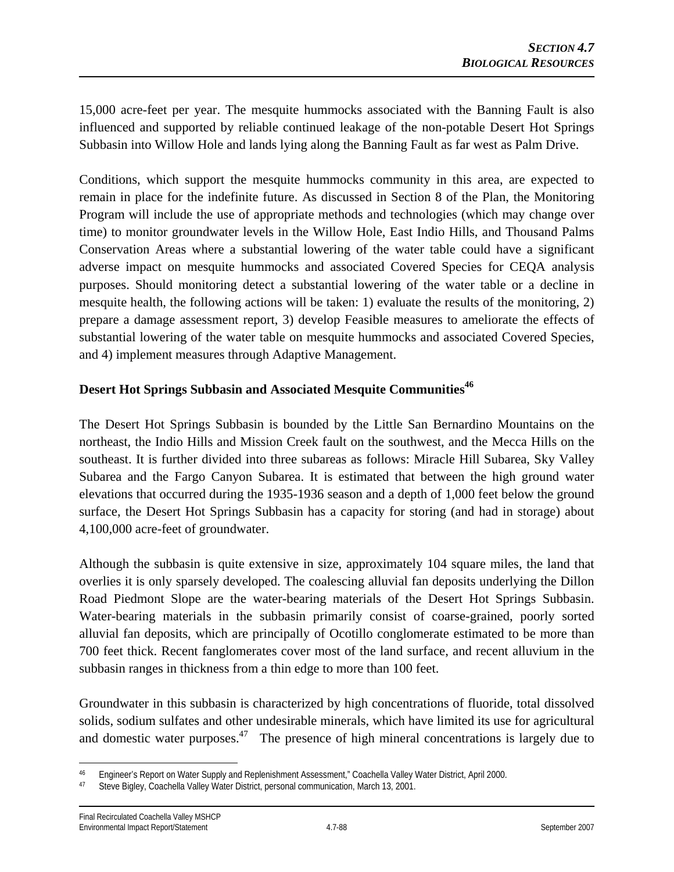15,000 acre-feet per year. The mesquite hummocks associated with the Banning Fault is also influenced and supported by reliable continued leakage of the non-potable Desert Hot Springs Subbasin into Willow Hole and lands lying along the Banning Fault as far west as Palm Drive.

Conditions, which support the mesquite hummocks community in this area, are expected to remain in place for the indefinite future. As discussed in Section 8 of the Plan, the Monitoring Program will include the use of appropriate methods and technologies (which may change over time) to monitor groundwater levels in the Willow Hole, East Indio Hills, and Thousand Palms Conservation Areas where a substantial lowering of the water table could have a significant adverse impact on mesquite hummocks and associated Covered Species for CEQA analysis purposes. Should monitoring detect a substantial lowering of the water table or a decline in mesquite health, the following actions will be taken: 1) evaluate the results of the monitoring, 2) prepare a damage assessment report, 3) develop Feasible measures to ameliorate the effects of substantial lowering of the water table on mesquite hummocks and associated Covered Species, and 4) implement measures through Adaptive Management.

# **Desert Hot Springs Subbasin and Associated Mesquite Communities<sup>46</sup>**

The Desert Hot Springs Subbasin is bounded by the Little San Bernardino Mountains on the northeast, the Indio Hills and Mission Creek fault on the southwest, and the Mecca Hills on the southeast. It is further divided into three subareas as follows: Miracle Hill Subarea, Sky Valley Subarea and the Fargo Canyon Subarea. It is estimated that between the high ground water elevations that occurred during the 1935-1936 season and a depth of 1,000 feet below the ground surface, the Desert Hot Springs Subbasin has a capacity for storing (and had in storage) about 4,100,000 acre-feet of groundwater.

Although the subbasin is quite extensive in size, approximately 104 square miles, the land that overlies it is only sparsely developed. The coalescing alluvial fan deposits underlying the Dillon Road Piedmont Slope are the water-bearing materials of the Desert Hot Springs Subbasin. Water-bearing materials in the subbasin primarily consist of coarse-grained, poorly sorted alluvial fan deposits, which are principally of Ocotillo conglomerate estimated to be more than 700 feet thick. Recent fanglomerates cover most of the land surface, and recent alluvium in the subbasin ranges in thickness from a thin edge to more than 100 feet.

Groundwater in this subbasin is characterized by high concentrations of fluoride, total dissolved solids, sodium sulfates and other undesirable minerals, which have limited its use for agricultural and domestic water purposes.<sup>47</sup> The presence of high mineral concentrations is largely due to

 $\overline{a}$ 46 Engineer's Report on Water Supply and Replenishment Assessment," Coachella Valley Water District, April 2000.

<sup>47</sup> Steve Bigley, Coachella Valley Water District, personal communication, March 13, 2001.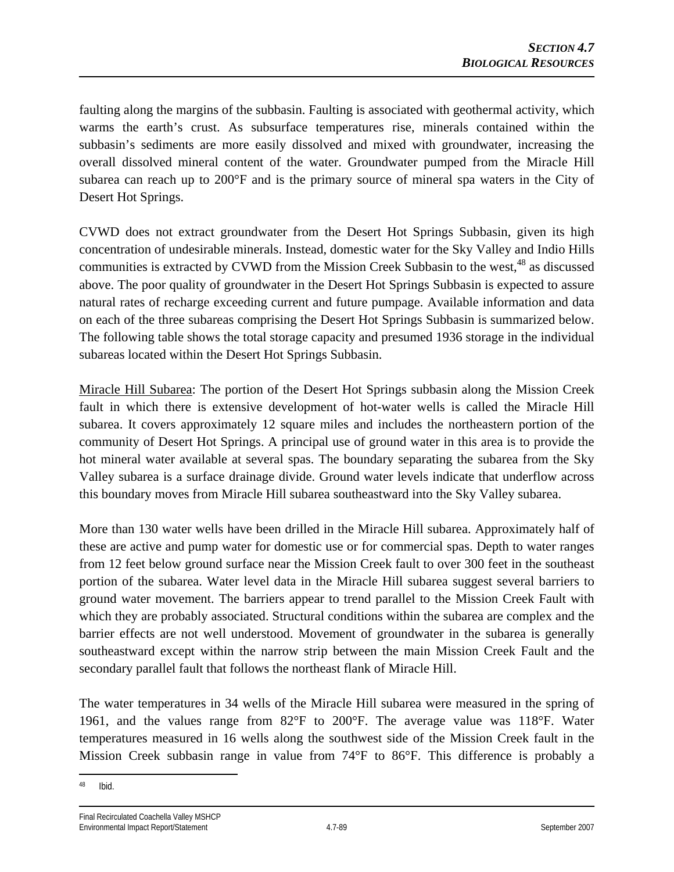faulting along the margins of the subbasin. Faulting is associated with geothermal activity, which warms the earth's crust. As subsurface temperatures rise, minerals contained within the subbasin's sediments are more easily dissolved and mixed with groundwater, increasing the overall dissolved mineral content of the water. Groundwater pumped from the Miracle Hill subarea can reach up to 200°F and is the primary source of mineral spa waters in the City of Desert Hot Springs.

CVWD does not extract groundwater from the Desert Hot Springs Subbasin, given its high concentration of undesirable minerals. Instead, domestic water for the Sky Valley and Indio Hills communities is extracted by CVWD from the Mission Creek Subbasin to the west, <sup>48</sup> as discussed above. The poor quality of groundwater in the Desert Hot Springs Subbasin is expected to assure natural rates of recharge exceeding current and future pumpage. Available information and data on each of the three subareas comprising the Desert Hot Springs Subbasin is summarized below. The following table shows the total storage capacity and presumed 1936 storage in the individual subareas located within the Desert Hot Springs Subbasin.

Miracle Hill Subarea: The portion of the Desert Hot Springs subbasin along the Mission Creek fault in which there is extensive development of hot-water wells is called the Miracle Hill subarea. It covers approximately 12 square miles and includes the northeastern portion of the community of Desert Hot Springs. A principal use of ground water in this area is to provide the hot mineral water available at several spas. The boundary separating the subarea from the Sky Valley subarea is a surface drainage divide. Ground water levels indicate that underflow across this boundary moves from Miracle Hill subarea southeastward into the Sky Valley subarea.

More than 130 water wells have been drilled in the Miracle Hill subarea. Approximately half of these are active and pump water for domestic use or for commercial spas. Depth to water ranges from 12 feet below ground surface near the Mission Creek fault to over 300 feet in the southeast portion of the subarea. Water level data in the Miracle Hill subarea suggest several barriers to ground water movement. The barriers appear to trend parallel to the Mission Creek Fault with which they are probably associated. Structural conditions within the subarea are complex and the barrier effects are not well understood. Movement of groundwater in the subarea is generally southeastward except within the narrow strip between the main Mission Creek Fault and the secondary parallel fault that follows the northeast flank of Miracle Hill.

The water temperatures in 34 wells of the Miracle Hill subarea were measured in the spring of 1961, and the values range from 82°F to 200°F. The average value was 118°F. Water temperatures measured in 16 wells along the southwest side of the Mission Creek fault in the Mission Creek subbasin range in value from 74°F to 86°F. This difference is probably a

 $\overline{a}$ 48 Ibid.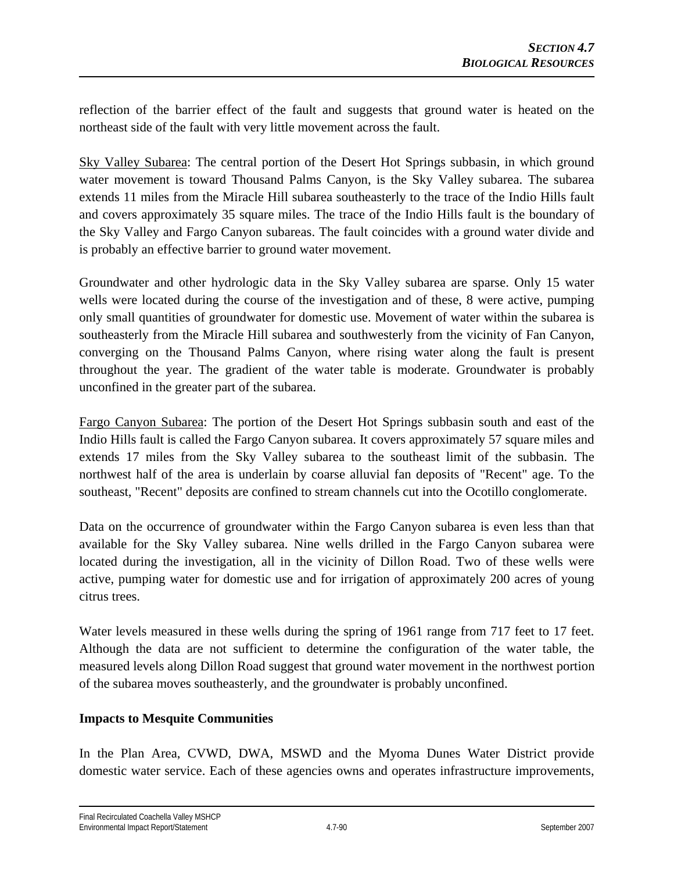reflection of the barrier effect of the fault and suggests that ground water is heated on the northeast side of the fault with very little movement across the fault.

Sky Valley Subarea: The central portion of the Desert Hot Springs subbasin, in which ground water movement is toward Thousand Palms Canyon, is the Sky Valley subarea. The subarea extends 11 miles from the Miracle Hill subarea southeasterly to the trace of the Indio Hills fault and covers approximately 35 square miles. The trace of the Indio Hills fault is the boundary of the Sky Valley and Fargo Canyon subareas. The fault coincides with a ground water divide and is probably an effective barrier to ground water movement.

Groundwater and other hydrologic data in the Sky Valley subarea are sparse. Only 15 water wells were located during the course of the investigation and of these, 8 were active, pumping only small quantities of groundwater for domestic use. Movement of water within the subarea is southeasterly from the Miracle Hill subarea and southwesterly from the vicinity of Fan Canyon, converging on the Thousand Palms Canyon, where rising water along the fault is present throughout the year. The gradient of the water table is moderate. Groundwater is probably unconfined in the greater part of the subarea.

Fargo Canyon Subarea: The portion of the Desert Hot Springs subbasin south and east of the Indio Hills fault is called the Fargo Canyon subarea. It covers approximately 57 square miles and extends 17 miles from the Sky Valley subarea to the southeast limit of the subbasin. The northwest half of the area is underlain by coarse alluvial fan deposits of "Recent" age. To the southeast, "Recent" deposits are confined to stream channels cut into the Ocotillo conglomerate.

Data on the occurrence of groundwater within the Fargo Canyon subarea is even less than that available for the Sky Valley subarea. Nine wells drilled in the Fargo Canyon subarea were located during the investigation, all in the vicinity of Dillon Road. Two of these wells were active, pumping water for domestic use and for irrigation of approximately 200 acres of young citrus trees.

Water levels measured in these wells during the spring of 1961 range from 717 feet to 17 feet. Although the data are not sufficient to determine the configuration of the water table, the measured levels along Dillon Road suggest that ground water movement in the northwest portion of the subarea moves southeasterly, and the groundwater is probably unconfined.

## **Impacts to Mesquite Communities**

In the Plan Area, CVWD, DWA, MSWD and the Myoma Dunes Water District provide domestic water service. Each of these agencies owns and operates infrastructure improvements,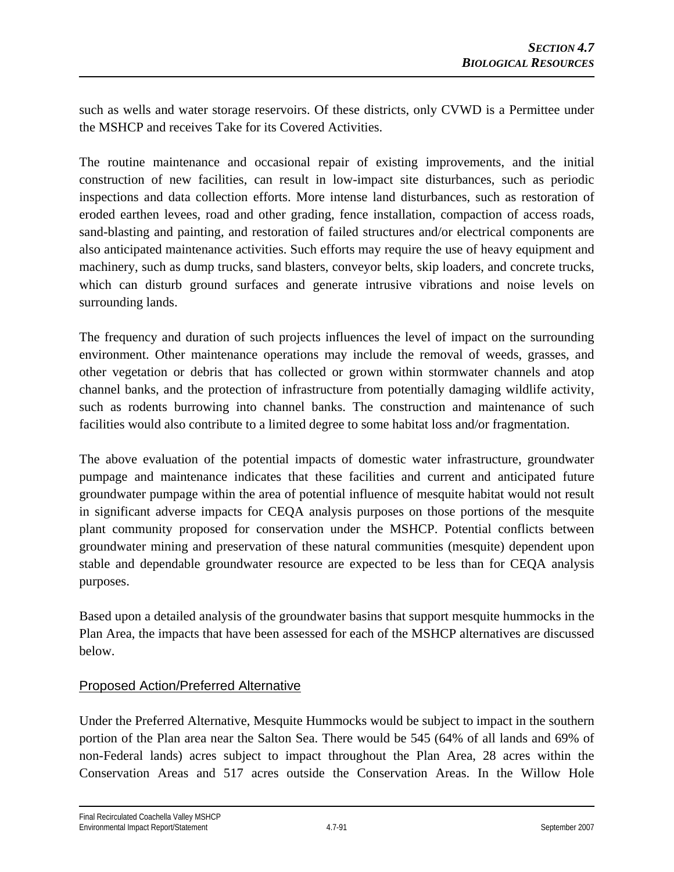such as wells and water storage reservoirs. Of these districts, only CVWD is a Permittee under the MSHCP and receives Take for its Covered Activities.

The routine maintenance and occasional repair of existing improvements, and the initial construction of new facilities, can result in low-impact site disturbances, such as periodic inspections and data collection efforts. More intense land disturbances, such as restoration of eroded earthen levees, road and other grading, fence installation, compaction of access roads, sand-blasting and painting, and restoration of failed structures and/or electrical components are also anticipated maintenance activities. Such efforts may require the use of heavy equipment and machinery, such as dump trucks, sand blasters, conveyor belts, skip loaders, and concrete trucks, which can disturb ground surfaces and generate intrusive vibrations and noise levels on surrounding lands.

The frequency and duration of such projects influences the level of impact on the surrounding environment. Other maintenance operations may include the removal of weeds, grasses, and other vegetation or debris that has collected or grown within stormwater channels and atop channel banks, and the protection of infrastructure from potentially damaging wildlife activity, such as rodents burrowing into channel banks. The construction and maintenance of such facilities would also contribute to a limited degree to some habitat loss and/or fragmentation.

The above evaluation of the potential impacts of domestic water infrastructure, groundwater pumpage and maintenance indicates that these facilities and current and anticipated future groundwater pumpage within the area of potential influence of mesquite habitat would not result in significant adverse impacts for CEQA analysis purposes on those portions of the mesquite plant community proposed for conservation under the MSHCP. Potential conflicts between groundwater mining and preservation of these natural communities (mesquite) dependent upon stable and dependable groundwater resource are expected to be less than for CEQA analysis purposes.

Based upon a detailed analysis of the groundwater basins that support mesquite hummocks in the Plan Area, the impacts that have been assessed for each of the MSHCP alternatives are discussed below.

## Proposed Action/Preferred Alternative

Under the Preferred Alternative, Mesquite Hummocks would be subject to impact in the southern portion of the Plan area near the Salton Sea. There would be 545 (64% of all lands and 69% of non-Federal lands) acres subject to impact throughout the Plan Area, 28 acres within the Conservation Areas and 517 acres outside the Conservation Areas. In the Willow Hole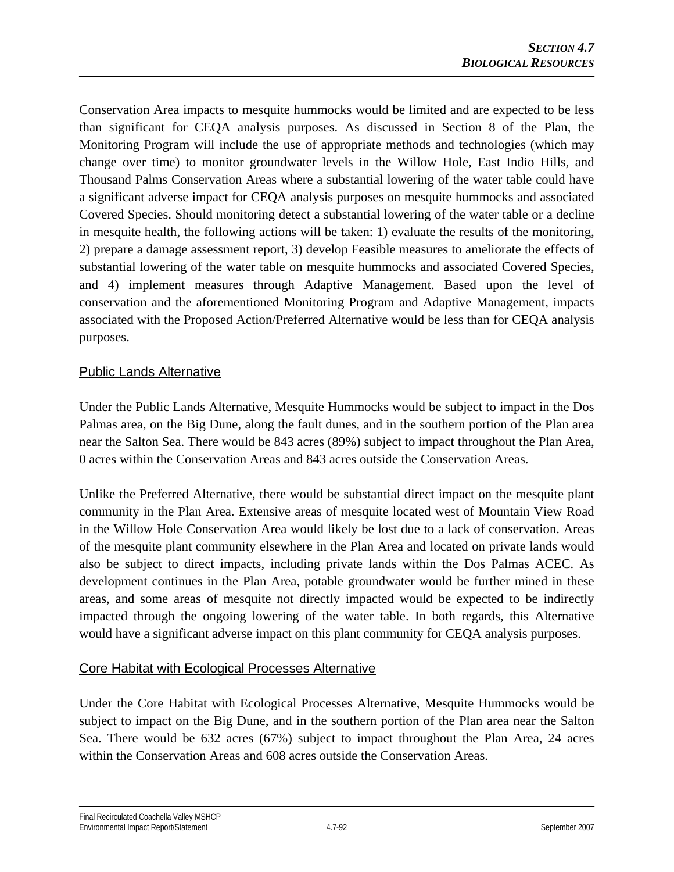Conservation Area impacts to mesquite hummocks would be limited and are expected to be less than significant for CEQA analysis purposes. As discussed in Section 8 of the Plan, the Monitoring Program will include the use of appropriate methods and technologies (which may change over time) to monitor groundwater levels in the Willow Hole, East Indio Hills, and Thousand Palms Conservation Areas where a substantial lowering of the water table could have a significant adverse impact for CEQA analysis purposes on mesquite hummocks and associated Covered Species. Should monitoring detect a substantial lowering of the water table or a decline in mesquite health, the following actions will be taken: 1) evaluate the results of the monitoring, 2) prepare a damage assessment report, 3) develop Feasible measures to ameliorate the effects of substantial lowering of the water table on mesquite hummocks and associated Covered Species, and 4) implement measures through Adaptive Management. Based upon the level of conservation and the aforementioned Monitoring Program and Adaptive Management, impacts associated with the Proposed Action/Preferred Alternative would be less than for CEQA analysis purposes.

## Public Lands Alternative

Under the Public Lands Alternative, Mesquite Hummocks would be subject to impact in the Dos Palmas area, on the Big Dune, along the fault dunes, and in the southern portion of the Plan area near the Salton Sea. There would be 843 acres (89%) subject to impact throughout the Plan Area, 0 acres within the Conservation Areas and 843 acres outside the Conservation Areas.

Unlike the Preferred Alternative, there would be substantial direct impact on the mesquite plant community in the Plan Area. Extensive areas of mesquite located west of Mountain View Road in the Willow Hole Conservation Area would likely be lost due to a lack of conservation. Areas of the mesquite plant community elsewhere in the Plan Area and located on private lands would also be subject to direct impacts, including private lands within the Dos Palmas ACEC. As development continues in the Plan Area, potable groundwater would be further mined in these areas, and some areas of mesquite not directly impacted would be expected to be indirectly impacted through the ongoing lowering of the water table. In both regards, this Alternative would have a significant adverse impact on this plant community for CEQA analysis purposes.

## Core Habitat with Ecological Processes Alternative

Under the Core Habitat with Ecological Processes Alternative, Mesquite Hummocks would be subject to impact on the Big Dune, and in the southern portion of the Plan area near the Salton Sea. There would be 632 acres (67%) subject to impact throughout the Plan Area, 24 acres within the Conservation Areas and 608 acres outside the Conservation Areas.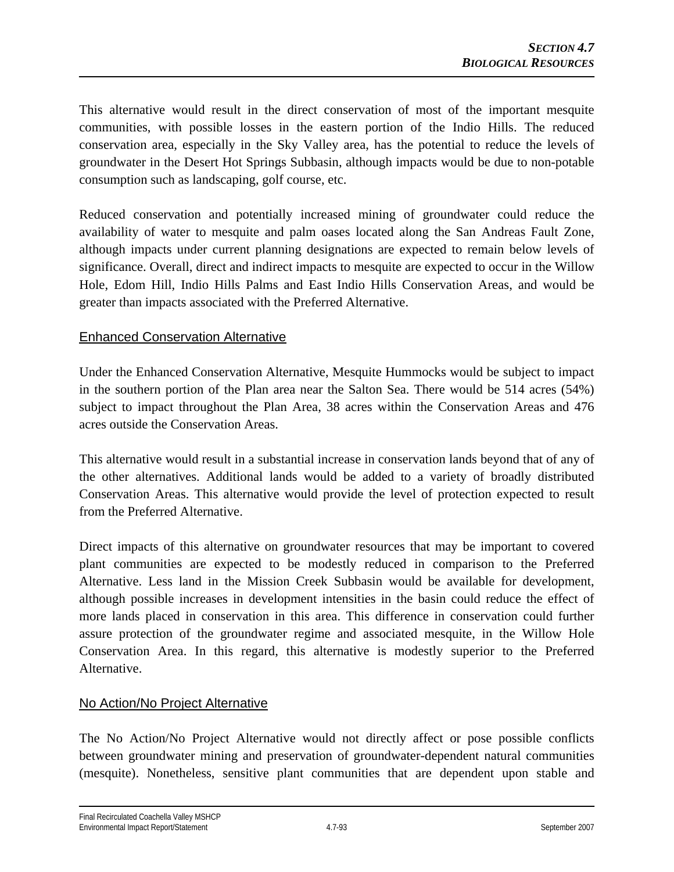This alternative would result in the direct conservation of most of the important mesquite communities, with possible losses in the eastern portion of the Indio Hills. The reduced conservation area, especially in the Sky Valley area, has the potential to reduce the levels of groundwater in the Desert Hot Springs Subbasin, although impacts would be due to non-potable consumption such as landscaping, golf course, etc.

Reduced conservation and potentially increased mining of groundwater could reduce the availability of water to mesquite and palm oases located along the San Andreas Fault Zone, although impacts under current planning designations are expected to remain below levels of significance. Overall, direct and indirect impacts to mesquite are expected to occur in the Willow Hole, Edom Hill, Indio Hills Palms and East Indio Hills Conservation Areas, and would be greater than impacts associated with the Preferred Alternative.

## Enhanced Conservation Alternative

Under the Enhanced Conservation Alternative, Mesquite Hummocks would be subject to impact in the southern portion of the Plan area near the Salton Sea. There would be 514 acres (54%) subject to impact throughout the Plan Area, 38 acres within the Conservation Areas and 476 acres outside the Conservation Areas.

This alternative would result in a substantial increase in conservation lands beyond that of any of the other alternatives. Additional lands would be added to a variety of broadly distributed Conservation Areas. This alternative would provide the level of protection expected to result from the Preferred Alternative.

Direct impacts of this alternative on groundwater resources that may be important to covered plant communities are expected to be modestly reduced in comparison to the Preferred Alternative. Less land in the Mission Creek Subbasin would be available for development, although possible increases in development intensities in the basin could reduce the effect of more lands placed in conservation in this area. This difference in conservation could further assure protection of the groundwater regime and associated mesquite, in the Willow Hole Conservation Area. In this regard, this alternative is modestly superior to the Preferred Alternative.

## No Action/No Project Alternative

The No Action/No Project Alternative would not directly affect or pose possible conflicts between groundwater mining and preservation of groundwater-dependent natural communities (mesquite). Nonetheless, sensitive plant communities that are dependent upon stable and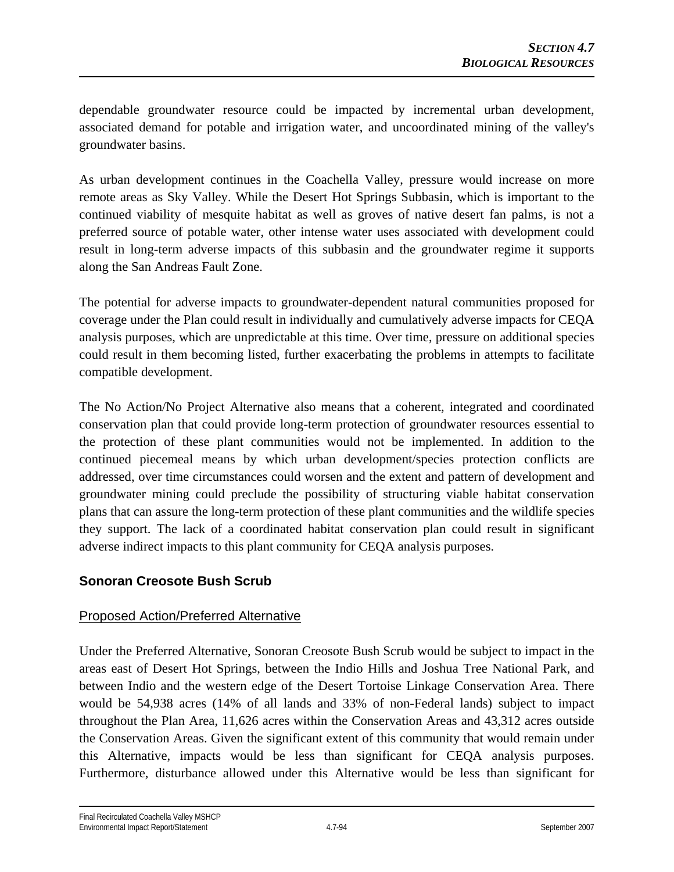dependable groundwater resource could be impacted by incremental urban development, associated demand for potable and irrigation water, and uncoordinated mining of the valley's groundwater basins.

As urban development continues in the Coachella Valley, pressure would increase on more remote areas as Sky Valley. While the Desert Hot Springs Subbasin, which is important to the continued viability of mesquite habitat as well as groves of native desert fan palms, is not a preferred source of potable water, other intense water uses associated with development could result in long-term adverse impacts of this subbasin and the groundwater regime it supports along the San Andreas Fault Zone.

The potential for adverse impacts to groundwater-dependent natural communities proposed for coverage under the Plan could result in individually and cumulatively adverse impacts for CEQA analysis purposes, which are unpredictable at this time. Over time, pressure on additional species could result in them becoming listed, further exacerbating the problems in attempts to facilitate compatible development.

The No Action/No Project Alternative also means that a coherent, integrated and coordinated conservation plan that could provide long-term protection of groundwater resources essential to the protection of these plant communities would not be implemented. In addition to the continued piecemeal means by which urban development/species protection conflicts are addressed, over time circumstances could worsen and the extent and pattern of development and groundwater mining could preclude the possibility of structuring viable habitat conservation plans that can assure the long-term protection of these plant communities and the wildlife species they support. The lack of a coordinated habitat conservation plan could result in significant adverse indirect impacts to this plant community for CEQA analysis purposes.

## **Sonoran Creosote Bush Scrub**

## Proposed Action/Preferred Alternative

Under the Preferred Alternative, Sonoran Creosote Bush Scrub would be subject to impact in the areas east of Desert Hot Springs, between the Indio Hills and Joshua Tree National Park, and between Indio and the western edge of the Desert Tortoise Linkage Conservation Area. There would be 54,938 acres (14% of all lands and 33% of non-Federal lands) subject to impact throughout the Plan Area, 11,626 acres within the Conservation Areas and 43,312 acres outside the Conservation Areas. Given the significant extent of this community that would remain under this Alternative, impacts would be less than significant for CEQA analysis purposes. Furthermore, disturbance allowed under this Alternative would be less than significant for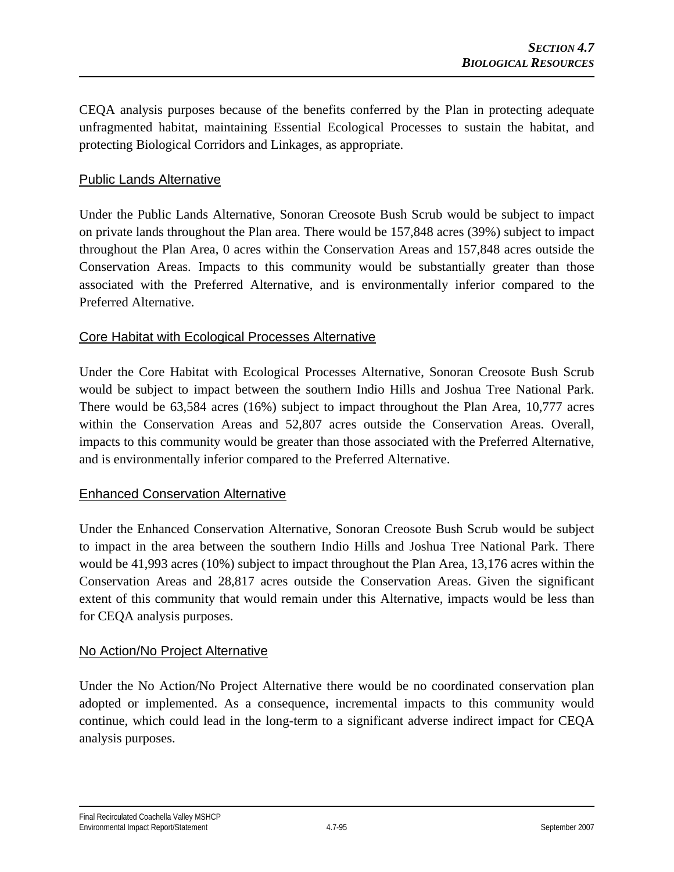CEQA analysis purposes because of the benefits conferred by the Plan in protecting adequate unfragmented habitat, maintaining Essential Ecological Processes to sustain the habitat, and protecting Biological Corridors and Linkages, as appropriate.

### Public Lands Alternative

Under the Public Lands Alternative, Sonoran Creosote Bush Scrub would be subject to impact on private lands throughout the Plan area. There would be 157,848 acres (39%) subject to impact throughout the Plan Area, 0 acres within the Conservation Areas and 157,848 acres outside the Conservation Areas. Impacts to this community would be substantially greater than those associated with the Preferred Alternative, and is environmentally inferior compared to the Preferred Alternative.

## Core Habitat with Ecological Processes Alternative

Under the Core Habitat with Ecological Processes Alternative, Sonoran Creosote Bush Scrub would be subject to impact between the southern Indio Hills and Joshua Tree National Park. There would be 63,584 acres (16%) subject to impact throughout the Plan Area, 10,777 acres within the Conservation Areas and 52,807 acres outside the Conservation Areas. Overall, impacts to this community would be greater than those associated with the Preferred Alternative, and is environmentally inferior compared to the Preferred Alternative.

## Enhanced Conservation Alternative

Under the Enhanced Conservation Alternative, Sonoran Creosote Bush Scrub would be subject to impact in the area between the southern Indio Hills and Joshua Tree National Park. There would be 41,993 acres (10%) subject to impact throughout the Plan Area, 13,176 acres within the Conservation Areas and 28,817 acres outside the Conservation Areas. Given the significant extent of this community that would remain under this Alternative, impacts would be less than for CEQA analysis purposes.

#### No Action/No Project Alternative

Under the No Action/No Project Alternative there would be no coordinated conservation plan adopted or implemented. As a consequence, incremental impacts to this community would continue, which could lead in the long-term to a significant adverse indirect impact for CEQA analysis purposes.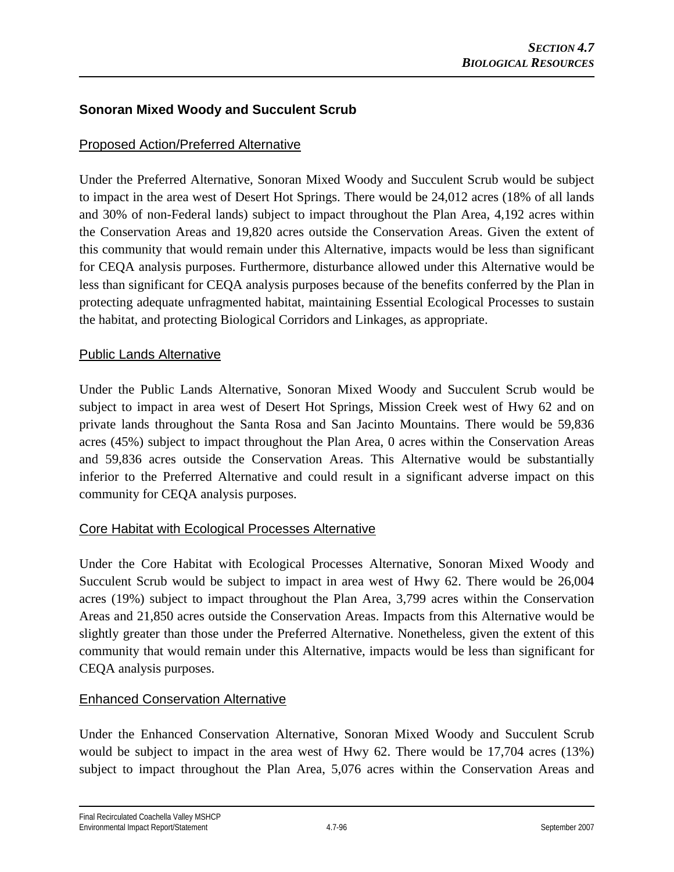## **Sonoran Mixed Woody and Succulent Scrub**

## Proposed Action/Preferred Alternative

Under the Preferred Alternative, Sonoran Mixed Woody and Succulent Scrub would be subject to impact in the area west of Desert Hot Springs. There would be 24,012 acres (18% of all lands and 30% of non-Federal lands) subject to impact throughout the Plan Area, 4,192 acres within the Conservation Areas and 19,820 acres outside the Conservation Areas. Given the extent of this community that would remain under this Alternative, impacts would be less than significant for CEQA analysis purposes. Furthermore, disturbance allowed under this Alternative would be less than significant for CEQA analysis purposes because of the benefits conferred by the Plan in protecting adequate unfragmented habitat, maintaining Essential Ecological Processes to sustain the habitat, and protecting Biological Corridors and Linkages, as appropriate.

#### Public Lands Alternative

Under the Public Lands Alternative, Sonoran Mixed Woody and Succulent Scrub would be subject to impact in area west of Desert Hot Springs, Mission Creek west of Hwy 62 and on private lands throughout the Santa Rosa and San Jacinto Mountains. There would be 59,836 acres (45%) subject to impact throughout the Plan Area, 0 acres within the Conservation Areas and 59,836 acres outside the Conservation Areas. This Alternative would be substantially inferior to the Preferred Alternative and could result in a significant adverse impact on this community for CEQA analysis purposes.

## Core Habitat with Ecological Processes Alternative

Under the Core Habitat with Ecological Processes Alternative, Sonoran Mixed Woody and Succulent Scrub would be subject to impact in area west of Hwy 62. There would be 26,004 acres (19%) subject to impact throughout the Plan Area, 3,799 acres within the Conservation Areas and 21,850 acres outside the Conservation Areas. Impacts from this Alternative would be slightly greater than those under the Preferred Alternative. Nonetheless, given the extent of this community that would remain under this Alternative, impacts would be less than significant for CEQA analysis purposes.

## Enhanced Conservation Alternative

Under the Enhanced Conservation Alternative, Sonoran Mixed Woody and Succulent Scrub would be subject to impact in the area west of Hwy 62. There would be 17,704 acres (13%) subject to impact throughout the Plan Area, 5,076 acres within the Conservation Areas and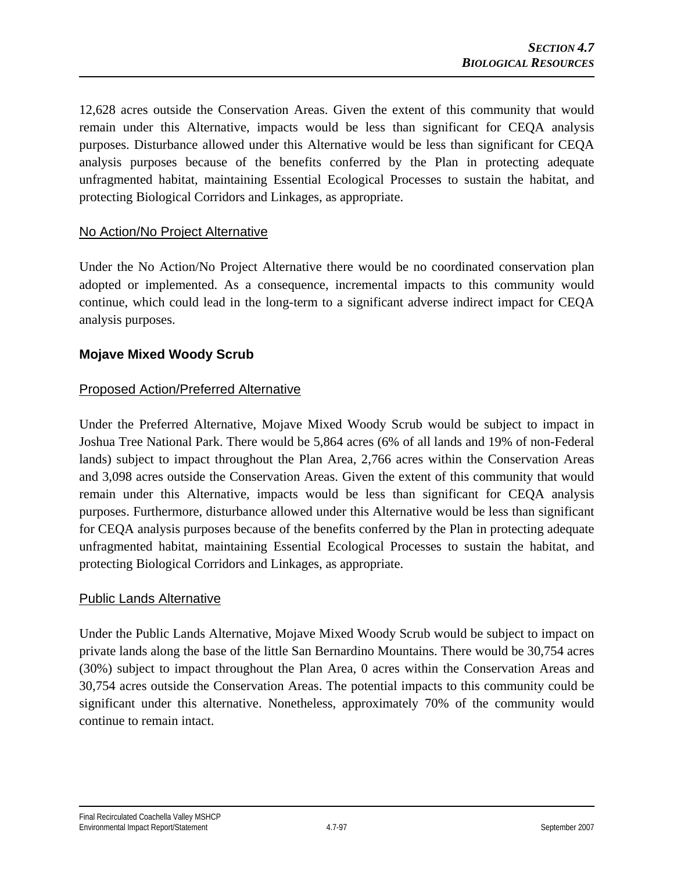12,628 acres outside the Conservation Areas. Given the extent of this community that would remain under this Alternative, impacts would be less than significant for CEQA analysis purposes. Disturbance allowed under this Alternative would be less than significant for CEQA analysis purposes because of the benefits conferred by the Plan in protecting adequate unfragmented habitat, maintaining Essential Ecological Processes to sustain the habitat, and protecting Biological Corridors and Linkages, as appropriate.

## No Action/No Project Alternative

Under the No Action/No Project Alternative there would be no coordinated conservation plan adopted or implemented. As a consequence, incremental impacts to this community would continue, which could lead in the long-term to a significant adverse indirect impact for CEQA analysis purposes.

## **Mojave Mixed Woody Scrub**

## Proposed Action/Preferred Alternative

Under the Preferred Alternative, Mojave Mixed Woody Scrub would be subject to impact in Joshua Tree National Park. There would be 5,864 acres (6% of all lands and 19% of non-Federal lands) subject to impact throughout the Plan Area, 2,766 acres within the Conservation Areas and 3,098 acres outside the Conservation Areas. Given the extent of this community that would remain under this Alternative, impacts would be less than significant for CEQA analysis purposes. Furthermore, disturbance allowed under this Alternative would be less than significant for CEQA analysis purposes because of the benefits conferred by the Plan in protecting adequate unfragmented habitat, maintaining Essential Ecological Processes to sustain the habitat, and protecting Biological Corridors and Linkages, as appropriate.

## Public Lands Alternative

Under the Public Lands Alternative, Mojave Mixed Woody Scrub would be subject to impact on private lands along the base of the little San Bernardino Mountains. There would be 30,754 acres (30%) subject to impact throughout the Plan Area, 0 acres within the Conservation Areas and 30,754 acres outside the Conservation Areas. The potential impacts to this community could be significant under this alternative. Nonetheless, approximately 70% of the community would continue to remain intact.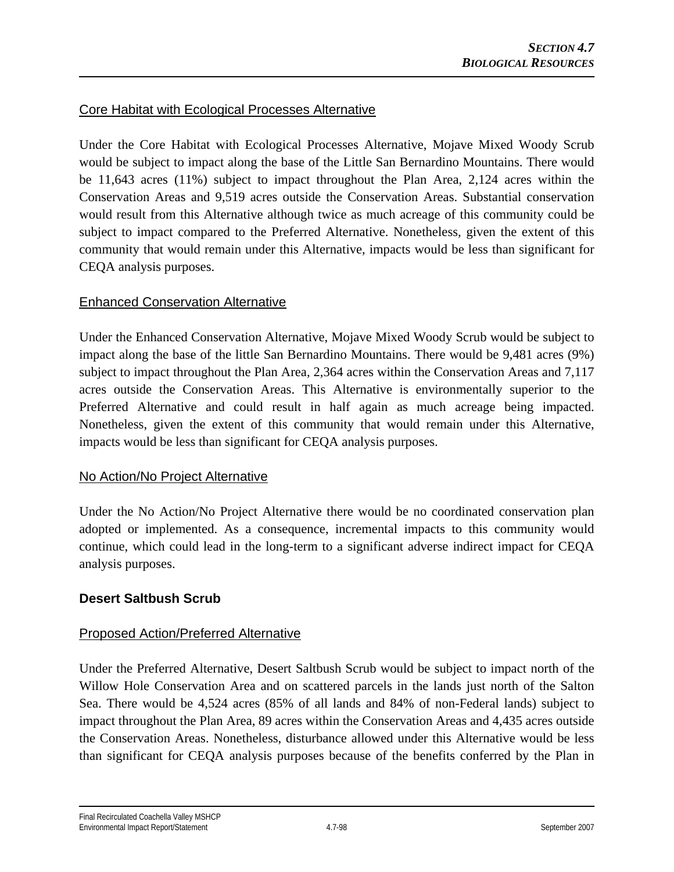## Core Habitat with Ecological Processes Alternative

Under the Core Habitat with Ecological Processes Alternative, Mojave Mixed Woody Scrub would be subject to impact along the base of the Little San Bernardino Mountains. There would be 11,643 acres (11%) subject to impact throughout the Plan Area, 2,124 acres within the Conservation Areas and 9,519 acres outside the Conservation Areas. Substantial conservation would result from this Alternative although twice as much acreage of this community could be subject to impact compared to the Preferred Alternative. Nonetheless, given the extent of this community that would remain under this Alternative, impacts would be less than significant for CEQA analysis purposes.

## Enhanced Conservation Alternative

Under the Enhanced Conservation Alternative, Mojave Mixed Woody Scrub would be subject to impact along the base of the little San Bernardino Mountains. There would be 9,481 acres (9%) subject to impact throughout the Plan Area, 2,364 acres within the Conservation Areas and 7,117 acres outside the Conservation Areas. This Alternative is environmentally superior to the Preferred Alternative and could result in half again as much acreage being impacted. Nonetheless, given the extent of this community that would remain under this Alternative, impacts would be less than significant for CEQA analysis purposes.

## No Action/No Project Alternative

Under the No Action/No Project Alternative there would be no coordinated conservation plan adopted or implemented. As a consequence, incremental impacts to this community would continue, which could lead in the long-term to a significant adverse indirect impact for CEQA analysis purposes.

## **Desert Saltbush Scrub**

## Proposed Action/Preferred Alternative

Under the Preferred Alternative, Desert Saltbush Scrub would be subject to impact north of the Willow Hole Conservation Area and on scattered parcels in the lands just north of the Salton Sea. There would be 4,524 acres (85% of all lands and 84% of non-Federal lands) subject to impact throughout the Plan Area, 89 acres within the Conservation Areas and 4,435 acres outside the Conservation Areas. Nonetheless, disturbance allowed under this Alternative would be less than significant for CEQA analysis purposes because of the benefits conferred by the Plan in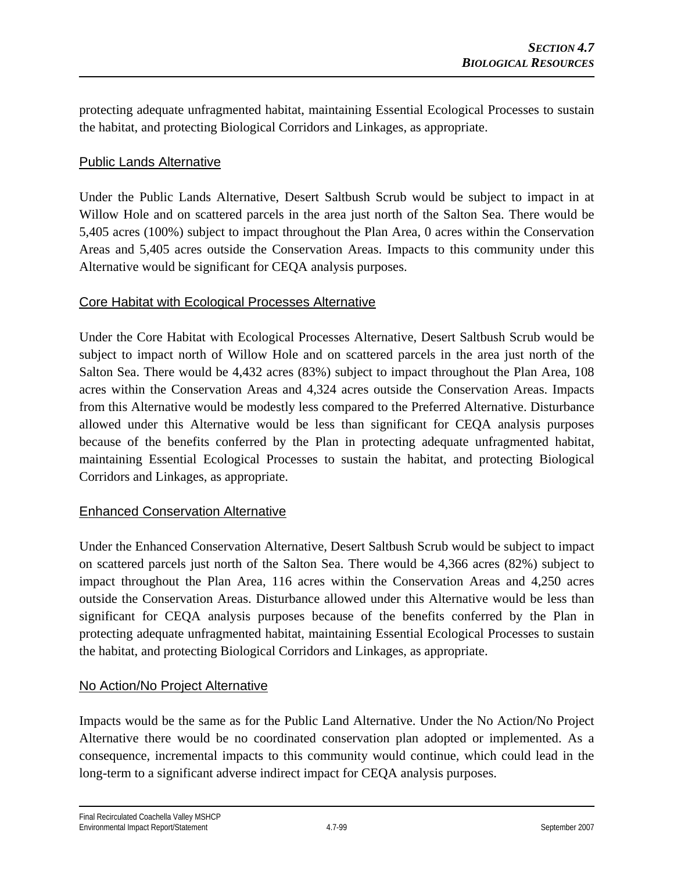protecting adequate unfragmented habitat, maintaining Essential Ecological Processes to sustain the habitat, and protecting Biological Corridors and Linkages, as appropriate.

## Public Lands Alternative

Under the Public Lands Alternative, Desert Saltbush Scrub would be subject to impact in at Willow Hole and on scattered parcels in the area just north of the Salton Sea. There would be 5,405 acres (100%) subject to impact throughout the Plan Area, 0 acres within the Conservation Areas and 5,405 acres outside the Conservation Areas. Impacts to this community under this Alternative would be significant for CEQA analysis purposes.

## Core Habitat with Ecological Processes Alternative

Under the Core Habitat with Ecological Processes Alternative, Desert Saltbush Scrub would be subject to impact north of Willow Hole and on scattered parcels in the area just north of the Salton Sea. There would be 4,432 acres (83%) subject to impact throughout the Plan Area, 108 acres within the Conservation Areas and 4,324 acres outside the Conservation Areas. Impacts from this Alternative would be modestly less compared to the Preferred Alternative. Disturbance allowed under this Alternative would be less than significant for CEQA analysis purposes because of the benefits conferred by the Plan in protecting adequate unfragmented habitat, maintaining Essential Ecological Processes to sustain the habitat, and protecting Biological Corridors and Linkages, as appropriate.

## Enhanced Conservation Alternative

Under the Enhanced Conservation Alternative, Desert Saltbush Scrub would be subject to impact on scattered parcels just north of the Salton Sea. There would be 4,366 acres (82%) subject to impact throughout the Plan Area, 116 acres within the Conservation Areas and 4,250 acres outside the Conservation Areas. Disturbance allowed under this Alternative would be less than significant for CEQA analysis purposes because of the benefits conferred by the Plan in protecting adequate unfragmented habitat, maintaining Essential Ecological Processes to sustain the habitat, and protecting Biological Corridors and Linkages, as appropriate.

## No Action/No Project Alternative

Impacts would be the same as for the Public Land Alternative. Under the No Action/No Project Alternative there would be no coordinated conservation plan adopted or implemented. As a consequence, incremental impacts to this community would continue, which could lead in the long-term to a significant adverse indirect impact for CEQA analysis purposes.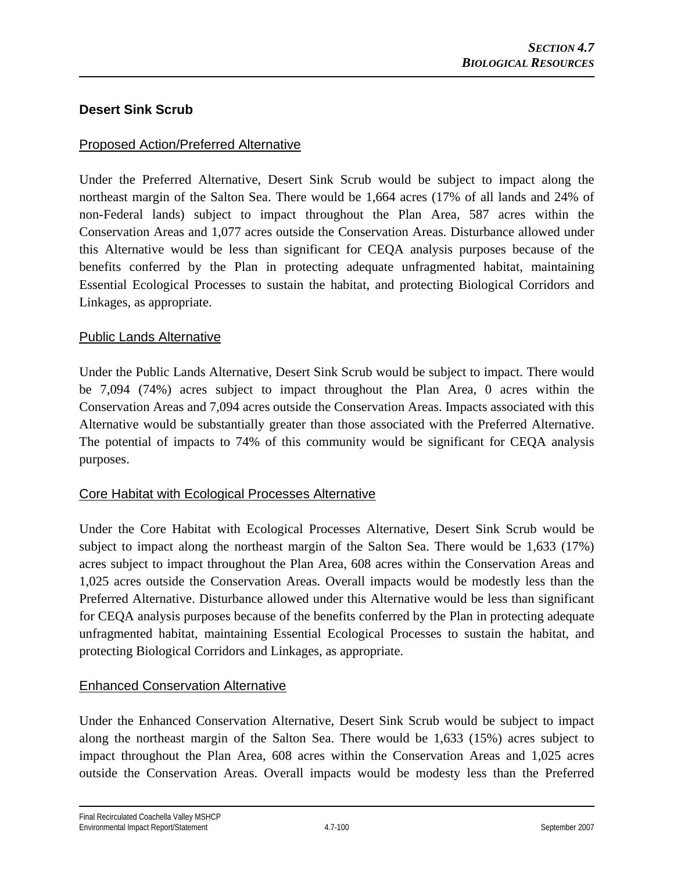## **Desert Sink Scrub**

## Proposed Action/Preferred Alternative

Under the Preferred Alternative, Desert Sink Scrub would be subject to impact along the northeast margin of the Salton Sea. There would be 1,664 acres (17% of all lands and 24% of non-Federal lands) subject to impact throughout the Plan Area, 587 acres within the Conservation Areas and 1,077 acres outside the Conservation Areas. Disturbance allowed under this Alternative would be less than significant for CEQA analysis purposes because of the benefits conferred by the Plan in protecting adequate unfragmented habitat, maintaining Essential Ecological Processes to sustain the habitat, and protecting Biological Corridors and Linkages, as appropriate.

## Public Lands Alternative

Under the Public Lands Alternative, Desert Sink Scrub would be subject to impact. There would be 7,094 (74%) acres subject to impact throughout the Plan Area, 0 acres within the Conservation Areas and 7,094 acres outside the Conservation Areas. Impacts associated with this Alternative would be substantially greater than those associated with the Preferred Alternative. The potential of impacts to 74% of this community would be significant for CEQA analysis purposes.

## Core Habitat with Ecological Processes Alternative

Under the Core Habitat with Ecological Processes Alternative, Desert Sink Scrub would be subject to impact along the northeast margin of the Salton Sea. There would be 1,633 (17%) acres subject to impact throughout the Plan Area, 608 acres within the Conservation Areas and 1,025 acres outside the Conservation Areas. Overall impacts would be modestly less than the Preferred Alternative. Disturbance allowed under this Alternative would be less than significant for CEQA analysis purposes because of the benefits conferred by the Plan in protecting adequate unfragmented habitat, maintaining Essential Ecological Processes to sustain the habitat, and protecting Biological Corridors and Linkages, as appropriate.

## Enhanced Conservation Alternative

Under the Enhanced Conservation Alternative, Desert Sink Scrub would be subject to impact along the northeast margin of the Salton Sea. There would be 1,633 (15%) acres subject to impact throughout the Plan Area, 608 acres within the Conservation Areas and 1,025 acres outside the Conservation Areas. Overall impacts would be modesty less than the Preferred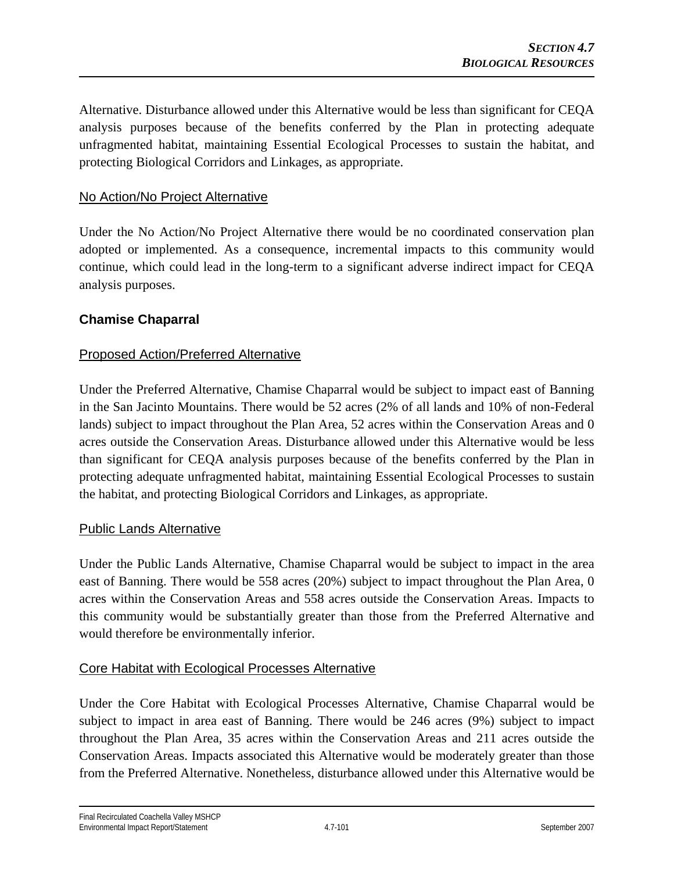Alternative. Disturbance allowed under this Alternative would be less than significant for CEQA analysis purposes because of the benefits conferred by the Plan in protecting adequate unfragmented habitat, maintaining Essential Ecological Processes to sustain the habitat, and protecting Biological Corridors and Linkages, as appropriate.

## No Action/No Project Alternative

Under the No Action/No Project Alternative there would be no coordinated conservation plan adopted or implemented. As a consequence, incremental impacts to this community would continue, which could lead in the long-term to a significant adverse indirect impact for CEQA analysis purposes.

#### **Chamise Chaparral**

#### Proposed Action/Preferred Alternative

Under the Preferred Alternative, Chamise Chaparral would be subject to impact east of Banning in the San Jacinto Mountains. There would be 52 acres (2% of all lands and 10% of non-Federal lands) subject to impact throughout the Plan Area, 52 acres within the Conservation Areas and 0 acres outside the Conservation Areas. Disturbance allowed under this Alternative would be less than significant for CEQA analysis purposes because of the benefits conferred by the Plan in protecting adequate unfragmented habitat, maintaining Essential Ecological Processes to sustain the habitat, and protecting Biological Corridors and Linkages, as appropriate.

#### Public Lands Alternative

Under the Public Lands Alternative, Chamise Chaparral would be subject to impact in the area east of Banning. There would be 558 acres (20%) subject to impact throughout the Plan Area, 0 acres within the Conservation Areas and 558 acres outside the Conservation Areas. Impacts to this community would be substantially greater than those from the Preferred Alternative and would therefore be environmentally inferior.

#### Core Habitat with Ecological Processes Alternative

Under the Core Habitat with Ecological Processes Alternative, Chamise Chaparral would be subject to impact in area east of Banning. There would be 246 acres (9%) subject to impact throughout the Plan Area, 35 acres within the Conservation Areas and 211 acres outside the Conservation Areas. Impacts associated this Alternative would be moderately greater than those from the Preferred Alternative. Nonetheless, disturbance allowed under this Alternative would be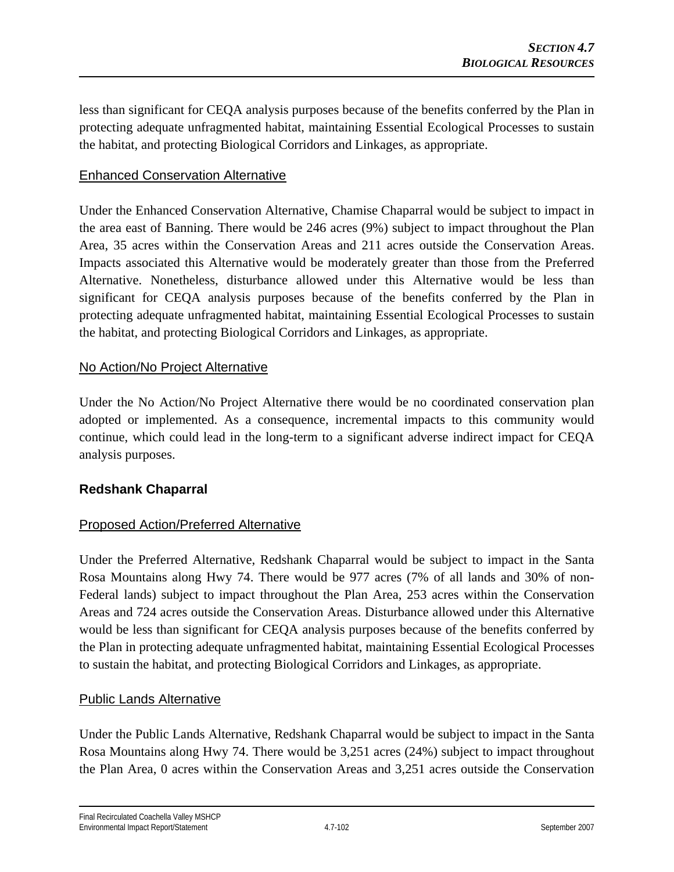less than significant for CEQA analysis purposes because of the benefits conferred by the Plan in protecting adequate unfragmented habitat, maintaining Essential Ecological Processes to sustain the habitat, and protecting Biological Corridors and Linkages, as appropriate.

## Enhanced Conservation Alternative

Under the Enhanced Conservation Alternative, Chamise Chaparral would be subject to impact in the area east of Banning. There would be 246 acres (9%) subject to impact throughout the Plan Area, 35 acres within the Conservation Areas and 211 acres outside the Conservation Areas. Impacts associated this Alternative would be moderately greater than those from the Preferred Alternative. Nonetheless, disturbance allowed under this Alternative would be less than significant for CEQA analysis purposes because of the benefits conferred by the Plan in protecting adequate unfragmented habitat, maintaining Essential Ecological Processes to sustain the habitat, and protecting Biological Corridors and Linkages, as appropriate.

## No Action/No Project Alternative

Under the No Action/No Project Alternative there would be no coordinated conservation plan adopted or implemented. As a consequence, incremental impacts to this community would continue, which could lead in the long-term to a significant adverse indirect impact for CEQA analysis purposes.

## **Redshank Chaparral**

## Proposed Action/Preferred Alternative

Under the Preferred Alternative, Redshank Chaparral would be subject to impact in the Santa Rosa Mountains along Hwy 74. There would be 977 acres (7% of all lands and 30% of non-Federal lands) subject to impact throughout the Plan Area, 253 acres within the Conservation Areas and 724 acres outside the Conservation Areas. Disturbance allowed under this Alternative would be less than significant for CEQA analysis purposes because of the benefits conferred by the Plan in protecting adequate unfragmented habitat, maintaining Essential Ecological Processes to sustain the habitat, and protecting Biological Corridors and Linkages, as appropriate.

## Public Lands Alternative

Under the Public Lands Alternative, Redshank Chaparral would be subject to impact in the Santa Rosa Mountains along Hwy 74. There would be 3,251 acres (24%) subject to impact throughout the Plan Area, 0 acres within the Conservation Areas and 3,251 acres outside the Conservation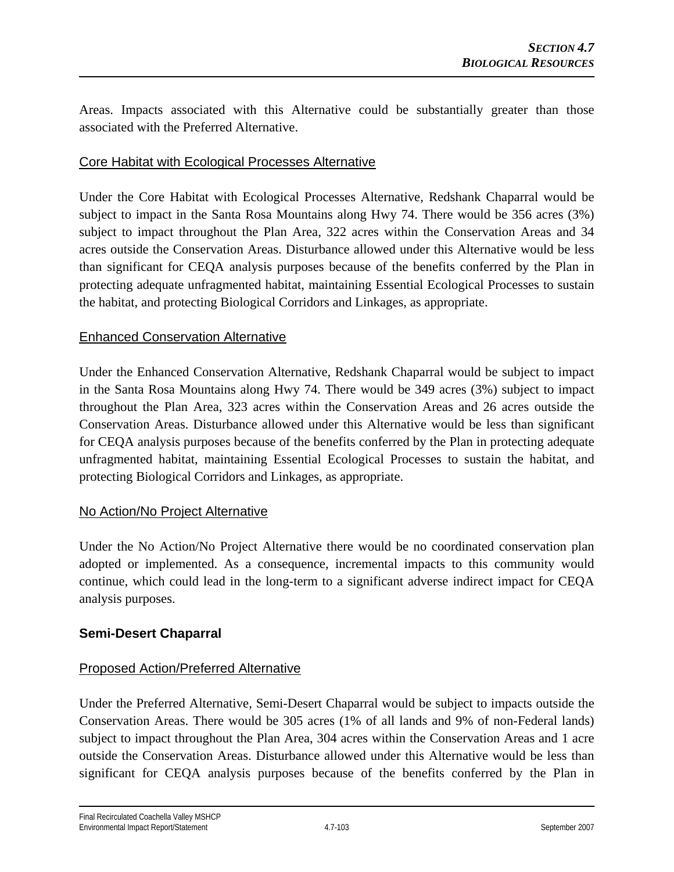Areas. Impacts associated with this Alternative could be substantially greater than those associated with the Preferred Alternative.

### Core Habitat with Ecological Processes Alternative

Under the Core Habitat with Ecological Processes Alternative, Redshank Chaparral would be subject to impact in the Santa Rosa Mountains along Hwy 74. There would be 356 acres (3%) subject to impact throughout the Plan Area, 322 acres within the Conservation Areas and 34 acres outside the Conservation Areas. Disturbance allowed under this Alternative would be less than significant for CEQA analysis purposes because of the benefits conferred by the Plan in protecting adequate unfragmented habitat, maintaining Essential Ecological Processes to sustain the habitat, and protecting Biological Corridors and Linkages, as appropriate.

#### Enhanced Conservation Alternative

Under the Enhanced Conservation Alternative, Redshank Chaparral would be subject to impact in the Santa Rosa Mountains along Hwy 74. There would be 349 acres (3%) subject to impact throughout the Plan Area, 323 acres within the Conservation Areas and 26 acres outside the Conservation Areas. Disturbance allowed under this Alternative would be less than significant for CEQA analysis purposes because of the benefits conferred by the Plan in protecting adequate unfragmented habitat, maintaining Essential Ecological Processes to sustain the habitat, and protecting Biological Corridors and Linkages, as appropriate.

## No Action/No Project Alternative

Under the No Action/No Project Alternative there would be no coordinated conservation plan adopted or implemented. As a consequence, incremental impacts to this community would continue, which could lead in the long-term to a significant adverse indirect impact for CEQA analysis purposes.

## **Semi-Desert Chaparral**

## Proposed Action/Preferred Alternative

Under the Preferred Alternative, Semi-Desert Chaparral would be subject to impacts outside the Conservation Areas. There would be 305 acres (1% of all lands and 9% of non-Federal lands) subject to impact throughout the Plan Area, 304 acres within the Conservation Areas and 1 acre outside the Conservation Areas. Disturbance allowed under this Alternative would be less than significant for CEQA analysis purposes because of the benefits conferred by the Plan in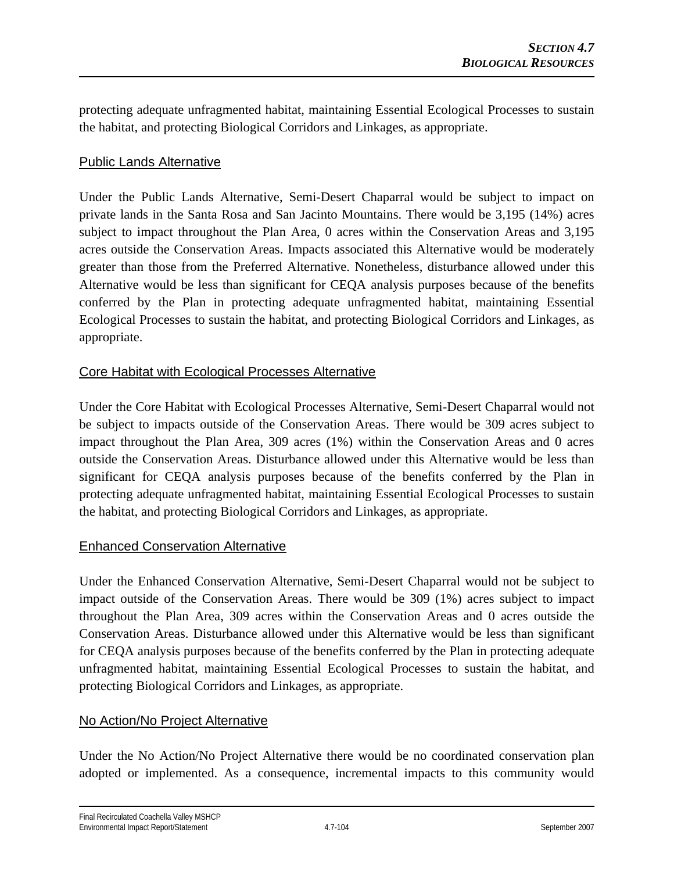protecting adequate unfragmented habitat, maintaining Essential Ecological Processes to sustain the habitat, and protecting Biological Corridors and Linkages, as appropriate.

## Public Lands Alternative

Under the Public Lands Alternative, Semi-Desert Chaparral would be subject to impact on private lands in the Santa Rosa and San Jacinto Mountains. There would be 3,195 (14%) acres subject to impact throughout the Plan Area, 0 acres within the Conservation Areas and 3,195 acres outside the Conservation Areas. Impacts associated this Alternative would be moderately greater than those from the Preferred Alternative. Nonetheless, disturbance allowed under this Alternative would be less than significant for CEQA analysis purposes because of the benefits conferred by the Plan in protecting adequate unfragmented habitat, maintaining Essential Ecological Processes to sustain the habitat, and protecting Biological Corridors and Linkages, as appropriate.

## Core Habitat with Ecological Processes Alternative

Under the Core Habitat with Ecological Processes Alternative, Semi-Desert Chaparral would not be subject to impacts outside of the Conservation Areas. There would be 309 acres subject to impact throughout the Plan Area, 309 acres (1%) within the Conservation Areas and 0 acres outside the Conservation Areas. Disturbance allowed under this Alternative would be less than significant for CEQA analysis purposes because of the benefits conferred by the Plan in protecting adequate unfragmented habitat, maintaining Essential Ecological Processes to sustain the habitat, and protecting Biological Corridors and Linkages, as appropriate.

## Enhanced Conservation Alternative

Under the Enhanced Conservation Alternative, Semi-Desert Chaparral would not be subject to impact outside of the Conservation Areas. There would be 309 (1%) acres subject to impact throughout the Plan Area, 309 acres within the Conservation Areas and 0 acres outside the Conservation Areas. Disturbance allowed under this Alternative would be less than significant for CEQA analysis purposes because of the benefits conferred by the Plan in protecting adequate unfragmented habitat, maintaining Essential Ecological Processes to sustain the habitat, and protecting Biological Corridors and Linkages, as appropriate.

## No Action/No Project Alternative

Under the No Action/No Project Alternative there would be no coordinated conservation plan adopted or implemented. As a consequence, incremental impacts to this community would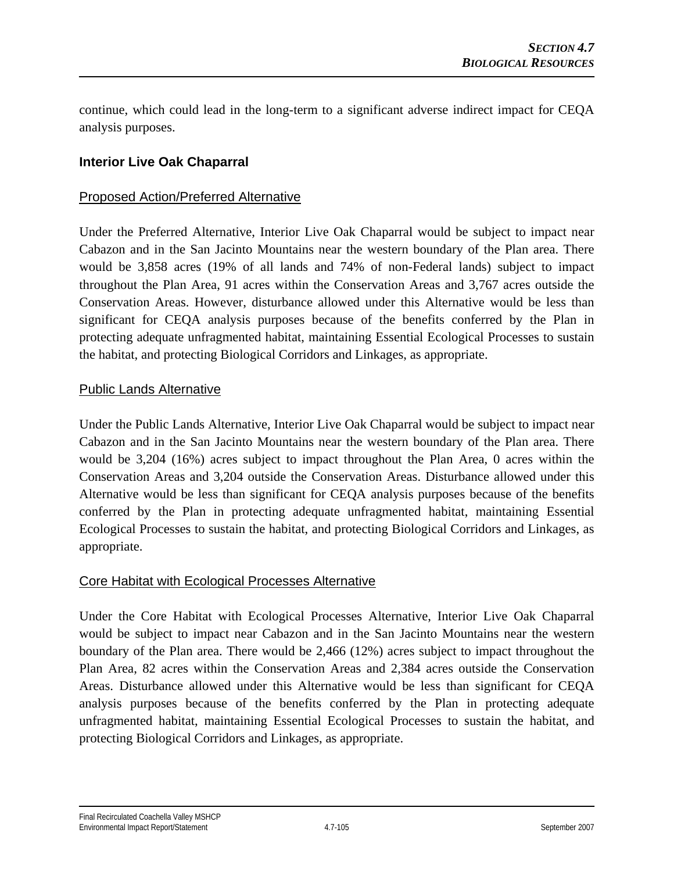continue, which could lead in the long-term to a significant adverse indirect impact for CEQA analysis purposes.

## **Interior Live Oak Chaparral**

#### Proposed Action/Preferred Alternative

Under the Preferred Alternative, Interior Live Oak Chaparral would be subject to impact near Cabazon and in the San Jacinto Mountains near the western boundary of the Plan area. There would be 3,858 acres (19% of all lands and 74% of non-Federal lands) subject to impact throughout the Plan Area, 91 acres within the Conservation Areas and 3,767 acres outside the Conservation Areas. However, disturbance allowed under this Alternative would be less than significant for CEQA analysis purposes because of the benefits conferred by the Plan in protecting adequate unfragmented habitat, maintaining Essential Ecological Processes to sustain the habitat, and protecting Biological Corridors and Linkages, as appropriate.

#### Public Lands Alternative

Under the Public Lands Alternative, Interior Live Oak Chaparral would be subject to impact near Cabazon and in the San Jacinto Mountains near the western boundary of the Plan area. There would be 3,204 (16%) acres subject to impact throughout the Plan Area, 0 acres within the Conservation Areas and 3,204 outside the Conservation Areas. Disturbance allowed under this Alternative would be less than significant for CEQA analysis purposes because of the benefits conferred by the Plan in protecting adequate unfragmented habitat, maintaining Essential Ecological Processes to sustain the habitat, and protecting Biological Corridors and Linkages, as appropriate.

#### Core Habitat with Ecological Processes Alternative

Under the Core Habitat with Ecological Processes Alternative, Interior Live Oak Chaparral would be subject to impact near Cabazon and in the San Jacinto Mountains near the western boundary of the Plan area. There would be 2,466 (12%) acres subject to impact throughout the Plan Area, 82 acres within the Conservation Areas and 2,384 acres outside the Conservation Areas. Disturbance allowed under this Alternative would be less than significant for CEQA analysis purposes because of the benefits conferred by the Plan in protecting adequate unfragmented habitat, maintaining Essential Ecological Processes to sustain the habitat, and protecting Biological Corridors and Linkages, as appropriate.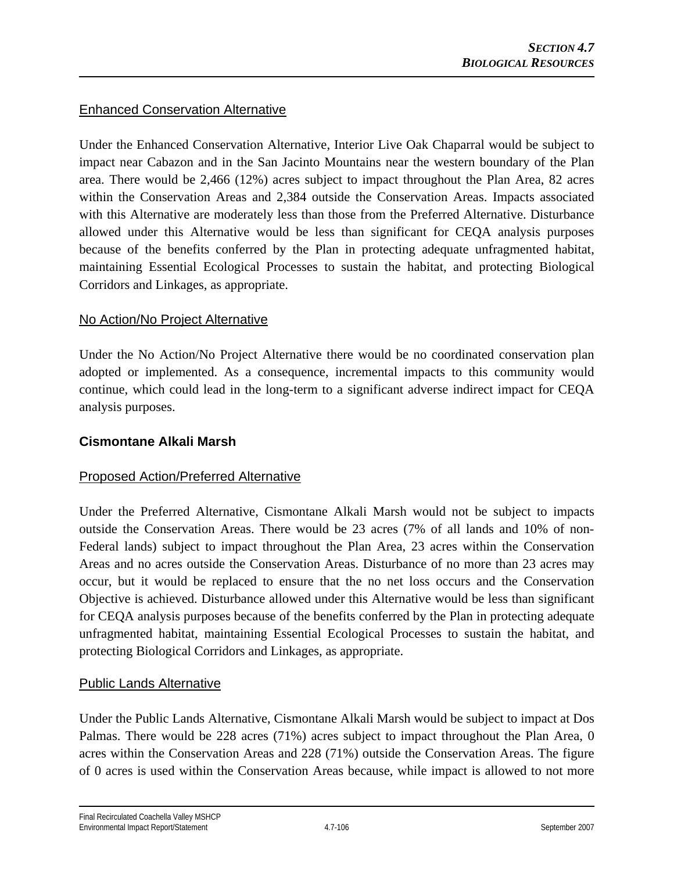## Enhanced Conservation Alternative

Under the Enhanced Conservation Alternative, Interior Live Oak Chaparral would be subject to impact near Cabazon and in the San Jacinto Mountains near the western boundary of the Plan area. There would be 2,466 (12%) acres subject to impact throughout the Plan Area, 82 acres within the Conservation Areas and 2,384 outside the Conservation Areas. Impacts associated with this Alternative are moderately less than those from the Preferred Alternative. Disturbance allowed under this Alternative would be less than significant for CEQA analysis purposes because of the benefits conferred by the Plan in protecting adequate unfragmented habitat, maintaining Essential Ecological Processes to sustain the habitat, and protecting Biological Corridors and Linkages, as appropriate.

## No Action/No Project Alternative

Under the No Action/No Project Alternative there would be no coordinated conservation plan adopted or implemented. As a consequence, incremental impacts to this community would continue, which could lead in the long-term to a significant adverse indirect impact for CEQA analysis purposes.

## **Cismontane Alkali Marsh**

## Proposed Action/Preferred Alternative

Under the Preferred Alternative, Cismontane Alkali Marsh would not be subject to impacts outside the Conservation Areas. There would be 23 acres (7% of all lands and 10% of non-Federal lands) subject to impact throughout the Plan Area, 23 acres within the Conservation Areas and no acres outside the Conservation Areas. Disturbance of no more than 23 acres may occur, but it would be replaced to ensure that the no net loss occurs and the Conservation Objective is achieved. Disturbance allowed under this Alternative would be less than significant for CEQA analysis purposes because of the benefits conferred by the Plan in protecting adequate unfragmented habitat, maintaining Essential Ecological Processes to sustain the habitat, and protecting Biological Corridors and Linkages, as appropriate.

## Public Lands Alternative

Under the Public Lands Alternative, Cismontane Alkali Marsh would be subject to impact at Dos Palmas. There would be 228 acres (71%) acres subject to impact throughout the Plan Area, 0 acres within the Conservation Areas and 228 (71%) outside the Conservation Areas. The figure of 0 acres is used within the Conservation Areas because, while impact is allowed to not more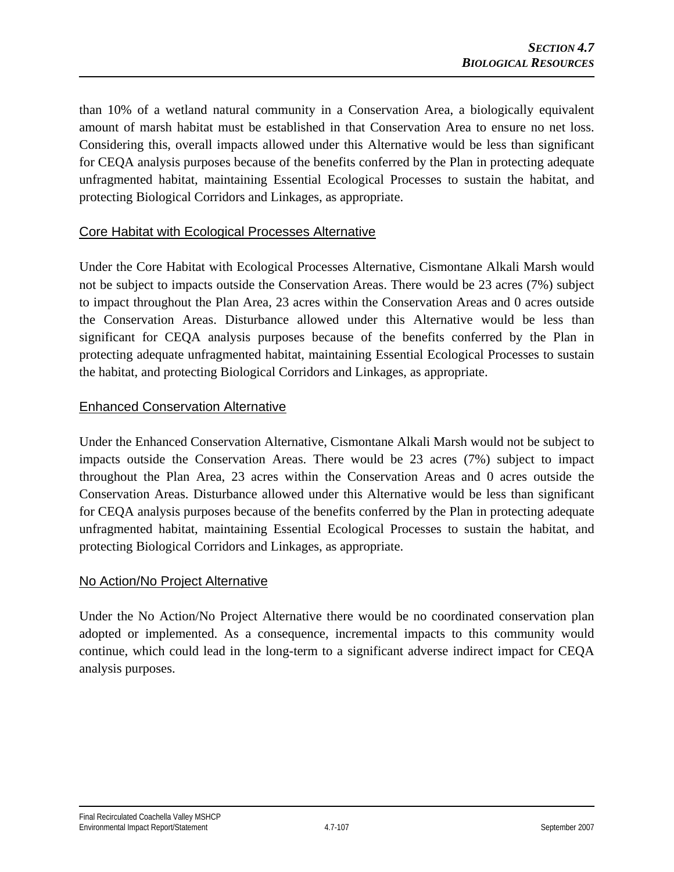than 10% of a wetland natural community in a Conservation Area, a biologically equivalent amount of marsh habitat must be established in that Conservation Area to ensure no net loss. Considering this, overall impacts allowed under this Alternative would be less than significant for CEQA analysis purposes because of the benefits conferred by the Plan in protecting adequate unfragmented habitat, maintaining Essential Ecological Processes to sustain the habitat, and protecting Biological Corridors and Linkages, as appropriate.

## Core Habitat with Ecological Processes Alternative

Under the Core Habitat with Ecological Processes Alternative, Cismontane Alkali Marsh would not be subject to impacts outside the Conservation Areas. There would be 23 acres (7%) subject to impact throughout the Plan Area, 23 acres within the Conservation Areas and 0 acres outside the Conservation Areas. Disturbance allowed under this Alternative would be less than significant for CEQA analysis purposes because of the benefits conferred by the Plan in protecting adequate unfragmented habitat, maintaining Essential Ecological Processes to sustain the habitat, and protecting Biological Corridors and Linkages, as appropriate.

## Enhanced Conservation Alternative

Under the Enhanced Conservation Alternative, Cismontane Alkali Marsh would not be subject to impacts outside the Conservation Areas. There would be 23 acres (7%) subject to impact throughout the Plan Area, 23 acres within the Conservation Areas and 0 acres outside the Conservation Areas. Disturbance allowed under this Alternative would be less than significant for CEQA analysis purposes because of the benefits conferred by the Plan in protecting adequate unfragmented habitat, maintaining Essential Ecological Processes to sustain the habitat, and protecting Biological Corridors and Linkages, as appropriate.

## No Action/No Project Alternative

Under the No Action/No Project Alternative there would be no coordinated conservation plan adopted or implemented. As a consequence, incremental impacts to this community would continue, which could lead in the long-term to a significant adverse indirect impact for CEQA analysis purposes.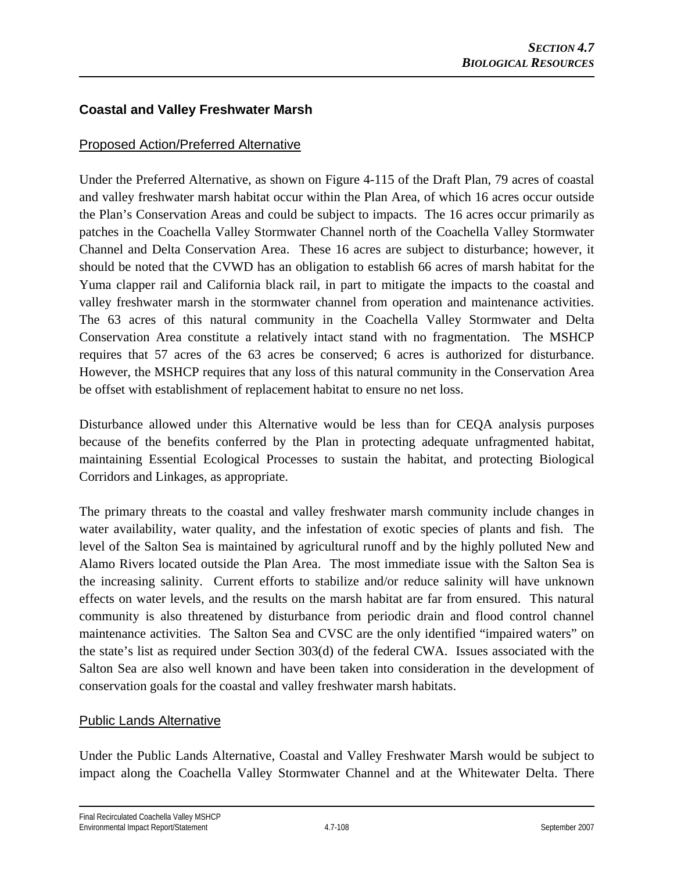## **Coastal and Valley Freshwater Marsh**

## Proposed Action/Preferred Alternative

Under the Preferred Alternative, as shown on Figure 4-115 of the Draft Plan, 79 acres of coastal and valley freshwater marsh habitat occur within the Plan Area, of which 16 acres occur outside the Plan's Conservation Areas and could be subject to impacts. The 16 acres occur primarily as patches in the Coachella Valley Stormwater Channel north of the Coachella Valley Stormwater Channel and Delta Conservation Area. These 16 acres are subject to disturbance; however, it should be noted that the CVWD has an obligation to establish 66 acres of marsh habitat for the Yuma clapper rail and California black rail, in part to mitigate the impacts to the coastal and valley freshwater marsh in the stormwater channel from operation and maintenance activities. The 63 acres of this natural community in the Coachella Valley Stormwater and Delta Conservation Area constitute a relatively intact stand with no fragmentation. The MSHCP requires that 57 acres of the 63 acres be conserved; 6 acres is authorized for disturbance. However, the MSHCP requires that any loss of this natural community in the Conservation Area be offset with establishment of replacement habitat to ensure no net loss.

Disturbance allowed under this Alternative would be less than for CEQA analysis purposes because of the benefits conferred by the Plan in protecting adequate unfragmented habitat, maintaining Essential Ecological Processes to sustain the habitat, and protecting Biological Corridors and Linkages, as appropriate.

The primary threats to the coastal and valley freshwater marsh community include changes in water availability, water quality, and the infestation of exotic species of plants and fish. The level of the Salton Sea is maintained by agricultural runoff and by the highly polluted New and Alamo Rivers located outside the Plan Area. The most immediate issue with the Salton Sea is the increasing salinity. Current efforts to stabilize and/or reduce salinity will have unknown effects on water levels, and the results on the marsh habitat are far from ensured. This natural community is also threatened by disturbance from periodic drain and flood control channel maintenance activities. The Salton Sea and CVSC are the only identified "impaired waters" on the state's list as required under Section 303(d) of the federal CWA. Issues associated with the Salton Sea are also well known and have been taken into consideration in the development of conservation goals for the coastal and valley freshwater marsh habitats.

## Public Lands Alternative

Under the Public Lands Alternative, Coastal and Valley Freshwater Marsh would be subject to impact along the Coachella Valley Stormwater Channel and at the Whitewater Delta. There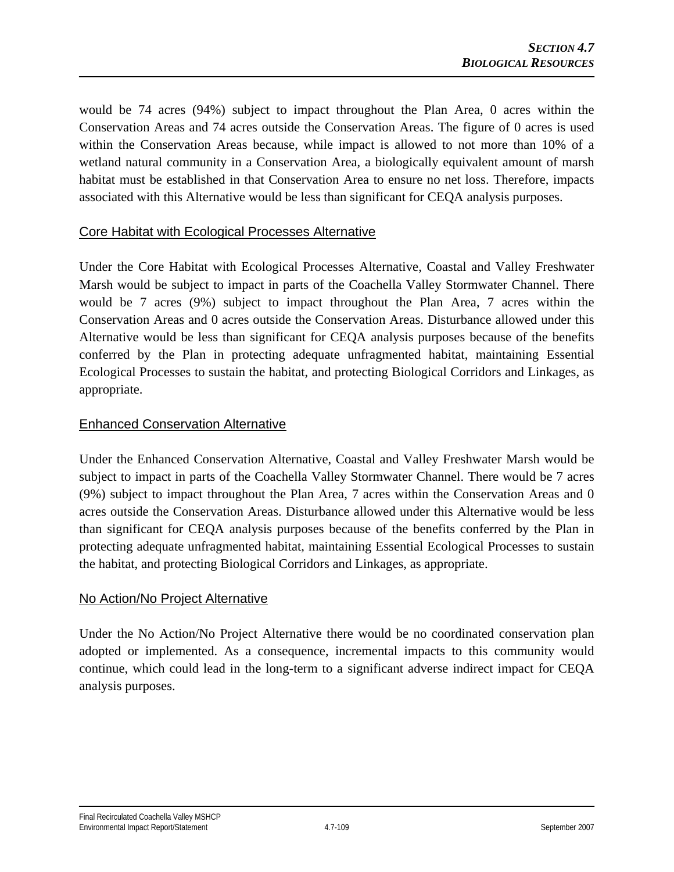would be 74 acres (94%) subject to impact throughout the Plan Area, 0 acres within the Conservation Areas and 74 acres outside the Conservation Areas. The figure of 0 acres is used within the Conservation Areas because, while impact is allowed to not more than 10% of a wetland natural community in a Conservation Area, a biologically equivalent amount of marsh habitat must be established in that Conservation Area to ensure no net loss. Therefore, impacts associated with this Alternative would be less than significant for CEQA analysis purposes.

### Core Habitat with Ecological Processes Alternative

Under the Core Habitat with Ecological Processes Alternative, Coastal and Valley Freshwater Marsh would be subject to impact in parts of the Coachella Valley Stormwater Channel. There would be 7 acres (9%) subject to impact throughout the Plan Area, 7 acres within the Conservation Areas and 0 acres outside the Conservation Areas. Disturbance allowed under this Alternative would be less than significant for CEQA analysis purposes because of the benefits conferred by the Plan in protecting adequate unfragmented habitat, maintaining Essential Ecological Processes to sustain the habitat, and protecting Biological Corridors and Linkages, as appropriate.

### Enhanced Conservation Alternative

Under the Enhanced Conservation Alternative, Coastal and Valley Freshwater Marsh would be subject to impact in parts of the Coachella Valley Stormwater Channel. There would be 7 acres (9%) subject to impact throughout the Plan Area, 7 acres within the Conservation Areas and 0 acres outside the Conservation Areas. Disturbance allowed under this Alternative would be less than significant for CEQA analysis purposes because of the benefits conferred by the Plan in protecting adequate unfragmented habitat, maintaining Essential Ecological Processes to sustain the habitat, and protecting Biological Corridors and Linkages, as appropriate.

### No Action/No Project Alternative

Under the No Action/No Project Alternative there would be no coordinated conservation plan adopted or implemented. As a consequence, incremental impacts to this community would continue, which could lead in the long-term to a significant adverse indirect impact for CEQA analysis purposes.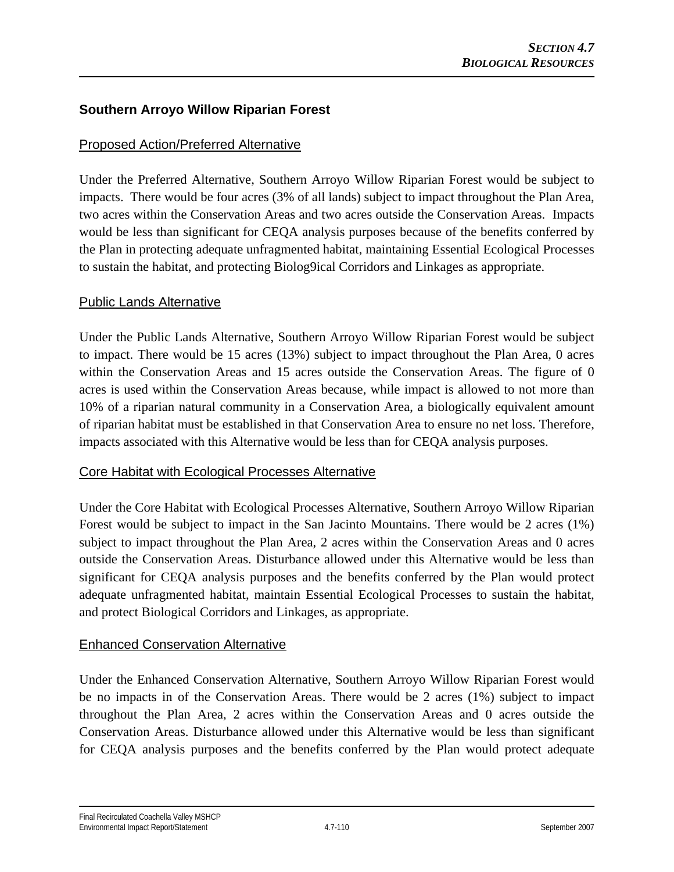## **Southern Arroyo Willow Riparian Forest**

### Proposed Action/Preferred Alternative

Under the Preferred Alternative, Southern Arroyo Willow Riparian Forest would be subject to impacts. There would be four acres (3% of all lands) subject to impact throughout the Plan Area, two acres within the Conservation Areas and two acres outside the Conservation Areas. Impacts would be less than significant for CEQA analysis purposes because of the benefits conferred by the Plan in protecting adequate unfragmented habitat, maintaining Essential Ecological Processes to sustain the habitat, and protecting Biolog9ical Corridors and Linkages as appropriate.

#### Public Lands Alternative

Under the Public Lands Alternative, Southern Arroyo Willow Riparian Forest would be subject to impact. There would be 15 acres (13%) subject to impact throughout the Plan Area, 0 acres within the Conservation Areas and 15 acres outside the Conservation Areas. The figure of 0 acres is used within the Conservation Areas because, while impact is allowed to not more than 10% of a riparian natural community in a Conservation Area, a biologically equivalent amount of riparian habitat must be established in that Conservation Area to ensure no net loss. Therefore, impacts associated with this Alternative would be less than for CEQA analysis purposes.

### Core Habitat with Ecological Processes Alternative

Under the Core Habitat with Ecological Processes Alternative, Southern Arroyo Willow Riparian Forest would be subject to impact in the San Jacinto Mountains. There would be 2 acres (1%) subject to impact throughout the Plan Area, 2 acres within the Conservation Areas and 0 acres outside the Conservation Areas. Disturbance allowed under this Alternative would be less than significant for CEQA analysis purposes and the benefits conferred by the Plan would protect adequate unfragmented habitat, maintain Essential Ecological Processes to sustain the habitat, and protect Biological Corridors and Linkages, as appropriate.

### Enhanced Conservation Alternative

Under the Enhanced Conservation Alternative, Southern Arroyo Willow Riparian Forest would be no impacts in of the Conservation Areas. There would be 2 acres (1%) subject to impact throughout the Plan Area, 2 acres within the Conservation Areas and 0 acres outside the Conservation Areas. Disturbance allowed under this Alternative would be less than significant for CEQA analysis purposes and the benefits conferred by the Plan would protect adequate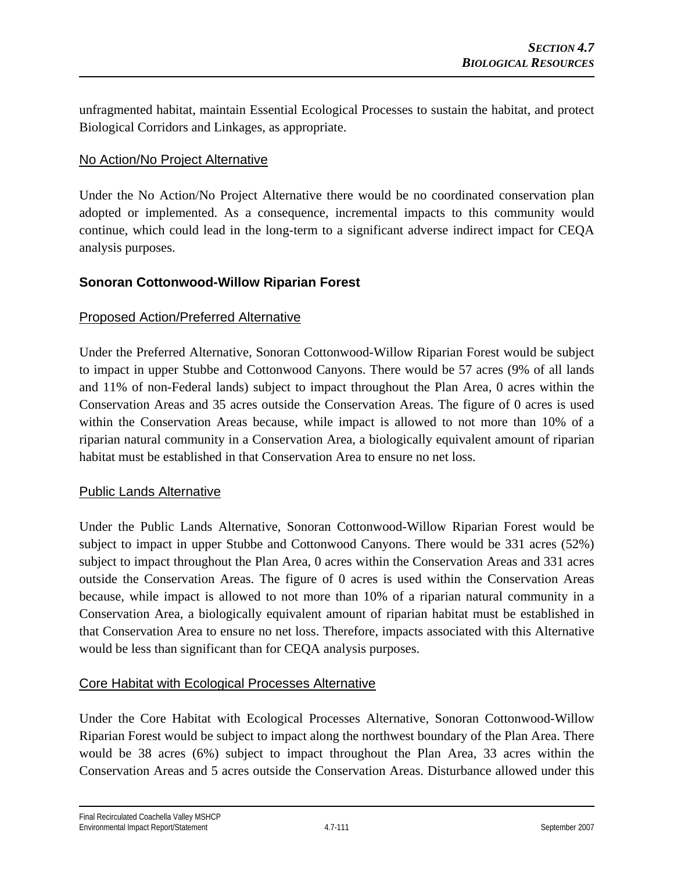unfragmented habitat, maintain Essential Ecological Processes to sustain the habitat, and protect Biological Corridors and Linkages, as appropriate.

### No Action/No Project Alternative

Under the No Action/No Project Alternative there would be no coordinated conservation plan adopted or implemented. As a consequence, incremental impacts to this community would continue, which could lead in the long-term to a significant adverse indirect impact for CEQA analysis purposes.

## **Sonoran Cottonwood-Willow Riparian Forest**

### Proposed Action/Preferred Alternative

Under the Preferred Alternative, Sonoran Cottonwood-Willow Riparian Forest would be subject to impact in upper Stubbe and Cottonwood Canyons. There would be 57 acres (9% of all lands and 11% of non-Federal lands) subject to impact throughout the Plan Area, 0 acres within the Conservation Areas and 35 acres outside the Conservation Areas. The figure of 0 acres is used within the Conservation Areas because, while impact is allowed to not more than 10% of a riparian natural community in a Conservation Area, a biologically equivalent amount of riparian habitat must be established in that Conservation Area to ensure no net loss.

#### Public Lands Alternative

Under the Public Lands Alternative, Sonoran Cottonwood-Willow Riparian Forest would be subject to impact in upper Stubbe and Cottonwood Canyons. There would be 331 acres (52%) subject to impact throughout the Plan Area, 0 acres within the Conservation Areas and 331 acres outside the Conservation Areas. The figure of 0 acres is used within the Conservation Areas because, while impact is allowed to not more than 10% of a riparian natural community in a Conservation Area, a biologically equivalent amount of riparian habitat must be established in that Conservation Area to ensure no net loss. Therefore, impacts associated with this Alternative would be less than significant than for CEQA analysis purposes.

### Core Habitat with Ecological Processes Alternative

Under the Core Habitat with Ecological Processes Alternative, Sonoran Cottonwood-Willow Riparian Forest would be subject to impact along the northwest boundary of the Plan Area. There would be 38 acres (6%) subject to impact throughout the Plan Area, 33 acres within the Conservation Areas and 5 acres outside the Conservation Areas. Disturbance allowed under this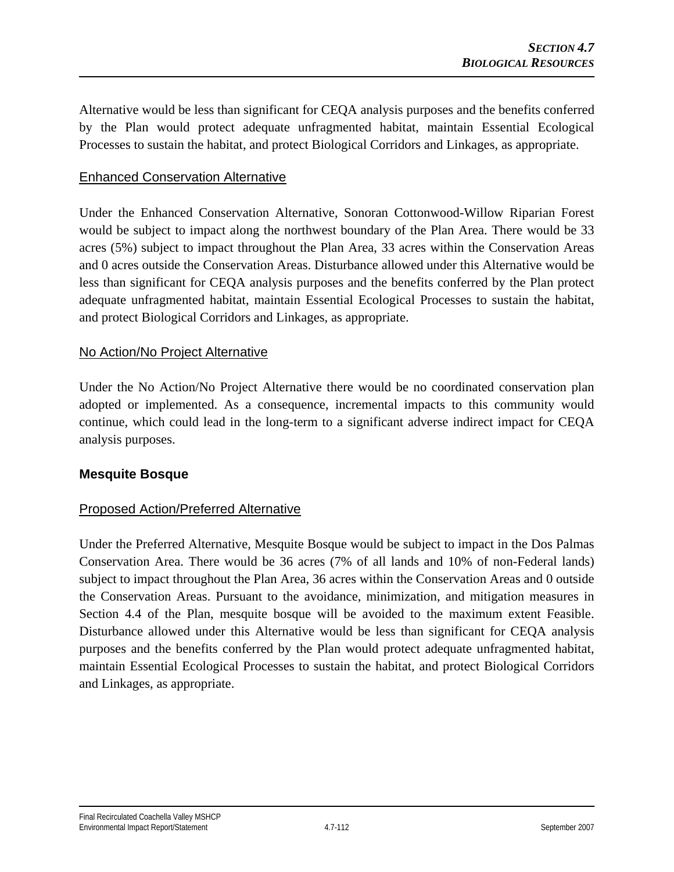Alternative would be less than significant for CEQA analysis purposes and the benefits conferred by the Plan would protect adequate unfragmented habitat, maintain Essential Ecological Processes to sustain the habitat, and protect Biological Corridors and Linkages, as appropriate.

### Enhanced Conservation Alternative

Under the Enhanced Conservation Alternative, Sonoran Cottonwood-Willow Riparian Forest would be subject to impact along the northwest boundary of the Plan Area. There would be 33 acres (5%) subject to impact throughout the Plan Area, 33 acres within the Conservation Areas and 0 acres outside the Conservation Areas. Disturbance allowed under this Alternative would be less than significant for CEQA analysis purposes and the benefits conferred by the Plan protect adequate unfragmented habitat, maintain Essential Ecological Processes to sustain the habitat, and protect Biological Corridors and Linkages, as appropriate.

#### No Action/No Project Alternative

Under the No Action/No Project Alternative there would be no coordinated conservation plan adopted or implemented. As a consequence, incremental impacts to this community would continue, which could lead in the long-term to a significant adverse indirect impact for CEQA analysis purposes.

### **Mesquite Bosque**

### Proposed Action/Preferred Alternative

Under the Preferred Alternative, Mesquite Bosque would be subject to impact in the Dos Palmas Conservation Area. There would be 36 acres (7% of all lands and 10% of non-Federal lands) subject to impact throughout the Plan Area, 36 acres within the Conservation Areas and 0 outside the Conservation Areas. Pursuant to the avoidance, minimization, and mitigation measures in Section 4.4 of the Plan, mesquite bosque will be avoided to the maximum extent Feasible. Disturbance allowed under this Alternative would be less than significant for CEQA analysis purposes and the benefits conferred by the Plan would protect adequate unfragmented habitat, maintain Essential Ecological Processes to sustain the habitat, and protect Biological Corridors and Linkages, as appropriate.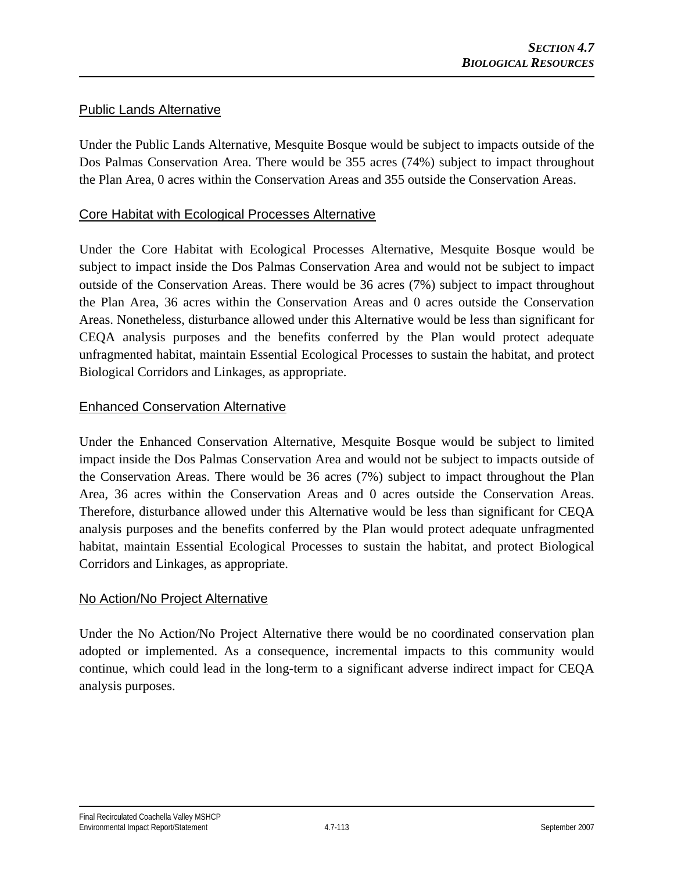### Public Lands Alternative

Under the Public Lands Alternative, Mesquite Bosque would be subject to impacts outside of the Dos Palmas Conservation Area. There would be 355 acres (74%) subject to impact throughout the Plan Area, 0 acres within the Conservation Areas and 355 outside the Conservation Areas.

#### Core Habitat with Ecological Processes Alternative

Under the Core Habitat with Ecological Processes Alternative, Mesquite Bosque would be subject to impact inside the Dos Palmas Conservation Area and would not be subject to impact outside of the Conservation Areas. There would be 36 acres (7%) subject to impact throughout the Plan Area, 36 acres within the Conservation Areas and 0 acres outside the Conservation Areas. Nonetheless, disturbance allowed under this Alternative would be less than significant for CEQA analysis purposes and the benefits conferred by the Plan would protect adequate unfragmented habitat, maintain Essential Ecological Processes to sustain the habitat, and protect Biological Corridors and Linkages, as appropriate.

#### Enhanced Conservation Alternative

Under the Enhanced Conservation Alternative, Mesquite Bosque would be subject to limited impact inside the Dos Palmas Conservation Area and would not be subject to impacts outside of the Conservation Areas. There would be 36 acres (7%) subject to impact throughout the Plan Area, 36 acres within the Conservation Areas and 0 acres outside the Conservation Areas. Therefore, disturbance allowed under this Alternative would be less than significant for CEQA analysis purposes and the benefits conferred by the Plan would protect adequate unfragmented habitat, maintain Essential Ecological Processes to sustain the habitat, and protect Biological Corridors and Linkages, as appropriate.

### No Action/No Project Alternative

Under the No Action/No Project Alternative there would be no coordinated conservation plan adopted or implemented. As a consequence, incremental impacts to this community would continue, which could lead in the long-term to a significant adverse indirect impact for CEQA analysis purposes.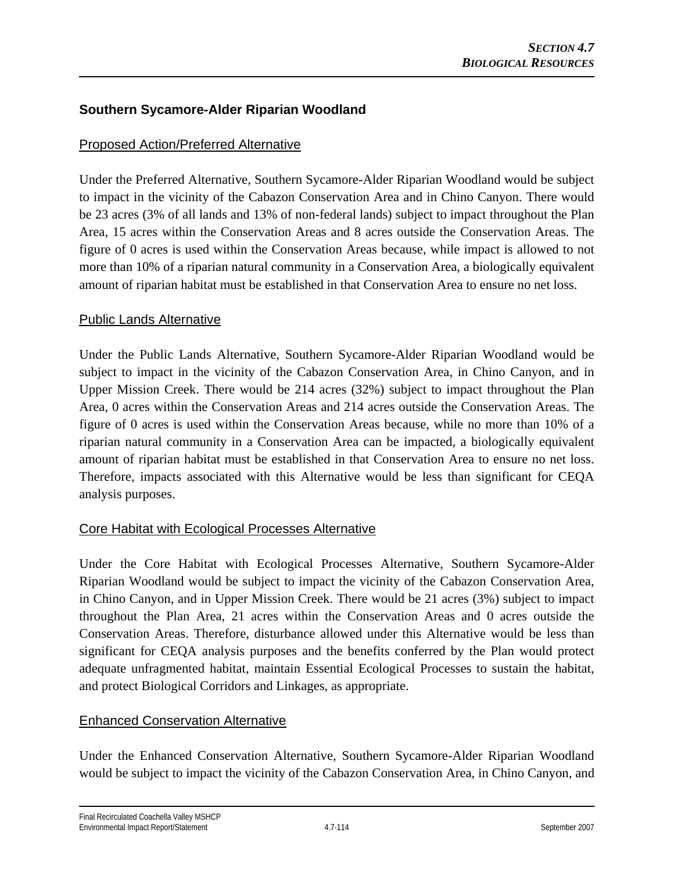## **Southern Sycamore-Alder Riparian Woodland**

### Proposed Action/Preferred Alternative

Under the Preferred Alternative, Southern Sycamore-Alder Riparian Woodland would be subject to impact in the vicinity of the Cabazon Conservation Area and in Chino Canyon. There would be 23 acres (3% of all lands and 13% of non-federal lands) subject to impact throughout the Plan Area, 15 acres within the Conservation Areas and 8 acres outside the Conservation Areas. The figure of 0 acres is used within the Conservation Areas because, while impact is allowed to not more than 10% of a riparian natural community in a Conservation Area, a biologically equivalent amount of riparian habitat must be established in that Conservation Area to ensure no net loss.

#### Public Lands Alternative

Under the Public Lands Alternative, Southern Sycamore-Alder Riparian Woodland would be subject to impact in the vicinity of the Cabazon Conservation Area, in Chino Canyon, and in Upper Mission Creek. There would be 214 acres (32%) subject to impact throughout the Plan Area, 0 acres within the Conservation Areas and 214 acres outside the Conservation Areas. The figure of 0 acres is used within the Conservation Areas because, while no more than 10% of a riparian natural community in a Conservation Area can be impacted, a biologically equivalent amount of riparian habitat must be established in that Conservation Area to ensure no net loss. Therefore, impacts associated with this Alternative would be less than significant for CEQA analysis purposes.

### Core Habitat with Ecological Processes Alternative

Under the Core Habitat with Ecological Processes Alternative, Southern Sycamore-Alder Riparian Woodland would be subject to impact the vicinity of the Cabazon Conservation Area, in Chino Canyon, and in Upper Mission Creek. There would be 21 acres (3%) subject to impact throughout the Plan Area, 21 acres within the Conservation Areas and 0 acres outside the Conservation Areas. Therefore, disturbance allowed under this Alternative would be less than significant for CEQA analysis purposes and the benefits conferred by the Plan would protect adequate unfragmented habitat, maintain Essential Ecological Processes to sustain the habitat, and protect Biological Corridors and Linkages, as appropriate.

### Enhanced Conservation Alternative

Under the Enhanced Conservation Alternative, Southern Sycamore-Alder Riparian Woodland would be subject to impact the vicinity of the Cabazon Conservation Area, in Chino Canyon, and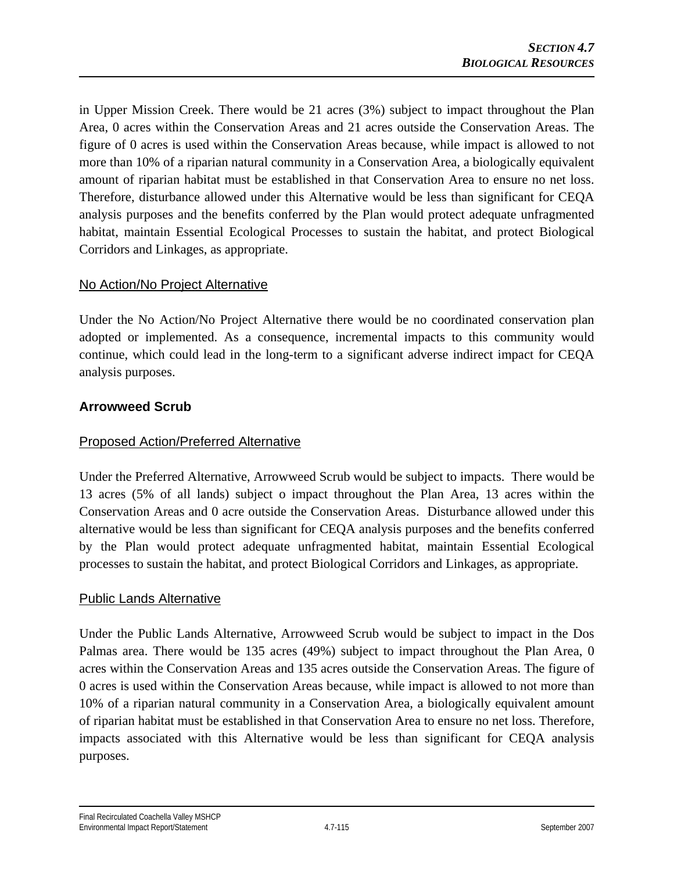in Upper Mission Creek. There would be 21 acres (3%) subject to impact throughout the Plan Area, 0 acres within the Conservation Areas and 21 acres outside the Conservation Areas. The figure of 0 acres is used within the Conservation Areas because, while impact is allowed to not more than 10% of a riparian natural community in a Conservation Area, a biologically equivalent amount of riparian habitat must be established in that Conservation Area to ensure no net loss. Therefore, disturbance allowed under this Alternative would be less than significant for CEQA analysis purposes and the benefits conferred by the Plan would protect adequate unfragmented habitat, maintain Essential Ecological Processes to sustain the habitat, and protect Biological Corridors and Linkages, as appropriate.

### No Action/No Project Alternative

Under the No Action/No Project Alternative there would be no coordinated conservation plan adopted or implemented. As a consequence, incremental impacts to this community would continue, which could lead in the long-term to a significant adverse indirect impact for CEQA analysis purposes.

### **Arrowweed Scrub**

### Proposed Action/Preferred Alternative

Under the Preferred Alternative, Arrowweed Scrub would be subject to impacts. There would be 13 acres (5% of all lands) subject o impact throughout the Plan Area, 13 acres within the Conservation Areas and 0 acre outside the Conservation Areas. Disturbance allowed under this alternative would be less than significant for CEQA analysis purposes and the benefits conferred by the Plan would protect adequate unfragmented habitat, maintain Essential Ecological processes to sustain the habitat, and protect Biological Corridors and Linkages, as appropriate.

#### Public Lands Alternative

Under the Public Lands Alternative, Arrowweed Scrub would be subject to impact in the Dos Palmas area. There would be 135 acres (49%) subject to impact throughout the Plan Area, 0 acres within the Conservation Areas and 135 acres outside the Conservation Areas. The figure of 0 acres is used within the Conservation Areas because, while impact is allowed to not more than 10% of a riparian natural community in a Conservation Area, a biologically equivalent amount of riparian habitat must be established in that Conservation Area to ensure no net loss. Therefore, impacts associated with this Alternative would be less than significant for CEQA analysis purposes.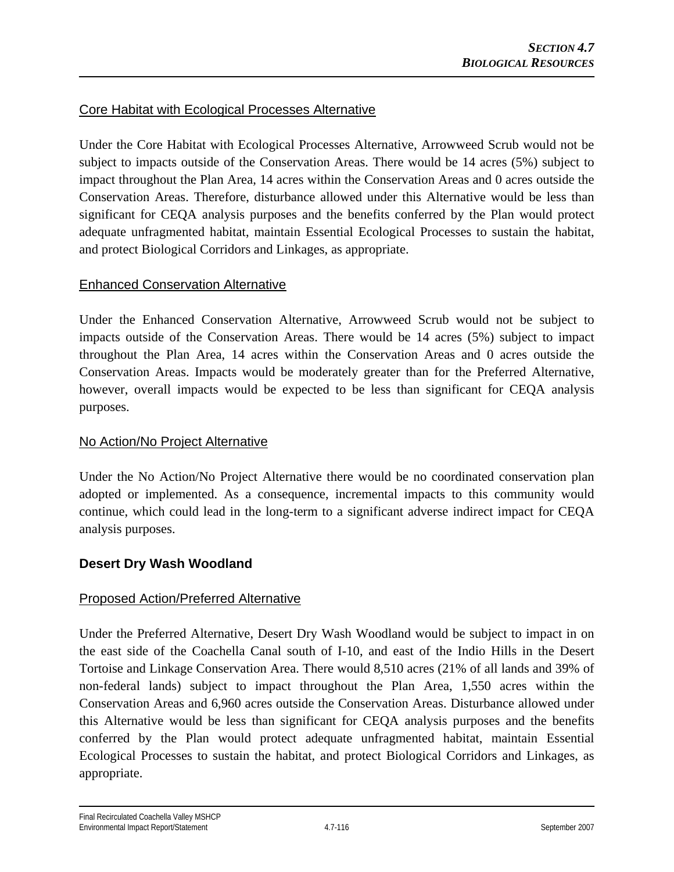### Core Habitat with Ecological Processes Alternative

Under the Core Habitat with Ecological Processes Alternative, Arrowweed Scrub would not be subject to impacts outside of the Conservation Areas. There would be 14 acres (5%) subject to impact throughout the Plan Area, 14 acres within the Conservation Areas and 0 acres outside the Conservation Areas. Therefore, disturbance allowed under this Alternative would be less than significant for CEQA analysis purposes and the benefits conferred by the Plan would protect adequate unfragmented habitat, maintain Essential Ecological Processes to sustain the habitat, and protect Biological Corridors and Linkages, as appropriate.

### Enhanced Conservation Alternative

Under the Enhanced Conservation Alternative, Arrowweed Scrub would not be subject to impacts outside of the Conservation Areas. There would be 14 acres (5%) subject to impact throughout the Plan Area, 14 acres within the Conservation Areas and 0 acres outside the Conservation Areas. Impacts would be moderately greater than for the Preferred Alternative, however, overall impacts would be expected to be less than significant for CEQA analysis purposes.

### No Action/No Project Alternative

Under the No Action/No Project Alternative there would be no coordinated conservation plan adopted or implemented. As a consequence, incremental impacts to this community would continue, which could lead in the long-term to a significant adverse indirect impact for CEQA analysis purposes.

### **Desert Dry Wash Woodland**

### Proposed Action/Preferred Alternative

Under the Preferred Alternative, Desert Dry Wash Woodland would be subject to impact in on the east side of the Coachella Canal south of I-10, and east of the Indio Hills in the Desert Tortoise and Linkage Conservation Area. There would 8,510 acres (21% of all lands and 39% of non-federal lands) subject to impact throughout the Plan Area, 1,550 acres within the Conservation Areas and 6,960 acres outside the Conservation Areas. Disturbance allowed under this Alternative would be less than significant for CEQA analysis purposes and the benefits conferred by the Plan would protect adequate unfragmented habitat, maintain Essential Ecological Processes to sustain the habitat, and protect Biological Corridors and Linkages, as appropriate.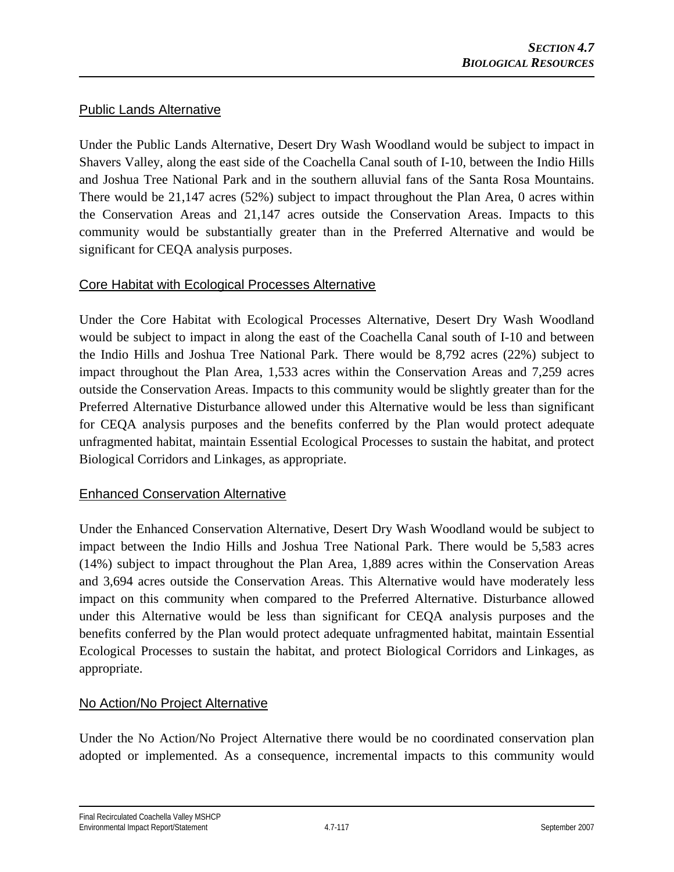### Public Lands Alternative

Under the Public Lands Alternative, Desert Dry Wash Woodland would be subject to impact in Shavers Valley, along the east side of the Coachella Canal south of I-10, between the Indio Hills and Joshua Tree National Park and in the southern alluvial fans of the Santa Rosa Mountains. There would be 21,147 acres (52%) subject to impact throughout the Plan Area, 0 acres within the Conservation Areas and 21,147 acres outside the Conservation Areas. Impacts to this community would be substantially greater than in the Preferred Alternative and would be significant for CEQA analysis purposes.

#### Core Habitat with Ecological Processes Alternative

Under the Core Habitat with Ecological Processes Alternative, Desert Dry Wash Woodland would be subject to impact in along the east of the Coachella Canal south of I-10 and between the Indio Hills and Joshua Tree National Park. There would be 8,792 acres (22%) subject to impact throughout the Plan Area, 1,533 acres within the Conservation Areas and 7,259 acres outside the Conservation Areas. Impacts to this community would be slightly greater than for the Preferred Alternative Disturbance allowed under this Alternative would be less than significant for CEQA analysis purposes and the benefits conferred by the Plan would protect adequate unfragmented habitat, maintain Essential Ecological Processes to sustain the habitat, and protect Biological Corridors and Linkages, as appropriate.

### Enhanced Conservation Alternative

Under the Enhanced Conservation Alternative, Desert Dry Wash Woodland would be subject to impact between the Indio Hills and Joshua Tree National Park. There would be 5,583 acres (14%) subject to impact throughout the Plan Area, 1,889 acres within the Conservation Areas and 3,694 acres outside the Conservation Areas. This Alternative would have moderately less impact on this community when compared to the Preferred Alternative. Disturbance allowed under this Alternative would be less than significant for CEQA analysis purposes and the benefits conferred by the Plan would protect adequate unfragmented habitat, maintain Essential Ecological Processes to sustain the habitat, and protect Biological Corridors and Linkages, as appropriate.

### No Action/No Project Alternative

Under the No Action/No Project Alternative there would be no coordinated conservation plan adopted or implemented. As a consequence, incremental impacts to this community would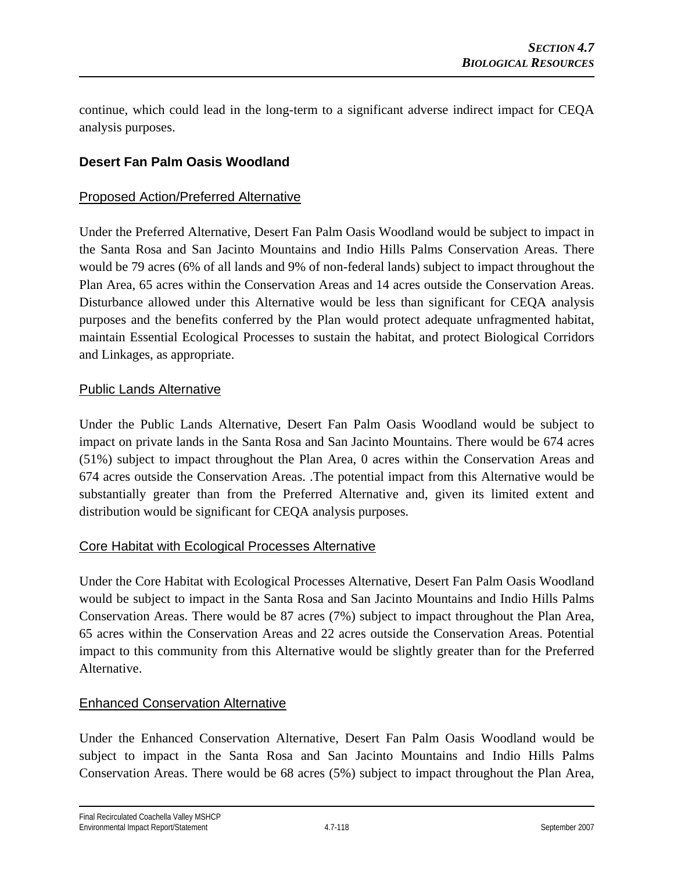continue, which could lead in the long-term to a significant adverse indirect impact for CEQA analysis purposes.

## **Desert Fan Palm Oasis Woodland**

### Proposed Action/Preferred Alternative

Under the Preferred Alternative, Desert Fan Palm Oasis Woodland would be subject to impact in the Santa Rosa and San Jacinto Mountains and Indio Hills Palms Conservation Areas. There would be 79 acres (6% of all lands and 9% of non-federal lands) subject to impact throughout the Plan Area, 65 acres within the Conservation Areas and 14 acres outside the Conservation Areas. Disturbance allowed under this Alternative would be less than significant for CEQA analysis purposes and the benefits conferred by the Plan would protect adequate unfragmented habitat, maintain Essential Ecological Processes to sustain the habitat, and protect Biological Corridors and Linkages, as appropriate.

#### Public Lands Alternative

Under the Public Lands Alternative, Desert Fan Palm Oasis Woodland would be subject to impact on private lands in the Santa Rosa and San Jacinto Mountains. There would be 674 acres (51%) subject to impact throughout the Plan Area, 0 acres within the Conservation Areas and 674 acres outside the Conservation Areas. .The potential impact from this Alternative would be substantially greater than from the Preferred Alternative and, given its limited extent and distribution would be significant for CEQA analysis purposes.

#### Core Habitat with Ecological Processes Alternative

Under the Core Habitat with Ecological Processes Alternative, Desert Fan Palm Oasis Woodland would be subject to impact in the Santa Rosa and San Jacinto Mountains and Indio Hills Palms Conservation Areas. There would be 87 acres (7%) subject to impact throughout the Plan Area, 65 acres within the Conservation Areas and 22 acres outside the Conservation Areas. Potential impact to this community from this Alternative would be slightly greater than for the Preferred Alternative.

### Enhanced Conservation Alternative

Under the Enhanced Conservation Alternative, Desert Fan Palm Oasis Woodland would be subject to impact in the Santa Rosa and San Jacinto Mountains and Indio Hills Palms Conservation Areas. There would be 68 acres (5%) subject to impact throughout the Plan Area,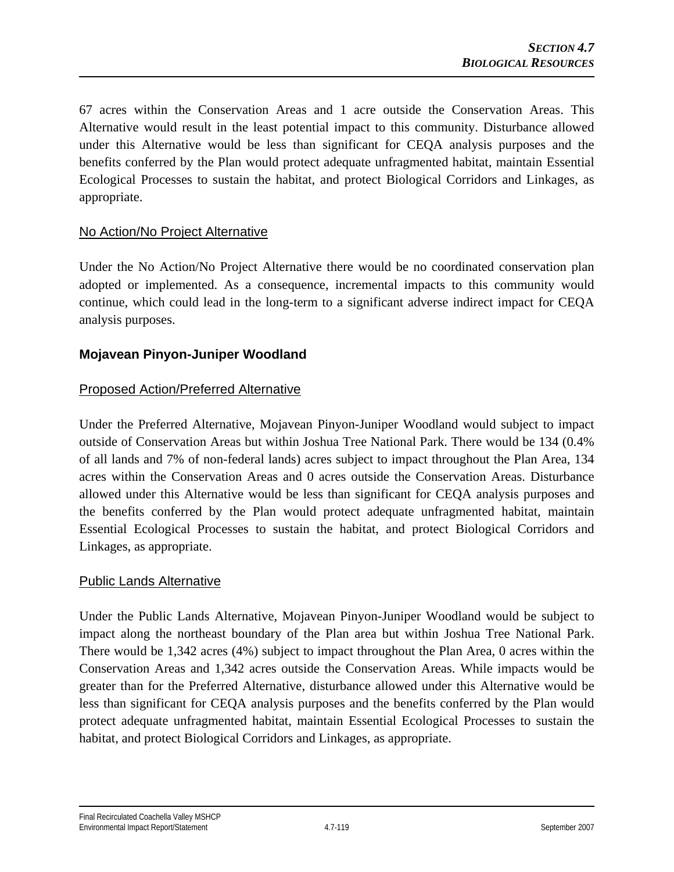67 acres within the Conservation Areas and 1 acre outside the Conservation Areas. This Alternative would result in the least potential impact to this community. Disturbance allowed under this Alternative would be less than significant for CEQA analysis purposes and the benefits conferred by the Plan would protect adequate unfragmented habitat, maintain Essential Ecological Processes to sustain the habitat, and protect Biological Corridors and Linkages, as appropriate.

### No Action/No Project Alternative

Under the No Action/No Project Alternative there would be no coordinated conservation plan adopted or implemented. As a consequence, incremental impacts to this community would continue, which could lead in the long-term to a significant adverse indirect impact for CEQA analysis purposes.

#### **Mojavean Pinyon-Juniper Woodland**

#### Proposed Action/Preferred Alternative

Under the Preferred Alternative, Mojavean Pinyon-Juniper Woodland would subject to impact outside of Conservation Areas but within Joshua Tree National Park. There would be 134 (0.4% of all lands and 7% of non-federal lands) acres subject to impact throughout the Plan Area, 134 acres within the Conservation Areas and 0 acres outside the Conservation Areas. Disturbance allowed under this Alternative would be less than significant for CEQA analysis purposes and the benefits conferred by the Plan would protect adequate unfragmented habitat, maintain Essential Ecological Processes to sustain the habitat, and protect Biological Corridors and Linkages, as appropriate.

#### Public Lands Alternative

Under the Public Lands Alternative, Mojavean Pinyon-Juniper Woodland would be subject to impact along the northeast boundary of the Plan area but within Joshua Tree National Park. There would be 1,342 acres (4%) subject to impact throughout the Plan Area, 0 acres within the Conservation Areas and 1,342 acres outside the Conservation Areas. While impacts would be greater than for the Preferred Alternative, disturbance allowed under this Alternative would be less than significant for CEQA analysis purposes and the benefits conferred by the Plan would protect adequate unfragmented habitat, maintain Essential Ecological Processes to sustain the habitat, and protect Biological Corridors and Linkages, as appropriate.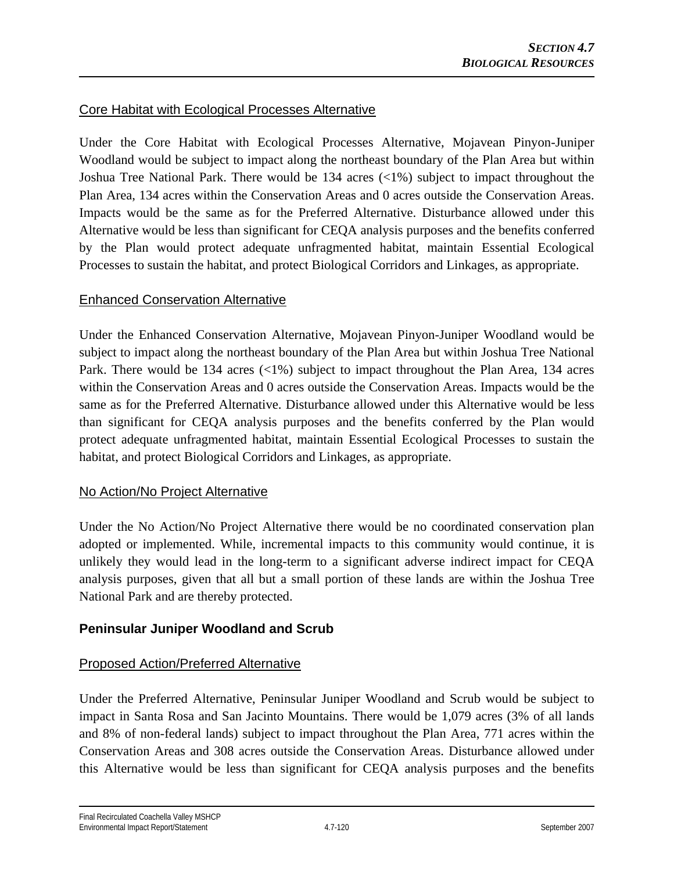### Core Habitat with Ecological Processes Alternative

Under the Core Habitat with Ecological Processes Alternative, Mojavean Pinyon-Juniper Woodland would be subject to impact along the northeast boundary of the Plan Area but within Joshua Tree National Park. There would be 134 acres (<1%) subject to impact throughout the Plan Area, 134 acres within the Conservation Areas and 0 acres outside the Conservation Areas. Impacts would be the same as for the Preferred Alternative. Disturbance allowed under this Alternative would be less than significant for CEQA analysis purposes and the benefits conferred by the Plan would protect adequate unfragmented habitat, maintain Essential Ecological Processes to sustain the habitat, and protect Biological Corridors and Linkages, as appropriate.

### Enhanced Conservation Alternative

Under the Enhanced Conservation Alternative, Mojavean Pinyon-Juniper Woodland would be subject to impact along the northeast boundary of the Plan Area but within Joshua Tree National Park. There would be 134 acres (<1%) subject to impact throughout the Plan Area, 134 acres within the Conservation Areas and 0 acres outside the Conservation Areas. Impacts would be the same as for the Preferred Alternative. Disturbance allowed under this Alternative would be less than significant for CEQA analysis purposes and the benefits conferred by the Plan would protect adequate unfragmented habitat, maintain Essential Ecological Processes to sustain the habitat, and protect Biological Corridors and Linkages, as appropriate.

### No Action/No Project Alternative

Under the No Action/No Project Alternative there would be no coordinated conservation plan adopted or implemented. While, incremental impacts to this community would continue, it is unlikely they would lead in the long-term to a significant adverse indirect impact for CEQA analysis purposes, given that all but a small portion of these lands are within the Joshua Tree National Park and are thereby protected.

### **Peninsular Juniper Woodland and Scrub**

### Proposed Action/Preferred Alternative

Under the Preferred Alternative, Peninsular Juniper Woodland and Scrub would be subject to impact in Santa Rosa and San Jacinto Mountains. There would be 1,079 acres (3% of all lands and 8% of non-federal lands) subject to impact throughout the Plan Area, 771 acres within the Conservation Areas and 308 acres outside the Conservation Areas. Disturbance allowed under this Alternative would be less than significant for CEQA analysis purposes and the benefits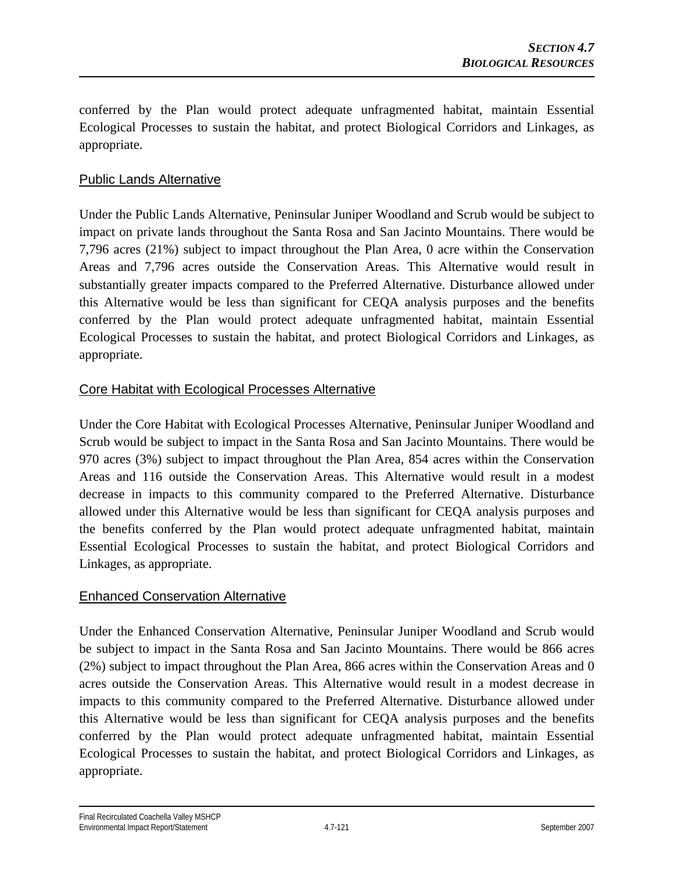conferred by the Plan would protect adequate unfragmented habitat, maintain Essential Ecological Processes to sustain the habitat, and protect Biological Corridors and Linkages, as appropriate.

### Public Lands Alternative

Under the Public Lands Alternative, Peninsular Juniper Woodland and Scrub would be subject to impact on private lands throughout the Santa Rosa and San Jacinto Mountains. There would be 7,796 acres (21%) subject to impact throughout the Plan Area, 0 acre within the Conservation Areas and 7,796 acres outside the Conservation Areas. This Alternative would result in substantially greater impacts compared to the Preferred Alternative. Disturbance allowed under this Alternative would be less than significant for CEQA analysis purposes and the benefits conferred by the Plan would protect adequate unfragmented habitat, maintain Essential Ecological Processes to sustain the habitat, and protect Biological Corridors and Linkages, as appropriate.

### Core Habitat with Ecological Processes Alternative

Under the Core Habitat with Ecological Processes Alternative, Peninsular Juniper Woodland and Scrub would be subject to impact in the Santa Rosa and San Jacinto Mountains. There would be 970 acres (3%) subject to impact throughout the Plan Area, 854 acres within the Conservation Areas and 116 outside the Conservation Areas. This Alternative would result in a modest decrease in impacts to this community compared to the Preferred Alternative. Disturbance allowed under this Alternative would be less than significant for CEQA analysis purposes and the benefits conferred by the Plan would protect adequate unfragmented habitat, maintain Essential Ecological Processes to sustain the habitat, and protect Biological Corridors and Linkages, as appropriate.

### Enhanced Conservation Alternative

Under the Enhanced Conservation Alternative, Peninsular Juniper Woodland and Scrub would be subject to impact in the Santa Rosa and San Jacinto Mountains. There would be 866 acres (2%) subject to impact throughout the Plan Area, 866 acres within the Conservation Areas and 0 acres outside the Conservation Areas. This Alternative would result in a modest decrease in impacts to this community compared to the Preferred Alternative. Disturbance allowed under this Alternative would be less than significant for CEQA analysis purposes and the benefits conferred by the Plan would protect adequate unfragmented habitat, maintain Essential Ecological Processes to sustain the habitat, and protect Biological Corridors and Linkages, as appropriate.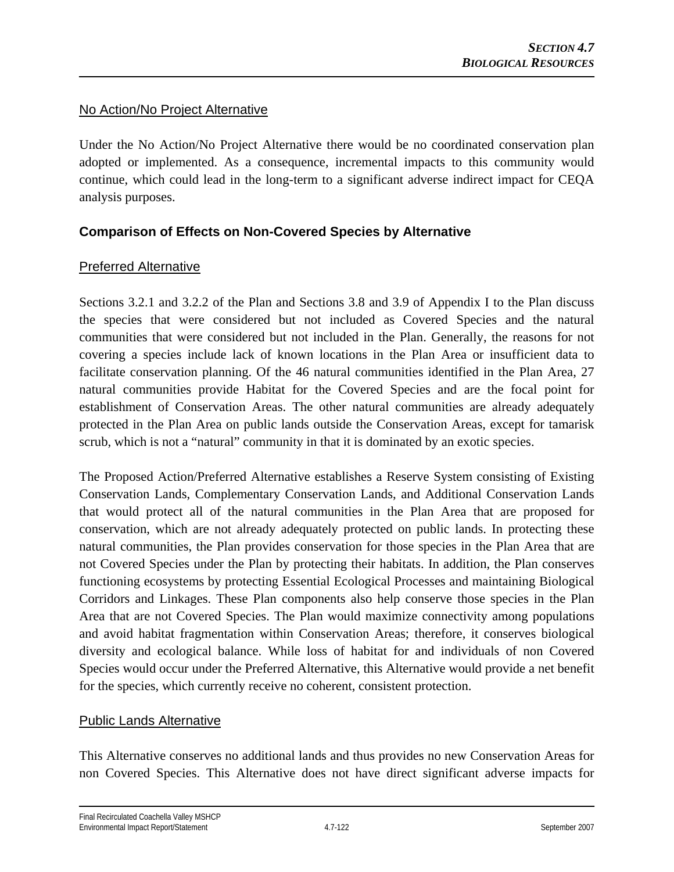### No Action/No Project Alternative

Under the No Action/No Project Alternative there would be no coordinated conservation plan adopted or implemented. As a consequence, incremental impacts to this community would continue, which could lead in the long-term to a significant adverse indirect impact for CEQA analysis purposes.

## **Comparison of Effects on Non-Covered Species by Alternative**

#### Preferred Alternative

Sections 3.2.1 and 3.2.2 of the Plan and Sections 3.8 and 3.9 of Appendix I to the Plan discuss the species that were considered but not included as Covered Species and the natural communities that were considered but not included in the Plan. Generally, the reasons for not covering a species include lack of known locations in the Plan Area or insufficient data to facilitate conservation planning. Of the 46 natural communities identified in the Plan Area, 27 natural communities provide Habitat for the Covered Species and are the focal point for establishment of Conservation Areas. The other natural communities are already adequately protected in the Plan Area on public lands outside the Conservation Areas, except for tamarisk scrub, which is not a "natural" community in that it is dominated by an exotic species.

The Proposed Action/Preferred Alternative establishes a Reserve System consisting of Existing Conservation Lands, Complementary Conservation Lands, and Additional Conservation Lands that would protect all of the natural communities in the Plan Area that are proposed for conservation, which are not already adequately protected on public lands. In protecting these natural communities, the Plan provides conservation for those species in the Plan Area that are not Covered Species under the Plan by protecting their habitats. In addition, the Plan conserves functioning ecosystems by protecting Essential Ecological Processes and maintaining Biological Corridors and Linkages. These Plan components also help conserve those species in the Plan Area that are not Covered Species. The Plan would maximize connectivity among populations and avoid habitat fragmentation within Conservation Areas; therefore, it conserves biological diversity and ecological balance. While loss of habitat for and individuals of non Covered Species would occur under the Preferred Alternative, this Alternative would provide a net benefit for the species, which currently receive no coherent, consistent protection.

### Public Lands Alternative

This Alternative conserves no additional lands and thus provides no new Conservation Areas for non Covered Species. This Alternative does not have direct significant adverse impacts for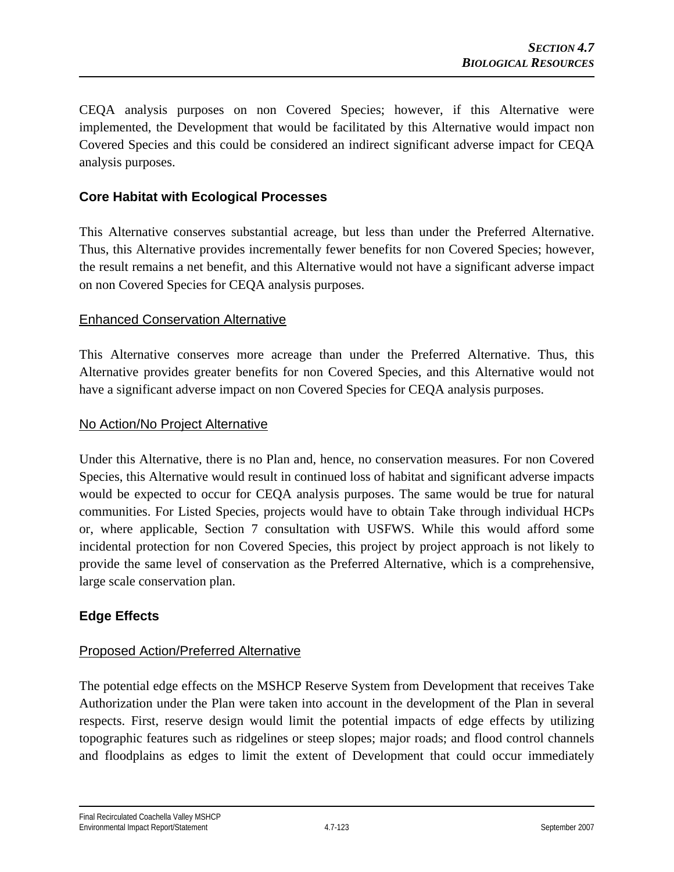CEQA analysis purposes on non Covered Species; however, if this Alternative were implemented, the Development that would be facilitated by this Alternative would impact non Covered Species and this could be considered an indirect significant adverse impact for CEQA analysis purposes.

### **Core Habitat with Ecological Processes**

This Alternative conserves substantial acreage, but less than under the Preferred Alternative. Thus, this Alternative provides incrementally fewer benefits for non Covered Species; however, the result remains a net benefit, and this Alternative would not have a significant adverse impact on non Covered Species for CEQA analysis purposes.

### Enhanced Conservation Alternative

This Alternative conserves more acreage than under the Preferred Alternative. Thus, this Alternative provides greater benefits for non Covered Species, and this Alternative would not have a significant adverse impact on non Covered Species for CEQA analysis purposes.

#### No Action/No Project Alternative

Under this Alternative, there is no Plan and, hence, no conservation measures. For non Covered Species, this Alternative would result in continued loss of habitat and significant adverse impacts would be expected to occur for CEQA analysis purposes. The same would be true for natural communities. For Listed Species, projects would have to obtain Take through individual HCPs or, where applicable, Section 7 consultation with USFWS. While this would afford some incidental protection for non Covered Species, this project by project approach is not likely to provide the same level of conservation as the Preferred Alternative, which is a comprehensive, large scale conservation plan.

## **Edge Effects**

### Proposed Action/Preferred Alternative

The potential edge effects on the MSHCP Reserve System from Development that receives Take Authorization under the Plan were taken into account in the development of the Plan in several respects. First, reserve design would limit the potential impacts of edge effects by utilizing topographic features such as ridgelines or steep slopes; major roads; and flood control channels and floodplains as edges to limit the extent of Development that could occur immediately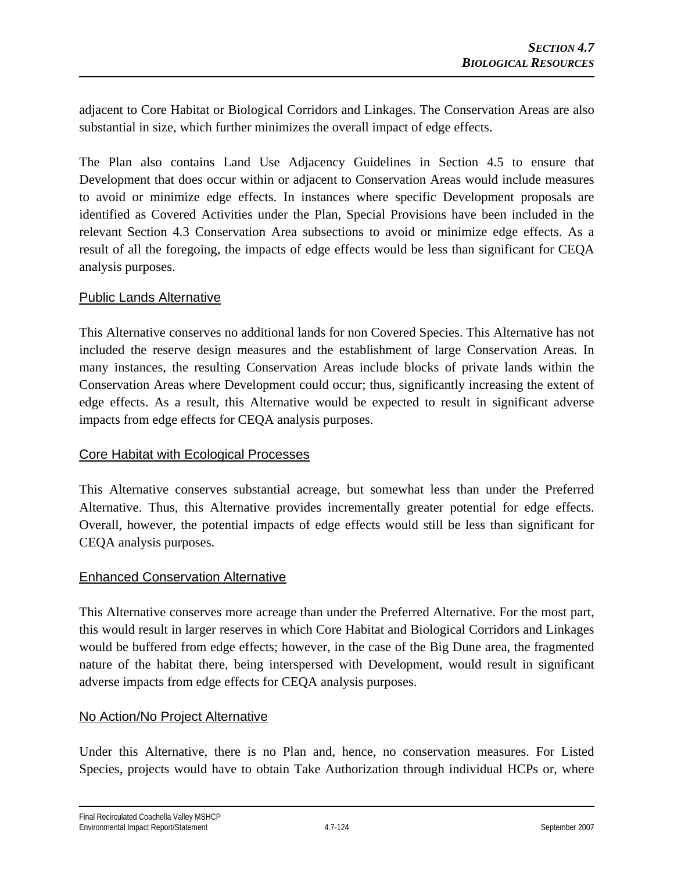adjacent to Core Habitat or Biological Corridors and Linkages. The Conservation Areas are also substantial in size, which further minimizes the overall impact of edge effects.

The Plan also contains Land Use Adjacency Guidelines in Section 4.5 to ensure that Development that does occur within or adjacent to Conservation Areas would include measures to avoid or minimize edge effects. In instances where specific Development proposals are identified as Covered Activities under the Plan, Special Provisions have been included in the relevant Section 4.3 Conservation Area subsections to avoid or minimize edge effects. As a result of all the foregoing, the impacts of edge effects would be less than significant for CEQA analysis purposes.

#### Public Lands Alternative

This Alternative conserves no additional lands for non Covered Species. This Alternative has not included the reserve design measures and the establishment of large Conservation Areas. In many instances, the resulting Conservation Areas include blocks of private lands within the Conservation Areas where Development could occur; thus, significantly increasing the extent of edge effects. As a result, this Alternative would be expected to result in significant adverse impacts from edge effects for CEQA analysis purposes.

### Core Habitat with Ecological Processes

This Alternative conserves substantial acreage, but somewhat less than under the Preferred Alternative. Thus, this Alternative provides incrementally greater potential for edge effects. Overall, however, the potential impacts of edge effects would still be less than significant for CEQA analysis purposes.

### Enhanced Conservation Alternative

This Alternative conserves more acreage than under the Preferred Alternative. For the most part, this would result in larger reserves in which Core Habitat and Biological Corridors and Linkages would be buffered from edge effects; however, in the case of the Big Dune area, the fragmented nature of the habitat there, being interspersed with Development, would result in significant adverse impacts from edge effects for CEQA analysis purposes.

#### No Action/No Project Alternative

Under this Alternative, there is no Plan and, hence, no conservation measures. For Listed Species, projects would have to obtain Take Authorization through individual HCPs or, where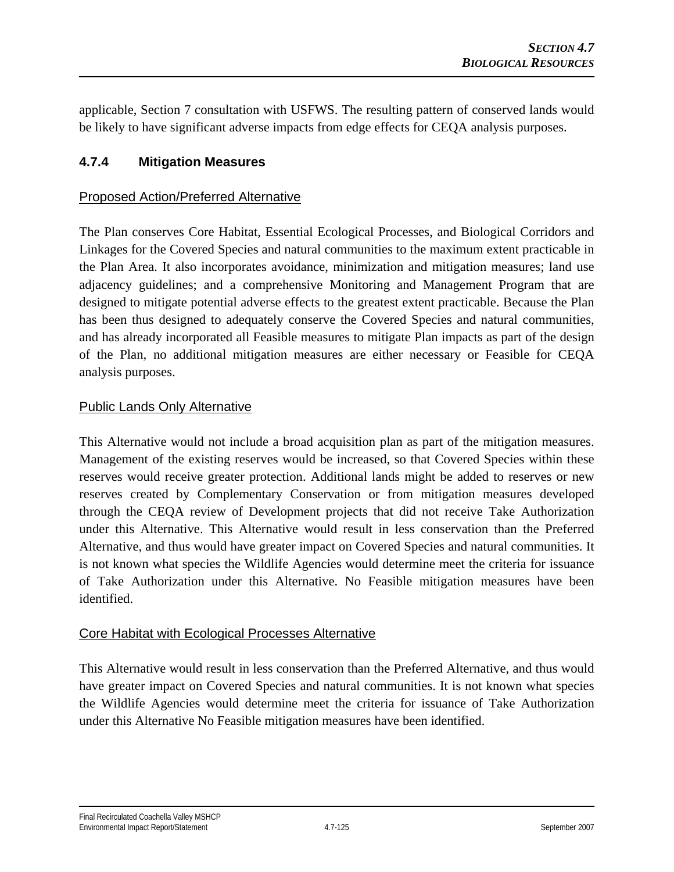applicable, Section 7 consultation with USFWS. The resulting pattern of conserved lands would be likely to have significant adverse impacts from edge effects for CEQA analysis purposes.

## **4.7.4 Mitigation Measures**

#### Proposed Action/Preferred Alternative

The Plan conserves Core Habitat, Essential Ecological Processes, and Biological Corridors and Linkages for the Covered Species and natural communities to the maximum extent practicable in the Plan Area. It also incorporates avoidance, minimization and mitigation measures; land use adjacency guidelines; and a comprehensive Monitoring and Management Program that are designed to mitigate potential adverse effects to the greatest extent practicable. Because the Plan has been thus designed to adequately conserve the Covered Species and natural communities, and has already incorporated all Feasible measures to mitigate Plan impacts as part of the design of the Plan, no additional mitigation measures are either necessary or Feasible for CEQA analysis purposes.

#### Public Lands Only Alternative

This Alternative would not include a broad acquisition plan as part of the mitigation measures. Management of the existing reserves would be increased, so that Covered Species within these reserves would receive greater protection. Additional lands might be added to reserves or new reserves created by Complementary Conservation or from mitigation measures developed through the CEQA review of Development projects that did not receive Take Authorization under this Alternative. This Alternative would result in less conservation than the Preferred Alternative, and thus would have greater impact on Covered Species and natural communities. It is not known what species the Wildlife Agencies would determine meet the criteria for issuance of Take Authorization under this Alternative. No Feasible mitigation measures have been identified.

#### Core Habitat with Ecological Processes Alternative

This Alternative would result in less conservation than the Preferred Alternative, and thus would have greater impact on Covered Species and natural communities. It is not known what species the Wildlife Agencies would determine meet the criteria for issuance of Take Authorization under this Alternative No Feasible mitigation measures have been identified.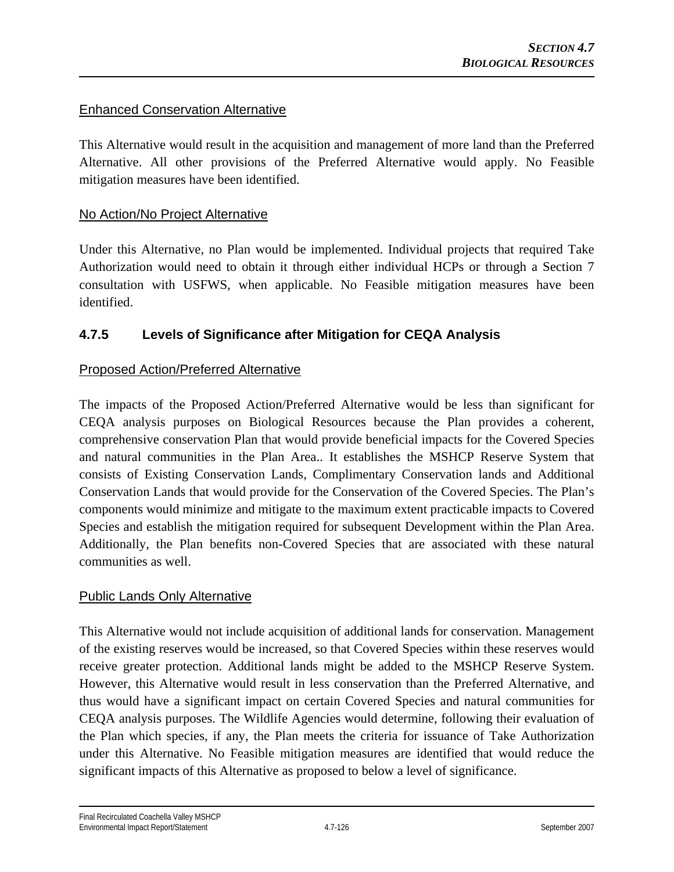### Enhanced Conservation Alternative

This Alternative would result in the acquisition and management of more land than the Preferred Alternative. All other provisions of the Preferred Alternative would apply. No Feasible mitigation measures have been identified.

### No Action/No Project Alternative

Under this Alternative, no Plan would be implemented. Individual projects that required Take Authorization would need to obtain it through either individual HCPs or through a Section 7 consultation with USFWS, when applicable. No Feasible mitigation measures have been identified.

## **4.7.5 Levels of Significance after Mitigation for CEQA Analysis**

### Proposed Action/Preferred Alternative

The impacts of the Proposed Action/Preferred Alternative would be less than significant for CEQA analysis purposes on Biological Resources because the Plan provides a coherent, comprehensive conservation Plan that would provide beneficial impacts for the Covered Species and natural communities in the Plan Area.. It establishes the MSHCP Reserve System that consists of Existing Conservation Lands, Complimentary Conservation lands and Additional Conservation Lands that would provide for the Conservation of the Covered Species. The Plan's components would minimize and mitigate to the maximum extent practicable impacts to Covered Species and establish the mitigation required for subsequent Development within the Plan Area. Additionally, the Plan benefits non-Covered Species that are associated with these natural communities as well.

#### Public Lands Only Alternative

This Alternative would not include acquisition of additional lands for conservation. Management of the existing reserves would be increased, so that Covered Species within these reserves would receive greater protection. Additional lands might be added to the MSHCP Reserve System. However, this Alternative would result in less conservation than the Preferred Alternative, and thus would have a significant impact on certain Covered Species and natural communities for CEQA analysis purposes. The Wildlife Agencies would determine, following their evaluation of the Plan which species, if any, the Plan meets the criteria for issuance of Take Authorization under this Alternative. No Feasible mitigation measures are identified that would reduce the significant impacts of this Alternative as proposed to below a level of significance.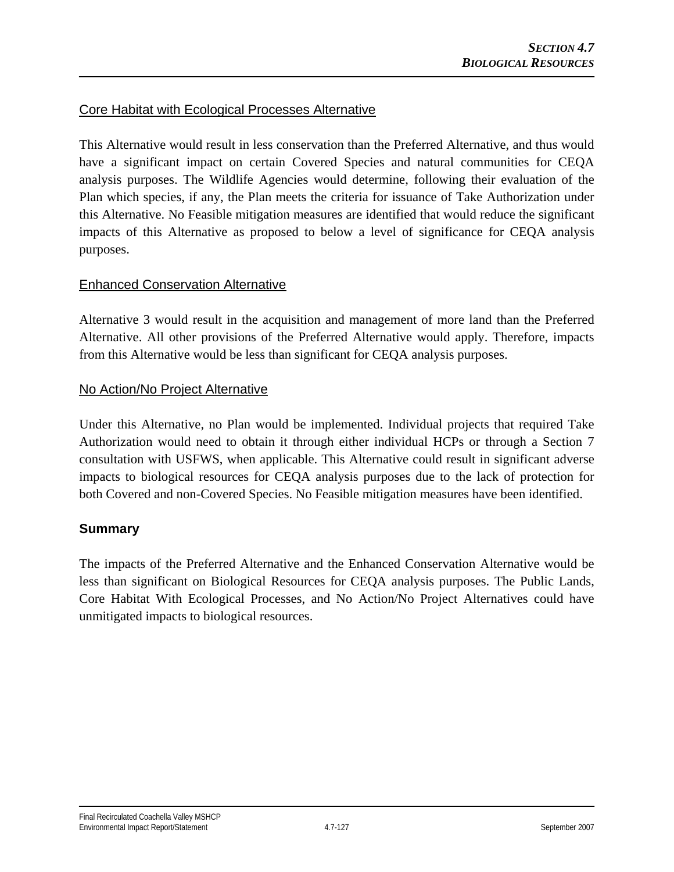### Core Habitat with Ecological Processes Alternative

This Alternative would result in less conservation than the Preferred Alternative, and thus would have a significant impact on certain Covered Species and natural communities for CEQA analysis purposes. The Wildlife Agencies would determine, following their evaluation of the Plan which species, if any, the Plan meets the criteria for issuance of Take Authorization under this Alternative. No Feasible mitigation measures are identified that would reduce the significant impacts of this Alternative as proposed to below a level of significance for CEQA analysis purposes.

### Enhanced Conservation Alternative

Alternative 3 would result in the acquisition and management of more land than the Preferred Alternative. All other provisions of the Preferred Alternative would apply. Therefore, impacts from this Alternative would be less than significant for CEQA analysis purposes.

#### No Action/No Project Alternative

Under this Alternative, no Plan would be implemented. Individual projects that required Take Authorization would need to obtain it through either individual HCPs or through a Section 7 consultation with USFWS, when applicable. This Alternative could result in significant adverse impacts to biological resources for CEQA analysis purposes due to the lack of protection for both Covered and non-Covered Species. No Feasible mitigation measures have been identified.

### **Summary**

The impacts of the Preferred Alternative and the Enhanced Conservation Alternative would be less than significant on Biological Resources for CEQA analysis purposes. The Public Lands, Core Habitat With Ecological Processes, and No Action/No Project Alternatives could have unmitigated impacts to biological resources.